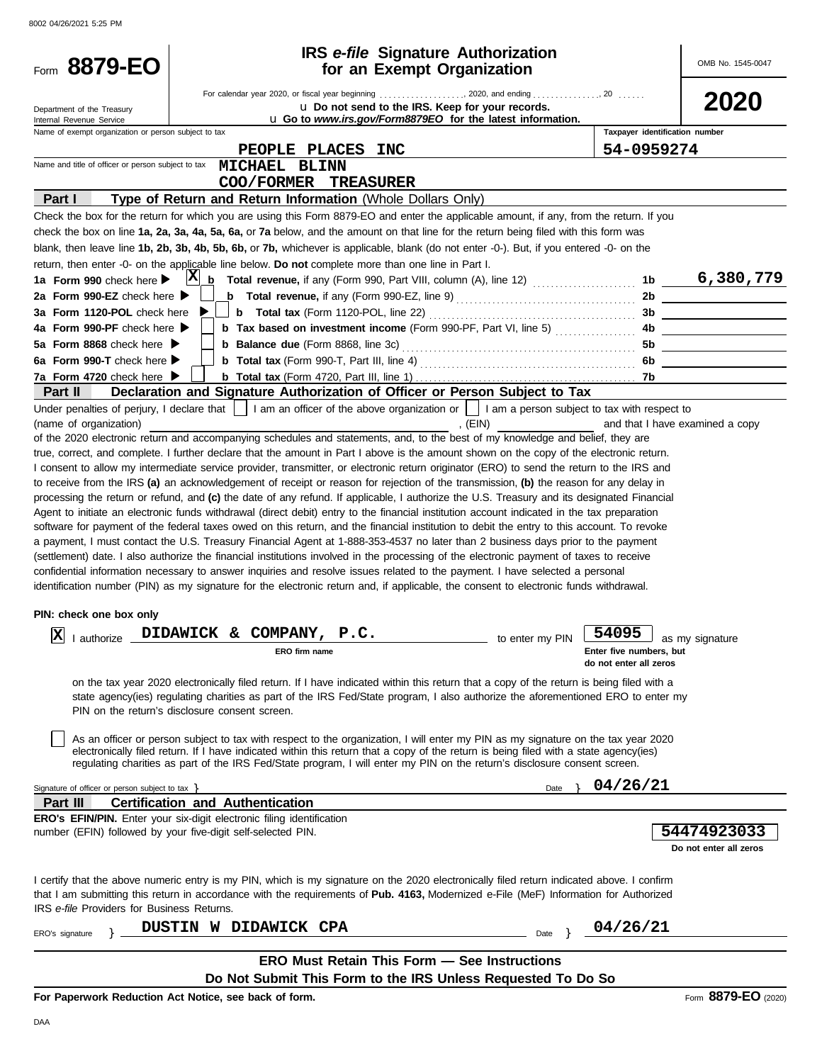| Form 8879-EO                                                                                                                             | <b>IRS</b> e-file Signature Authorization<br>for an Exempt Organization                                                                                                                                                                                                                                                                                                                                                                                                                                                                                                                                                                                                                                                                                                                                                                                                                                                                                                                                                                                                                                                                                                                                                                                                                                                                                                                                                                                                                                                                                                                                                                                                                                                                                                                                                                                                                                                                                                                                                                                                                                                                                                                                                                                                                                                                                                                                                                                                                                              | OMB No. 1545-0047                                                                                                       |
|------------------------------------------------------------------------------------------------------------------------------------------|----------------------------------------------------------------------------------------------------------------------------------------------------------------------------------------------------------------------------------------------------------------------------------------------------------------------------------------------------------------------------------------------------------------------------------------------------------------------------------------------------------------------------------------------------------------------------------------------------------------------------------------------------------------------------------------------------------------------------------------------------------------------------------------------------------------------------------------------------------------------------------------------------------------------------------------------------------------------------------------------------------------------------------------------------------------------------------------------------------------------------------------------------------------------------------------------------------------------------------------------------------------------------------------------------------------------------------------------------------------------------------------------------------------------------------------------------------------------------------------------------------------------------------------------------------------------------------------------------------------------------------------------------------------------------------------------------------------------------------------------------------------------------------------------------------------------------------------------------------------------------------------------------------------------------------------------------------------------------------------------------------------------------------------------------------------------------------------------------------------------------------------------------------------------------------------------------------------------------------------------------------------------------------------------------------------------------------------------------------------------------------------------------------------------------------------------------------------------------------------------------------------------|-------------------------------------------------------------------------------------------------------------------------|
| Department of the Treasury<br>Internal Revenue Service                                                                                   | u Do not send to the IRS. Keep for your records.<br><b>u</b> Go to <i>www.irs.gov/Form8879EO</i> for the latest information.                                                                                                                                                                                                                                                                                                                                                                                                                                                                                                                                                                                                                                                                                                                                                                                                                                                                                                                                                                                                                                                                                                                                                                                                                                                                                                                                                                                                                                                                                                                                                                                                                                                                                                                                                                                                                                                                                                                                                                                                                                                                                                                                                                                                                                                                                                                                                                                         | 2020                                                                                                                    |
| Name of exempt organization or person subject to tax                                                                                     |                                                                                                                                                                                                                                                                                                                                                                                                                                                                                                                                                                                                                                                                                                                                                                                                                                                                                                                                                                                                                                                                                                                                                                                                                                                                                                                                                                                                                                                                                                                                                                                                                                                                                                                                                                                                                                                                                                                                                                                                                                                                                                                                                                                                                                                                                                                                                                                                                                                                                                                      | Taxpayer identification number                                                                                          |
|                                                                                                                                          | PEOPLE PLACES INC                                                                                                                                                                                                                                                                                                                                                                                                                                                                                                                                                                                                                                                                                                                                                                                                                                                                                                                                                                                                                                                                                                                                                                                                                                                                                                                                                                                                                                                                                                                                                                                                                                                                                                                                                                                                                                                                                                                                                                                                                                                                                                                                                                                                                                                                                                                                                                                                                                                                                                    | 54-0959274                                                                                                              |
| Name and title of officer or person subject to tax                                                                                       | <b>MICHAEL BLINN</b><br>COO/FORMER<br><b>TREASURER</b>                                                                                                                                                                                                                                                                                                                                                                                                                                                                                                                                                                                                                                                                                                                                                                                                                                                                                                                                                                                                                                                                                                                                                                                                                                                                                                                                                                                                                                                                                                                                                                                                                                                                                                                                                                                                                                                                                                                                                                                                                                                                                                                                                                                                                                                                                                                                                                                                                                                               |                                                                                                                         |
| Part I                                                                                                                                   | Type of Return and Return Information (Whole Dollars Only)                                                                                                                                                                                                                                                                                                                                                                                                                                                                                                                                                                                                                                                                                                                                                                                                                                                                                                                                                                                                                                                                                                                                                                                                                                                                                                                                                                                                                                                                                                                                                                                                                                                                                                                                                                                                                                                                                                                                                                                                                                                                                                                                                                                                                                                                                                                                                                                                                                                           |                                                                                                                         |
|                                                                                                                                          | Check the box for the return for which you are using this Form 8879-EO and enter the applicable amount, if any, from the return. If you                                                                                                                                                                                                                                                                                                                                                                                                                                                                                                                                                                                                                                                                                                                                                                                                                                                                                                                                                                                                                                                                                                                                                                                                                                                                                                                                                                                                                                                                                                                                                                                                                                                                                                                                                                                                                                                                                                                                                                                                                                                                                                                                                                                                                                                                                                                                                                              |                                                                                                                         |
|                                                                                                                                          | check the box on line 1a, 2a, 3a, 4a, 5a, 6a, or 7a below, and the amount on that line for the return being filed with this form was                                                                                                                                                                                                                                                                                                                                                                                                                                                                                                                                                                                                                                                                                                                                                                                                                                                                                                                                                                                                                                                                                                                                                                                                                                                                                                                                                                                                                                                                                                                                                                                                                                                                                                                                                                                                                                                                                                                                                                                                                                                                                                                                                                                                                                                                                                                                                                                 |                                                                                                                         |
|                                                                                                                                          | blank, then leave line 1b, 2b, 3b, 4b, 5b, 6b, or 7b, whichever is applicable, blank (do not enter -0-). But, if you entered -0- on the                                                                                                                                                                                                                                                                                                                                                                                                                                                                                                                                                                                                                                                                                                                                                                                                                                                                                                                                                                                                                                                                                                                                                                                                                                                                                                                                                                                                                                                                                                                                                                                                                                                                                                                                                                                                                                                                                                                                                                                                                                                                                                                                                                                                                                                                                                                                                                              |                                                                                                                         |
|                                                                                                                                          | return, then enter -0- on the applicable line below. Do not complete more than one line in Part I.                                                                                                                                                                                                                                                                                                                                                                                                                                                                                                                                                                                                                                                                                                                                                                                                                                                                                                                                                                                                                                                                                                                                                                                                                                                                                                                                                                                                                                                                                                                                                                                                                                                                                                                                                                                                                                                                                                                                                                                                                                                                                                                                                                                                                                                                                                                                                                                                                   |                                                                                                                         |
| 1a Form 990 check here                                                                                                                   | $ {\bf X} $<br>b                                                                                                                                                                                                                                                                                                                                                                                                                                                                                                                                                                                                                                                                                                                                                                                                                                                                                                                                                                                                                                                                                                                                                                                                                                                                                                                                                                                                                                                                                                                                                                                                                                                                                                                                                                                                                                                                                                                                                                                                                                                                                                                                                                                                                                                                                                                                                                                                                                                                                                     | 6,380,779<br>1b                                                                                                         |
| 2a Form 990-EZ check here $\blacktriangleright$                                                                                          |                                                                                                                                                                                                                                                                                                                                                                                                                                                                                                                                                                                                                                                                                                                                                                                                                                                                                                                                                                                                                                                                                                                                                                                                                                                                                                                                                                                                                                                                                                                                                                                                                                                                                                                                                                                                                                                                                                                                                                                                                                                                                                                                                                                                                                                                                                                                                                                                                                                                                                                      | 2b                                                                                                                      |
| 3a Form 1120-POL check here<br>4a Form 990-PF check here $\blacktriangleright$                                                           | <b>b</b> Tax based on investment income (Form 990-PF, Part VI, line 5)                                                                                                                                                                                                                                                                                                                                                                                                                                                                                                                                                                                                                                                                                                                                                                                                                                                                                                                                                                                                                                                                                                                                                                                                                                                                                                                                                                                                                                                                                                                                                                                                                                                                                                                                                                                                                                                                                                                                                                                                                                                                                                                                                                                                                                                                                                                                                                                                                                               | 3b<br>4b.                                                                                                               |
| 5a Form 8868 check here $\blacktriangleright$                                                                                            |                                                                                                                                                                                                                                                                                                                                                                                                                                                                                                                                                                                                                                                                                                                                                                                                                                                                                                                                                                                                                                                                                                                                                                                                                                                                                                                                                                                                                                                                                                                                                                                                                                                                                                                                                                                                                                                                                                                                                                                                                                                                                                                                                                                                                                                                                                                                                                                                                                                                                                                      | 5b                                                                                                                      |
| 6a Form 990-T check here $\blacktriangleright$                                                                                           |                                                                                                                                                                                                                                                                                                                                                                                                                                                                                                                                                                                                                                                                                                                                                                                                                                                                                                                                                                                                                                                                                                                                                                                                                                                                                                                                                                                                                                                                                                                                                                                                                                                                                                                                                                                                                                                                                                                                                                                                                                                                                                                                                                                                                                                                                                                                                                                                                                                                                                                      |                                                                                                                         |
| 7a Form 4720 check here ▶                                                                                                                |                                                                                                                                                                                                                                                                                                                                                                                                                                                                                                                                                                                                                                                                                                                                                                                                                                                                                                                                                                                                                                                                                                                                                                                                                                                                                                                                                                                                                                                                                                                                                                                                                                                                                                                                                                                                                                                                                                                                                                                                                                                                                                                                                                                                                                                                                                                                                                                                                                                                                                                      | 7b.                                                                                                                     |
| <b>Part II</b>                                                                                                                           | Declaration and Signature Authorization of Officer or Person Subject to Tax                                                                                                                                                                                                                                                                                                                                                                                                                                                                                                                                                                                                                                                                                                                                                                                                                                                                                                                                                                                                                                                                                                                                                                                                                                                                                                                                                                                                                                                                                                                                                                                                                                                                                                                                                                                                                                                                                                                                                                                                                                                                                                                                                                                                                                                                                                                                                                                                                                          |                                                                                                                         |
| Under penalties of perjury, I declare that<br>(name of organization)<br>PIN: check one box only<br>$\mathbf{X}$ I authorize $\mathbf{I}$ | I am an officer of the above organization or     I am a person subject to tax with respect to<br>, $(EIN)$<br>of the 2020 electronic return and accompanying schedules and statements, and, to the best of my knowledge and belief, they are<br>true, correct, and complete. I further declare that the amount in Part I above is the amount shown on the copy of the electronic return.<br>I consent to allow my intermediate service provider, transmitter, or electronic return originator (ERO) to send the return to the IRS and<br>to receive from the IRS (a) an acknowledgement of receipt or reason for rejection of the transmission, (b) the reason for any delay in<br>processing the return or refund, and (c) the date of any refund. If applicable, I authorize the U.S. Treasury and its designated Financial<br>Agent to initiate an electronic funds withdrawal (direct debit) entry to the financial institution account indicated in the tax preparation<br>software for payment of the federal taxes owed on this return, and the financial institution to debit the entry to this account. To revoke<br>a payment, I must contact the U.S. Treasury Financial Agent at 1-888-353-4537 no later than 2 business days prior to the payment<br>(settlement) date. I also authorize the financial institutions involved in the processing of the electronic payment of taxes to receive<br>confidential information necessary to answer inquiries and resolve issues related to the payment. I have selected a personal<br>identification number (PIN) as my signature for the electronic return and, if applicable, the consent to electronic funds withdrawal.<br>DIDAWICK & COMPANY, P.C.<br>to enter my PIN $\Box$ <sup>40</sup><br>ERO firm name<br>on the tax year 2020 electronically filed return. If I have indicated within this return that a copy of the return is being filed with a<br>state agency(ies) regulating charities as part of the IRS Fed/State program, I also authorize the aforementioned ERO to enter my<br>PIN on the return's disclosure consent screen.<br>As an officer or person subject to tax with respect to the organization, I will enter my PIN as my signature on the tax year 2020<br>electronically filed return. If I have indicated within this return that a copy of the return is being filed with a state agency(ies)<br>regulating charities as part of the IRS Fed/State program, I will enter my PIN on the return's disclosure consent screen. | and that I have examined a copy<br>54095<br>$\Box$ as my signature<br>Enter five numbers, but<br>do not enter all zeros |
| Signature of officer or person subject to tax $\}$                                                                                       | Date                                                                                                                                                                                                                                                                                                                                                                                                                                                                                                                                                                                                                                                                                                                                                                                                                                                                                                                                                                                                                                                                                                                                                                                                                                                                                                                                                                                                                                                                                                                                                                                                                                                                                                                                                                                                                                                                                                                                                                                                                                                                                                                                                                                                                                                                                                                                                                                                                                                                                                                 | 04/26/21                                                                                                                |
| Part III                                                                                                                                 | <b>Certification and Authentication</b>                                                                                                                                                                                                                                                                                                                                                                                                                                                                                                                                                                                                                                                                                                                                                                                                                                                                                                                                                                                                                                                                                                                                                                                                                                                                                                                                                                                                                                                                                                                                                                                                                                                                                                                                                                                                                                                                                                                                                                                                                                                                                                                                                                                                                                                                                                                                                                                                                                                                              |                                                                                                                         |
|                                                                                                                                          | <b>ERO's EFIN/PIN.</b> Enter your six-digit electronic filing identification                                                                                                                                                                                                                                                                                                                                                                                                                                                                                                                                                                                                                                                                                                                                                                                                                                                                                                                                                                                                                                                                                                                                                                                                                                                                                                                                                                                                                                                                                                                                                                                                                                                                                                                                                                                                                                                                                                                                                                                                                                                                                                                                                                                                                                                                                                                                                                                                                                         |                                                                                                                         |
|                                                                                                                                          | number (EFIN) followed by your five-digit self-selected PIN.                                                                                                                                                                                                                                                                                                                                                                                                                                                                                                                                                                                                                                                                                                                                                                                                                                                                                                                                                                                                                                                                                                                                                                                                                                                                                                                                                                                                                                                                                                                                                                                                                                                                                                                                                                                                                                                                                                                                                                                                                                                                                                                                                                                                                                                                                                                                                                                                                                                         | 54474923033<br>Do not enter all zeros                                                                                   |
| IRS e-file Providers for Business Returns.                                                                                               | I certify that the above numeric entry is my PIN, which is my signature on the 2020 electronically filed return indicated above. I confirm<br>that I am submitting this return in accordance with the requirements of Pub. 4163, Modernized e-File (MeF) Information for Authorized                                                                                                                                                                                                                                                                                                                                                                                                                                                                                                                                                                                                                                                                                                                                                                                                                                                                                                                                                                                                                                                                                                                                                                                                                                                                                                                                                                                                                                                                                                                                                                                                                                                                                                                                                                                                                                                                                                                                                                                                                                                                                                                                                                                                                                  |                                                                                                                         |
| ERO's signature                                                                                                                          | DUSTIN W DIDAWICK CPA<br>Date                                                                                                                                                                                                                                                                                                                                                                                                                                                                                                                                                                                                                                                                                                                                                                                                                                                                                                                                                                                                                                                                                                                                                                                                                                                                                                                                                                                                                                                                                                                                                                                                                                                                                                                                                                                                                                                                                                                                                                                                                                                                                                                                                                                                                                                                                                                                                                                                                                                                                        | 04/26/21                                                                                                                |
|                                                                                                                                          | <b>ERO Must Retain This Form - See Instructions</b>                                                                                                                                                                                                                                                                                                                                                                                                                                                                                                                                                                                                                                                                                                                                                                                                                                                                                                                                                                                                                                                                                                                                                                                                                                                                                                                                                                                                                                                                                                                                                                                                                                                                                                                                                                                                                                                                                                                                                                                                                                                                                                                                                                                                                                                                                                                                                                                                                                                                  |                                                                                                                         |
|                                                                                                                                          | Do Not Submit This Form to the IRS Unless Requested To Do So                                                                                                                                                                                                                                                                                                                                                                                                                                                                                                                                                                                                                                                                                                                                                                                                                                                                                                                                                                                                                                                                                                                                                                                                                                                                                                                                                                                                                                                                                                                                                                                                                                                                                                                                                                                                                                                                                                                                                                                                                                                                                                                                                                                                                                                                                                                                                                                                                                                         |                                                                                                                         |

**For Paperwork Reduction Act Notice, see back of form.**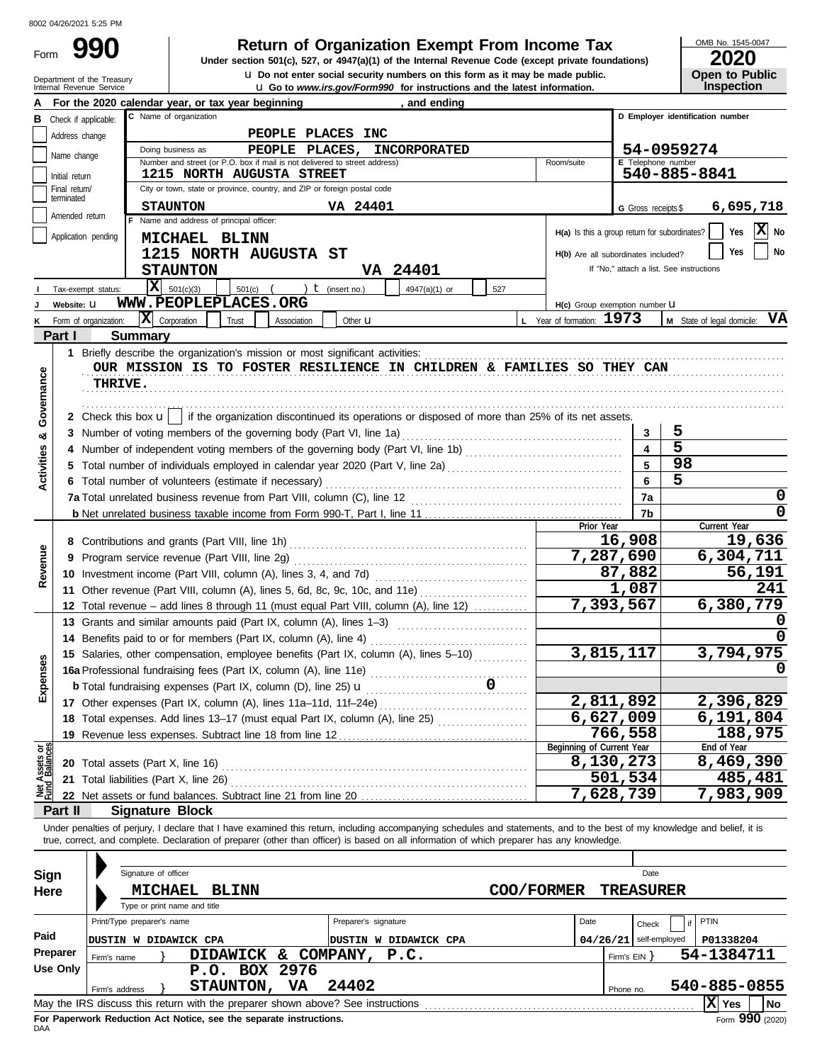### **Return of Organization Exempt From Income Tax**

Internal Revenue Service u **Go to** *www.irs.gov/Form990* **for instructions and the latest information. u** Do not enter social security numbers on this form as it may be made public. **Under section 501(c), 527, or 4947(a)(1) of the Internal Revenue Code (except private foundations)** OMB No. 1545-0047

| ZUZU                  |
|-----------------------|
| <b>Open to Public</b> |
| <b>Inspection</b>     |

|                                |                             | Department of the Treasury<br>Internal Revenue Service | <b>u</b> Do not enter social security numbers on this form as it may be made public.<br><b>u</b> Go to www.irs.gov/Form990 for instructions and the latest information.                                                                                                                                                  |            |                                                 |                              | <b>Open to Public</b><br>Inspection      |  |
|--------------------------------|-----------------------------|--------------------------------------------------------|--------------------------------------------------------------------------------------------------------------------------------------------------------------------------------------------------------------------------------------------------------------------------------------------------------------------------|------------|-------------------------------------------------|------------------------------|------------------------------------------|--|
|                                |                             |                                                        | For the 2020 calendar year, or tax year beginning<br>, and ending                                                                                                                                                                                                                                                        |            |                                                 |                              |                                          |  |
| в                              | Check if applicable:        |                                                        | C Name of organization                                                                                                                                                                                                                                                                                                   |            |                                                 |                              | D Employer identification number         |  |
|                                | Address change              |                                                        | PEOPLE PLACES INC                                                                                                                                                                                                                                                                                                        |            |                                                 |                              |                                          |  |
|                                | Name change                 |                                                        | Doing business as<br>PEOPLE PLACES,<br><b>INCORPORATED</b>                                                                                                                                                                                                                                                               |            |                                                 |                              | 54-0959274                               |  |
|                                |                             |                                                        | Number and street (or P.O. box if mail is not delivered to street address)                                                                                                                                                                                                                                               |            | Room/suite                                      | E Telephone number           |                                          |  |
|                                | Initial return              |                                                        | <b>1215 NORTH AUGUSTA STREET</b>                                                                                                                                                                                                                                                                                         |            |                                                 |                              | 540-885-8841                             |  |
|                                | Final return/<br>terminated |                                                        | City or town, state or province, country, and ZIP or foreign postal code                                                                                                                                                                                                                                                 |            |                                                 |                              |                                          |  |
|                                | Amended return              |                                                        | VA 24401<br><b>STAUNTON</b><br>F Name and address of principal officer:                                                                                                                                                                                                                                                  |            |                                                 | G Gross receipts \$          | 6,695,718                                |  |
|                                |                             | Application pending                                    |                                                                                                                                                                                                                                                                                                                          |            | $H(a)$ is this a group return for subordinates? |                              | $ \mathbf{X} $ No<br>Yes                 |  |
|                                |                             |                                                        | MICHAEL BLINN                                                                                                                                                                                                                                                                                                            |            |                                                 |                              | <b>No</b><br>Yes                         |  |
|                                |                             |                                                        | 1215 NORTH AUGUSTA ST                                                                                                                                                                                                                                                                                                    |            | H(b) Are all subordinates included?             |                              | If "No," attach a list. See instructions |  |
|                                |                             |                                                        | <b>STAUNTON</b><br><b>VA 24401</b>                                                                                                                                                                                                                                                                                       |            |                                                 |                              |                                          |  |
|                                |                             | Tax-exempt status:                                     | $\overline{\mathbf{X}}$ 501(c)(3)<br>) $t$ (insert no.)<br>$501(c)$ (<br>4947(a)(1) or<br>527<br>WWW.PEOPLEPLACES.ORG                                                                                                                                                                                                    |            |                                                 |                              |                                          |  |
|                                | Website: U                  |                                                        |                                                                                                                                                                                                                                                                                                                          |            | H(c) Group exemption number LI                  |                              |                                          |  |
| κ                              |                             | Form of organization:                                  | $ \mathbf{X} $ Corporation<br>Trust<br>Association<br>Other <b>u</b>                                                                                                                                                                                                                                                     |            | L Year of formation: $1973$                     |                              | M State of legal domicile: VA            |  |
|                                | Part I                      | <b>Summary</b>                                         |                                                                                                                                                                                                                                                                                                                          |            |                                                 |                              |                                          |  |
|                                |                             |                                                        |                                                                                                                                                                                                                                                                                                                          |            |                                                 |                              |                                          |  |
|                                |                             |                                                        | OUR MISSION IS TO FOSTER RESILIENCE IN CHILDREN & FAMILIES SO THEY CAN                                                                                                                                                                                                                                                   |            |                                                 |                              |                                          |  |
|                                |                             | <b>THRIVE.</b>                                         |                                                                                                                                                                                                                                                                                                                          |            |                                                 |                              |                                          |  |
| Governance                     |                             |                                                        |                                                                                                                                                                                                                                                                                                                          |            |                                                 |                              |                                          |  |
|                                |                             |                                                        | 2 Check this box $\mathbf{u}$   if the organization discontinued its operations or disposed of more than 25% of its net assets.                                                                                                                                                                                          |            |                                                 |                              | 5                                        |  |
| ಯ                              |                             |                                                        | 3 Number of voting members of the governing body (Part VI, line 1a)                                                                                                                                                                                                                                                      |            |                                                 | 3<br>$\overline{\mathbf{4}}$ | $\overline{5}$                           |  |
|                                |                             |                                                        | Number of independent voting members of the governing body (Part VI, line 1b) [[[[[[[[[[[[[[[[[[[[[[[[[[[[[[[                                                                                                                                                                                                            |            |                                                 | 5                            | 98                                       |  |
| <b>Activities</b>              |                             |                                                        |                                                                                                                                                                                                                                                                                                                          |            |                                                 | 6                            | 5                                        |  |
|                                |                             |                                                        | 6 Total number of volunteers (estimate if necessary)                                                                                                                                                                                                                                                                     |            |                                                 | 7a                           | 0                                        |  |
|                                |                             |                                                        |                                                                                                                                                                                                                                                                                                                          |            |                                                 | 7b                           | 0                                        |  |
|                                |                             |                                                        |                                                                                                                                                                                                                                                                                                                          |            | Prior Year                                      |                              | Current Year                             |  |
|                                |                             |                                                        |                                                                                                                                                                                                                                                                                                                          |            |                                                 | 16,908                       | 19,636                                   |  |
| Revenue                        |                             |                                                        |                                                                                                                                                                                                                                                                                                                          |            |                                                 | 7,287,690                    | 6,304,711                                |  |
|                                |                             |                                                        |                                                                                                                                                                                                                                                                                                                          |            |                                                 | 87,882                       | 56,191                                   |  |
|                                |                             |                                                        | 11 Other revenue (Part VIII, column (A), lines 5, 6d, 8c, 9c, 10c, and 11e)                                                                                                                                                                                                                                              |            |                                                 | 1,087                        | 241                                      |  |
|                                |                             |                                                        | 12 Total revenue - add lines 8 through 11 (must equal Part VIII, column (A), line 12)                                                                                                                                                                                                                                    |            |                                                 | 7,393,567                    | 6,380,779                                |  |
|                                |                             |                                                        | 13 Grants and similar amounts paid (Part IX, column (A), lines 1-3)                                                                                                                                                                                                                                                      |            |                                                 |                              |                                          |  |
|                                |                             |                                                        |                                                                                                                                                                                                                                                                                                                          |            |                                                 |                              |                                          |  |
|                                |                             |                                                        | 15 Salaries, other compensation, employee benefits (Part IX, column (A), lines 5-10)                                                                                                                                                                                                                                     |            |                                                 | 3,815,117                    | 3,794,975                                |  |
| <b>Ses</b>                     |                             |                                                        | 16 Determined, Suite, School fundraising fees (Part IX, column (A), line 11e)<br>(C) line 25 and an IX and the CEN and the CEN and the CEN and the CEN and the CEN and the CEN and the CEN and the CEN and the CEN and the CEN a                                                                                         |            |                                                 |                              |                                          |  |
| Expen                          |                             |                                                        |                                                                                                                                                                                                                                                                                                                          |            |                                                 |                              |                                          |  |
|                                |                             |                                                        |                                                                                                                                                                                                                                                                                                                          |            |                                                 | 2,811,892                    | 2,396,829                                |  |
|                                |                             |                                                        | 18 Total expenses. Add lines 13-17 (must equal Part IX, column (A), line 25)                                                                                                                                                                                                                                             |            | 6,627,009                                       |                              | 6,191,804                                |  |
|                                |                             |                                                        |                                                                                                                                                                                                                                                                                                                          |            |                                                 | 766,558                      | 188,975                                  |  |
| Net Assets or<br>Fund Balances |                             |                                                        |                                                                                                                                                                                                                                                                                                                          |            | Beginning of Current Year                       |                              | End of Year                              |  |
|                                |                             |                                                        | <b>20</b> Total assets (Part X, line 16)                                                                                                                                                                                                                                                                                 |            | 8,130,273                                       |                              | 8,469,390                                |  |
|                                |                             |                                                        | 21 Total liabilities (Part X, line 26)                                                                                                                                                                                                                                                                                   |            |                                                 | 501,534<br>7,628,739         | 485,481                                  |  |
|                                |                             |                                                        |                                                                                                                                                                                                                                                                                                                          |            |                                                 |                              | 7,983,909                                |  |
|                                | Part II                     |                                                        | <b>Signature Block</b>                                                                                                                                                                                                                                                                                                   |            |                                                 |                              |                                          |  |
|                                |                             |                                                        | Under penalties of perjury, I declare that I have examined this return, including accompanying schedules and statements, and to the best of my knowledge and belief, it is<br>true, correct, and complete. Declaration of preparer (other than officer) is based on all information of which preparer has any knowledge. |            |                                                 |                              |                                          |  |
|                                |                             |                                                        |                                                                                                                                                                                                                                                                                                                          |            |                                                 |                              |                                          |  |
|                                | Sign                        |                                                        | Signature of officer                                                                                                                                                                                                                                                                                                     |            |                                                 | Date                         |                                          |  |
|                                | Here                        |                                                        | <b>MICHAEL</b><br><b>BLINN</b>                                                                                                                                                                                                                                                                                           | COO/FORMER |                                                 | <b>TREASURER</b>             |                                          |  |
|                                |                             |                                                        | Type or print name and title                                                                                                                                                                                                                                                                                             |            |                                                 |                              |                                          |  |
|                                |                             | Print/Type preparer's name                             | Preparer's signature                                                                                                                                                                                                                                                                                                     |            | Date                                            | Check                        | PTIN                                     |  |
| Paid                           |                             |                                                        | DUSTIN W DIDAWICK CPA<br>DUSTIN W DIDAWICK CPA                                                                                                                                                                                                                                                                           |            | 04/26/21                                        | self-employed                | P01338204                                |  |
|                                | Preparer                    |                                                        | DIDAWICK & COMPANY,<br>P.C.                                                                                                                                                                                                                                                                                              |            |                                                 |                              | 54-1384711                               |  |
|                                | <b>Use Only</b>             | Firm's name                                            | P.O. BOX 2976                                                                                                                                                                                                                                                                                                            |            |                                                 | Firm's $EIN$ }               |                                          |  |
|                                |                             |                                                        | 24402<br><b>STAUNTON,</b><br>VA                                                                                                                                                                                                                                                                                          |            |                                                 |                              | 540-885-0855                             |  |
|                                |                             | Firm's address                                         | May the IRS discuss this return with the preparer shown above? See instructions                                                                                                                                                                                                                                          |            |                                                 | Phone no.                    | $ \mathbf{X} $ Yes<br>No                 |  |
|                                |                             |                                                        |                                                                                                                                                                                                                                                                                                                          |            |                                                 |                              |                                          |  |

| Sign<br>Here | Signature of officer<br><b>MICHAEL</b><br><b>BLINN</b><br>Type or print name and title | COO/FORMER                                    |           | Date<br><b>TREASURER</b>          |                                      |  |
|--------------|----------------------------------------------------------------------------------------|-----------------------------------------------|-----------|-----------------------------------|--------------------------------------|--|
| Paid         | Print/Type preparer's name<br>DUSTIN W DIDAWICK CPA                                    | Preparer's signature<br>DUSTIN W DIDAWICK CPA | Date      | Check<br>$04/26/21$ self-employed | <b>PTIN</b><br>P01338204             |  |
| Preparer     | DIDAWICK &<br>COMPANY, P.C.<br>Firm's name                                             |                                               |           | 54-1384711<br>Firm's EIN Y        |                                      |  |
| Use Only     | P.O. BOX 2976<br>24402<br>VA.<br><b>STAUNTON,</b><br>Firm's address                    |                                               | Phone no. |                                   | 540-885-0855                         |  |
|              | May the IRS discuss this return with the preparer shown above? See instructions        |                                               |           |                                   | $ \mathbf{X} $ Yes<br>l No<br>$\sim$ |  |

**For Paperwork Reduction Act Notice, see the separate instructions.**<br>DAA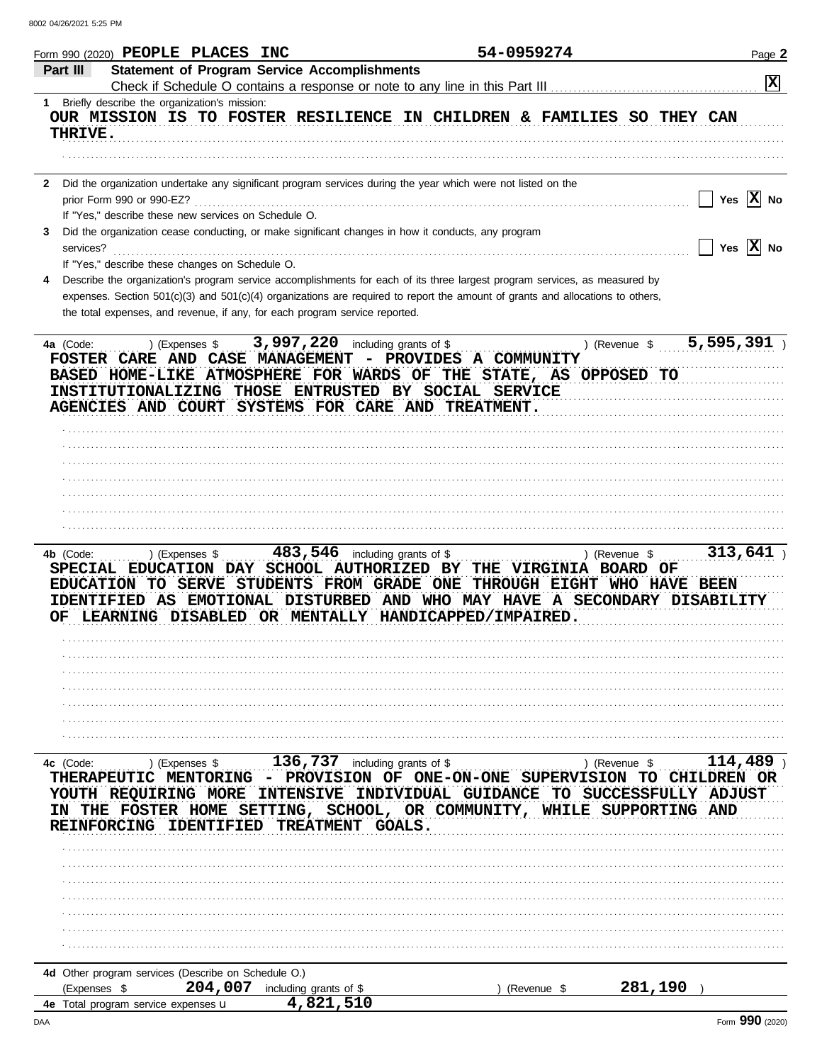|                | Form 990 (2020) PEOPLE PLACES INC                                                 |                                                                                                                                                               | 54-0959274                                                                                                                                                                                                                                                                        |                          | Page 2                |
|----------------|-----------------------------------------------------------------------------------|---------------------------------------------------------------------------------------------------------------------------------------------------------------|-----------------------------------------------------------------------------------------------------------------------------------------------------------------------------------------------------------------------------------------------------------------------------------|--------------------------|-----------------------|
| Part III       |                                                                                   | <b>Statement of Program Service Accomplishments</b>                                                                                                           |                                                                                                                                                                                                                                                                                   |                          | $ \mathbf{x} $        |
| THRIVE.        | 1 Briefly describe the organization's mission:                                    |                                                                                                                                                               | OUR MISSION IS TO FOSTER RESILIENCE IN CHILDREN & FAMILIES SO THEY CAN                                                                                                                                                                                                            |                          |                       |
|                |                                                                                   |                                                                                                                                                               |                                                                                                                                                                                                                                                                                   |                          |                       |
| $\mathbf{2}$   | prior Form 990 or 990-EZ?<br>If "Yes," describe these new services on Schedule O. |                                                                                                                                                               | Did the organization undertake any significant program services during the year which were not listed on the                                                                                                                                                                      |                          | Yes $ \mathbf{X} $ No |
| 3<br>services? |                                                                                   | Did the organization cease conducting, or make significant changes in how it conducts, any program                                                            |                                                                                                                                                                                                                                                                                   |                          | Yes $\overline{X}$ No |
|                | If "Yes," describe these changes on Schedule O.                                   | the total expenses, and revenue, if any, for each program service reported.                                                                                   | Describe the organization's program service accomplishments for each of its three largest program services, as measured by<br>expenses. Section 501(c)(3) and 501(c)(4) organizations are required to report the amount of grants and allocations to others,                      |                          |                       |
| 4a (Code:      |                                                                                   | ) (Expenses $$3,997,220$ including grants of \$<br>INSTITUTIONALIZING THOSE ENTRUSTED BY SOCIAL SERVICE<br>AGENCIES AND COURT SYSTEMS FOR CARE AND TREATMENT. | FOSTER CARE AND CASE MANAGEMENT - PROVIDES A COMMUNITY<br>BASED HOME-LIKE ATMOSPHERE FOR WARDS OF THE STATE, AS OPPOSED TO                                                                                                                                                        | ) (Revenue \$ 5,595,391) |                       |
|                |                                                                                   |                                                                                                                                                               |                                                                                                                                                                                                                                                                                   |                          |                       |
|                |                                                                                   |                                                                                                                                                               |                                                                                                                                                                                                                                                                                   |                          |                       |
|                |                                                                                   |                                                                                                                                                               |                                                                                                                                                                                                                                                                                   |                          |                       |
|                |                                                                                   |                                                                                                                                                               |                                                                                                                                                                                                                                                                                   |                          |                       |
|                |                                                                                   |                                                                                                                                                               |                                                                                                                                                                                                                                                                                   |                          |                       |
| 4b (Code:      | ) (Expenses \$                                                                    | $483,546$ including grants of \$                                                                                                                              | SPECIAL EDUCATION DAY SCHOOL AUTHORIZED BY THE VIRGINIA BOARD OF<br>EDUCATION TO SERVE STUDENTS FROM GRADE ONE THROUGH EIGHT WHO HAVE BEEN<br>IDENTIFIED AS EMOTIONAL DISTURBED AND WHO MAY HAVE A SECONDARY DISABILITY<br>OF LEARNING DISABLED OR MENTALLY HANDICAPPED/IMPAIRED. | ) (Revenue \$            | 313,641               |
|                |                                                                                   |                                                                                                                                                               |                                                                                                                                                                                                                                                                                   |                          |                       |
|                |                                                                                   |                                                                                                                                                               |                                                                                                                                                                                                                                                                                   |                          |                       |
|                |                                                                                   |                                                                                                                                                               |                                                                                                                                                                                                                                                                                   |                          |                       |
|                |                                                                                   |                                                                                                                                                               |                                                                                                                                                                                                                                                                                   |                          |                       |
|                |                                                                                   |                                                                                                                                                               |                                                                                                                                                                                                                                                                                   |                          |                       |
| 4c (Code:      |                                                                                   | ) (Expenses $$$ 136,737 including grants of \$                                                                                                                |                                                                                                                                                                                                                                                                                   | ) (Revenue \$            | $114,489$ )           |
|                | YOUTH REQUIRING MORE<br>REINFORCING IDENTIFIED                                    | <b>INTENSIVE</b><br>TREATMENT GOALS.                                                                                                                          | THERAPEUTIC MENTORING - PROVISION OF ONE-ON-ONE SUPERVISION TO CHILDREN OR<br>INDIVIDUAL GUIDANCE<br>IN THE FOSTER HOME SETTING, SCHOOL, OR COMMUNITY, WHILE SUPPORTING AND                                                                                                       | TO SUCCESSFULLY ADJUST   |                       |
|                |                                                                                   |                                                                                                                                                               |                                                                                                                                                                                                                                                                                   |                          |                       |
|                |                                                                                   |                                                                                                                                                               |                                                                                                                                                                                                                                                                                   |                          |                       |
|                |                                                                                   |                                                                                                                                                               |                                                                                                                                                                                                                                                                                   |                          |                       |
|                |                                                                                   |                                                                                                                                                               |                                                                                                                                                                                                                                                                                   |                          |                       |
|                |                                                                                   |                                                                                                                                                               |                                                                                                                                                                                                                                                                                   |                          |                       |
|                |                                                                                   |                                                                                                                                                               |                                                                                                                                                                                                                                                                                   |                          |                       |
|                | 4d Other program services (Describe on Schedule O.)                               |                                                                                                                                                               |                                                                                                                                                                                                                                                                                   |                          |                       |
| (Expenses \$   | 204,007                                                                           | including grants of \$<br>4,821,510                                                                                                                           | (Revenue \$                                                                                                                                                                                                                                                                       | 281,190                  |                       |
|                | 4e Total program service expenses u                                               |                                                                                                                                                               |                                                                                                                                                                                                                                                                                   |                          | nnn                   |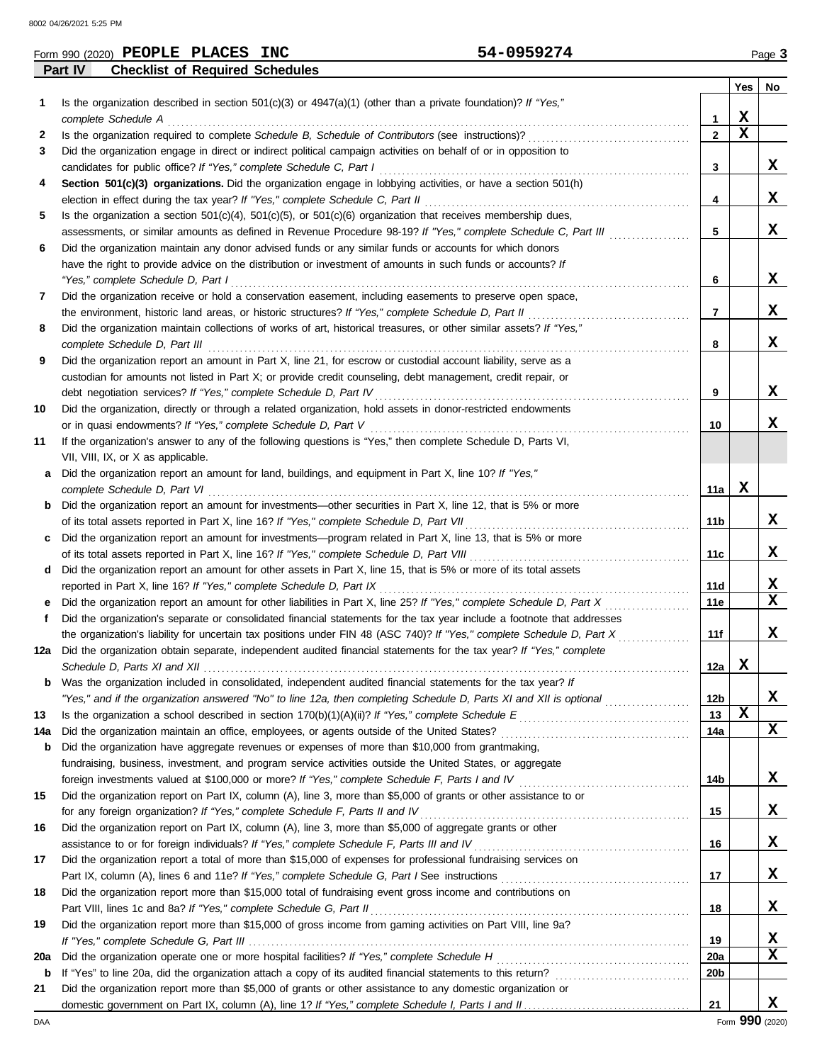8002 04/26/2021 5:25 PM

|         |         |                                    | Form 990 (2020) PEOPLE PLACES INC                                   | 54-0959274                                                                                                                                                                                                                  |                   |                  | Page 3 |
|---------|---------|------------------------------------|---------------------------------------------------------------------|-----------------------------------------------------------------------------------------------------------------------------------------------------------------------------------------------------------------------------|-------------------|------------------|--------|
|         | Part IV |                                    | <b>Checklist of Required Schedules</b>                              |                                                                                                                                                                                                                             |                   |                  |        |
|         |         |                                    |                                                                     |                                                                                                                                                                                                                             |                   | Yes              | No     |
| 1.      |         |                                    |                                                                     | Is the organization described in section $501(c)(3)$ or $4947(a)(1)$ (other than a private foundation)? If "Yes,"                                                                                                           |                   |                  |        |
|         |         | complete Schedule A                |                                                                     |                                                                                                                                                                                                                             | 1                 | X<br>$\mathbf x$ |        |
| 2       |         |                                    |                                                                     | Is the organization required to complete Schedule B, Schedule of Contributors (see instructions)?                                                                                                                           | $\mathbf{2}$      |                  |        |
| 3       |         |                                    |                                                                     | Did the organization engage in direct or indirect political campaign activities on behalf of or in opposition to                                                                                                            |                   |                  | X      |
| 4       |         |                                    | candidates for public office? If "Yes," complete Schedule C, Part I | Section 501(c)(3) organizations. Did the organization engage in lobbying activities, or have a section 501(h)                                                                                                               | 3                 |                  |        |
|         |         |                                    |                                                                     | election in effect during the tax year? If "Yes," complete Schedule C, Part II                                                                                                                                              | 4                 |                  | X      |
| 5       |         |                                    |                                                                     | Is the organization a section $501(c)(4)$ , $501(c)(5)$ , or $501(c)(6)$ organization that receives membership dues,                                                                                                        |                   |                  |        |
|         |         |                                    |                                                                     | assessments, or similar amounts as defined in Revenue Procedure 98-19? If "Yes," complete Schedule C, Part III                                                                                                              | 5                 |                  | X      |
| 6       |         |                                    |                                                                     | Did the organization maintain any donor advised funds or any similar funds or accounts for which donors                                                                                                                     |                   |                  |        |
|         |         |                                    |                                                                     | have the right to provide advice on the distribution or investment of amounts in such funds or accounts? If                                                                                                                 |                   |                  |        |
|         |         | "Yes," complete Schedule D, Part I |                                                                     |                                                                                                                                                                                                                             | 6                 |                  | X      |
| 7       |         |                                    |                                                                     | Did the organization receive or hold a conservation easement, including easements to preserve open space,                                                                                                                   |                   |                  |        |
|         |         |                                    |                                                                     | the environment, historic land areas, or historic structures? If "Yes," complete Schedule D, Part II                                                                                                                        | 7                 |                  | X      |
| 8       |         |                                    |                                                                     | Did the organization maintain collections of works of art, historical treasures, or other similar assets? If "Yes,"                                                                                                         |                   |                  |        |
|         |         | complete Schedule D, Part III      |                                                                     |                                                                                                                                                                                                                             | 8                 |                  | X      |
| 9       |         |                                    |                                                                     | Did the organization report an amount in Part X, line 21, for escrow or custodial account liability, serve as a                                                                                                             |                   |                  |        |
|         |         |                                    |                                                                     | custodian for amounts not listed in Part X; or provide credit counseling, debt management, credit repair, or                                                                                                                |                   |                  |        |
|         |         |                                    | debt negotiation services? If "Yes," complete Schedule D, Part IV   |                                                                                                                                                                                                                             | 9                 |                  | X      |
| 10      |         |                                    |                                                                     | Did the organization, directly or through a related organization, hold assets in donor-restricted endowments                                                                                                                |                   |                  |        |
|         |         |                                    | or in quasi endowments? If "Yes," complete Schedule D, Part V       |                                                                                                                                                                                                                             | 10                |                  | X      |
| 11      |         |                                    |                                                                     | If the organization's answer to any of the following questions is "Yes," then complete Schedule D, Parts VI,                                                                                                                |                   |                  |        |
|         |         | VII, VIII, IX, or X as applicable. |                                                                     |                                                                                                                                                                                                                             |                   |                  |        |
| а       |         |                                    |                                                                     | Did the organization report an amount for land, buildings, and equipment in Part X, line 10? If "Yes,"                                                                                                                      |                   |                  |        |
|         |         | complete Schedule D, Part VI       |                                                                     |                                                                                                                                                                                                                             | 11a               | X                |        |
|         |         |                                    |                                                                     | <b>b</b> Did the organization report an amount for investments—other securities in Part X, line 12, that is 5% or more                                                                                                      |                   |                  |        |
|         |         |                                    |                                                                     | of its total assets reported in Part X, line 16? If "Yes," complete Schedule D, Part VII                                                                                                                                    | 11b               |                  | X      |
| c       |         |                                    |                                                                     | Did the organization report an amount for investments—program related in Part X, line 13, that is 5% or more                                                                                                                |                   |                  | X      |
|         |         |                                    |                                                                     | of its total assets reported in Part X, line 16? If "Yes," complete Schedule D, Part VIII                                                                                                                                   | 11c               |                  |        |
| d       |         |                                    | reported in Part X, line 16? If "Yes," complete Schedule D, Part IX | Did the organization report an amount for other assets in Part X, line 15, that is 5% or more of its total assets                                                                                                           | 11d               |                  | X      |
| е       |         |                                    |                                                                     | Did the organization report an amount for other liabilities in Part X, line 25? If "Yes," complete Schedule D, Part X                                                                                                       | 11e               |                  | x      |
| f       |         |                                    |                                                                     | Did the organization's separate or consolidated financial statements for the tax year include a footnote that addresses                                                                                                     |                   |                  |        |
|         |         |                                    |                                                                     | the organization's liability for uncertain tax positions under FIN 48 (ASC 740)? If "Yes," complete Schedule D, Part X                                                                                                      | 11f               |                  | X      |
|         |         |                                    |                                                                     | 12a Did the organization obtain separate, independent audited financial statements for the tax year? If "Yes," complete                                                                                                     |                   |                  |        |
|         |         | Schedule D, Parts XI and XII       |                                                                     |                                                                                                                                                                                                                             | 12a               | X                |        |
|         |         |                                    |                                                                     | <b>b</b> Was the organization included in consolidated, independent audited financial statements for the tax year? If                                                                                                       |                   |                  |        |
|         |         |                                    |                                                                     | "Yes," and if the organization answered "No" to line 12a, then completing Schedule D, Parts XI and XII is optional                                                                                                          | 12 <sub>b</sub>   |                  | X      |
| 13      |         |                                    |                                                                     |                                                                                                                                                                                                                             | 13                | $\mathbf x$      |        |
| 14a     |         |                                    |                                                                     | Did the organization maintain an office, employees, or agents outside of the United States?                                                                                                                                 | 14a               |                  | X      |
| b       |         |                                    |                                                                     | Did the organization have aggregate revenues or expenses of more than \$10,000 from grantmaking,                                                                                                                            |                   |                  |        |
|         |         |                                    |                                                                     | fundraising, business, investment, and program service activities outside the United States, or aggregate                                                                                                                   |                   |                  |        |
|         |         |                                    |                                                                     | foreign investments valued at \$100,000 or more? If "Yes," complete Schedule F, Parts I and IV                                                                                                                              | 14b               |                  | X      |
| 15      |         |                                    |                                                                     | Did the organization report on Part IX, column (A), line 3, more than \$5,000 of grants or other assistance to or                                                                                                           |                   |                  |        |
|         |         |                                    |                                                                     | for any foreign organization? If "Yes," complete Schedule F, Parts II and IV                                                                                                                                                | 15                |                  | X      |
| 16      |         |                                    |                                                                     | Did the organization report on Part IX, column (A), line 3, more than \$5,000 of aggregate grants or other                                                                                                                  |                   |                  |        |
|         |         |                                    |                                                                     | assistance to or for foreign individuals? If "Yes," complete Schedule F, Parts III and IV                                                                                                                                   | 16                |                  | X      |
| 17      |         |                                    |                                                                     | Did the organization report a total of more than \$15,000 of expenses for professional fundraising services on                                                                                                              |                   |                  |        |
|         |         |                                    |                                                                     |                                                                                                                                                                                                                             | 17                |                  | X      |
| 18      |         |                                    |                                                                     | Did the organization report more than \$15,000 total of fundraising event gross income and contributions on                                                                                                                 |                   |                  |        |
|         |         |                                    | Part VIII, lines 1c and 8a? If "Yes," complete Schedule G, Part II  |                                                                                                                                                                                                                             | 18                |                  | X      |
| 19      |         |                                    |                                                                     | Did the organization report more than \$15,000 of gross income from gaming activities on Part VIII, line 9a?                                                                                                                |                   |                  |        |
|         |         |                                    |                                                                     |                                                                                                                                                                                                                             | 19                |                  | х<br>x |
| 20a     |         |                                    |                                                                     | Did the organization operate one or more hospital facilities? If "Yes," complete Schedule H                                                                                                                                 | <b>20a</b><br>20b |                  |        |
| b<br>21 |         |                                    |                                                                     | If "Yes" to line 20a, did the organization attach a copy of its audited financial statements to this return?<br>Did the organization report more than \$5,000 of grants or other assistance to any domestic organization or |                   |                  |        |
|         |         |                                    |                                                                     |                                                                                                                                                                                                                             | 21                |                  | x      |
|         |         |                                    |                                                                     |                                                                                                                                                                                                                             |                   |                  |        |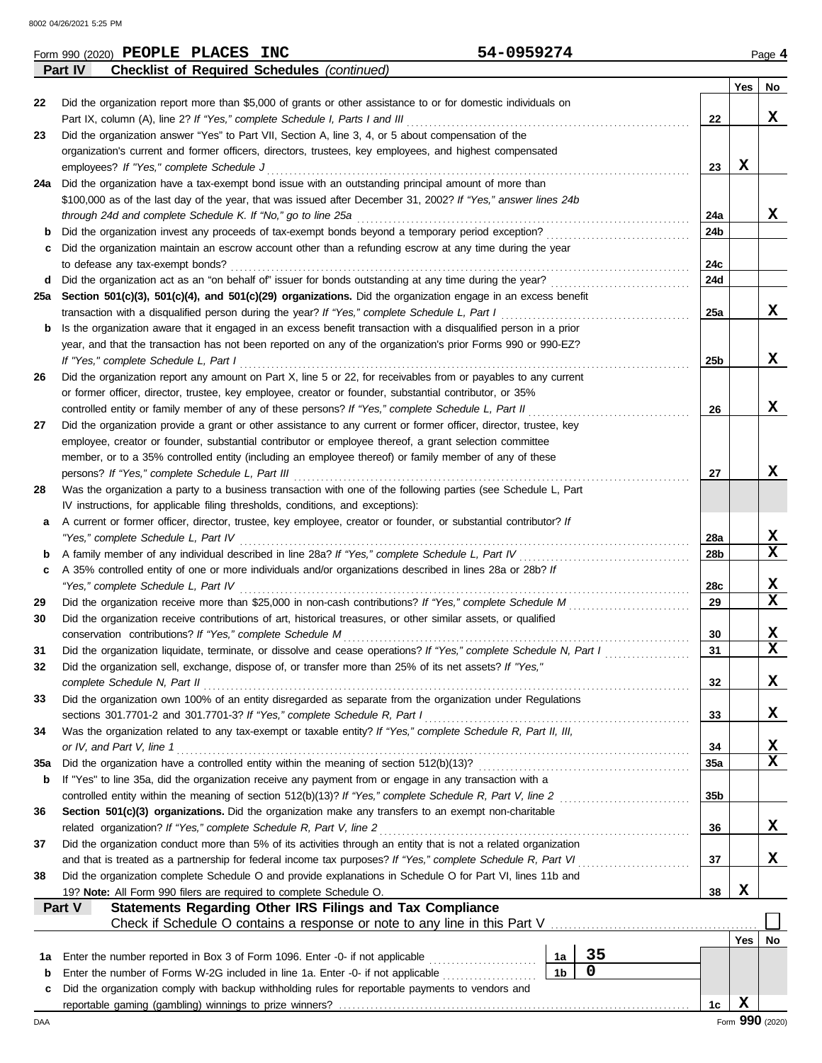|     | <b>Checklist of Required Schedules (continued)</b><br>Part IV                                                                                                                   |                |             |  |                 |                 |    |  |  |  |  |
|-----|---------------------------------------------------------------------------------------------------------------------------------------------------------------------------------|----------------|-------------|--|-----------------|-----------------|----|--|--|--|--|
|     |                                                                                                                                                                                 |                |             |  |                 | Yes             | No |  |  |  |  |
| 22  | Did the organization report more than \$5,000 of grants or other assistance to or for domestic individuals on                                                                   |                |             |  |                 |                 |    |  |  |  |  |
|     | Part IX, column (A), line 2? If "Yes," complete Schedule I, Parts I and III                                                                                                     |                |             |  | 22              |                 | x  |  |  |  |  |
| 23  | Did the organization answer "Yes" to Part VII, Section A, line 3, 4, or 5 about compensation of the                                                                             |                |             |  |                 |                 |    |  |  |  |  |
|     | organization's current and former officers, directors, trustees, key employees, and highest compensated                                                                         |                |             |  |                 |                 |    |  |  |  |  |
|     | employees? If "Yes," complete Schedule J                                                                                                                                        |                |             |  | 23              | X               |    |  |  |  |  |
|     | 24a Did the organization have a tax-exempt bond issue with an outstanding principal amount of more than                                                                         |                |             |  |                 |                 |    |  |  |  |  |
|     | \$100,000 as of the last day of the year, that was issued after December 31, 2002? If "Yes," answer lines 24b                                                                   |                |             |  |                 |                 |    |  |  |  |  |
|     | through 24d and complete Schedule K. If "No," go to line 25a                                                                                                                    |                |             |  |                 |                 | X  |  |  |  |  |
|     |                                                                                                                                                                                 |                |             |  | 24a             |                 |    |  |  |  |  |
|     |                                                                                                                                                                                 |                |             |  | 24 <sub>b</sub> |                 |    |  |  |  |  |
|     | Did the organization maintain an escrow account other than a refunding escrow at any time during the year                                                                       |                |             |  |                 |                 |    |  |  |  |  |
|     | to defease any tax-exempt bonds?                                                                                                                                                |                |             |  | 24c<br>24d      |                 |    |  |  |  |  |
| d   |                                                                                                                                                                                 |                |             |  |                 |                 |    |  |  |  |  |
|     | 25a Section 501(c)(3), 501(c)(4), and 501(c)(29) organizations. Did the organization engage in an excess benefit                                                                |                |             |  |                 |                 |    |  |  |  |  |
|     | transaction with a disqualified person during the year? If "Yes," complete Schedule L, Part I                                                                                   |                |             |  | 25a             |                 | x  |  |  |  |  |
| b   | Is the organization aware that it engaged in an excess benefit transaction with a disqualified person in a prior                                                                |                |             |  |                 |                 |    |  |  |  |  |
|     | year, and that the transaction has not been reported on any of the organization's prior Forms 990 or 990-EZ?                                                                    |                |             |  |                 |                 |    |  |  |  |  |
|     | If "Yes," complete Schedule L, Part I                                                                                                                                           |                |             |  | 25b             |                 | X  |  |  |  |  |
| 26  | Did the organization report any amount on Part X, line 5 or 22, for receivables from or payables to any current                                                                 |                |             |  |                 |                 |    |  |  |  |  |
|     | or former officer, director, trustee, key employee, creator or founder, substantial contributor, or 35%                                                                         |                |             |  |                 |                 |    |  |  |  |  |
|     | controlled entity or family member of any of these persons? If "Yes," complete Schedule L, Part II                                                                              |                |             |  | 26              |                 | X  |  |  |  |  |
| 27  | Did the organization provide a grant or other assistance to any current or former officer, director, trustee, key                                                               |                |             |  |                 |                 |    |  |  |  |  |
|     | employee, creator or founder, substantial contributor or employee thereof, a grant selection committee                                                                          |                |             |  |                 |                 |    |  |  |  |  |
|     | member, or to a 35% controlled entity (including an employee thereof) or family member of any of these                                                                          |                |             |  |                 |                 |    |  |  |  |  |
|     | persons? If "Yes," complete Schedule L, Part III                                                                                                                                |                |             |  | 27              |                 | x  |  |  |  |  |
| 28  | Was the organization a party to a business transaction with one of the following parties (see Schedule L, Part                                                                  |                |             |  |                 |                 |    |  |  |  |  |
|     | IV instructions, for applicable filing thresholds, conditions, and exceptions):                                                                                                 |                |             |  |                 |                 |    |  |  |  |  |
| а   | A current or former officer, director, trustee, key employee, creator or founder, or substantial contributor? If                                                                |                |             |  |                 |                 |    |  |  |  |  |
|     | "Yes," complete Schedule L, Part IV                                                                                                                                             |                |             |  | 28a             |                 | X  |  |  |  |  |
| b   | A family member of any individual described in line 28a? If "Yes," complete Schedule L, Part IV                                                                                 |                |             |  | 28b             |                 | X  |  |  |  |  |
| c   | A 35% controlled entity of one or more individuals and/or organizations described in lines 28a or 28b? If                                                                       |                |             |  |                 |                 |    |  |  |  |  |
|     | "Yes," complete Schedule L, Part IV                                                                                                                                             |                |             |  | 28c             |                 | X  |  |  |  |  |
| 29  |                                                                                                                                                                                 |                |             |  | 29              |                 | X  |  |  |  |  |
| 30  |                                                                                                                                                                                 |                |             |  |                 |                 |    |  |  |  |  |
|     | Did the organization receive contributions of art, historical treasures, or other similar assets, or qualified                                                                  |                |             |  | 30              |                 | X  |  |  |  |  |
|     | conservation contributions? If "Yes," complete Schedule M<br>Did the organization liquidate, terminate, or dissolve and cease operations? If "Yes," complete Schedule N, Part I |                |             |  | 31              |                 | X  |  |  |  |  |
| 31  |                                                                                                                                                                                 |                |             |  |                 |                 |    |  |  |  |  |
| 32  | Did the organization sell, exchange, dispose of, or transfer more than 25% of its net assets? If "Yes,"                                                                         |                |             |  |                 |                 |    |  |  |  |  |
|     | complete Schedule N, Part II                                                                                                                                                    |                |             |  | 32              |                 | X  |  |  |  |  |
| 33  | Did the organization own 100% of an entity disregarded as separate from the organization under Regulations                                                                      |                |             |  |                 |                 |    |  |  |  |  |
|     | sections 301.7701-2 and 301.7701-3? If "Yes," complete Schedule R, Part I                                                                                                       |                |             |  | 33              |                 | X  |  |  |  |  |
| 34  | Was the organization related to any tax-exempt or taxable entity? If "Yes," complete Schedule R, Part II, III,                                                                  |                |             |  |                 |                 |    |  |  |  |  |
|     | or IV, and Part V, line 1                                                                                                                                                       |                |             |  | 34              |                 | x  |  |  |  |  |
| 35a | Did the organization have a controlled entity within the meaning of section 512(b)(13)?                                                                                         |                |             |  | 35a             |                 | X  |  |  |  |  |
| b   | If "Yes" to line 35a, did the organization receive any payment from or engage in any transaction with a                                                                         |                |             |  |                 |                 |    |  |  |  |  |
|     | controlled entity within the meaning of section 512(b)(13)? If "Yes," complete Schedule R, Part V, line 2                                                                       |                |             |  | 35b             |                 |    |  |  |  |  |
| 36  | Section 501(c)(3) organizations. Did the organization make any transfers to an exempt non-charitable                                                                            |                |             |  |                 |                 |    |  |  |  |  |
|     | related organization? If "Yes," complete Schedule R, Part V, line 2                                                                                                             |                |             |  | 36              |                 | X  |  |  |  |  |
| 37  | Did the organization conduct more than 5% of its activities through an entity that is not a related organization                                                                |                |             |  |                 |                 |    |  |  |  |  |
|     | and that is treated as a partnership for federal income tax purposes? If "Yes," complete Schedule R, Part VI                                                                    |                |             |  | 37              |                 | x  |  |  |  |  |
| 38  | Did the organization complete Schedule O and provide explanations in Schedule O for Part VI, lines 11b and                                                                      |                |             |  |                 |                 |    |  |  |  |  |
|     | 19? Note: All Form 990 filers are required to complete Schedule O.                                                                                                              |                |             |  | 38              | X               |    |  |  |  |  |
|     | Statements Regarding Other IRS Filings and Tax Compliance<br>Part V                                                                                                             |                |             |  |                 |                 |    |  |  |  |  |
|     | Check if Schedule O contains a response or note to any line in this Part V                                                                                                      |                |             |  |                 |                 |    |  |  |  |  |
|     |                                                                                                                                                                                 |                |             |  |                 | Yes             | No |  |  |  |  |
| 1a  | Enter the number reported in Box 3 of Form 1096. Enter -0- if not applicable                                                                                                    | 1а             | 35          |  |                 |                 |    |  |  |  |  |
| b   | Enter the number of Forms W-2G included in line 1a. Enter -0- if not applicable                                                                                                 | 1 <sub>b</sub> | $\mathbf 0$ |  |                 |                 |    |  |  |  |  |
| с   | Did the organization comply with backup withholding rules for reportable payments to vendors and                                                                                |                |             |  |                 |                 |    |  |  |  |  |
|     |                                                                                                                                                                                 |                |             |  | 1c              | X               |    |  |  |  |  |
| DAA |                                                                                                                                                                                 |                |             |  |                 | Form 990 (2020) |    |  |  |  |  |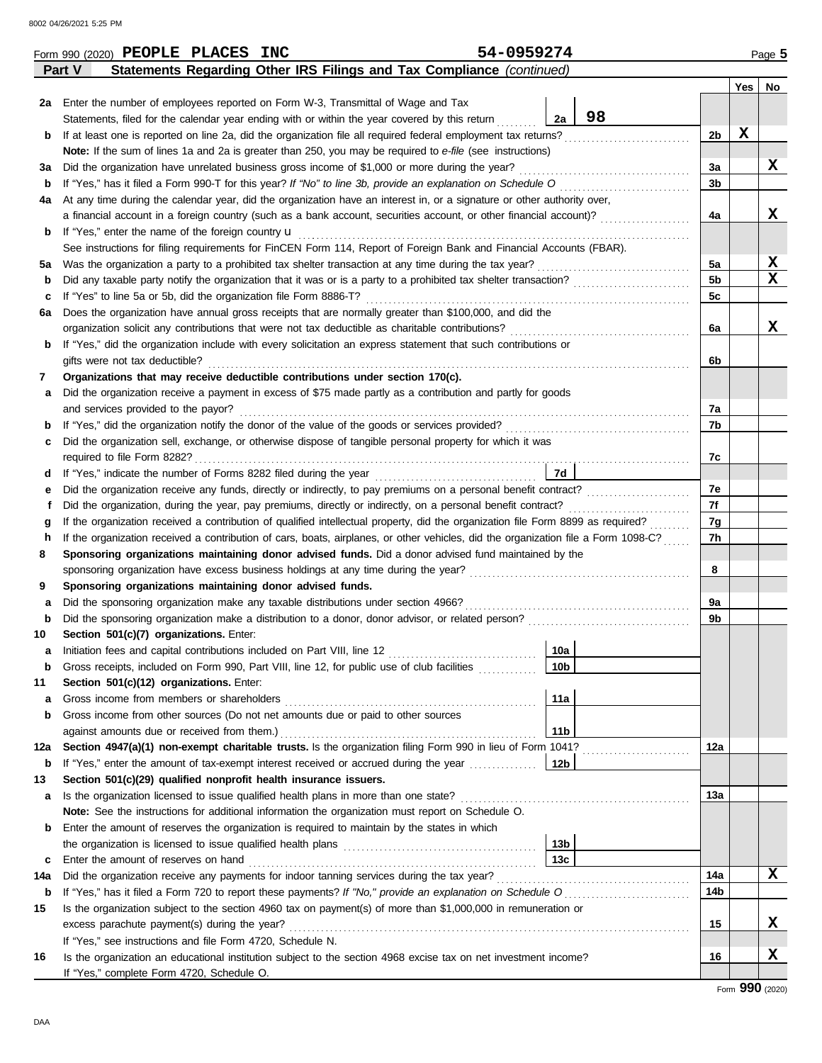8002 04/26/2021 5:25 PM

|             | 54-0959274<br>Form 990 (2020) PEOPLE PLACES INC                                                                                    |                 |    |     |     | Page 5           |  |  |  |  |  |  |
|-------------|------------------------------------------------------------------------------------------------------------------------------------|-----------------|----|-----|-----|------------------|--|--|--|--|--|--|
|             | Statements Regarding Other IRS Filings and Tax Compliance (continued)<br>Part V                                                    |                 |    |     |     |                  |  |  |  |  |  |  |
|             |                                                                                                                                    |                 |    |     | Yes | No               |  |  |  |  |  |  |
|             | 2a Enter the number of employees reported on Form W-3, Transmittal of Wage and Tax                                                 |                 |    |     |     |                  |  |  |  |  |  |  |
|             | Statements, filed for the calendar year ending with or within the year covered by this return                                      | 2a              | 98 |     |     |                  |  |  |  |  |  |  |
| b           | If at least one is reported on line 2a, did the organization file all required federal employment tax returns?                     |                 |    | 2b  | X   |                  |  |  |  |  |  |  |
|             | Note: If the sum of lines 1a and 2a is greater than 250, you may be required to e-file (see instructions)                          |                 |    |     |     |                  |  |  |  |  |  |  |
| За          | Did the organization have unrelated business gross income of \$1,000 or more during the year?                                      |                 |    | 3a  |     | x                |  |  |  |  |  |  |
| b           | If "Yes," has it filed a Form 990-T for this year? If "No" to line 3b, provide an explanation on Schedule O                        |                 |    | 3b  |     |                  |  |  |  |  |  |  |
| 4a          | At any time during the calendar year, did the organization have an interest in, or a signature or other authority over,            |                 |    |     |     |                  |  |  |  |  |  |  |
|             | a financial account in a foreign country (such as a bank account, securities account, or other financial account)?                 |                 |    | 4a  |     | x                |  |  |  |  |  |  |
| b           | If "Yes," enter the name of the foreign country u                                                                                  |                 |    |     |     |                  |  |  |  |  |  |  |
|             | See instructions for filing requirements for FinCEN Form 114, Report of Foreign Bank and Financial Accounts (FBAR).                |                 |    |     |     |                  |  |  |  |  |  |  |
| 5a          | Was the organization a party to a prohibited tax shelter transaction at any time during the tax year?                              |                 |    | 5a  |     | X<br>$\mathbf x$ |  |  |  |  |  |  |
| b           | Did any taxable party notify the organization that it was or is a party to a prohibited tax shelter transaction?                   |                 |    |     |     |                  |  |  |  |  |  |  |
| c           | If "Yes" to line 5a or 5b, did the organization file Form 8886-T?                                                                  |                 |    |     |     |                  |  |  |  |  |  |  |
| 6а          | Does the organization have annual gross receipts that are normally greater than \$100,000, and did the                             |                 |    |     |     |                  |  |  |  |  |  |  |
|             | organization solicit any contributions that were not tax deductible as charitable contributions?                                   |                 |    | 6a  |     | x                |  |  |  |  |  |  |
| b           | If "Yes," did the organization include with every solicitation an express statement that such contributions or                     |                 |    |     |     |                  |  |  |  |  |  |  |
|             | gifts were not tax deductible?                                                                                                     |                 |    | 6b  |     |                  |  |  |  |  |  |  |
| 7           | Organizations that may receive deductible contributions under section 170(c).                                                      |                 |    |     |     |                  |  |  |  |  |  |  |
| а           | Did the organization receive a payment in excess of \$75 made partly as a contribution and partly for goods                        |                 |    |     |     |                  |  |  |  |  |  |  |
|             | and services provided to the payor?                                                                                                |                 |    | 7a  |     |                  |  |  |  |  |  |  |
| $\mathbf b$ |                                                                                                                                    |                 |    | 7b  |     |                  |  |  |  |  |  |  |
| с           | Did the organization sell, exchange, or otherwise dispose of tangible personal property for which it was                           |                 |    |     |     |                  |  |  |  |  |  |  |
|             |                                                                                                                                    |                 |    | 7c  |     |                  |  |  |  |  |  |  |
| d           |                                                                                                                                    | 7d              |    |     |     |                  |  |  |  |  |  |  |
| е           | Did the organization receive any funds, directly or indirectly, to pay premiums on a personal benefit contract?                    |                 |    | 7e  |     |                  |  |  |  |  |  |  |
| f           | Did the organization, during the year, pay premiums, directly or indirectly, on a personal benefit contract?                       |                 |    | 7f  |     |                  |  |  |  |  |  |  |
| g           | If the organization received a contribution of qualified intellectual property, did the organization file Form 8899 as required?   |                 |    |     |     |                  |  |  |  |  |  |  |
| h           | If the organization received a contribution of cars, boats, airplanes, or other vehicles, did the organization file a Form 1098-C? |                 |    | 7h  |     |                  |  |  |  |  |  |  |
| 8           | Sponsoring organizations maintaining donor advised funds. Did a donor advised fund maintained by the                               |                 |    |     |     |                  |  |  |  |  |  |  |
|             |                                                                                                                                    |                 |    | 8   |     |                  |  |  |  |  |  |  |
| 9           | Sponsoring organizations maintaining donor advised funds.                                                                          |                 |    |     |     |                  |  |  |  |  |  |  |
| а           | Did the sponsoring organization make any taxable distributions under section 4966?                                                 |                 |    | 9a  |     |                  |  |  |  |  |  |  |
| b           |                                                                                                                                    |                 |    | 9b  |     |                  |  |  |  |  |  |  |
| 10          | Section 501(c)(7) organizations. Enter:                                                                                            |                 |    |     |     |                  |  |  |  |  |  |  |
|             |                                                                                                                                    | 10a             |    |     |     |                  |  |  |  |  |  |  |
| b           | Gross receipts, included on Form 990, Part VIII, line 12, for public use of club facilities                                        | 10 <sub>b</sub> |    |     |     |                  |  |  |  |  |  |  |
| 11          | Section 501(c)(12) organizations. Enter:                                                                                           |                 |    |     |     |                  |  |  |  |  |  |  |
| а           | Gross income from members or shareholders                                                                                          | 11a             |    |     |     |                  |  |  |  |  |  |  |
| b           | Gross income from other sources (Do not net amounts due or paid to other sources                                                   |                 |    |     |     |                  |  |  |  |  |  |  |
|             | against amounts due or received from them.)                                                                                        | 11 <sub>b</sub> |    |     |     |                  |  |  |  |  |  |  |
| 12a         | Section 4947(a)(1) non-exempt charitable trusts. Is the organization filing Form 990 in lieu of Form 1041?                         |                 |    | 12a |     |                  |  |  |  |  |  |  |
| b           | If "Yes," enter the amount of tax-exempt interest received or accrued during the year                                              | 12b             |    |     |     |                  |  |  |  |  |  |  |
| 13          | Section 501(c)(29) qualified nonprofit health insurance issuers.                                                                   |                 |    |     |     |                  |  |  |  |  |  |  |
| а           | Is the organization licensed to issue qualified health plans in more than one state?                                               |                 |    | 13а |     |                  |  |  |  |  |  |  |
|             | Note: See the instructions for additional information the organization must report on Schedule O.                                  |                 |    |     |     |                  |  |  |  |  |  |  |
| b           | Enter the amount of reserves the organization is required to maintain by the states in which                                       |                 |    |     |     |                  |  |  |  |  |  |  |
|             |                                                                                                                                    | 13b             |    |     |     |                  |  |  |  |  |  |  |
| c           | Enter the amount of reserves on hand                                                                                               | 13 <sub>c</sub> |    |     |     |                  |  |  |  |  |  |  |
| 14a         | Did the organization receive any payments for indoor tanning services during the tax year?                                         |                 |    | 14a |     | X                |  |  |  |  |  |  |
| b           |                                                                                                                                    |                 |    | 14b |     |                  |  |  |  |  |  |  |
| 15          | Is the organization subject to the section 4960 tax on payment(s) of more than \$1,000,000 in remuneration or                      |                 |    |     |     |                  |  |  |  |  |  |  |
|             | excess parachute payment(s) during the year?                                                                                       |                 |    | 15  |     | x                |  |  |  |  |  |  |
|             | If "Yes," see instructions and file Form 4720, Schedule N.                                                                         |                 |    |     |     |                  |  |  |  |  |  |  |
| 16          | Is the organization an educational institution subject to the section 4968 excise tax on net investment income?                    |                 |    | 16  |     | X                |  |  |  |  |  |  |
|             | If "Yes," complete Form 4720, Schedule O.                                                                                          |                 |    |     |     |                  |  |  |  |  |  |  |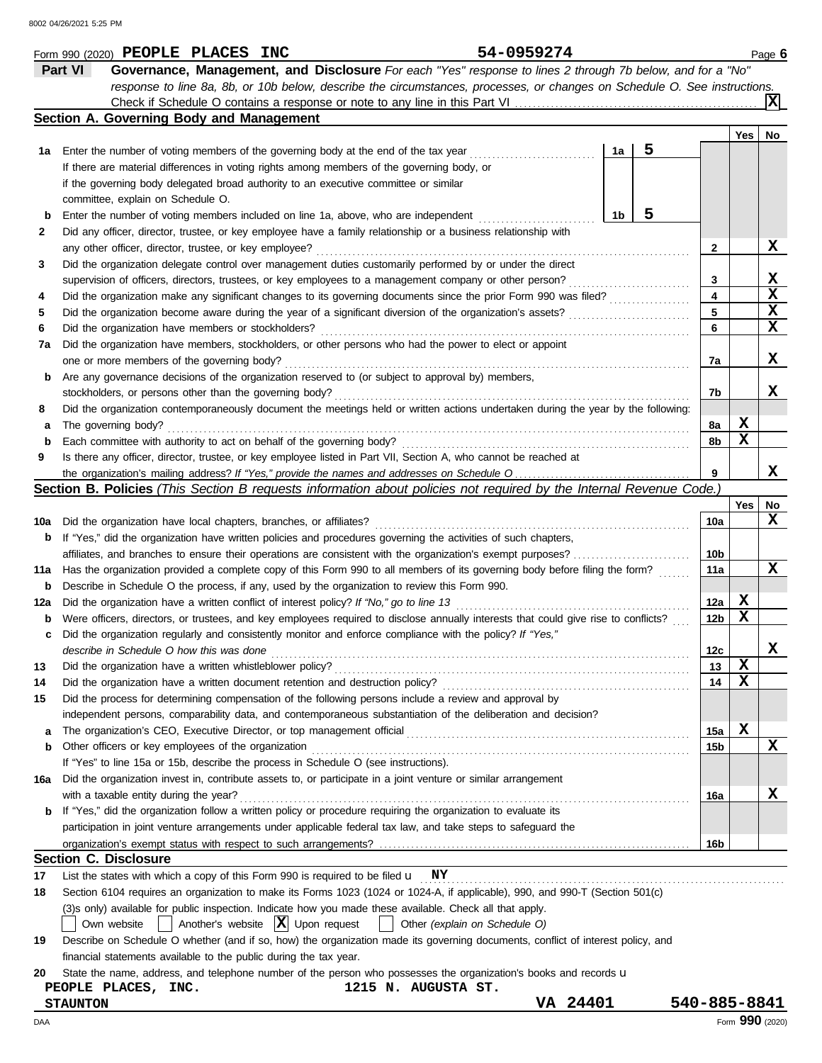|     | 54-0959274<br>Form 990 (2020) PEOPLE PLACES INC                                                                                     |                 |             | Page 6          |
|-----|-------------------------------------------------------------------------------------------------------------------------------------|-----------------|-------------|-----------------|
|     | Part VI<br>Governance, Management, and Disclosure For each "Yes" response to lines 2 through 7b below, and for a "No"               |                 |             |                 |
|     | response to line 8a, 8b, or 10b below, describe the circumstances, processes, or changes on Schedule O. See instructions.           |                 |             |                 |
|     |                                                                                                                                     |                 |             | ΙXΙ             |
|     | Section A. Governing Body and Management                                                                                            |                 |             |                 |
|     |                                                                                                                                     |                 | Yes         | No              |
| 1а  | 5<br>1a<br>Enter the number of voting members of the governing body at the end of the tax year                                      |                 |             |                 |
|     | If there are material differences in voting rights among members of the governing body, or                                          |                 |             |                 |
|     | if the governing body delegated broad authority to an executive committee or similar                                                |                 |             |                 |
|     | committee, explain on Schedule O.                                                                                                   |                 |             |                 |
| b   | 5<br>1 <sub>b</sub><br>Enter the number of voting members included on line 1a, above, who are independent                           |                 |             |                 |
| 2   | Did any officer, director, trustee, or key employee have a family relationship or a business relationship with                      |                 |             |                 |
|     | any other officer, director, trustee, or key employee?                                                                              | 2               |             | X               |
| 3   | Did the organization delegate control over management duties customarily performed by or under the direct                           |                 |             |                 |
|     | supervision of officers, directors, trustees, or key employees to a management company or other person?                             | 3               |             | X               |
| 4   | Did the organization make any significant changes to its governing documents since the prior Form 990 was filed?                    | 4               |             | $\mathbf x$     |
| 5   | Did the organization become aware during the year of a significant diversion of the organization's assets?                          | 5               |             | $\mathbf x$     |
| 6   | Did the organization have members or stockholders?                                                                                  | 6               |             | $\mathbf x$     |
| 7a  | Did the organization have members, stockholders, or other persons who had the power to elect or appoint                             |                 |             |                 |
|     | one or more members of the governing body?                                                                                          | 7a              |             | X               |
| b   | Are any governance decisions of the organization reserved to (or subject to approval by) members,                                   |                 |             |                 |
|     | stockholders, or persons other than the governing body?                                                                             | 7b              |             | x               |
|     | Did the organization contemporaneously document the meetings held or written actions undertaken during the year by the following:   |                 |             |                 |
| 8   |                                                                                                                                     |                 | X           |                 |
| а   | The governing body?                                                                                                                 | 8a              | X           |                 |
| b   | Each committee with authority to act on behalf of the governing body?                                                               | 8b              |             |                 |
| 9   | Is there any officer, director, trustee, or key employee listed in Part VII, Section A, who cannot be reached at                    |                 |             | x               |
|     |                                                                                                                                     | 9               |             |                 |
|     | <b>Section B. Policies</b> (This Section B requests information about policies not required by the Internal Revenue Code.)          |                 |             |                 |
|     |                                                                                                                                     |                 | Yes         | No<br>X         |
| 10a | Did the organization have local chapters, branches, or affiliates?                                                                  | 10a             |             |                 |
| b   | If "Yes," did the organization have written policies and procedures governing the activities of such chapters,                      |                 |             |                 |
|     | affiliates, and branches to ensure their operations are consistent with the organization's exempt purposes?                         | 10b             |             | $\mathbf x$     |
| 11a | Has the organization provided a complete copy of this Form 990 to all members of its governing body before filing the form?         | 11a             |             |                 |
| b   | Describe in Schedule O the process, if any, used by the organization to review this Form 990.                                       |                 |             |                 |
| 12a | Did the organization have a written conflict of interest policy? If "No," go to line 13                                             | 12a             | X           |                 |
| b   | Were officers, directors, or trustees, and key employees required to disclose annually interests that could give rise to conflicts? | 12b             | X           |                 |
| с   | Did the organization regularly and consistently monitor and enforce compliance with the policy? If "Yes,"                           |                 |             |                 |
|     | describe in Schedule O how this was done                                                                                            | 12 <sub>c</sub> |             | ▵               |
| 13  | Did the organization have a written whistleblower policy?                                                                           | 13              | X           |                 |
| 14  | Did the organization have a written document retention and destruction policy?                                                      | 14              | х           |                 |
| 15  | Did the process for determining compensation of the following persons include a review and approval by                              |                 |             |                 |
|     | independent persons, comparability data, and contemporaneous substantiation of the deliberation and decision?                       |                 |             |                 |
| a   | The organization's CEO, Executive Director, or top management official                                                              | 15a             | $\mathbf x$ |                 |
| b   | Other officers or key employees of the organization                                                                                 | 15b             |             | X               |
|     | If "Yes" to line 15a or 15b, describe the process in Schedule O (see instructions).                                                 |                 |             |                 |
| 16a | Did the organization invest in, contribute assets to, or participate in a joint venture or similar arrangement                      |                 |             |                 |
|     | with a taxable entity during the year?                                                                                              | 16a             |             | х               |
| b.  | If "Yes," did the organization follow a written policy or procedure requiring the organization to evaluate its                      |                 |             |                 |
|     | participation in joint venture arrangements under applicable federal tax law, and take steps to safeguard the                       |                 |             |                 |
|     |                                                                                                                                     | 16b             |             |                 |
|     | <b>Section C. Disclosure</b>                                                                                                        |                 |             |                 |
| 17  | List the states with which a copy of this Form 990 is required to be filed $\mathbf{u}$ NY                                          |                 |             |                 |
| 18  | Section 6104 requires an organization to make its Forms 1023 (1024 or 1024-A, if applicable), 990, and 990-T (Section 501(c)        |                 |             |                 |
|     | (3)s only) available for public inspection. Indicate how you made these available. Check all that apply.                            |                 |             |                 |
|     | Another's website $ \mathbf{X} $ Upon request<br>Other (explain on Schedule O)<br>Own website                                       |                 |             |                 |
| 19  | Describe on Schedule O whether (and if so, how) the organization made its governing documents, conflict of interest policy, and     |                 |             |                 |
|     | financial statements available to the public during the tax year.                                                                   |                 |             |                 |
| 20  | State the name, address, and telephone number of the person who possesses the organization's books and records u                    |                 |             |                 |
|     | 1215 N. AUGUSTA ST.<br>PEOPLE PLACES, INC.                                                                                          |                 |             |                 |
|     | VA 24401<br><b>STAUNTON</b>                                                                                                         | 540-885-8841    |             |                 |
| DAA |                                                                                                                                     |                 |             | Form 990 (2020) |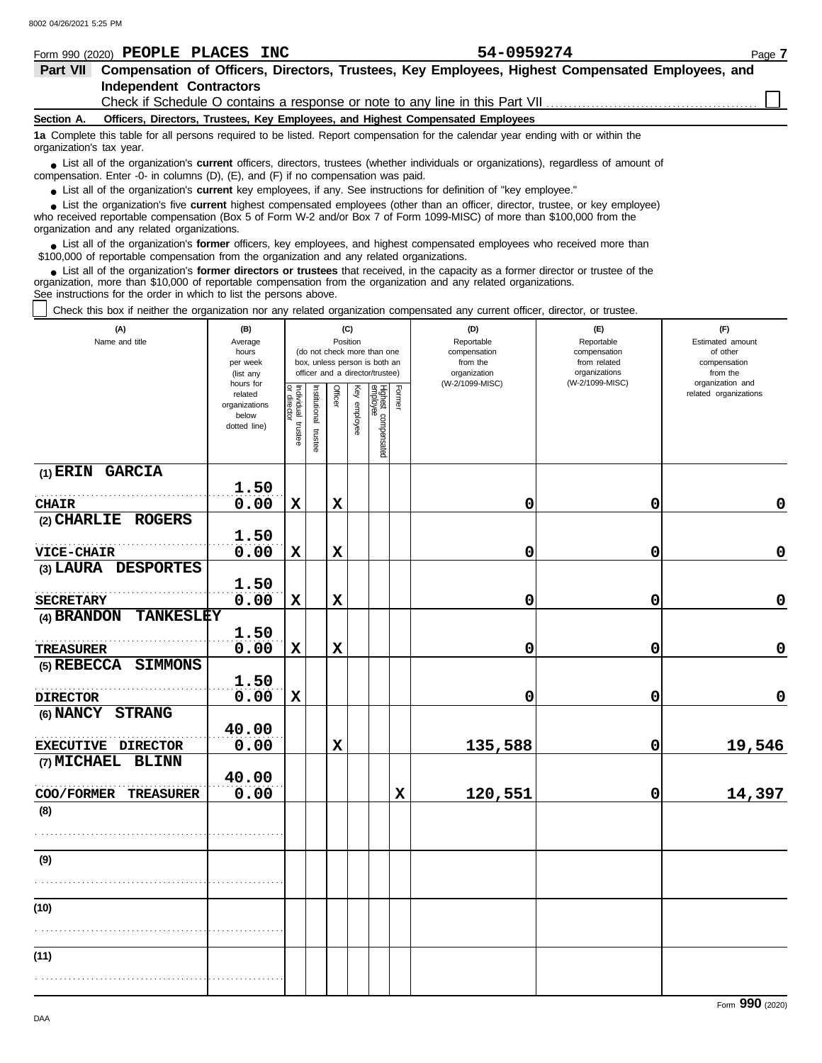|                          | Form 990 (2020) PEOPLE PLACES INC                                                         | 54-0959274                                                                                                                                    | Page 7 |
|--------------------------|-------------------------------------------------------------------------------------------|-----------------------------------------------------------------------------------------------------------------------------------------------|--------|
| Part VII                 |                                                                                           | Compensation of Officers, Directors, Trustees, Key Employees, Highest Compensated Employees, and                                              |        |
|                          | <b>Independent Contractors</b>                                                            |                                                                                                                                               |        |
|                          |                                                                                           | Check if Schedule O contains a response or note to any line in this Part VII                                                                  |        |
| Section A.               |                                                                                           | Officers, Directors, Trustees, Key Employees, and Highest Compensated Employees                                                               |        |
| organization's tax year. |                                                                                           | 1a Complete this table for all persons required to be listed. Report compensation for the calendar year ending with or within the             |        |
|                          | compensation. Enter -0- in columns $(D)$ , $(E)$ , and $(F)$ if no compensation was paid. | • List all of the organization's <b>current</b> officers, directors, trustees (whether individuals or organizations), regardless of amount of |        |
|                          |                                                                                           | • List all of the organization's current key employees, if any. See instructions for definition of "key employee."                            |        |
|                          |                                                                                           | • List the organization's five current highest compensated employees (other than an officer, director, trustee, or key employee)              |        |
|                          |                                                                                           | who received reportable compensation (Box 5 of Form W-2 and/or Box 7 of Form 1099-MISC) of more than \$100,000 from the                       |        |
|                          | organization and any related organizations.                                               |                                                                                                                                               |        |

List all of the organization's **former** officers, key employees, and highest compensated employees who received more than • List all of the organization's **former** officers, key employees, and highest compensate \$100,000 of reportable compensation from the organization and any related organizations.

List all of the organization's **former directors or trustees** that received, in the capacity as a former director or trustee of the organization, more than \$10,000 of reportable compensation from the organization and any related organizations. See instructions for the order in which to list the persons above. **•**

Check this box if neither the organization nor any related organization compensated any current officer, director, or trustee.

| (A)<br>Name and title           | (B)<br>Average<br>hours<br>per week<br>(list any<br>hours for |                                   |                       |             | (C)<br>Position | (do not check more than one<br>box, unless person is both an<br>officer and a director/trustee) |               | (D)<br>Reportable<br>compensation<br>from the<br>organization<br>(W-2/1099-MISC) | (E)<br>Reportable<br>compensation<br>from related<br>organizations<br>(W-2/1099-MISC) | (F)<br>Estimated amount<br>of other<br>compensation<br>from the<br>organization and |
|---------------------------------|---------------------------------------------------------------|-----------------------------------|-----------------------|-------------|-----------------|-------------------------------------------------------------------------------------------------|---------------|----------------------------------------------------------------------------------|---------------------------------------------------------------------------------------|-------------------------------------------------------------------------------------|
|                                 | related<br>organizations<br>below<br>dotted line)             | Individual trustee<br>or director | Institutional trustee | Officer     | Key employee    | Highest compensated<br>employee                                                                 | <b>Former</b> |                                                                                  |                                                                                       | related organizations                                                               |
| (1) ERIN GARCIA                 | 1.50                                                          |                                   |                       |             |                 |                                                                                                 |               |                                                                                  |                                                                                       |                                                                                     |
| <b>CHAIR</b>                    | 0.00                                                          | $\mathbf x$                       |                       | $\mathbf x$ |                 |                                                                                                 |               | 0                                                                                | 0                                                                                     | $\mathbf 0$                                                                         |
| (2) CHARLIE ROGERS              |                                                               |                                   |                       |             |                 |                                                                                                 |               |                                                                                  |                                                                                       |                                                                                     |
|                                 | 1.50                                                          |                                   |                       |             |                 |                                                                                                 |               |                                                                                  |                                                                                       |                                                                                     |
| <b>VICE-CHAIR</b>               | 0.00                                                          | $\mathbf x$                       |                       | $\mathbf x$ |                 |                                                                                                 |               | 0                                                                                | 0                                                                                     | $\mathbf 0$                                                                         |
| (3) LAURA DESPORTES             | 1.50                                                          |                                   |                       |             |                 |                                                                                                 |               |                                                                                  |                                                                                       |                                                                                     |
| <b>SECRETARY</b>                | 0.00                                                          | $\mathbf x$                       |                       | $\mathbf x$ |                 |                                                                                                 |               | 0                                                                                | 0                                                                                     | $\mathbf 0$                                                                         |
| (4) BRANDON<br><b>TANKESLEY</b> |                                                               |                                   |                       |             |                 |                                                                                                 |               |                                                                                  |                                                                                       |                                                                                     |
|                                 | 1.50                                                          |                                   |                       |             |                 |                                                                                                 |               |                                                                                  |                                                                                       |                                                                                     |
| <b>TREASURER</b>                | 0.00                                                          | $\mathbf x$                       |                       | $\mathbf x$ |                 |                                                                                                 |               | 0                                                                                | $\mathbf 0$                                                                           | $\mathbf 0$                                                                         |
| <b>SIMMONS</b><br>(5) REBECCA   |                                                               |                                   |                       |             |                 |                                                                                                 |               |                                                                                  |                                                                                       |                                                                                     |
|                                 | 1.50                                                          |                                   |                       |             |                 |                                                                                                 |               |                                                                                  |                                                                                       |                                                                                     |
| <b>DIRECTOR</b>                 | 0.00                                                          | $\mathbf x$                       |                       |             |                 |                                                                                                 |               | 0                                                                                | 0                                                                                     | $\mathbf 0$                                                                         |
| (6) NANCY STRANG                |                                                               |                                   |                       |             |                 |                                                                                                 |               |                                                                                  |                                                                                       |                                                                                     |
|                                 | 40.00                                                         |                                   |                       |             |                 |                                                                                                 |               |                                                                                  |                                                                                       |                                                                                     |
| EXECUTIVE DIRECTOR              | 0.00                                                          |                                   |                       | $\mathbf x$ |                 |                                                                                                 |               | 135,588                                                                          | 0                                                                                     | 19,546                                                                              |
| (7) MICHAEL<br><b>BLINN</b>     |                                                               |                                   |                       |             |                 |                                                                                                 |               |                                                                                  |                                                                                       |                                                                                     |
|                                 | 40.00                                                         |                                   |                       |             |                 |                                                                                                 |               |                                                                                  |                                                                                       |                                                                                     |
| COO/FORMER TREASURER            | 0.00                                                          |                                   |                       |             |                 |                                                                                                 | $\mathbf x$   | 120,551                                                                          | 0                                                                                     | 14,397                                                                              |
| (8)                             |                                                               |                                   |                       |             |                 |                                                                                                 |               |                                                                                  |                                                                                       |                                                                                     |
|                                 |                                                               |                                   |                       |             |                 |                                                                                                 |               |                                                                                  |                                                                                       |                                                                                     |
| (9)                             |                                                               |                                   |                       |             |                 |                                                                                                 |               |                                                                                  |                                                                                       |                                                                                     |
|                                 |                                                               |                                   |                       |             |                 |                                                                                                 |               |                                                                                  |                                                                                       |                                                                                     |
|                                 |                                                               |                                   |                       |             |                 |                                                                                                 |               |                                                                                  |                                                                                       |                                                                                     |
| (10)                            |                                                               |                                   |                       |             |                 |                                                                                                 |               |                                                                                  |                                                                                       |                                                                                     |
|                                 |                                                               |                                   |                       |             |                 |                                                                                                 |               |                                                                                  |                                                                                       |                                                                                     |
| (11)                            |                                                               |                                   |                       |             |                 |                                                                                                 |               |                                                                                  |                                                                                       |                                                                                     |
|                                 |                                                               |                                   |                       |             |                 |                                                                                                 |               |                                                                                  |                                                                                       |                                                                                     |
|                                 |                                                               |                                   |                       |             |                 |                                                                                                 |               |                                                                                  |                                                                                       |                                                                                     |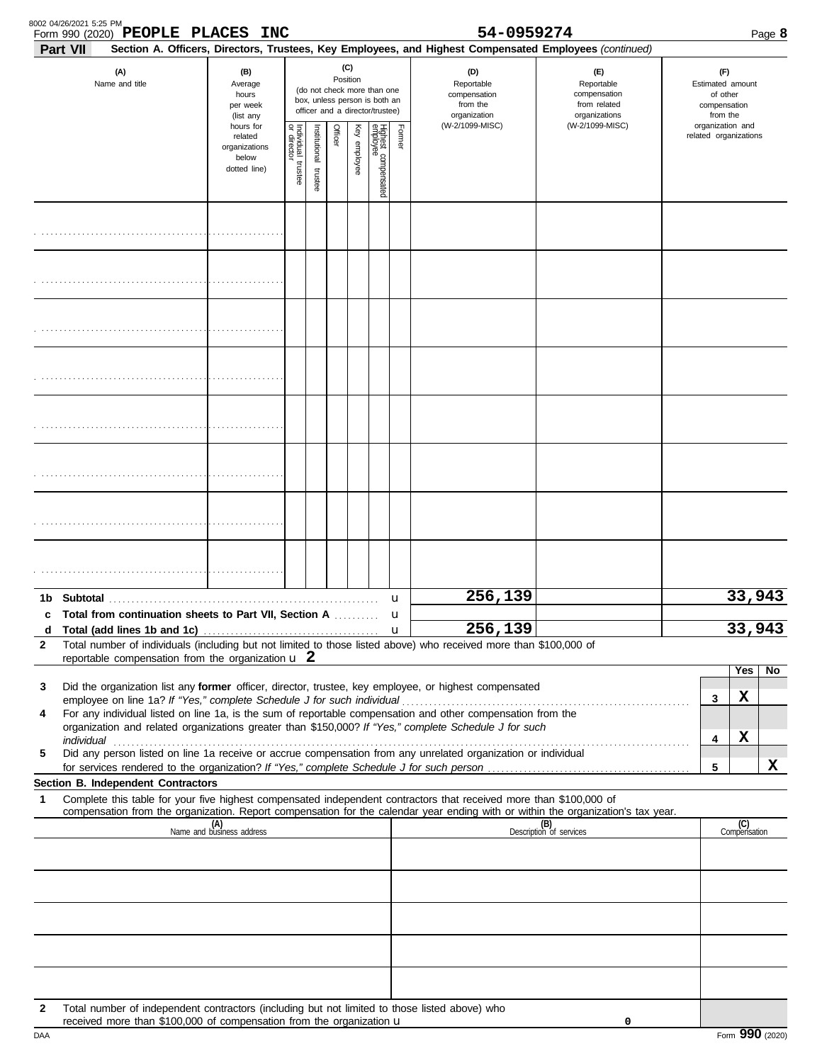|                 | 8002 04/26/2021 5:25 PM<br>Form 990 (2020) PEOPLE PLACES INC                                                                                                                                                         |                                                                                                                                                                                                                                               |                                                                                                                    |                                           |  |  |  |                   | 54-0959274                                                                                                                                                              |                                                                                                                                  |                                                                 |                     | Page 8 |
|-----------------|----------------------------------------------------------------------------------------------------------------------------------------------------------------------------------------------------------------------|-----------------------------------------------------------------------------------------------------------------------------------------------------------------------------------------------------------------------------------------------|--------------------------------------------------------------------------------------------------------------------|-------------------------------------------|--|--|--|-------------------|-------------------------------------------------------------------------------------------------------------------------------------------------------------------------|----------------------------------------------------------------------------------------------------------------------------------|-----------------------------------------------------------------|---------------------|--------|
| <b>Part VII</b> | (A)<br>Name and title                                                                                                                                                                                                | (B)<br>Average<br>hours<br>per week<br>(list any                                                                                                                                                                                              | (C)<br>Position<br>(do not check more than one<br>box, unless person is both an<br>officer and a director/trustee) |                                           |  |  |  |                   | Section A. Officers, Directors, Trustees, Key Employees, and Highest Compensated Employees (continued)<br>(D)<br>Reportable<br>compensation<br>from the<br>organization | (E)<br>Reportable<br>compensation<br>from related<br>organizations                                                               | (F)<br>Estimated amount<br>of other<br>compensation<br>from the |                     |        |
|                 |                                                                                                                                                                                                                      | (W-2/1099-MISC)<br>(W-2/1099-MISC)<br>hours for<br>Individual<br>or director<br>Officer<br>Highest compensated<br>employee<br>Former<br>Key employee<br>Institutional trustee<br>related<br>organizations<br>below<br>trustee<br>dotted line) |                                                                                                                    | organization and<br>related organizations |  |  |  |                   |                                                                                                                                                                         |                                                                                                                                  |                                                                 |                     |        |
|                 |                                                                                                                                                                                                                      |                                                                                                                                                                                                                                               |                                                                                                                    |                                           |  |  |  |                   |                                                                                                                                                                         |                                                                                                                                  |                                                                 |                     |        |
|                 |                                                                                                                                                                                                                      |                                                                                                                                                                                                                                               |                                                                                                                    |                                           |  |  |  |                   |                                                                                                                                                                         |                                                                                                                                  |                                                                 |                     |        |
|                 |                                                                                                                                                                                                                      |                                                                                                                                                                                                                                               |                                                                                                                    |                                           |  |  |  |                   |                                                                                                                                                                         |                                                                                                                                  |                                                                 |                     |        |
|                 |                                                                                                                                                                                                                      |                                                                                                                                                                                                                                               |                                                                                                                    |                                           |  |  |  |                   |                                                                                                                                                                         |                                                                                                                                  |                                                                 |                     |        |
|                 |                                                                                                                                                                                                                      |                                                                                                                                                                                                                                               |                                                                                                                    |                                           |  |  |  |                   |                                                                                                                                                                         |                                                                                                                                  |                                                                 |                     |        |
|                 |                                                                                                                                                                                                                      |                                                                                                                                                                                                                                               |                                                                                                                    |                                           |  |  |  |                   |                                                                                                                                                                         |                                                                                                                                  |                                                                 |                     |        |
|                 |                                                                                                                                                                                                                      |                                                                                                                                                                                                                                               |                                                                                                                    |                                           |  |  |  |                   |                                                                                                                                                                         |                                                                                                                                  |                                                                 |                     |        |
|                 |                                                                                                                                                                                                                      |                                                                                                                                                                                                                                               |                                                                                                                    |                                           |  |  |  |                   |                                                                                                                                                                         |                                                                                                                                  |                                                                 |                     |        |
| 1b.             | Total from continuation sheets to Part VII, Section A                                                                                                                                                                |                                                                                                                                                                                                                                               |                                                                                                                    |                                           |  |  |  | u                 | 256,139                                                                                                                                                                 |                                                                                                                                  |                                                                 | 33,943              |        |
| d               |                                                                                                                                                                                                                      |                                                                                                                                                                                                                                               |                                                                                                                    |                                           |  |  |  | u<br>$\mathbf{u}$ | 256,139                                                                                                                                                                 |                                                                                                                                  |                                                                 | 33,943              |        |
| 2               | Total number of individuals (including but not limited to those listed above) who received more than \$100,000 of<br>reportable compensation from the organization $\mathbf{u}$ 2                                    |                                                                                                                                                                                                                                               |                                                                                                                    |                                           |  |  |  |                   |                                                                                                                                                                         |                                                                                                                                  |                                                                 |                     |        |
|                 |                                                                                                                                                                                                                      |                                                                                                                                                                                                                                               |                                                                                                                    |                                           |  |  |  |                   |                                                                                                                                                                         |                                                                                                                                  |                                                                 | Yes                 | No     |
| 3               | Did the organization list any former officer, director, trustee, key employee, or highest compensated                                                                                                                |                                                                                                                                                                                                                                               |                                                                                                                    |                                           |  |  |  |                   |                                                                                                                                                                         |                                                                                                                                  | 3                                                               | х                   |        |
| 4               | For any individual listed on line 1a, is the sum of reportable compensation and other compensation from the<br>organization and related organizations greater than \$150,000? If "Yes," complete Schedule J for such |                                                                                                                                                                                                                                               |                                                                                                                    |                                           |  |  |  |                   |                                                                                                                                                                         |                                                                                                                                  |                                                                 |                     |        |
|                 |                                                                                                                                                                                                                      |                                                                                                                                                                                                                                               |                                                                                                                    |                                           |  |  |  |                   |                                                                                                                                                                         |                                                                                                                                  | 4                                                               | x                   |        |
| 5               | Did any person listed on line 1a receive or accrue compensation from any unrelated organization or individual                                                                                                        |                                                                                                                                                                                                                                               |                                                                                                                    |                                           |  |  |  |                   |                                                                                                                                                                         |                                                                                                                                  | 5                                                               |                     | X      |
|                 | Section B. Independent Contractors                                                                                                                                                                                   |                                                                                                                                                                                                                                               |                                                                                                                    |                                           |  |  |  |                   |                                                                                                                                                                         |                                                                                                                                  |                                                                 |                     |        |
| 1               | Complete this table for your five highest compensated independent contractors that received more than \$100,000 of                                                                                                   |                                                                                                                                                                                                                                               |                                                                                                                    |                                           |  |  |  |                   |                                                                                                                                                                         | compensation from the organization. Report compensation for the calendar year ending with or within the organization's tax year. |                                                                 |                     |        |
|                 |                                                                                                                                                                                                                      | (A)<br>Name and business address                                                                                                                                                                                                              |                                                                                                                    |                                           |  |  |  |                   |                                                                                                                                                                         | (B)<br>Description of services                                                                                                   |                                                                 | (C)<br>Compensation |        |
|                 |                                                                                                                                                                                                                      |                                                                                                                                                                                                                                               |                                                                                                                    |                                           |  |  |  |                   |                                                                                                                                                                         |                                                                                                                                  |                                                                 |                     |        |
|                 |                                                                                                                                                                                                                      |                                                                                                                                                                                                                                               |                                                                                                                    |                                           |  |  |  |                   |                                                                                                                                                                         |                                                                                                                                  |                                                                 |                     |        |
|                 |                                                                                                                                                                                                                      |                                                                                                                                                                                                                                               |                                                                                                                    |                                           |  |  |  |                   |                                                                                                                                                                         |                                                                                                                                  |                                                                 |                     |        |
|                 |                                                                                                                                                                                                                      |                                                                                                                                                                                                                                               |                                                                                                                    |                                           |  |  |  |                   |                                                                                                                                                                         |                                                                                                                                  |                                                                 |                     |        |
| $\mathbf{2}$    | Total number of independent contractors (including but not limited to those listed above) who<br>received more than \$100,000 of compensation from the organization u                                                |                                                                                                                                                                                                                                               |                                                                                                                    |                                           |  |  |  |                   |                                                                                                                                                                         | 0                                                                                                                                |                                                                 |                     |        |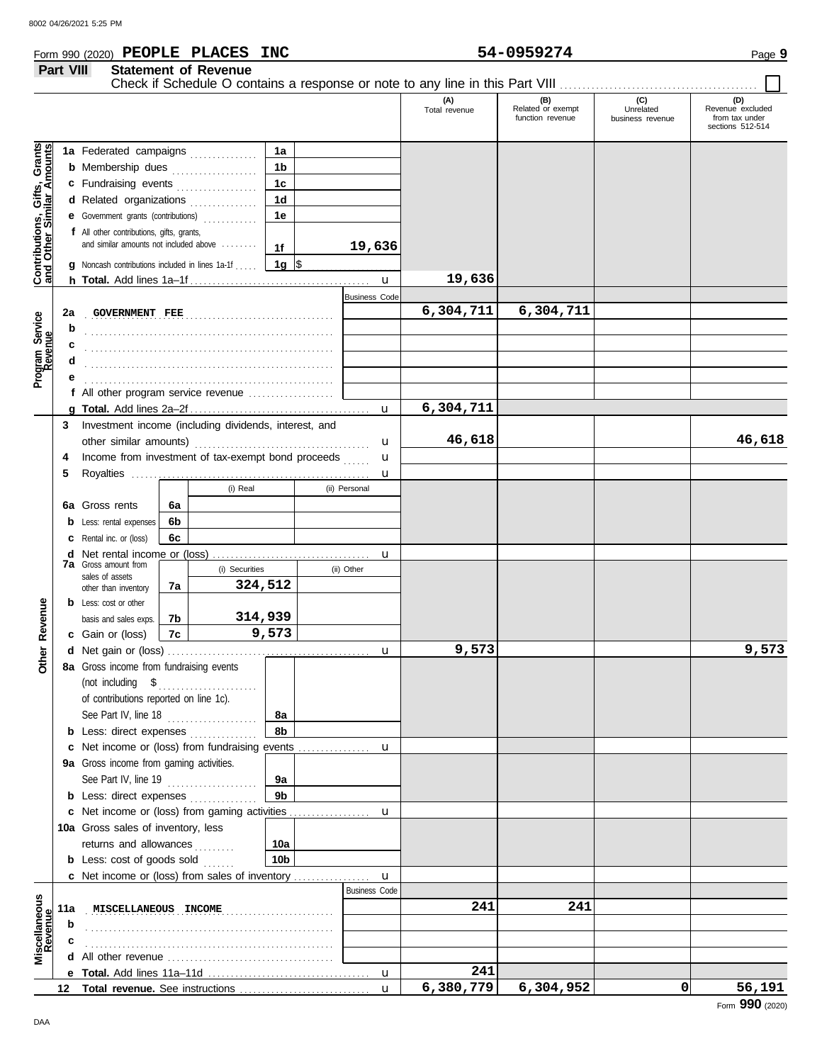### **Form 990 (2020) PEOPLE PLACES INC**  $54-0959274$  Page 9

|                                                                                                | Part VIII<br><b>Statement of Revenue</b><br>Check if Schedule O contains a response or note to any line in this Part VIII |                                                                                                                                                                                                                                                                                                                                                                         |                |                           |                                                                                |  |                                                |                      |                                              |                                      |                                                               |
|------------------------------------------------------------------------------------------------|---------------------------------------------------------------------------------------------------------------------------|-------------------------------------------------------------------------------------------------------------------------------------------------------------------------------------------------------------------------------------------------------------------------------------------------------------------------------------------------------------------------|----------------|---------------------------|--------------------------------------------------------------------------------|--|------------------------------------------------|----------------------|----------------------------------------------|--------------------------------------|---------------------------------------------------------------|
|                                                                                                |                                                                                                                           |                                                                                                                                                                                                                                                                                                                                                                         |                |                           |                                                                                |  |                                                | (A)<br>Total revenue | (B)<br>Related or exempt<br>function revenue | (C)<br>Unrelated<br>business revenue | (D)<br>Revenue excluded<br>from tax under<br>sections 512-514 |
| <b>Contributions, Gifts, Grants</b><br>and Other Similar Amounts<br>Program Service<br>Revenue | 2a<br>b<br>c<br>d                                                                                                         | 1a Federated campaigns<br><b>b</b> Membership dues <i>[[[[[[[[[[[[[[[[[[[[[[[[[[[]]]</i> ]]]<br>c Fundraising events<br>d Related organizations<br><b>e</b> Government grants (contributions)<br>f All other contributions, gifts, grants,<br>and similar amounts not included above<br><b>g</b> Noncash contributions included in lines 1a-1f<br><b>GOVERNMENT FEE</b> |                |                           | 1a<br>1 <sub>b</sub><br>1 <sub>c</sub><br>1 <sub>d</sub><br>1e<br>1f<br>1g ∣\$ |  | 19,636<br>$\mathbf{u}$<br><b>Business Code</b> | 19,636<br>6,304,711  | 6,304,711                                    |                                      |                                                               |
|                                                                                                | е                                                                                                                         | f All other program service revenue                                                                                                                                                                                                                                                                                                                                     |                |                           |                                                                                |  |                                                |                      |                                              |                                      |                                                               |
|                                                                                                |                                                                                                                           |                                                                                                                                                                                                                                                                                                                                                                         |                |                           |                                                                                |  | u                                              | 6,304,711            |                                              |                                      |                                                               |
|                                                                                                | 3<br>4<br>5                                                                                                               | Investment income (including dividends, interest, and<br>Income from investment of tax-exempt bond proceeds                                                                                                                                                                                                                                                             |                |                           |                                                                                |  | u<br>u<br>u                                    | 46,618               |                                              |                                      | 46,618                                                        |
|                                                                                                |                                                                                                                           | 6a Gross rents<br><b>b</b> Less: rental expenses<br>C Rental inc. or (loss)                                                                                                                                                                                                                                                                                             | 6a<br>6b<br>6с | (i) Real                  |                                                                                |  | (ii) Personal                                  |                      |                                              |                                      |                                                               |
|                                                                                                |                                                                                                                           | <b>7a</b> Gross amount from<br>sales of assets                                                                                                                                                                                                                                                                                                                          |                | (i) Securities<br>324,512 |                                                                                |  | u<br>(ii) Other                                |                      |                                              |                                      |                                                               |
| Revenue                                                                                        |                                                                                                                           | other than inventory<br><b>b</b> Less: cost or other<br>basis and sales exps.<br>c Gain or (loss)                                                                                                                                                                                                                                                                       | 7a<br>7b<br>7c | 314,939                   | 9,573                                                                          |  |                                                |                      |                                              |                                      |                                                               |
| <u>br</u><br>δ                                                                                 |                                                                                                                           | 8a Gross income from fundraising events<br>(not including $\quad \quad \text{\$} \quad \quad \quad \dots \quad \dots \quad \dots \quad \dots \quad \dots \quad \dots$<br>of contributions reported on line 1c).<br>See Part IV, line 18                                                                                                                                 |                |                           | 8а                                                                             |  | u                                              | 9,573                |                                              |                                      | 9,573                                                         |
|                                                                                                |                                                                                                                           | <b>b</b> Less: direct expenses<br>c Net income or (loss) from fundraising events                                                                                                                                                                                                                                                                                        |                |                           | 8b                                                                             |  |                                                |                      |                                              |                                      |                                                               |
|                                                                                                |                                                                                                                           | 9a Gross income from gaming activities.                                                                                                                                                                                                                                                                                                                                 |                |                           |                                                                                |  | u                                              |                      |                                              |                                      |                                                               |
|                                                                                                |                                                                                                                           | <b>b</b> Less: direct expenses                                                                                                                                                                                                                                                                                                                                          |                |                           | 9а<br>9 <sub>b</sub>                                                           |  |                                                |                      |                                              |                                      |                                                               |
|                                                                                                |                                                                                                                           | c Net income or (loss) from gaming activities<br>10a Gross sales of inventory, less<br>returns and allowances<br><b>b</b> Less: cost of goods sold                                                                                                                                                                                                                      |                |                           | 10a<br>10 <sub>b</sub>                                                         |  | u                                              |                      |                                              |                                      |                                                               |
|                                                                                                |                                                                                                                           | <b>c</b> Net income or (loss) from sales of inventory                                                                                                                                                                                                                                                                                                                   |                |                           |                                                                                |  | $\mathbf{u}$                                   |                      |                                              |                                      |                                                               |
| Miscellaneous<br>Revenue                                                                       | 11a<br>b                                                                                                                  | MISCELLANEOUS INCOME                                                                                                                                                                                                                                                                                                                                                    |                |                           |                                                                                |  | <b>Business Code</b>                           | 241                  | 241                                          |                                      |                                                               |
|                                                                                                |                                                                                                                           |                                                                                                                                                                                                                                                                                                                                                                         |                |                           |                                                                                |  |                                                |                      |                                              |                                      |                                                               |
|                                                                                                |                                                                                                                           |                                                                                                                                                                                                                                                                                                                                                                         |                |                           |                                                                                |  |                                                |                      |                                              |                                      |                                                               |
|                                                                                                |                                                                                                                           |                                                                                                                                                                                                                                                                                                                                                                         |                |                           |                                                                                |  | u                                              | 241                  |                                              |                                      |                                                               |
|                                                                                                |                                                                                                                           |                                                                                                                                                                                                                                                                                                                                                                         |                |                           |                                                                                |  | $\mathbf{u}$                                   | 6,380,779            | 6,304,952                                    | $\Omega$                             | 56,191                                                        |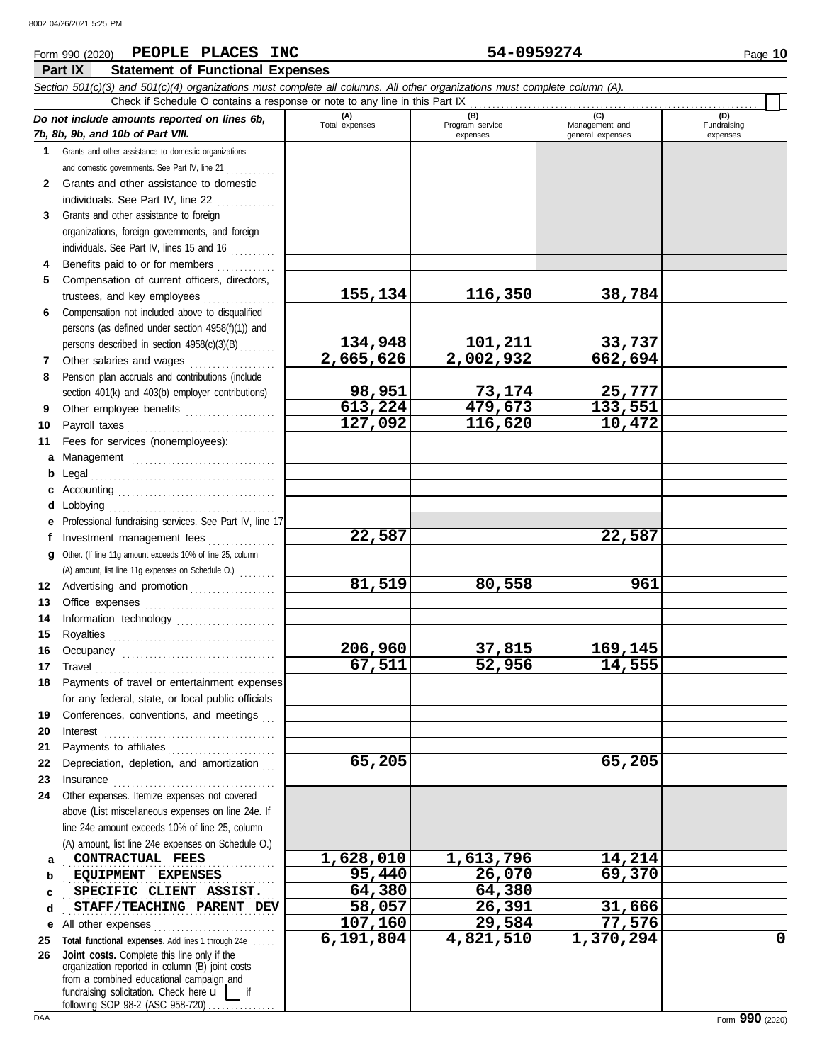### **Form 990 (2020) PEOPLE PLACES INC 54-0959274** Page 10 **Part IX Statement of Functional Expenses** *Section 501(c)(3) and 501(c)(4) organizations must complete all columns. All other organizations must complete column (A).* Check if Schedule O contains a response or note to any line in this Part IX . . . . . . . . . . . . . . . . . . . . . . . . . . . . . . . . . . . . . . . . . . . . . . . . . . . . . . . . . . . . . . . . **(A) (B) (C) (D)** *Do not include amounts reported on lines 6b,* Total expenses Program service Management and Fundraising *7b, 8b, 9b, and 10b of Part VIII.* expenses and a general expenses expenses **1** Grants and other assistance to domestic organizations and domestic governments. See Part IV, line 21 . . . . . . . . . . . **2** Grants and other assistance to domestic individuals. See Part IV, line 22  $\ldots$ ......... **3** Grants and other assistance to foreign organizations, foreign governments, and foreign individuals. See Part IV, lines 15 and 16  $\ldots$ **4** Benefits paid to or for members .............

| 002 04/26/2021 5:25 PM |  |
|------------------------|--|
|                        |  |

|              | Check if Schedule O contains a response or note to any line in this Part IX                                                                                                                                                                                                                                                                                                                                                                                                                                                 |                       |                                    |                                    |                                |  |  |  |  |
|--------------|-----------------------------------------------------------------------------------------------------------------------------------------------------------------------------------------------------------------------------------------------------------------------------------------------------------------------------------------------------------------------------------------------------------------------------------------------------------------------------------------------------------------------------|-----------------------|------------------------------------|------------------------------------|--------------------------------|--|--|--|--|
|              | Do not include amounts reported on lines 6b,<br>7b, 8b, 9b, and 10b of Part VIII.                                                                                                                                                                                                                                                                                                                                                                                                                                           | (A)<br>Total expenses | (B)<br>Program service<br>expenses | Management and<br>general expenses | (D)<br>Fundraising<br>expenses |  |  |  |  |
| $\mathbf 1$  | Grants and other assistance to domestic organizations                                                                                                                                                                                                                                                                                                                                                                                                                                                                       |                       |                                    |                                    |                                |  |  |  |  |
|              | and domestic governments. See Part IV, line 21                                                                                                                                                                                                                                                                                                                                                                                                                                                                              |                       |                                    |                                    |                                |  |  |  |  |
| $\mathbf{2}$ | Grants and other assistance to domestic                                                                                                                                                                                                                                                                                                                                                                                                                                                                                     |                       |                                    |                                    |                                |  |  |  |  |
|              | individuals. See Part IV, line 22                                                                                                                                                                                                                                                                                                                                                                                                                                                                                           |                       |                                    |                                    |                                |  |  |  |  |
| 3            | Grants and other assistance to foreign                                                                                                                                                                                                                                                                                                                                                                                                                                                                                      |                       |                                    |                                    |                                |  |  |  |  |
|              | organizations, foreign governments, and foreign                                                                                                                                                                                                                                                                                                                                                                                                                                                                             |                       |                                    |                                    |                                |  |  |  |  |
|              | individuals. See Part IV, lines 15 and 16                                                                                                                                                                                                                                                                                                                                                                                                                                                                                   |                       |                                    |                                    |                                |  |  |  |  |
|              | Benefits paid to or for members                                                                                                                                                                                                                                                                                                                                                                                                                                                                                             |                       |                                    |                                    |                                |  |  |  |  |
| 5            | Compensation of current officers, directors,                                                                                                                                                                                                                                                                                                                                                                                                                                                                                |                       |                                    |                                    |                                |  |  |  |  |
|              | trustees, and key employees                                                                                                                                                                                                                                                                                                                                                                                                                                                                                                 | 155,134               | 116,350                            | 38,784                             |                                |  |  |  |  |
| 6            | Compensation not included above to disqualified                                                                                                                                                                                                                                                                                                                                                                                                                                                                             |                       |                                    |                                    |                                |  |  |  |  |
|              | persons (as defined under section 4958(f)(1)) and                                                                                                                                                                                                                                                                                                                                                                                                                                                                           |                       |                                    |                                    |                                |  |  |  |  |
|              | persons described in section 4958(c)(3)(B)                                                                                                                                                                                                                                                                                                                                                                                                                                                                                  | 134,948               | 101,211                            | 33,737                             |                                |  |  |  |  |
| 7            | Other salaries and wages                                                                                                                                                                                                                                                                                                                                                                                                                                                                                                    | 2,665,626             | 2,002,932                          | 662,694                            |                                |  |  |  |  |
| 8            | Pension plan accruals and contributions (include                                                                                                                                                                                                                                                                                                                                                                                                                                                                            |                       |                                    |                                    |                                |  |  |  |  |
|              | section 401(k) and 403(b) employer contributions)                                                                                                                                                                                                                                                                                                                                                                                                                                                                           | 98,951                | 73,174                             | 25,777                             |                                |  |  |  |  |
| 9            | Other employee benefits                                                                                                                                                                                                                                                                                                                                                                                                                                                                                                     | 613,224               | 479,673                            | 133,551                            |                                |  |  |  |  |
| 10           |                                                                                                                                                                                                                                                                                                                                                                                                                                                                                                                             | 127,092               | 116,620                            | 10,472                             |                                |  |  |  |  |
| 11           | Fees for services (nonemployees):                                                                                                                                                                                                                                                                                                                                                                                                                                                                                           |                       |                                    |                                    |                                |  |  |  |  |
| а            | Management                                                                                                                                                                                                                                                                                                                                                                                                                                                                                                                  |                       |                                    |                                    |                                |  |  |  |  |
| b            |                                                                                                                                                                                                                                                                                                                                                                                                                                                                                                                             |                       |                                    |                                    |                                |  |  |  |  |
| c            |                                                                                                                                                                                                                                                                                                                                                                                                                                                                                                                             |                       |                                    |                                    |                                |  |  |  |  |
| d            | Lobbying                                                                                                                                                                                                                                                                                                                                                                                                                                                                                                                    |                       |                                    |                                    |                                |  |  |  |  |
| е            | Professional fundraising services. See Part IV, line 17                                                                                                                                                                                                                                                                                                                                                                                                                                                                     |                       |                                    |                                    |                                |  |  |  |  |
| f            | Investment management fees                                                                                                                                                                                                                                                                                                                                                                                                                                                                                                  | 22,587                |                                    | 22,587                             |                                |  |  |  |  |
| q            | Other. (If line 11g amount exceeds 10% of line 25, column                                                                                                                                                                                                                                                                                                                                                                                                                                                                   |                       |                                    |                                    |                                |  |  |  |  |
|              | (A) amount, list line 11g expenses on Schedule O.)                                                                                                                                                                                                                                                                                                                                                                                                                                                                          |                       |                                    |                                    |                                |  |  |  |  |
| 12           | Advertising and promotion                                                                                                                                                                                                                                                                                                                                                                                                                                                                                                   | 81,519                | 80,558                             | 961                                |                                |  |  |  |  |
| 13           |                                                                                                                                                                                                                                                                                                                                                                                                                                                                                                                             |                       |                                    |                                    |                                |  |  |  |  |
| 14           | Information technology                                                                                                                                                                                                                                                                                                                                                                                                                                                                                                      |                       |                                    |                                    |                                |  |  |  |  |
| 15           |                                                                                                                                                                                                                                                                                                                                                                                                                                                                                                                             |                       |                                    |                                    |                                |  |  |  |  |
| 16           |                                                                                                                                                                                                                                                                                                                                                                                                                                                                                                                             | 206,960               | 37,815                             | 169,145                            |                                |  |  |  |  |
| 17           | $\begin{minipage}[c]{0.9\linewidth} \begin{tabular}{l} \textbf{Travel} \end{tabular} \end{minipage} \end{minipage} \begin{minipage}[c]{0.9\linewidth} \begin{tabular}{l} \textbf{True} \end{tabular} \end{minipage} \end{minipage} \begin{minipage}[c]{0.9\linewidth} \begin{tabular}{l} \textbf{True} \end{tabular} \end{minipage} \end{minipage} \begin{minipage}[c]{0.9\linewidth} \begin{tabular}{l} \textbf{True} \end{tabular} \end{minipage} \end{minipage} \begin{minipage}[c]{0.9\linewidth} \begin{tabular}{l} \$ | 67,511                | 52,956                             | 14,555                             |                                |  |  |  |  |
| 18           | Payments of travel or entertainment expenses                                                                                                                                                                                                                                                                                                                                                                                                                                                                                |                       |                                    |                                    |                                |  |  |  |  |
|              | for any federal, state, or local public officials                                                                                                                                                                                                                                                                                                                                                                                                                                                                           |                       |                                    |                                    |                                |  |  |  |  |
| 19           | Conferences, conventions, and meetings                                                                                                                                                                                                                                                                                                                                                                                                                                                                                      |                       |                                    |                                    |                                |  |  |  |  |
| 20           | Interest                                                                                                                                                                                                                                                                                                                                                                                                                                                                                                                    |                       |                                    |                                    |                                |  |  |  |  |
| 21           |                                                                                                                                                                                                                                                                                                                                                                                                                                                                                                                             |                       |                                    |                                    |                                |  |  |  |  |
| 22           | Depreciation, depletion, and amortization                                                                                                                                                                                                                                                                                                                                                                                                                                                                                   | 65,205                |                                    | 65,205                             |                                |  |  |  |  |
| 23           | Insurance <b>International Contract Contract Contract Contract Contract Contract Contract Contract Contract Contract Contract Contract Contract Contract Contract Contract Contract Contract Contract Contract Contract Contract</b>                                                                                                                                                                                                                                                                                        |                       |                                    |                                    |                                |  |  |  |  |
| 24           | Other expenses. Itemize expenses not covered                                                                                                                                                                                                                                                                                                                                                                                                                                                                                |                       |                                    |                                    |                                |  |  |  |  |
|              | above (List miscellaneous expenses on line 24e. If                                                                                                                                                                                                                                                                                                                                                                                                                                                                          |                       |                                    |                                    |                                |  |  |  |  |
|              | line 24e amount exceeds 10% of line 25, column                                                                                                                                                                                                                                                                                                                                                                                                                                                                              |                       |                                    |                                    |                                |  |  |  |  |
|              | (A) amount, list line 24e expenses on Schedule O.)                                                                                                                                                                                                                                                                                                                                                                                                                                                                          |                       |                                    |                                    |                                |  |  |  |  |
| a            | CONTRACTUAL FEES                                                                                                                                                                                                                                                                                                                                                                                                                                                                                                            | 1,628,010             | 1,613,796                          | 14,214                             |                                |  |  |  |  |
| b            | EQUIPMENT EXPENSES                                                                                                                                                                                                                                                                                                                                                                                                                                                                                                          | 95,440                | 26,070                             | 69,370                             |                                |  |  |  |  |
| c            | SPECIFIC CLIENT ASSIST.                                                                                                                                                                                                                                                                                                                                                                                                                                                                                                     | 64,380                | 64,380                             |                                    |                                |  |  |  |  |
| d            | STAFF/TEACHING PARENT DEV                                                                                                                                                                                                                                                                                                                                                                                                                                                                                                   | 58,057                | 26,391                             | 31,666                             |                                |  |  |  |  |
| е            | All other expenses                                                                                                                                                                                                                                                                                                                                                                                                                                                                                                          | 107,160               | 29,584                             | 77,576                             |                                |  |  |  |  |
| 25           | Total functional expenses. Add lines 1 through 24e                                                                                                                                                                                                                                                                                                                                                                                                                                                                          | 6,191,804             | 4,821,510                          | 1,370,294                          | $\mathbf 0$                    |  |  |  |  |
| 26           | Joint costs. Complete this line only if the                                                                                                                                                                                                                                                                                                                                                                                                                                                                                 |                       |                                    |                                    |                                |  |  |  |  |

fundraising solicitation. Check here  $\mathbf{u}$  | if organization reported in column (B) joint costs from a combined educational campaign and

following SOP 98-2 (ASC 958-720)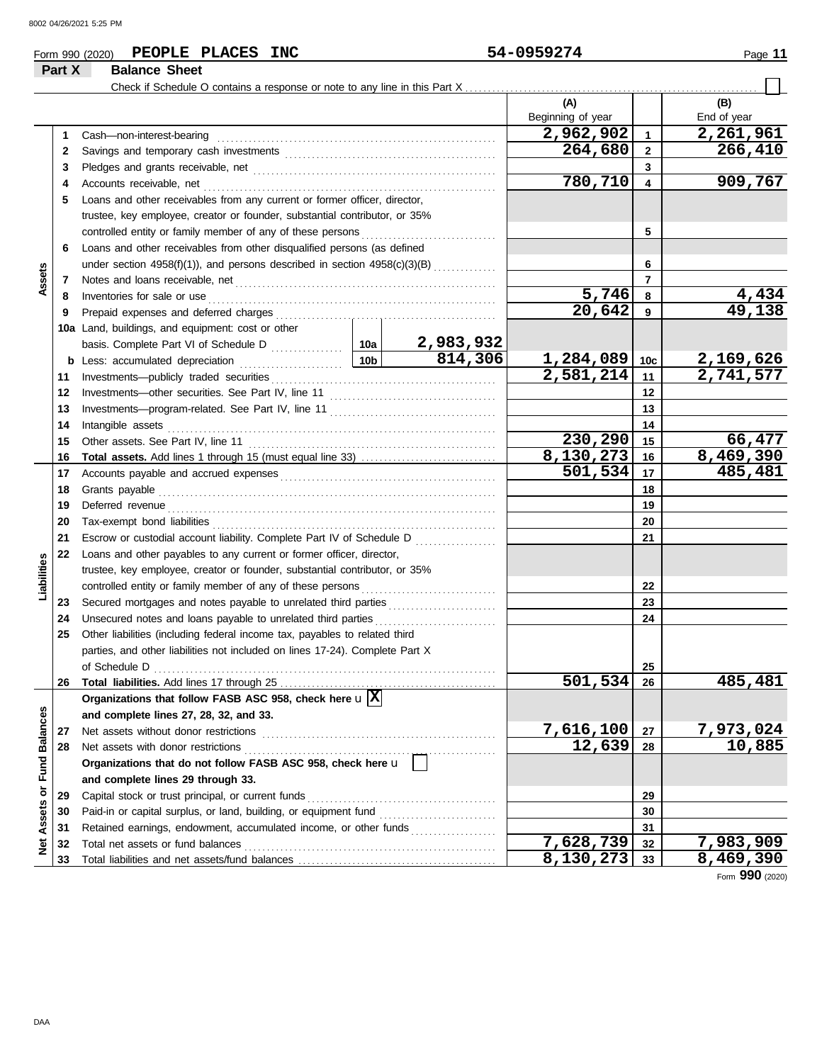**Part X Balance Sheet**

### **Form 990 (2020) PEOPLE PLACES INC 54-0959274** Page 11

### Check if Schedule O contains a response or note to any line in this Part X **(A) (B)** Beginning of year | | End of year Cash—non-interest-bearing . . . . . . . . . . . . . . . . . . . . . . . . . . . . . . . . . . . . . . . . . . . . . . . . . . . . . . . . . . . . . . **2,962,902 2,261,961 1 1 264,680 266,410 2 2** Savings and temporary cash investments . . . . . . . . . . . . . . . . . . . . . . . . . . . . . . . . . . . . . . . . . . . . . . . **3 3** Pledges and grants receivable, net . . . . . . . . . . . . . . . . . . . . . . . . . . . . . . . . . . . . . . . . . . . . . . . . . . . . . . **780,710 909,767 4 4** Accounts receivable, net . . . . . . . . . . . . . . . . . . . . . . . . . . . . . . . . . . . . . . . . . . . . . . . . . . . . . . . . . . . . . . . . . **5** Loans and other receivables from any current or former officer, director, trustee, key employee, creator or founder, substantial contributor, or 35% controlled entity or family member of any of these persons **5 6** Loans and other receivables from other disqualified persons (as defined **6** under section  $4958(f)(1)$ , and persons described in section  $4958(c)(3)(B)$  ............. **Assets 7 7** Notes and loans receivable, net . . . . . . . . . . . . . . . . . . . . . . . . . . . . . . . . . . . . . . . . . . . . . . . . . . . . . . . . . . **5,746 4,434 8 8** Inventories for sale or use . . . . . . . . . . . . . . . . . . . . . . . . . . . . . . . . . . . . . . . . . . . . . . . . . . . . . . . . . . . . . . . . Prepaid expenses and deferred charges . . . . . . . . . . . . . . . . . . . . . . . . . . . . . . . . . . . . . . . . . . . . . . . . . **20,642 49,138 9 9 10a** Land, buildings, and equipment: cost or other **2,983,932** basis. Complete Part VI of Schedule D . . . . . . . . . . . . 10a **814,306 1,284,089 2,169,626 10c b** Less: accumulated depreciation . . . . . . . . . . . . . . . . . . . . . . . **10b** Investments—publicly traded securities . . . . . . . . . . . . . . . . . . . . . . . . . . . . . . . . . . . . . . . . . . . . . . . . . . **2,581,214 2,741,577 11 11 12 12** Investments—other securities. See Part IV, line 11 . . . . . . . . . . . . . . . . . . . . . . . . . . . . . . . . . . . . . **13 13** Investments—program-related. See Part IV, line 11 . . . . . . . . . . . . . . . . . . . . . . . . . . . . . . . . . . . . . 14 Intangible assets Intangible assets . . . . . . . . . . . . . . . . . . . . . . . . . . . . . . . . . . . . . . . . . . . . . . . . . . . . . . . . . . . . . . . . . . . . . . . . . **14 230,290** 15<br>130,273 16 8,469,390 **15 15** Other assets. See Part IV, line 11 . . . . . . . . . . . . . . . . . . . . . . . . . . . . . . . . . . . . . . . . . . . . . . . . . . . . . . . **Total assets.** Add lines 1 through 15 (must equal line 33) . . . . . . . . . . . . . . . . . . . . . . . . . . . . . . **8,130,273** 16 8,469,390<br>501,534 17 485,481 **16 16 501,534 485,481 17** Accounts payable and accrued expenses . . . . . . . . . . . . . . . . . . . . . . . . . . . . . . . . . . . . . . . . . . . . . . . . **17 18** Grants payable . . . . . . . . . . . . . . . . . . . . . . . . . . . . . . . . . . . . . . . . . . . . . . . . . . . . . . . . . . . . . . . . . . . . . . . . . . . **18 19 19** Deferred revenue . . . . . . . . . . . . . . . . . . . . . . . . . . . . . . . . . . . . . . . . . . . . . . . . . . . . . . . . . . . . . . . . . . . . . . . . . Tax-exempt bond liabilities . . . . . . . . . . . . . . . . . . . . . . . . . . . . . . . . . . . . . . . . . . . . . . . . . . . . . . . . . . . . . . . **20 20 21** Escrow or custodial account liability. Complete Part IV of Schedule D . . . . . . . . . . . . . . . . . . **21 22** Loans and other payables to any current or former officer, director, **Liabilities** trustee, key employee, creator or founder, substantial contributor, or 35% **22** controlled entity or family member of any of these persons Secured mortgages and notes payable to unrelated third parties . . . . . . . . . . . . . . . . . . . . . . . . **23 23 24** Unsecured notes and loans payable to unrelated third parties ........................... **24 25** Other liabilities (including federal income tax, payables to related third parties, and other liabilities not included on lines 17-24). Complete Part X of Schedule D . . . . . . . . . . . . . . . . . . . . . . . . . . . . . . . . . . . . . . . . . . . . . . . . . . . . . . . . . . . . . . . . . . . . . . . . . . . . **25 501,534 485,481 26** Total liabilities. Add lines 17 through 25 **26 Organizations that follow FASB ASC 958, check here** u **X** Net Assets or Fund Balances **Net Assets or Fund Balances and complete lines 27, 28, 32, and 33. 27** Net assets without donor restrictions . . . . . . . . . . . . . . . . . . . . . . . . . . . . . . . . . . . . . . . . . . . . . . . . . . . . **7,616,100 7,973,024 27 12,639 10,885 28 28** Net assets with donor restrictions . . . . . . . . . . . . . . . . . . . . . . . . . . . . . . . . . . . . . . . . . . . . . . . . . . . . . . . . **Organizations that do not follow FASB ASC 958, check here** u **and complete lines 29 through 33.** Capital stock or trust principal, or current funds . . . . . . . . . . . . . . . . . . . . . . . . . . . . . . . . . . . . . . . . . . **29 29** Paid-in or capital surplus, or land, building, or equipment fund ........................... **30 30 31** Retained earnings, endowment, accumulated income, or other funds . . . . . . . . . . . . . . . . . . . **31 7,628,739 7,983,909** Total net assets or fund balances . . . . . . . . . . . . . . . . . . . . . . . . . . . . . . . . . . . . . . . . . . . . . . . . . . . . . . . . **32 32 33** Total liabilities and net assets/fund balances .. **8,130,273 8,469,390 33**

Form **990** (2020)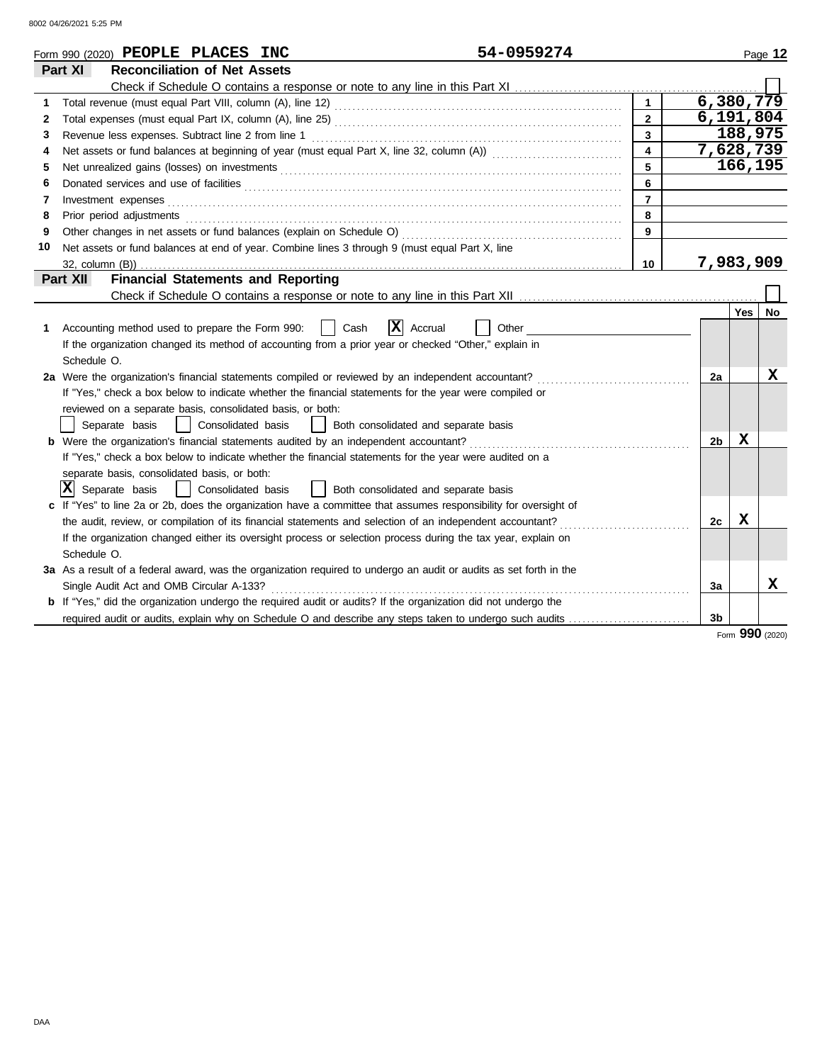8002 04/26/2021 5:25 PM

|    | 54-0959274<br>Form 990 (2020) PEOPLE PLACES INC                                                                       |                         |           |            | Page 12 |
|----|-----------------------------------------------------------------------------------------------------------------------|-------------------------|-----------|------------|---------|
|    | <b>Reconciliation of Net Assets</b><br>Part XI                                                                        |                         |           |            |         |
|    |                                                                                                                       |                         |           |            |         |
| 1  |                                                                                                                       |                         | 6,380,779 |            |         |
| 2  |                                                                                                                       | $\overline{2}$          | 6,191,804 |            |         |
| 3  | Revenue less expenses. Subtract line 2 from line 1                                                                    | $\overline{\mathbf{3}}$ |           | 188,975    |         |
| 4  |                                                                                                                       | $\overline{4}$          | 7,628,739 |            |         |
| 5  |                                                                                                                       | 5                       |           | 166,195    |         |
| 6  |                                                                                                                       | 6                       |           |            |         |
| 7  | Investment expenses                                                                                                   | $\overline{7}$          |           |            |         |
| 8  |                                                                                                                       | 8                       |           |            |         |
| 9  |                                                                                                                       | 9                       |           |            |         |
| 10 | Net assets or fund balances at end of year. Combine lines 3 through 9 (must equal Part X, line                        |                         |           |            |         |
|    |                                                                                                                       | 10                      | 7,983,909 |            |         |
|    | <b>Financial Statements and Reporting</b><br>Part XII                                                                 |                         |           |            |         |
|    |                                                                                                                       |                         |           |            |         |
|    |                                                                                                                       |                         |           | <b>Yes</b> | No      |
| 1. | $ \mathbf{X} $ Accrual<br>Accounting method used to prepare the Form 990:<br>Cash<br>Other                            |                         |           |            |         |
|    | If the organization changed its method of accounting from a prior year or checked "Other," explain in                 |                         |           |            |         |
|    | Schedule O.                                                                                                           |                         |           |            |         |
|    | 2a Were the organization's financial statements compiled or reviewed by an independent accountant?                    |                         | 2a        |            | x       |
|    | If "Yes," check a box below to indicate whether the financial statements for the year were compiled or                |                         |           |            |         |
|    | reviewed on a separate basis, consolidated basis, or both:                                                            |                         |           |            |         |
|    | Separate basis<br>  Consolidated basis     Both consolidated and separate basis                                       |                         |           |            |         |
|    | b Were the organization's financial statements audited by an independent accountant?                                  |                         | 2b        | X          |         |
|    | If "Yes," check a box below to indicate whether the financial statements for the year were audited on a               |                         |           |            |         |
|    | separate basis, consolidated basis, or both:                                                                          |                         |           |            |         |
|    | $ \mathbf{X} $ Separate basis<br>Consolidated basis<br>  Both consolidated and separate basis                         |                         |           |            |         |
|    | c If "Yes" to line 2a or 2b, does the organization have a committee that assumes responsibility for oversight of      |                         |           |            |         |
|    | the audit, review, or compilation of its financial statements and selection of an independent accountant?             |                         | 2c        | x          |         |
|    | If the organization changed either its oversight process or selection process during the tax year, explain on         |                         |           |            |         |
|    | Schedule O.                                                                                                           |                         |           |            |         |
|    | 3a As a result of a federal award, was the organization required to undergo an audit or audits as set forth in the    |                         |           |            |         |
|    | Single Audit Act and OMB Circular A-133?                                                                              |                         | За        |            | X       |
|    | <b>b</b> If "Yes," did the organization undergo the required audit or audits? If the organization did not undergo the |                         |           |            |         |
|    | required audit or audits, explain why on Schedule O and describe any steps taken to undergo such audits               |                         | 3b        |            |         |

Form **990** (2020)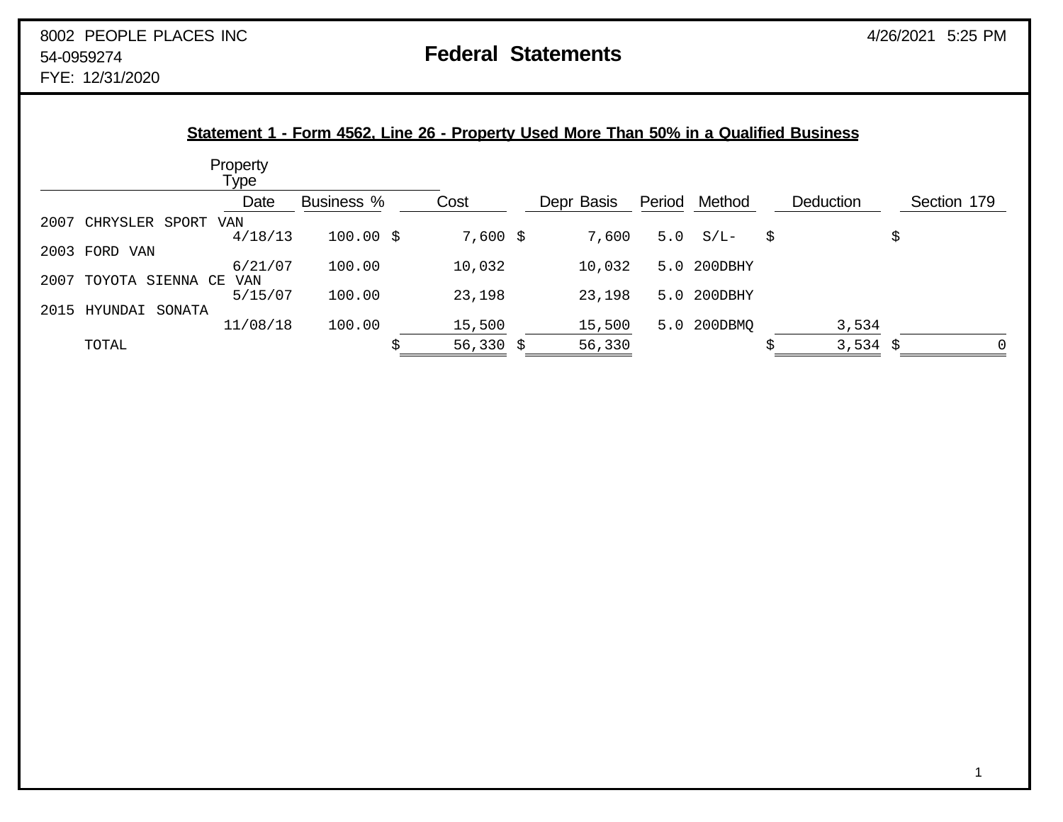FYE: 12/31/2020

2007

2003

 $2007$ 

2015

| Statement 1 - Form 4562, Line 26 - Property Used More Than 50% in a Qualified Business |                  |                   |  |            |  |            |        |             |                  |    |             |
|----------------------------------------------------------------------------------------|------------------|-------------------|--|------------|--|------------|--------|-------------|------------------|----|-------------|
|                                                                                        | Property<br>Type |                   |  |            |  |            |        |             |                  |    |             |
|                                                                                        | Date             | <b>Business %</b> |  | Cost       |  | Depr Basis | Period | Method      | <b>Deduction</b> |    | Section 179 |
| CHRYSLER<br>SPORT                                                                      | VAN              |                   |  |            |  |            |        |             |                  |    |             |
|                                                                                        | 4/18/13          | $100.00$ \$       |  | $7,600$ \$ |  | 7,600      |        | $5.0 S/L -$ | \$               | \$ |             |
| FORD VAN                                                                               |                  |                   |  |            |  |            |        |             |                  |    |             |
|                                                                                        | 6/21/07          | 100.00            |  | 10,032     |  | 10,032     |        | 5.0 200DBHY |                  |    |             |
| SIENNA CE<br>TOYOTA                                                                    | VAN              |                   |  |            |  |            |        |             |                  |    |             |
|                                                                                        | 5/15/07          | 100.00            |  | 23,198     |  | 23,198     | 5.0    | 200DBHY     |                  |    |             |
| SONATA<br>HYUNDAI                                                                      |                  |                   |  |            |  |            |        |             |                  |    |             |
|                                                                                        | 11/08/18         | 100.00            |  | 15,500     |  | 15,500     | 5.0    | 200DBMQ     | 3,534            |    |             |
| TOTAL                                                                                  |                  |                   |  | 56,330 \$  |  | 56,330     |        |             | 3,534 \$         |    | 0           |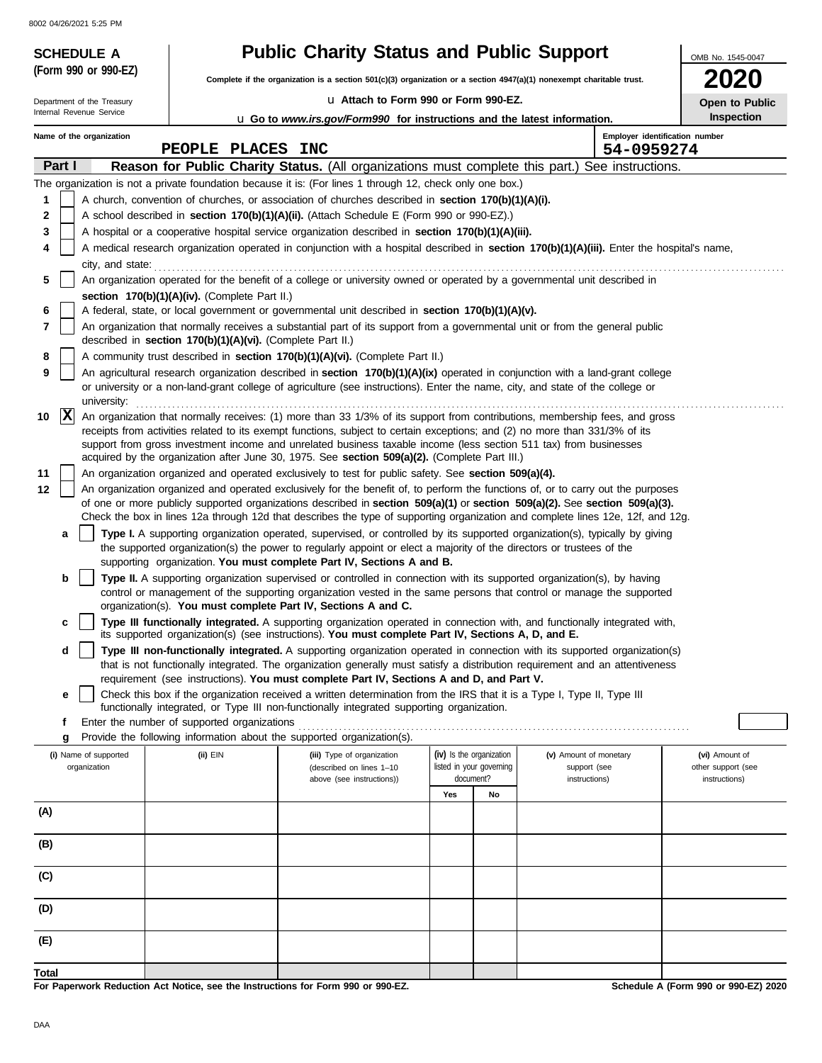8002

| <b>Public Charity Status and Public Support</b><br><b>SCHEDULE A</b> |                                                                                                                                                                                                                                                                                                                                                                                                                                                                                                                                                              |                                                                                                                                                                                                                                                                                                                                                                                                                                                                                                                                                                        |     |                                                                   |                                                         | OMB No. 1545-0047                                     |  |  |  |
|----------------------------------------------------------------------|--------------------------------------------------------------------------------------------------------------------------------------------------------------------------------------------------------------------------------------------------------------------------------------------------------------------------------------------------------------------------------------------------------------------------------------------------------------------------------------------------------------------------------------------------------------|------------------------------------------------------------------------------------------------------------------------------------------------------------------------------------------------------------------------------------------------------------------------------------------------------------------------------------------------------------------------------------------------------------------------------------------------------------------------------------------------------------------------------------------------------------------------|-----|-------------------------------------------------------------------|---------------------------------------------------------|-------------------------------------------------------|--|--|--|
| (Form 990 or 990-EZ)                                                 |                                                                                                                                                                                                                                                                                                                                                                                                                                                                                                                                                              | Complete if the organization is a section $501(c)(3)$ organization or a section $4947(a)(1)$ nonexempt charitable trust.                                                                                                                                                                                                                                                                                                                                                                                                                                               |     |                                                                   |                                                         |                                                       |  |  |  |
| Department of the Treasury                                           |                                                                                                                                                                                                                                                                                                                                                                                                                                                                                                                                                              | La Attach to Form 990 or Form 990-EZ.                                                                                                                                                                                                                                                                                                                                                                                                                                                                                                                                  |     |                                                                   |                                                         | Open to Public                                        |  |  |  |
| Internal Revenue Service                                             |                                                                                                                                                                                                                                                                                                                                                                                                                                                                                                                                                              | <b>u</b> Go to www.irs.gov/Form990 for instructions and the latest information.                                                                                                                                                                                                                                                                                                                                                                                                                                                                                        |     |                                                                   |                                                         | Inspection                                            |  |  |  |
| Name of the organization                                             |                                                                                                                                                                                                                                                                                                                                                                                                                                                                                                                                                              |                                                                                                                                                                                                                                                                                                                                                                                                                                                                                                                                                                        |     |                                                                   |                                                         | Employer identification number                        |  |  |  |
|                                                                      | PEOPLE PLACES INC                                                                                                                                                                                                                                                                                                                                                                                                                                                                                                                                            |                                                                                                                                                                                                                                                                                                                                                                                                                                                                                                                                                                        |     |                                                                   | 54-0959274                                              |                                                       |  |  |  |
| Part I                                                               |                                                                                                                                                                                                                                                                                                                                                                                                                                                                                                                                                              | Reason for Public Charity Status. (All organizations must complete this part.) See instructions.                                                                                                                                                                                                                                                                                                                                                                                                                                                                       |     |                                                                   |                                                         |                                                       |  |  |  |
| 1<br>2<br>3<br>4<br>city, and state:                                 |                                                                                                                                                                                                                                                                                                                                                                                                                                                                                                                                                              | The organization is not a private foundation because it is: (For lines 1 through 12, check only one box.)<br>A church, convention of churches, or association of churches described in <b>section 170(b)(1)(A)(i).</b><br>A school described in section 170(b)(1)(A)(ii). (Attach Schedule E (Form 990 or 990-EZ).)<br>A hospital or a cooperative hospital service organization described in section 170(b)(1)(A)(iii).<br>A medical research organization operated in conjunction with a hospital described in section 170(b)(1)(A)(iii). Enter the hospital's name, |     |                                                                   |                                                         |                                                       |  |  |  |
| 5<br>6<br>7<br>8                                                     | An organization operated for the benefit of a college or university owned or operated by a governmental unit described in<br>section 170(b)(1)(A)(iv). (Complete Part II.)<br>A federal, state, or local government or governmental unit described in section 170(b)(1)(A)(v).<br>An organization that normally receives a substantial part of its support from a governmental unit or from the general public<br>described in section 170(b)(1)(A)(vi). (Complete Part II.)<br>A community trust described in section 170(b)(1)(A)(vi). (Complete Part II.) |                                                                                                                                                                                                                                                                                                                                                                                                                                                                                                                                                                        |     |                                                                   |                                                         |                                                       |  |  |  |
| 9<br>university:<br> X<br>10                                         |                                                                                                                                                                                                                                                                                                                                                                                                                                                                                                                                                              | An agricultural research organization described in section 170(b)(1)(A)(ix) operated in conjunction with a land-grant college<br>or university or a non-land-grant college of agriculture (see instructions). Enter the name, city, and state of the college or<br>An organization that normally receives: (1) more than 33 1/3% of its support from contributions, membership fees, and gross                                                                                                                                                                         |     |                                                                   |                                                         |                                                       |  |  |  |
|                                                                      |                                                                                                                                                                                                                                                                                                                                                                                                                                                                                                                                                              | receipts from activities related to its exempt functions, subject to certain exceptions; and (2) no more than 331/3% of its<br>support from gross investment income and unrelated business taxable income (less section 511 tax) from businesses<br>acquired by the organization after June 30, 1975. See section 509(a)(2). (Complete Part III.)                                                                                                                                                                                                                      |     |                                                                   |                                                         |                                                       |  |  |  |
| 11<br>12                                                             |                                                                                                                                                                                                                                                                                                                                                                                                                                                                                                                                                              | An organization organized and operated exclusively to test for public safety. See section 509(a)(4).<br>An organization organized and operated exclusively for the benefit of, to perform the functions of, or to carry out the purposes<br>of one or more publicly supported organizations described in section 509(a)(1) or section 509(a)(2). See section 509(a)(3).<br>Check the box in lines 12a through 12d that describes the type of supporting organization and complete lines 12e, 12f, and 12g.                                                             |     |                                                                   |                                                         |                                                       |  |  |  |
| a                                                                    |                                                                                                                                                                                                                                                                                                                                                                                                                                                                                                                                                              | Type I. A supporting organization operated, supervised, or controlled by its supported organization(s), typically by giving<br>the supported organization(s) the power to regularly appoint or elect a majority of the directors or trustees of the<br>supporting organization. You must complete Part IV, Sections A and B.                                                                                                                                                                                                                                           |     |                                                                   |                                                         |                                                       |  |  |  |
| b                                                                    |                                                                                                                                                                                                                                                                                                                                                                                                                                                                                                                                                              | Type II. A supporting organization supervised or controlled in connection with its supported organization(s), by having<br>control or management of the supporting organization vested in the same persons that control or manage the supported<br>organization(s). You must complete Part IV, Sections A and C.                                                                                                                                                                                                                                                       |     |                                                                   |                                                         |                                                       |  |  |  |
| c                                                                    |                                                                                                                                                                                                                                                                                                                                                                                                                                                                                                                                                              | Type III functionally integrated. A supporting organization operated in connection with, and functionally integrated with,<br>its supported organization(s) (see instructions). You must complete Part IV, Sections A, D, and E.                                                                                                                                                                                                                                                                                                                                       |     |                                                                   |                                                         |                                                       |  |  |  |
| d                                                                    | Type III non-functionally integrated. A supporting organization operated in connection with its supported organization(s)<br>that is not functionally integrated. The organization generally must satisfy a distribution requirement and an attentiveness<br>requirement (see instructions). You must complete Part IV, Sections A and D, and Part V.                                                                                                                                                                                                        |                                                                                                                                                                                                                                                                                                                                                                                                                                                                                                                                                                        |     |                                                                   |                                                         |                                                       |  |  |  |
| е                                                                    | Check this box if the organization received a written determination from the IRS that it is a Type I, Type II, Type III<br>functionally integrated, or Type III non-functionally integrated supporting organization.                                                                                                                                                                                                                                                                                                                                         |                                                                                                                                                                                                                                                                                                                                                                                                                                                                                                                                                                        |     |                                                                   |                                                         |                                                       |  |  |  |
| f<br>g                                                               | Enter the number of supported organizations<br>Provide the following information about the supported organization(s).                                                                                                                                                                                                                                                                                                                                                                                                                                        |                                                                                                                                                                                                                                                                                                                                                                                                                                                                                                                                                                        |     |                                                                   |                                                         |                                                       |  |  |  |
| (i) Name of supported<br>organization                                | (ii) EIN                                                                                                                                                                                                                                                                                                                                                                                                                                                                                                                                                     | (iii) Type of organization<br>(described on lines 1-10<br>above (see instructions))                                                                                                                                                                                                                                                                                                                                                                                                                                                                                    |     | (iv) Is the organization<br>listed in your governing<br>document? | (v) Amount of monetary<br>support (see<br>instructions) | (vi) Amount of<br>other support (see<br>instructions) |  |  |  |
|                                                                      |                                                                                                                                                                                                                                                                                                                                                                                                                                                                                                                                                              |                                                                                                                                                                                                                                                                                                                                                                                                                                                                                                                                                                        | Yes | No                                                                |                                                         |                                                       |  |  |  |
| (A)                                                                  |                                                                                                                                                                                                                                                                                                                                                                                                                                                                                                                                                              |                                                                                                                                                                                                                                                                                                                                                                                                                                                                                                                                                                        |     |                                                                   |                                                         |                                                       |  |  |  |
| (B)                                                                  |                                                                                                                                                                                                                                                                                                                                                                                                                                                                                                                                                              |                                                                                                                                                                                                                                                                                                                                                                                                                                                                                                                                                                        |     |                                                                   |                                                         |                                                       |  |  |  |

**For Paperwork Reduction Act Notice, see the Instructions for Form 990 or 990-EZ.**

**Schedule A (Form 990 or 990-EZ) 2020**

**Total**

**(E)**

**(D)**

**(C)**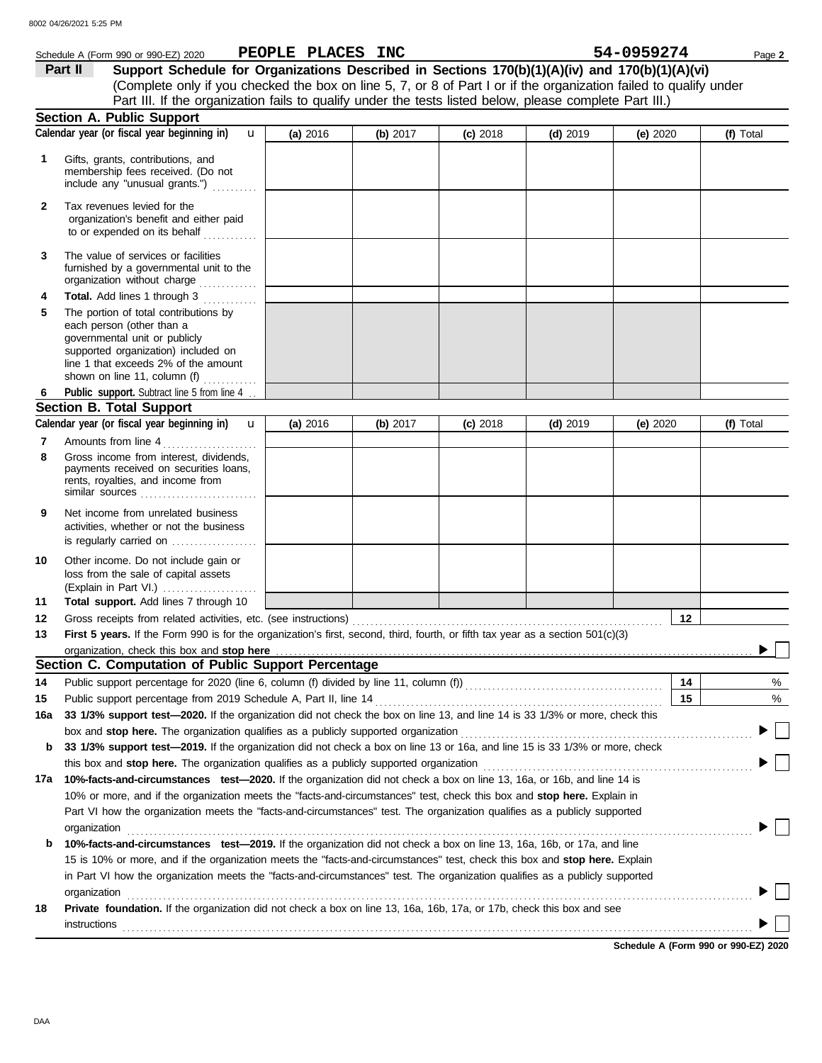|     | Schedule A (Form 990 or 990-EZ) 2020                                                                                                                                                                                                              | PEOPLE PLACES INC |          |            |            | 54-0959274 | Page 2                               |
|-----|---------------------------------------------------------------------------------------------------------------------------------------------------------------------------------------------------------------------------------------------------|-------------------|----------|------------|------------|------------|--------------------------------------|
|     | Support Schedule for Organizations Described in Sections 170(b)(1)(A)(iv) and 170(b)(1)(A)(vi)<br>Part II                                                                                                                                         |                   |          |            |            |            |                                      |
|     | (Complete only if you checked the box on line 5, 7, or 8 of Part I or if the organization failed to qualify under                                                                                                                                 |                   |          |            |            |            |                                      |
|     | Part III. If the organization fails to qualify under the tests listed below, please complete Part III.)                                                                                                                                           |                   |          |            |            |            |                                      |
|     | Section A. Public Support                                                                                                                                                                                                                         |                   |          |            |            |            |                                      |
|     | Calendar year (or fiscal year beginning in)<br>$\mathbf{u}$                                                                                                                                                                                       | (a) 2016          | (b) 2017 | $(c)$ 2018 | $(d)$ 2019 | (e) $2020$ | (f) Total                            |
| 1   | Gifts, grants, contributions, and<br>membership fees received. (Do not<br>include any "unusual grants.")                                                                                                                                          |                   |          |            |            |            |                                      |
| 2   | Tax revenues levied for the<br>organization's benefit and either paid<br>to or expended on its behalf                                                                                                                                             |                   |          |            |            |            |                                      |
| 3   | The value of services or facilities<br>furnished by a governmental unit to the<br>organization without charge                                                                                                                                     |                   |          |            |            |            |                                      |
| 4   | Total. Add lines 1 through 3                                                                                                                                                                                                                      |                   |          |            |            |            |                                      |
| 5   | The portion of total contributions by<br>each person (other than a<br>governmental unit or publicly<br>supported organization) included on<br>line 1 that exceeds 2% of the amount<br>shown on line 11, column (f)<br>.                           |                   |          |            |            |            |                                      |
|     | Public support. Subtract line 5 from line 4                                                                                                                                                                                                       |                   |          |            |            |            |                                      |
|     | <b>Section B. Total Support</b>                                                                                                                                                                                                                   |                   |          |            |            |            |                                      |
|     | Calendar year (or fiscal year beginning in) <b>u</b>                                                                                                                                                                                              | (a) 2016          | (b) 2017 | $(c)$ 2018 | $(d)$ 2019 | (e) $2020$ | (f) Total                            |
| 7   | Amounts from line 4                                                                                                                                                                                                                               |                   |          |            |            |            |                                      |
| 8   | Gross income from interest, dividends,<br>payments received on securities loans,<br>rents, royalties, and income from<br>similar sources                                                                                                          |                   |          |            |            |            |                                      |
| 9   | Net income from unrelated business<br>activities, whether or not the business<br>is regularly carried on                                                                                                                                          |                   |          |            |            |            |                                      |
| 10  | Other income. Do not include gain or<br>loss from the sale of capital assets<br>(Explain in Part VI.)                                                                                                                                             |                   |          |            |            |            |                                      |
| 11  | Total support. Add lines 7 through 10                                                                                                                                                                                                             |                   |          |            |            |            |                                      |
| 12  |                                                                                                                                                                                                                                                   |                   |          |            |            | 12         |                                      |
| 13  | First 5 years. If the Form 990 is for the organization's first, second, third, fourth, or fifth tax year as a section 501(c)(3)                                                                                                                   |                   |          |            |            |            |                                      |
|     | organization, check this box and stop here                                                                                                                                                                                                        |                   |          |            |            |            |                                      |
|     | Section C. Computation of Public Support Percentage                                                                                                                                                                                               |                   |          |            |            |            |                                      |
| 14  | Public support percentage for 2020 (line 6, column (f) divided by line 11, column (f)) [[[[[[[[[[[[[[[[[[[[[[                                                                                                                                     |                   |          |            |            | 14         | %                                    |
| 15  | Public support percentage from 2019 Schedule A, Part II, line 14                                                                                                                                                                                  |                   |          |            |            | 15         | %                                    |
| 16a | 33 1/3% support test-2020. If the organization did not check the box on line 13, and line 14 is 33 1/3% or more, check this                                                                                                                       |                   |          |            |            |            |                                      |
|     | box and stop here. The organization qualifies as a publicly supported organization                                                                                                                                                                |                   |          |            |            |            |                                      |
| b   | 33 1/3% support test-2019. If the organization did not check a box on line 13 or 16a, and line 15 is 33 1/3% or more, check                                                                                                                       |                   |          |            |            |            |                                      |
|     | this box and stop here. The organization qualifies as a publicly supported organization                                                                                                                                                           |                   |          |            |            |            |                                      |
| 17а | 10%-facts-and-circumstances test-2020. If the organization did not check a box on line 13, 16a, or 16b, and line 14 is<br>10% or more, and if the organization meets the "facts-and-circumstances" test, check this box and stop here. Explain in |                   |          |            |            |            |                                      |
|     | Part VI how the organization meets the "facts-and-circumstances" test. The organization qualifies as a publicly supported<br>organization                                                                                                         |                   |          |            |            |            |                                      |
| b   | 10%-facts-and-circumstances test-2019. If the organization did not check a box on line 13, 16a, 16b, or 17a, and line                                                                                                                             |                   |          |            |            |            |                                      |
|     | 15 is 10% or more, and if the organization meets the "facts-and-circumstances" test, check this box and stop here. Explain                                                                                                                        |                   |          |            |            |            |                                      |
|     | in Part VI how the organization meets the "facts-and-circumstances" test. The organization qualifies as a publicly supported                                                                                                                      |                   |          |            |            |            |                                      |
|     | organization                                                                                                                                                                                                                                      |                   |          |            |            |            |                                      |
| 18  | Private foundation. If the organization did not check a box on line 13, 16a, 16b, 17a, or 17b, check this box and see                                                                                                                             |                   |          |            |            |            |                                      |
|     | instructions                                                                                                                                                                                                                                      |                   |          |            |            |            |                                      |
|     |                                                                                                                                                                                                                                                   |                   |          |            |            |            | Schedule A (Form 990 or 990-EZ) 2020 |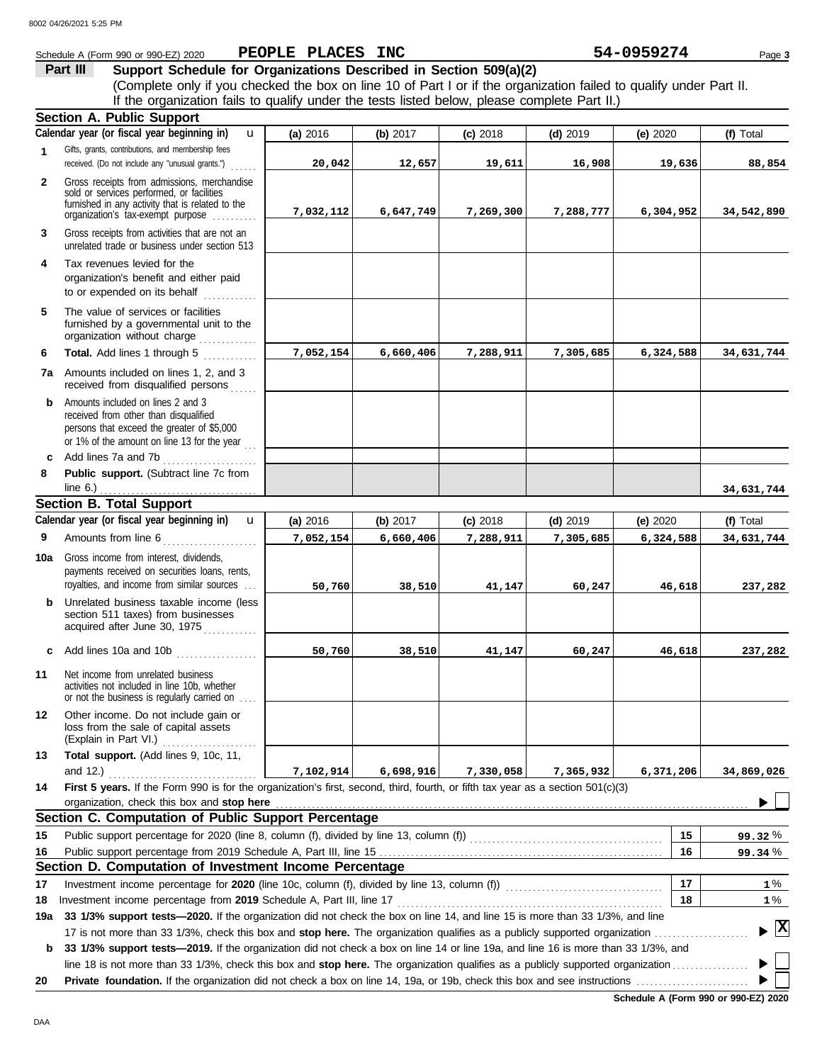|              | Schedule A (Form 990 or 990-EZ) 2020                                                                                                                                                                               | PEOPLE PLACES INC |           |            |            | 54-0959274 | Page 3     |
|--------------|--------------------------------------------------------------------------------------------------------------------------------------------------------------------------------------------------------------------|-------------------|-----------|------------|------------|------------|------------|
|              | Support Schedule for Organizations Described in Section 509(a)(2)<br>Part III                                                                                                                                      |                   |           |            |            |            |            |
|              | (Complete only if you checked the box on line 10 of Part I or if the organization failed to qualify under Part II.<br>If the organization fails to qualify under the tests listed below, please complete Part II.) |                   |           |            |            |            |            |
|              | <b>Section A. Public Support</b>                                                                                                                                                                                   |                   |           |            |            |            |            |
|              | Calendar year (or fiscal year beginning in)<br>$\mathbf{u}$                                                                                                                                                        | (a) 2016          | (b) 2017  | $(c)$ 2018 | $(d)$ 2019 | (e) 2020   | (f) Total  |
| 1            | Gifts, grants, contributions, and membership fees                                                                                                                                                                  |                   |           |            |            |            |            |
|              | received. (Do not include any "unusual grants.")                                                                                                                                                                   | 20,042            | 12,657    | 19,611     | 16,908     | 19,636     | 88,854     |
| $\mathbf{2}$ | Gross receipts from admissions, merchandise<br>sold or services performed, or facilities<br>furnished in any activity that is related to the<br>organization's tax-exempt purpose                                  | 7,032,112         | 6,647,749 | 7,269,300  | 7,288,777  | 6,304,952  | 34,542,890 |
| 3            | Gross receipts from activities that are not an<br>unrelated trade or business under section 513                                                                                                                    |                   |           |            |            |            |            |
| 4            | Tax revenues levied for the<br>organization's benefit and either paid<br>to or expended on its behalf<br>.                                                                                                         |                   |           |            |            |            |            |
| 5            | The value of services or facilities<br>furnished by a governmental unit to the<br>organization without charge                                                                                                      |                   |           |            |            |            |            |
| 6            | Total. Add lines 1 through 5                                                                                                                                                                                       | 7,052,154         | 6,660,406 | 7,288,911  | 7,305,685  | 6,324,588  | 34,631,744 |
| 7a           | Amounts included on lines 1, 2, and 3<br>received from disqualified persons                                                                                                                                        |                   |           |            |            |            |            |
| b            | Amounts included on lines 2 and 3<br>received from other than disqualified<br>persons that exceed the greater of \$5,000<br>or 1% of the amount on line 13 for the year $\ldots$                                   |                   |           |            |            |            |            |
| C            | Add lines 7a and 7b                                                                                                                                                                                                |                   |           |            |            |            |            |
| 8            | Public support. (Subtract line 7c from                                                                                                                                                                             |                   |           |            |            |            |            |
|              | line $6.$ )                                                                                                                                                                                                        |                   |           |            |            |            | 34,631,744 |
|              | <b>Section B. Total Support</b>                                                                                                                                                                                    |                   |           |            |            |            |            |
|              | Calendar year (or fiscal year beginning in)<br>$\mathbf{u}$                                                                                                                                                        | (a) 2016          | (b) 2017  | $(c)$ 2018 | $(d)$ 2019 | (e) 2020   | (f) Total  |
| 9            | Amounts from line 6<br><u> 1999 - Johann Stoff, Amerikaansk kanton (</u>                                                                                                                                           | 7,052,154         | 6,660,406 | 7,288,911  | 7,305,685  | 6,324,588  | 34,631,744 |
| 10a          | Gross income from interest, dividends,<br>payments received on securities loans, rents,                                                                                                                            |                   |           |            |            |            |            |
|              | royalties, and income from similar sources                                                                                                                                                                         | 50,760            | 38,510    | 41,147     | 60,247     | 46,618     | 237,282    |
| b            | Unrelated business taxable income (less<br>section 511 taxes) from businesses<br>acquired after June 30, 1975                                                                                                      |                   |           |            |            |            |            |
| c            | Add lines 10a and 10b                                                                                                                                                                                              | 50,760            | 38,510    | 41,147     | 60,247     | 46,618     | 237,282    |
| 11           | Net income from unrelated business<br>activities not included in line 10b, whether<br>or not the business is regularly carried on                                                                                  |                   |           |            |            |            |            |
| 12           | Other income. Do not include gain or<br>loss from the sale of capital assets<br>(Explain in Part VI.)                                                                                                              |                   |           |            |            |            |            |
| 13           | Total support. (Add lines 9, 10c, 11,<br>and 12.)                                                                                                                                                                  | 7,102,914         | 6,698,916 | 7,330,058  | 7,365,932  | 6,371,206  | 34,869,026 |
| 14           | First 5 years. If the Form 990 is for the organization's first, second, third, fourth, or fifth tax year as a section 501(c)(3)                                                                                    |                   |           |            |            |            |            |
|              | organization, check this box and stop here                                                                                                                                                                         |                   |           |            |            |            |            |
|              | Section C. Computation of Public Support Percentage                                                                                                                                                                |                   |           |            |            |            |            |
| 15           |                                                                                                                                                                                                                    |                   |           |            |            | 15         | 99.32%     |
| 16           | Section D. Computation of Investment Income Percentage                                                                                                                                                             |                   |           |            |            | 16         | 99.34 %    |
| 17           | Investment income percentage for 2020 (line 10c, column (f), divided by line 13, column (f)) [[[[[[[[[[[[[[[[[                                                                                                     |                   |           |            |            | 17         | $1\%$      |
| 18           | Investment income percentage from 2019 Schedule A, Part III, line 17                                                                                                                                               |                   |           |            |            | 18         | $1\%$      |
|              | 33 1/3% support tests—2020. If the organization did not check the box on line 14, and line 15 is more than 33 1/3%, and line                                                                                       |                   |           |            |            |            |            |

**b 33 1/3% support tests—2019.** If the organization did not check a box on line 14 or line 19a, and line 16 is more than 33 1/3%, and line 18 is not more than 33 1/3%, check this box and **stop here.** The organization qualifies as a publicly supported organization . . . . . . . . . . . . . . . . .

**20 Private foundation.** If the organization did not check a box on line 14, 19a, or 19b, check this box and see instructions . . . . . . . . . . . . . . . . . . . . . . . . .

**Schedule A (Form 990 or 990-EZ) 2020**

 $\blacktriangleright$  $\blacktriangleright$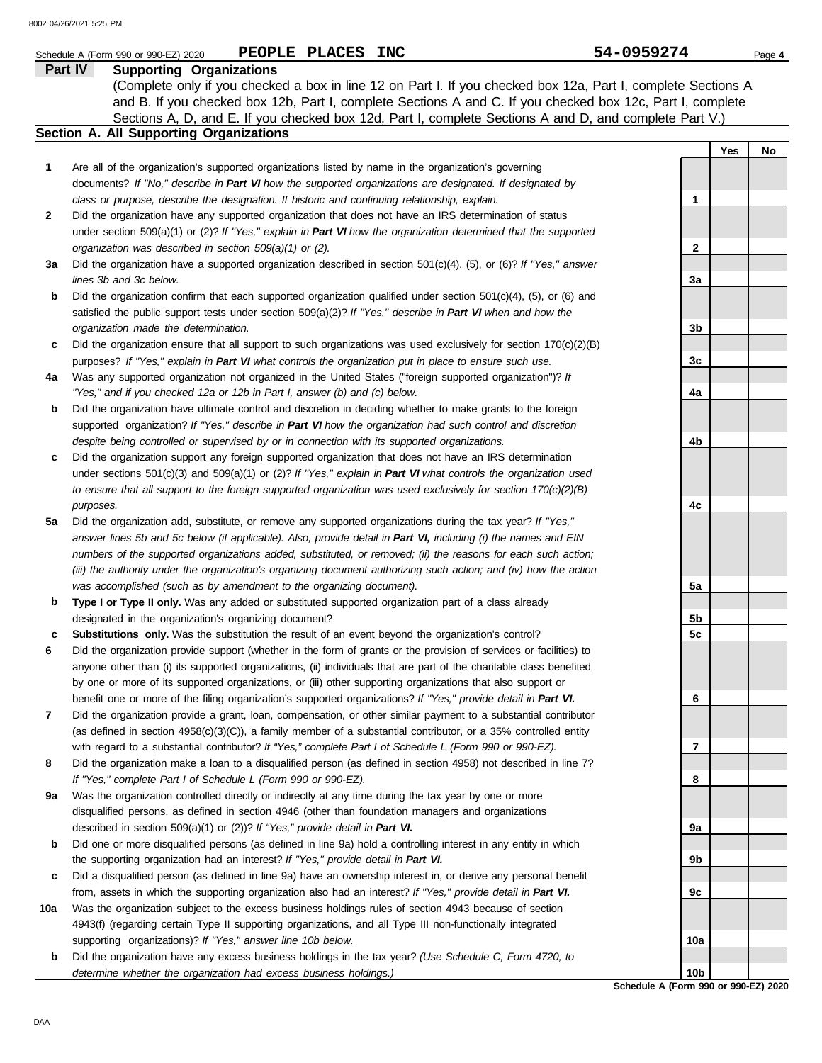|              | PEOPLE PLACES INC<br>Schedule A (Form 990 or 990-EZ) 2020                                                           | 54-0959274                           | Page 4    |
|--------------|---------------------------------------------------------------------------------------------------------------------|--------------------------------------|-----------|
|              | Part IV<br><b>Supporting Organizations</b>                                                                          |                                      |           |
|              | (Complete only if you checked a box in line 12 on Part I. If you checked box 12a, Part I, complete Sections A       |                                      |           |
|              | and B. If you checked box 12b, Part I, complete Sections A and C. If you checked box 12c, Part I, complete          |                                      |           |
|              | Sections A, D, and E. If you checked box 12d, Part I, complete Sections A and D, and complete Part V.)              |                                      |           |
|              | Section A. All Supporting Organizations                                                                             |                                      |           |
|              |                                                                                                                     |                                      | Yes<br>No |
| 1            | Are all of the organization's supported organizations listed by name in the organization's governing                |                                      |           |
|              | documents? If "No," describe in Part VI how the supported organizations are designated. If designated by            |                                      |           |
|              | class or purpose, describe the designation. If historic and continuing relationship, explain.                       | 1                                    |           |
| $\mathbf{2}$ | Did the organization have any supported organization that does not have an IRS determination of status              |                                      |           |
|              | under section 509(a)(1) or (2)? If "Yes," explain in Part VI how the organization determined that the supported     |                                      |           |
|              | organization was described in section 509(a)(1) or (2).                                                             | $\mathbf{2}$                         |           |
| За           | Did the organization have a supported organization described in section $501(c)(4)$ , (5), or (6)? If "Yes," answer |                                      |           |
|              | lines 3b and 3c below.                                                                                              | 3a                                   |           |
| b            | Did the organization confirm that each supported organization qualified under section 501(c)(4), (5), or (6) and    |                                      |           |
|              | satisfied the public support tests under section 509(a)(2)? If "Yes," describe in Part VI when and how the          |                                      |           |
|              | organization made the determination.                                                                                | 3b                                   |           |
| c            | Did the organization ensure that all support to such organizations was used exclusively for section $170(c)(2)(B)$  |                                      |           |
|              | purposes? If "Yes," explain in Part VI what controls the organization put in place to ensure such use.              | 3c                                   |           |
| 4a           | Was any supported organization not organized in the United States ("foreign supported organization")? If            |                                      |           |
|              | "Yes," and if you checked 12a or 12b in Part I, answer (b) and (c) below.                                           | 4a                                   |           |
| b            | Did the organization have ultimate control and discretion in deciding whether to make grants to the foreign         |                                      |           |
|              | supported organization? If "Yes," describe in Part VI how the organization had such control and discretion          |                                      |           |
|              | despite being controlled or supervised by or in connection with its supported organizations.                        | 4b                                   |           |
| c            | Did the organization support any foreign supported organization that does not have an IRS determination             |                                      |           |
|              | under sections $501(c)(3)$ and $509(a)(1)$ or (2)? If "Yes," explain in Part VI what controls the organization used |                                      |           |
|              | to ensure that all support to the foreign supported organization was used exclusively for section $170(c)(2)(B)$    |                                      |           |
|              | purposes.                                                                                                           | 4c                                   |           |
| 5a           | Did the organization add, substitute, or remove any supported organizations during the tax year? If "Yes,"          |                                      |           |
|              | answer lines 5b and 5c below (if applicable). Also, provide detail in Part VI, including (i) the names and EIN      |                                      |           |
|              | numbers of the supported organizations added, substituted, or removed; (ii) the reasons for each such action;       |                                      |           |
|              | (iii) the authority under the organization's organizing document authorizing such action; and (iv) how the action   |                                      |           |
|              | was accomplished (such as by amendment to the organizing document).                                                 | 5a                                   |           |
| b            | Type I or Type II only. Was any added or substituted supported organization part of a class already                 |                                      |           |
|              | designated in the organization's organizing document?                                                               | 5b                                   |           |
| с            | Substitutions only. Was the substitution the result of an event beyond the organization's control?                  | 5c                                   |           |
| 6            | Did the organization provide support (whether in the form of grants or the provision of services or facilities) to  |                                      |           |
|              | anyone other than (i) its supported organizations, (ii) individuals that are part of the charitable class benefited |                                      |           |
|              | by one or more of its supported organizations, or (iii) other supporting organizations that also support or         |                                      |           |
|              | benefit one or more of the filing organization's supported organizations? If "Yes," provide detail in Part VI.      | 6                                    |           |
| 7            | Did the organization provide a grant, loan, compensation, or other similar payment to a substantial contributor     |                                      |           |
|              | (as defined in section 4958(c)(3)(C)), a family member of a substantial contributor, or a 35% controlled entity     |                                      |           |
|              | with regard to a substantial contributor? If "Yes," complete Part I of Schedule L (Form 990 or 990-EZ).             | 7                                    |           |
| 8            | Did the organization make a loan to a disqualified person (as defined in section 4958) not described in line 7?     |                                      |           |
|              | If "Yes," complete Part I of Schedule L (Form 990 or 990-EZ).                                                       | 8                                    |           |
| 9а           | Was the organization controlled directly or indirectly at any time during the tax year by one or more               |                                      |           |
|              | disqualified persons, as defined in section 4946 (other than foundation managers and organizations                  |                                      |           |
|              | described in section 509(a)(1) or (2))? If "Yes," provide detail in Part VI.                                        | 9а                                   |           |
| b            | Did one or more disqualified persons (as defined in line 9a) hold a controlling interest in any entity in which     |                                      |           |
|              | the supporting organization had an interest? If "Yes," provide detail in Part VI.                                   | 9b                                   |           |
| c            | Did a disqualified person (as defined in line 9a) have an ownership interest in, or derive any personal benefit     |                                      |           |
|              | from, assets in which the supporting organization also had an interest? If "Yes," provide detail in Part VI.        | 9c                                   |           |
| 10a          | Was the organization subject to the excess business holdings rules of section 4943 because of section               |                                      |           |
|              | 4943(f) (regarding certain Type II supporting organizations, and all Type III non-functionally integrated           |                                      |           |
|              | supporting organizations)? If "Yes," answer line 10b below.                                                         | 10a                                  |           |
| b            | Did the organization have any excess business holdings in the tax year? (Use Schedule C, Form 4720, to              |                                      |           |
|              | determine whether the organization had excess business holdings.)                                                   | 10b                                  |           |
|              |                                                                                                                     | Schedule A (Form 990 or 990-F7) 2020 |           |

**Schedule A (Form 990 or 990-EZ) 2020**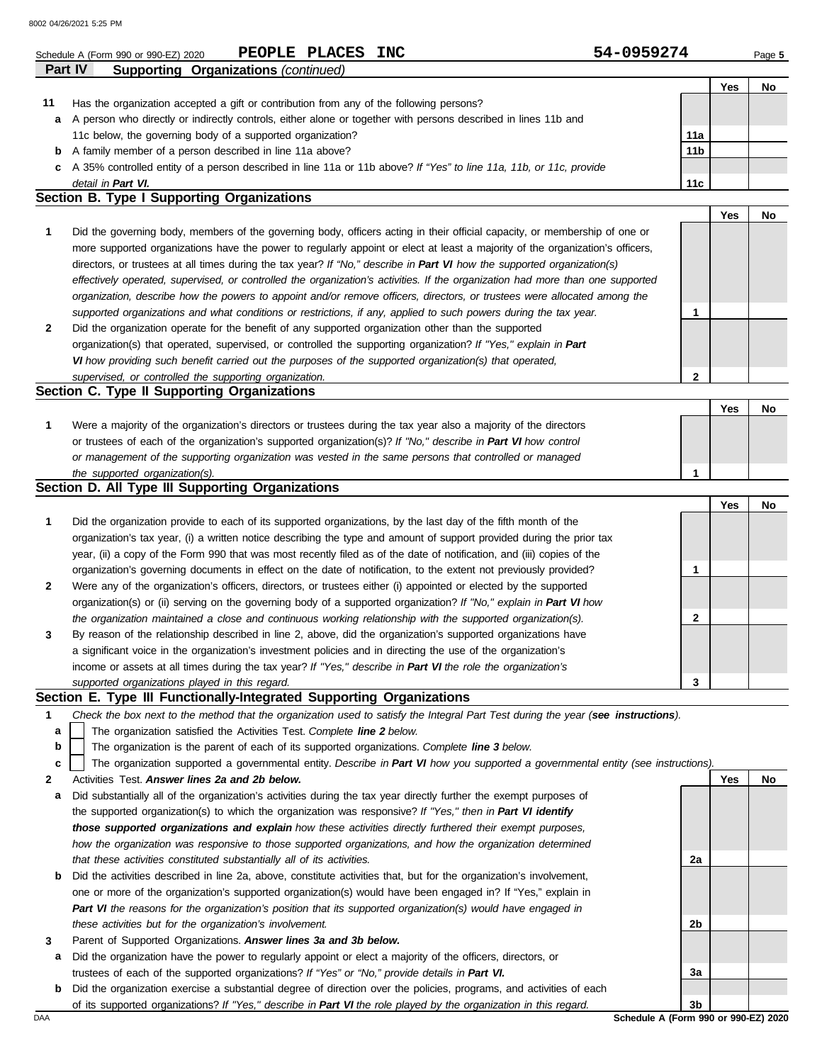|         | 54-0959274<br>PEOPLE PLACES<br><b>INC</b><br>Schedule A (Form 990 or 990-EZ) 2020                                              |                 |     | Page 5 |
|---------|--------------------------------------------------------------------------------------------------------------------------------|-----------------|-----|--------|
| Part IV | <b>Supporting Organizations (continued)</b>                                                                                    |                 |     |        |
|         |                                                                                                                                |                 | Yes | No     |
| 11      | Has the organization accepted a gift or contribution from any of the following persons?                                        |                 |     |        |
| a       | A person who directly or indirectly controls, either alone or together with persons described in lines 11b and                 |                 |     |        |
|         | 11c below, the governing body of a supported organization?                                                                     | 11a             |     |        |
|         | <b>b</b> A family member of a person described in line 11a above?                                                              | 11 <sub>b</sub> |     |        |
|         | c A 35% controlled entity of a person described in line 11a or 11b above? If "Yes" to line 11a, 11b, or 11c, provide           |                 |     |        |
|         | detail in Part VI.<br>Section B. Type I Supporting Organizations                                                               | 11c             |     |        |
|         |                                                                                                                                |                 | Yes |        |
|         |                                                                                                                                |                 |     | No     |
| 1       | Did the governing body, members of the governing body, officers acting in their official capacity, or membership of one or     |                 |     |        |
|         | more supported organizations have the power to regularly appoint or elect at least a majority of the organization's officers,  |                 |     |        |
|         | directors, or trustees at all times during the tax year? If "No," describe in Part VI how the supported organization(s)        |                 |     |        |
|         | effectively operated, supervised, or controlled the organization's activities. If the organization had more than one supported |                 |     |        |
|         | organization, describe how the powers to appoint and/or remove officers, directors, or trustees were allocated among the       |                 |     |        |
| 2       | supported organizations and what conditions or restrictions, if any, applied to such powers during the tax year.               | 1               |     |        |
|         | Did the organization operate for the benefit of any supported organization other than the supported                            |                 |     |        |
|         | organization(s) that operated, supervised, or controlled the supporting organization? If "Yes," explain in Part                |                 |     |        |
|         | VI how providing such benefit carried out the purposes of the supported organization(s) that operated,                         | 2               |     |        |
|         | supervised, or controlled the supporting organization.<br>Section C. Type II Supporting Organizations                          |                 |     |        |
|         |                                                                                                                                |                 | Yes | No     |
|         | Were a majority of the organization's directors or trustees during the tax year also a majority of the directors               |                 |     |        |
| 1       | or trustees of each of the organization's supported organization(s)? If "No," describe in Part VI how control                  |                 |     |        |
|         | or management of the supporting organization was vested in the same persons that controlled or managed                         |                 |     |        |
|         | the supported organization(s).                                                                                                 | 1               |     |        |
|         | Section D. All Type III Supporting Organizations                                                                               |                 |     |        |
|         |                                                                                                                                |                 | Yes | No     |
|         | Did the organization provide to each of its supported organizations, by the last day of the fifth month of the                 |                 |     |        |
|         | organization's tax year, (i) a written notice describing the type and amount of support provided during the prior tax          |                 |     |        |
|         | year, (ii) a copy of the Form 990 that was most recently filed as of the date of notification, and (iii) copies of the         |                 |     |        |
|         | organization's governing documents in effect on the date of notification, to the extent not previously provided?               |                 |     |        |
| 2       | Were any of the organization's officers, directors, or trustees either (i) appointed or elected by the supported               |                 |     |        |
|         | organization(s) or (ii) serving on the governing body of a supported organization? If "No," explain in Part VI how             |                 |     |        |
|         | the organization maintained a close and continuous working relationship with the supported organization(s).                    | $\mathbf{2}$    |     |        |
|         | By reason of the relationship described in line 2, above, did the organization's supported organizations have                  |                 |     |        |
| 3       | a significant voice in the organization's investment policies and in directing the use of the organization's                   |                 |     |        |
|         | income or assets at all times during the tax year? If "Yes," describe in Part VI the role the organization's                   |                 |     |        |
|         |                                                                                                                                |                 |     |        |
|         | supported organizations played in this regard.                                                                                 | 3               |     |        |

The organization supported a governmental entity. *Describe in Part VI how you supported a governmental entity (see instructions).* **c**

| $\mathbf{2}$ |  | Activities Test. Answer lines 2a and 2b below. |  |
|--------------|--|------------------------------------------------|--|

- **a** Did substantially all of the organization's activities during the tax year directly further the exempt purposes of the supported organization(s) to which the organization was responsive? *If "Yes," then in Part VI identify those supported organizations and explain how these activities directly furthered their exempt purposes, how the organization was responsive to those supported organizations, and how the organization determined that these activities constituted substantially all of its activities.*
- **b** Did the activities described in line 2a, above, constitute activities that, but for the organization's involvement, one or more of the organization's supported organization(s) would have been engaged in? If "Yes," explain in *Part VI the reasons for the organization's position that its supported organization(s) would have engaged in these activities but for the organization's involvement.*
- **3** Parent of Supported Organizations. *Answer lines 3a and 3b below.*
- **a** Did the organization have the power to regularly appoint or elect a majority of the officers, directors, or trustees of each of the supported organizations? *If "Yes" or "No," provide details in Part VI.*
- **b** Did the organization exercise a substantial degree of direction over the policies, programs, and activities of each of its supported organizations? *If "Yes," describe in Part VI the role played by the organization in this regard.*

DAA **Schedule A (Form 990 or 990-EZ) 2020 3b**

**2a**

**2b**

**3a**

**Yes No**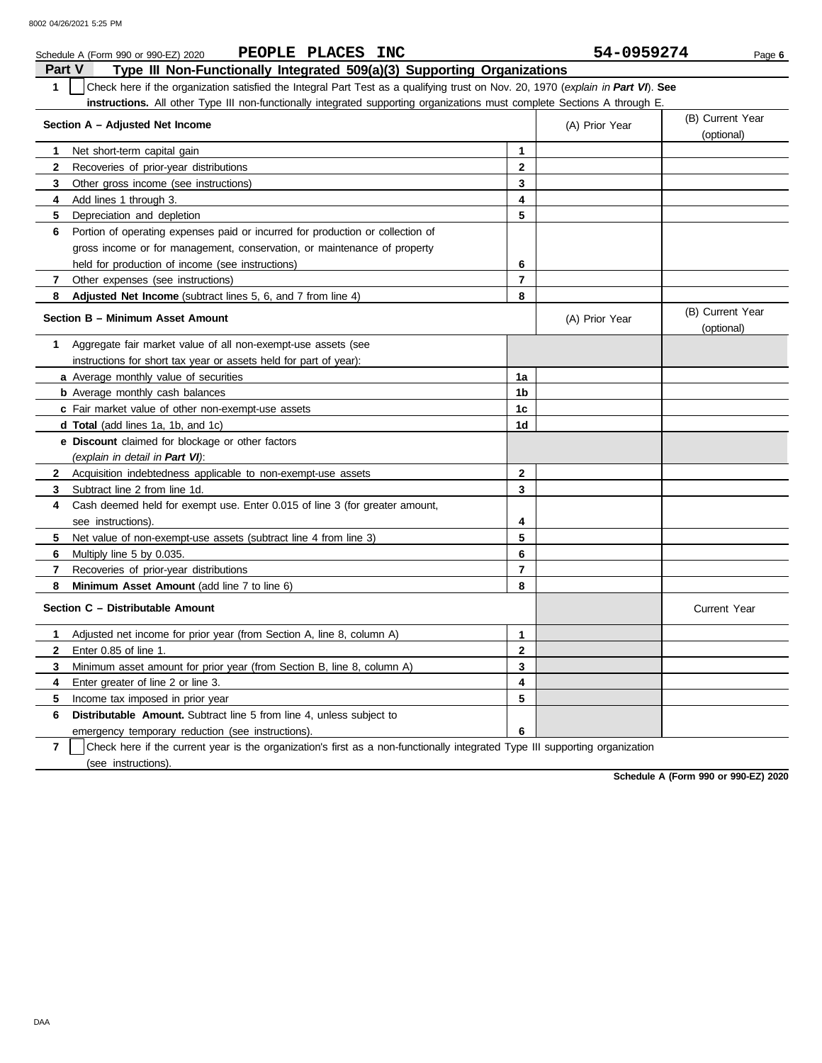|                | PEOPLE PLACES INC<br>Schedule A (Form 990 or 990-EZ) 2020                                                                        |                | 54-0959274     | Page 6                         |
|----------------|----------------------------------------------------------------------------------------------------------------------------------|----------------|----------------|--------------------------------|
| Part V         | Type III Non-Functionally Integrated 509(a)(3) Supporting Organizations                                                          |                |                |                                |
| $\mathbf{1}$   | Check here if the organization satisfied the Integral Part Test as a qualifying trust on Nov. 20, 1970 (explain in Part VI). See |                |                |                                |
|                | instructions. All other Type III non-functionally integrated supporting organizations must complete Sections A through E.        |                |                |                                |
|                | Section A - Adjusted Net Income                                                                                                  |                | (A) Prior Year | (B) Current Year<br>(optional) |
| 1              | Net short-term capital gain                                                                                                      | $\mathbf{1}$   |                |                                |
| $\mathbf{2}$   | Recoveries of prior-year distributions                                                                                           | $\overline{2}$ |                |                                |
| 3              | Other gross income (see instructions)                                                                                            | $\mathbf{3}$   |                |                                |
| 4              | Add lines 1 through 3.                                                                                                           | 4              |                |                                |
| 5              | Depreciation and depletion                                                                                                       | 5              |                |                                |
| 6              | Portion of operating expenses paid or incurred for production or collection of                                                   |                |                |                                |
|                | gross income or for management, conservation, or maintenance of property                                                         |                |                |                                |
|                | held for production of income (see instructions)                                                                                 | 6              |                |                                |
| 7              | Other expenses (see instructions)                                                                                                | $\overline{7}$ |                |                                |
| 8              | Adjusted Net Income (subtract lines 5, 6, and 7 from line 4)                                                                     | 8              |                |                                |
|                | Section B - Minimum Asset Amount                                                                                                 |                | (A) Prior Year | (B) Current Year<br>(optional) |
| 1              | Aggregate fair market value of all non-exempt-use assets (see                                                                    |                |                |                                |
|                | instructions for short tax year or assets held for part of year):                                                                |                |                |                                |
|                | <b>a</b> Average monthly value of securities                                                                                     | 1a             |                |                                |
|                | <b>b</b> Average monthly cash balances                                                                                           | 1 <sub>b</sub> |                |                                |
|                | c Fair market value of other non-exempt-use assets                                                                               | 1 <sub>c</sub> |                |                                |
|                | d Total (add lines 1a, 1b, and 1c)                                                                                               | 1d             |                |                                |
|                | e Discount claimed for blockage or other factors                                                                                 |                |                |                                |
|                | (explain in detail in Part VI):                                                                                                  |                |                |                                |
| $\mathbf{2}$   | Acquisition indebtedness applicable to non-exempt-use assets                                                                     | $\mathbf{2}$   |                |                                |
| 3              | Subtract line 2 from line 1d.                                                                                                    | 3              |                |                                |
| 4              | Cash deemed held for exempt use. Enter 0.015 of line 3 (for greater amount,                                                      |                |                |                                |
|                | see instructions).                                                                                                               | 4              |                |                                |
| 5              | Net value of non-exempt-use assets (subtract line 4 from line 3)                                                                 | 5              |                |                                |
| 6              | Multiply line 5 by 0.035.                                                                                                        | 6              |                |                                |
| $\overline{7}$ | Recoveries of prior-year distributions                                                                                           | $\overline{7}$ |                |                                |
| 8              | Minimum Asset Amount (add line 7 to line 6)                                                                                      | 8              |                |                                |
|                | Section C - Distributable Amount                                                                                                 |                |                | <b>Current Year</b>            |
| 1              | Adjusted net income for prior year (from Section A, line 8, column A)                                                            | $\mathbf{1}$   |                |                                |
| $\mathbf{2}$   | Enter 0.85 of line 1.                                                                                                            | $\mathbf{2}$   |                |                                |
| 3              | Minimum asset amount for prior year (from Section B, line 8, column A)                                                           | 3              |                |                                |
| 4              | Enter greater of line 2 or line 3.                                                                                               | 4              |                |                                |
| 5              | Income tax imposed in prior year                                                                                                 | 5              |                |                                |
| 6              | <b>Distributable Amount.</b> Subtract line 5 from line 4, unless subject to                                                      |                |                |                                |
|                | emergency temporary reduction (see instructions).                                                                                | 6              |                |                                |
|                |                                                                                                                                  |                |                |                                |

**7** | Check here if the current year is the organization's first as a non-functionally integrated Type III supporting organization (see instructions).

**Schedule A (Form 990 or 990-EZ) 2020**

DAA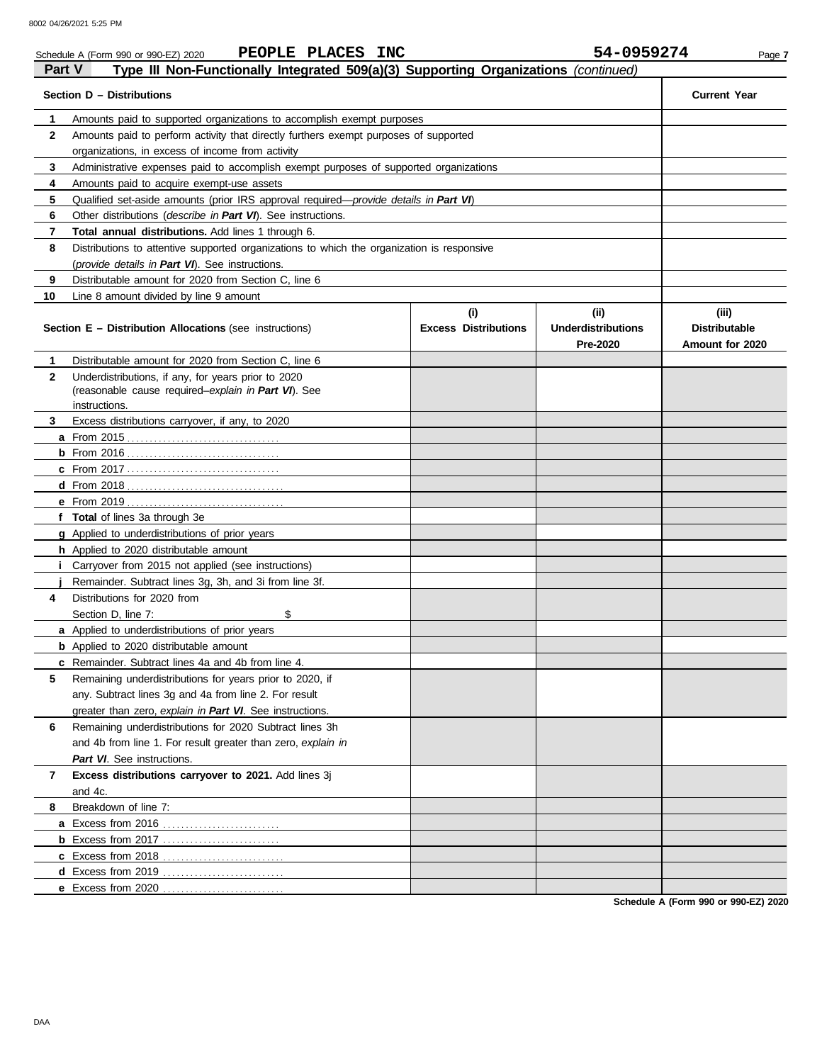|              | PEOPLE PLACES INC<br>Schedule A (Form 990 or 990-EZ) 2020                                  |                                    | 54-0959274                                    | Page 7                                           |
|--------------|--------------------------------------------------------------------------------------------|------------------------------------|-----------------------------------------------|--------------------------------------------------|
| Part V       | Type III Non-Functionally Integrated 509(a)(3) Supporting Organizations (continued)        |                                    |                                               |                                                  |
|              | Section D - Distributions                                                                  |                                    |                                               | <b>Current Year</b>                              |
| 1            | Amounts paid to supported organizations to accomplish exempt purposes                      |                                    |                                               |                                                  |
| $\mathbf{2}$ | Amounts paid to perform activity that directly furthers exempt purposes of supported       |                                    |                                               |                                                  |
|              | organizations, in excess of income from activity                                           |                                    |                                               |                                                  |
| 3            | Administrative expenses paid to accomplish exempt purposes of supported organizations      |                                    |                                               |                                                  |
| 4            | Amounts paid to acquire exempt-use assets                                                  |                                    |                                               |                                                  |
| 5            | Qualified set-aside amounts (prior IRS approval required—provide details in Part VI)       |                                    |                                               |                                                  |
| 6            | Other distributions (describe in Part VI). See instructions.                               |                                    |                                               |                                                  |
| 7            | Total annual distributions. Add lines 1 through 6.                                         |                                    |                                               |                                                  |
| 8            | Distributions to attentive supported organizations to which the organization is responsive |                                    |                                               |                                                  |
|              | (provide details in Part VI). See instructions.                                            |                                    |                                               |                                                  |
| 9            | Distributable amount for 2020 from Section C, line 6                                       |                                    |                                               |                                                  |
| 10           | Line 8 amount divided by line 9 amount                                                     |                                    |                                               |                                                  |
|              | <b>Section E - Distribution Allocations (see instructions)</b>                             | (i)<br><b>Excess Distributions</b> | (ii)<br><b>Underdistributions</b><br>Pre-2020 | (iii)<br><b>Distributable</b><br>Amount for 2020 |
| 1            | Distributable amount for 2020 from Section C, line 6                                       |                                    |                                               |                                                  |
| $\mathbf{2}$ | Underdistributions, if any, for years prior to 2020                                        |                                    |                                               |                                                  |
|              | (reasonable cause required-explain in Part VI). See                                        |                                    |                                               |                                                  |
|              | instructions.                                                                              |                                    |                                               |                                                  |
| 3            | Excess distributions carryover, if any, to 2020                                            |                                    |                                               |                                                  |
|              |                                                                                            |                                    |                                               |                                                  |
|              | b From 2016 <u></u>                                                                        |                                    |                                               |                                                  |
|              |                                                                                            |                                    |                                               |                                                  |
|              |                                                                                            |                                    |                                               |                                                  |
|              |                                                                                            |                                    |                                               |                                                  |
|              | f Total of lines 3a through 3e                                                             |                                    |                                               |                                                  |
|              | g Applied to underdistributions of prior years                                             |                                    |                                               |                                                  |
|              | h Applied to 2020 distributable amount                                                     |                                    |                                               |                                                  |
| L.           | Carryover from 2015 not applied (see instructions)                                         |                                    |                                               |                                                  |
|              | Remainder. Subtract lines 3g, 3h, and 3i from line 3f.                                     |                                    |                                               |                                                  |
| 4            | Distributions for 2020 from                                                                |                                    |                                               |                                                  |
|              | Section D. line 7:<br>\$                                                                   |                                    |                                               |                                                  |
|              | a Applied to underdistributions of prior years                                             |                                    |                                               |                                                  |
|              | <b>b</b> Applied to 2020 distributable amount                                              |                                    |                                               |                                                  |
|              | c Remainder. Subtract lines 4a and 4b from line 4.                                         |                                    |                                               |                                                  |
| 5            | Remaining underdistributions for years prior to 2020, if                                   |                                    |                                               |                                                  |
|              | any. Subtract lines 3g and 4a from line 2. For result                                      |                                    |                                               |                                                  |
|              | greater than zero, explain in Part VI. See instructions.                                   |                                    |                                               |                                                  |
| 6            | Remaining underdistributions for 2020 Subtract lines 3h                                    |                                    |                                               |                                                  |
|              | and 4b from line 1. For result greater than zero, explain in                               |                                    |                                               |                                                  |
|              | Part VI. See instructions.                                                                 |                                    |                                               |                                                  |
| 7            | Excess distributions carryover to 2021. Add lines 3j                                       |                                    |                                               |                                                  |
| 8            | and 4c.<br>Breakdown of line 7:                                                            |                                    |                                               |                                                  |
|              | a Excess from 2016                                                                         |                                    |                                               |                                                  |
|              |                                                                                            |                                    |                                               |                                                  |
|              |                                                                                            |                                    |                                               |                                                  |
|              |                                                                                            |                                    |                                               |                                                  |
|              |                                                                                            |                                    |                                               |                                                  |
|              | e Excess from 2020                                                                         |                                    |                                               |                                                  |

**Schedule A (Form 990 or 990-EZ) 2020**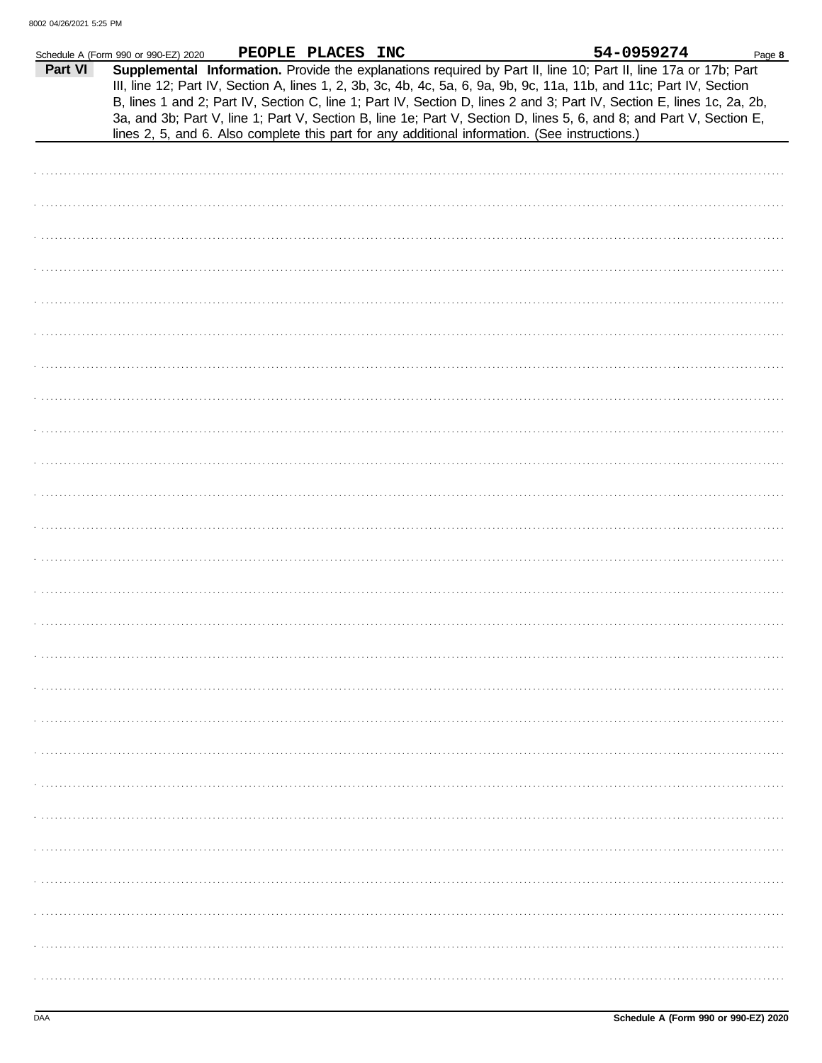|         | Schedule A (Form 990 or 990-EZ) 2020 | PEOPLE PLACES INC |                                                                                                                                                                                                                                                                                                                                                                                                                                                                                                                                                                                             | 54-0959274 | Page 8 |
|---------|--------------------------------------|-------------------|---------------------------------------------------------------------------------------------------------------------------------------------------------------------------------------------------------------------------------------------------------------------------------------------------------------------------------------------------------------------------------------------------------------------------------------------------------------------------------------------------------------------------------------------------------------------------------------------|------------|--------|
| Part VI |                                      |                   | Supplemental Information. Provide the explanations required by Part II, line 10; Part II, line 17a or 17b; Part<br>III, line 12; Part IV, Section A, lines 1, 2, 3b, 3c, 4b, 4c, 5a, 6, 9a, 9b, 9c, 11a, 11b, and 11c; Part IV, Section<br>B, lines 1 and 2; Part IV, Section C, line 1; Part IV, Section D, lines 2 and 3; Part IV, Section E, lines 1c, 2a, 2b,<br>3a, and 3b; Part V, line 1; Part V, Section B, line 1e; Part V, Section D, lines 5, 6, and 8; and Part V, Section E,<br>lines 2, 5, and 6. Also complete this part for any additional information. (See instructions.) |            |        |
|         |                                      |                   |                                                                                                                                                                                                                                                                                                                                                                                                                                                                                                                                                                                             |            |        |
|         |                                      |                   |                                                                                                                                                                                                                                                                                                                                                                                                                                                                                                                                                                                             |            |        |
|         |                                      |                   |                                                                                                                                                                                                                                                                                                                                                                                                                                                                                                                                                                                             |            |        |
|         |                                      |                   |                                                                                                                                                                                                                                                                                                                                                                                                                                                                                                                                                                                             |            |        |
|         |                                      |                   |                                                                                                                                                                                                                                                                                                                                                                                                                                                                                                                                                                                             |            |        |
|         |                                      |                   |                                                                                                                                                                                                                                                                                                                                                                                                                                                                                                                                                                                             |            |        |
|         |                                      |                   |                                                                                                                                                                                                                                                                                                                                                                                                                                                                                                                                                                                             |            |        |
|         |                                      |                   |                                                                                                                                                                                                                                                                                                                                                                                                                                                                                                                                                                                             |            |        |
|         |                                      |                   |                                                                                                                                                                                                                                                                                                                                                                                                                                                                                                                                                                                             |            |        |
|         |                                      |                   |                                                                                                                                                                                                                                                                                                                                                                                                                                                                                                                                                                                             |            |        |
|         |                                      |                   |                                                                                                                                                                                                                                                                                                                                                                                                                                                                                                                                                                                             |            |        |
|         |                                      |                   |                                                                                                                                                                                                                                                                                                                                                                                                                                                                                                                                                                                             |            |        |
|         |                                      |                   |                                                                                                                                                                                                                                                                                                                                                                                                                                                                                                                                                                                             |            |        |
|         |                                      |                   |                                                                                                                                                                                                                                                                                                                                                                                                                                                                                                                                                                                             |            |        |
|         |                                      |                   |                                                                                                                                                                                                                                                                                                                                                                                                                                                                                                                                                                                             |            |        |
|         |                                      |                   |                                                                                                                                                                                                                                                                                                                                                                                                                                                                                                                                                                                             |            |        |
|         |                                      |                   |                                                                                                                                                                                                                                                                                                                                                                                                                                                                                                                                                                                             |            |        |
|         |                                      |                   |                                                                                                                                                                                                                                                                                                                                                                                                                                                                                                                                                                                             |            |        |
|         |                                      |                   |                                                                                                                                                                                                                                                                                                                                                                                                                                                                                                                                                                                             |            |        |
|         |                                      |                   |                                                                                                                                                                                                                                                                                                                                                                                                                                                                                                                                                                                             |            |        |
|         |                                      |                   |                                                                                                                                                                                                                                                                                                                                                                                                                                                                                                                                                                                             |            |        |
|         |                                      |                   |                                                                                                                                                                                                                                                                                                                                                                                                                                                                                                                                                                                             |            |        |
|         |                                      |                   |                                                                                                                                                                                                                                                                                                                                                                                                                                                                                                                                                                                             |            |        |
|         |                                      |                   |                                                                                                                                                                                                                                                                                                                                                                                                                                                                                                                                                                                             |            |        |
|         |                                      |                   |                                                                                                                                                                                                                                                                                                                                                                                                                                                                                                                                                                                             |            |        |
|         |                                      |                   |                                                                                                                                                                                                                                                                                                                                                                                                                                                                                                                                                                                             |            |        |
|         |                                      |                   |                                                                                                                                                                                                                                                                                                                                                                                                                                                                                                                                                                                             |            |        |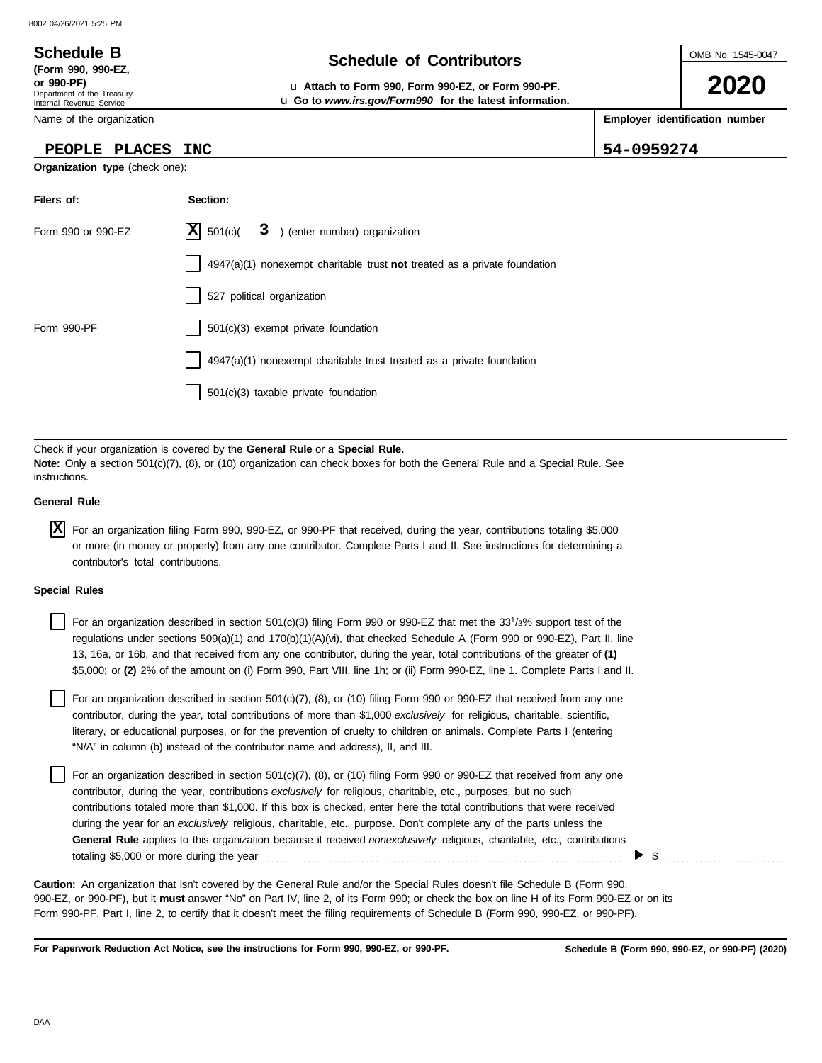### OMB No. 1545-0047 Department of the Treasury Internal Revenue Service Name of the organization **2020 Schedule of Contributors Schedule B (Form 990, 990-EZ, or 990-PF)** u **Attach to Form 990, Form 990-EZ, or Form 990-PF. Employer identification number Organization type** (check one): **Filers of: Section:** Form 990 or 990-F7  $\overline{X}$  501(c)(  $\overline{3}$  ) (enter number) organization u **Go to** *www.irs.gov/Form990* **for the latest information. PEOPLE PLACES INC 54-0959274**  $\overline{\mathbf{X}}$  501(c)(

| LOIIII 990 OI 990-ET | $\left  \mathbf{A} \right $ 30 $\left  \left( \mathbf{C} \right) \right $ $\mathbf{C}$ , einer number) organization                                                                                         |
|----------------------|-------------------------------------------------------------------------------------------------------------------------------------------------------------------------------------------------------------|
|                      | $4947(a)(1)$ nonexempt charitable trust not treated as a private foundation                                                                                                                                 |
|                      | 527 political organization                                                                                                                                                                                  |
| Form 990-PF          | 501(c)(3) exempt private foundation                                                                                                                                                                         |
|                      | 4947(a)(1) nonexempt charitable trust treated as a private foundation                                                                                                                                       |
|                      | 501(c)(3) taxable private foundation                                                                                                                                                                        |
|                      |                                                                                                                                                                                                             |
| instructions.        | Check if your organization is covered by the General Rule or a Special Rule.<br>Note: Only a section 501(c)(7), (8), or (10) organization can check boxes for both the General Rule and a Special Rule. See |

### **General Rule**

For an organization filing Form 990, 990-EZ, or 990-PF that received, during the year, contributions totaling \$5,000 **X** or more (in money or property) from any one contributor. Complete Parts I and II. See instructions for determining a contributor's total contributions.

### **Special Rules**

| For an organization described in section 501(c)(3) filing Form 990 or 990-EZ that met the 33 <sup>1</sup> /3% support test of the |
|-----------------------------------------------------------------------------------------------------------------------------------|
| regulations under sections 509(a)(1) and 170(b)(1)(A)(vi), that checked Schedule A (Form 990 or 990-EZ), Part II, line            |
| 13, 16a, or 16b, and that received from any one contributor, during the year, total contributions of the greater of (1)           |
| \$5,000; or (2) 2% of the amount on (i) Form 990, Part VIII, line 1h; or (ii) Form 990-EZ, line 1. Complete Parts I and II.       |

literary, or educational purposes, or for the prevention of cruelty to children or animals. Complete Parts I (entering For an organization described in section  $501(c)(7)$ , (8), or (10) filing Form 990 or 990-EZ that received from any one contributor, during the year, total contributions of more than \$1,000 *exclusively* for religious, charitable, scientific, "N/A" in column (b) instead of the contributor name and address), II, and III.

For an organization described in section 501(c)(7), (8), or (10) filing Form 990 or 990-EZ that received from any one contributor, during the year, contributions *exclusively* for religious, charitable, etc., purposes, but no such contributions totaled more than \$1,000. If this box is checked, enter here the total contributions that were received during the year for an *exclusively* religious, charitable, etc., purpose. Don't complete any of the parts unless the **General Rule** applies to this organization because it received *nonexclusively* religious, charitable, etc., contributions totaling \$5,000 or more during the year . . . . . . . . . . . . . . . . . . . . . . . . . . . . . . . . . . . . . . . . . . . . . . . . . . . . . . . . . . . . . . . . . . . . . . . . . . . . . . . .

990-EZ, or 990-PF), but it **must** answer "No" on Part IV, line 2, of its Form 990; or check the box on line H of its Form 990-EZ or on its Form 990-PF, Part I, line 2, to certify that it doesn't meet the filing requirements of Schedule B (Form 990, 990-EZ, or 990-PF). **Caution:** An organization that isn't covered by the General Rule and/or the Special Rules doesn't file Schedule B (Form 990,

**For Paperwork Reduction Act Notice, see the instructions for Form 990, 990-EZ, or 990-PF.**

\$ . . . . . . . . . . . . . . . . . . . . . . . . . . .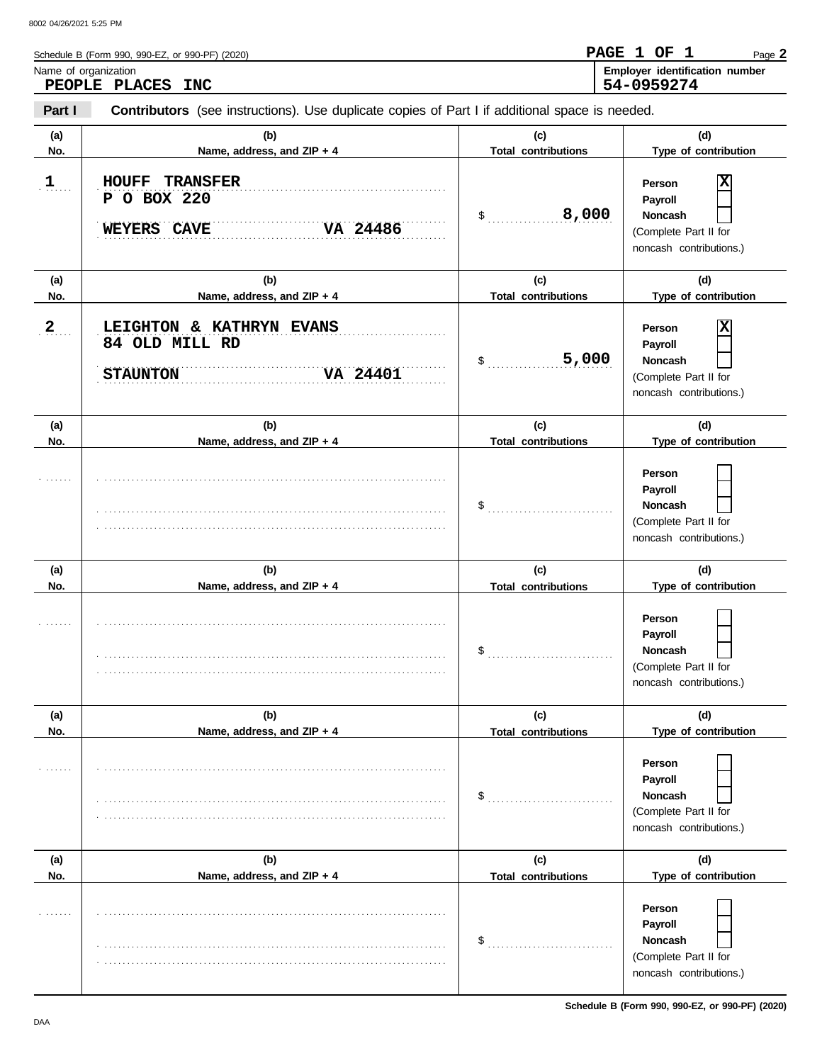| Name of organization | Schedule B (Form 990, 990-EZ, or 990-PF) (2020)<br>PEOPLE PLACES INC                           |                                   | PAGE 1 OF 1<br>Page 2<br>Employer identification number<br>54-0959274                        |
|----------------------|------------------------------------------------------------------------------------------------|-----------------------------------|----------------------------------------------------------------------------------------------|
| Part I               | Contributors (see instructions). Use duplicate copies of Part I if additional space is needed. |                                   |                                                                                              |
| (a)<br>No.           | (b)<br>Name, address, and ZIP + 4                                                              | (c)<br><b>Total contributions</b> | (d)<br>Type of contribution                                                                  |
| $\mathbf{1}$         | <b>TRANSFER</b><br><b>HOUFF</b><br>P O BOX 220<br>VA 24486<br>WEYERS CAVE                      | 8,000<br>\$                       | X<br>Person<br>Payroll<br><b>Noncash</b><br>(Complete Part II for<br>noncash contributions.) |
| (a)<br>No.           | (b)<br>Name, address, and ZIP + 4                                                              | (c)<br><b>Total contributions</b> | (d)<br>Type of contribution                                                                  |
| $\boldsymbol{2}$     | LEIGHTON & KATHRYN EVANS<br>84 OLD MILL RD<br>VA 24401<br><b>STAUNTON</b>                      | 5,000<br>\$                       | X<br>Person<br>Payroll<br><b>Noncash</b><br>(Complete Part II for<br>noncash contributions.) |
| (a)<br>No.           | (b)<br>Name, address, and ZIP + 4                                                              | (c)<br><b>Total contributions</b> | (d)<br>Type of contribution                                                                  |
|                      |                                                                                                | \$                                | Person<br>Payroll<br>Noncash<br>(Complete Part II for<br>noncash contributions.)             |
| (a)<br>No.           | (b)<br>Name, address, and ZIP + 4                                                              | (c)<br><b>Total contributions</b> | (d)<br>Type of contribution                                                                  |
|                      |                                                                                                | \$                                | Person<br>Payroll<br>Noncash<br>(Complete Part II for<br>noncash contributions.)             |
| (a)<br>No.           | (b)<br>Name, address, and ZIP + 4                                                              | (c)<br><b>Total contributions</b> | (d)<br>Type of contribution                                                                  |
|                      |                                                                                                | \$                                | Person<br>Payroll<br>Noncash<br>(Complete Part II for<br>noncash contributions.)             |
| (a)<br>No.           | (b)<br>Name, address, and ZIP + 4                                                              | (c)<br><b>Total contributions</b> | (d)<br>Type of contribution                                                                  |
|                      |                                                                                                |                                   | Person                                                                                       |

\$ . . . . . . . . . . . . . . . . . . . . . . . . . . . .

. . . . . . . . . . . . . . . . . . . . . . . . . . . . . . . . . . . . . . . . . . . . . . . . . . . . . . . . . . . . . . . . . . . . . . . . . . . . .

. . . . . . . . . . . . . . . . . . . . . . . . . . . . . . . . . . . . . . . . . . . . . . . . . . . . . . . . . . . . . . . . . . . . . . . . . . . . .

**Payroll Noncash** (Complete Part II for noncash contributions.)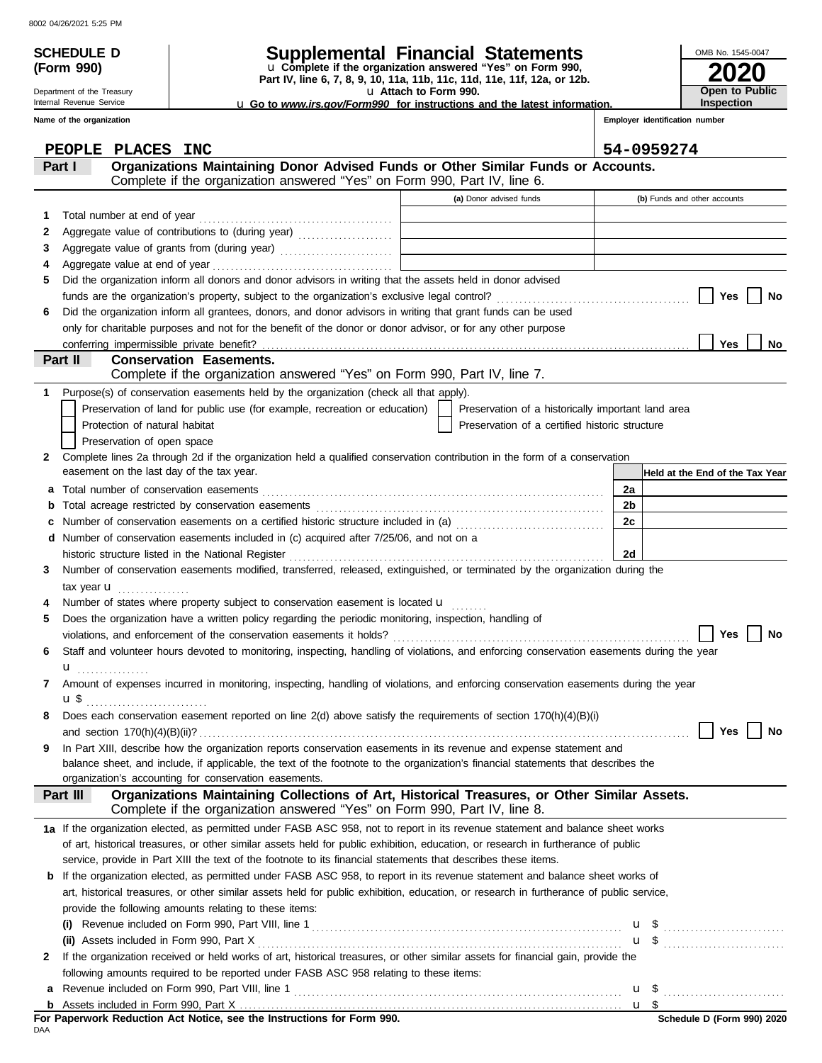Department of the Treasury Internal Revenue Service

**(Form 990)**

## **SCHEDULE D Supplemental Financial Statements**

**Part IV, line 6, 7, 8, 9, 10, 11a, 11b, 11c, 11d, 11e, 11f, 12a, or 12b.** u **Complete if the organization answered "Yes" on Form 990,**

u **Attach to Form 990.** 

u **Go to** *www.irs.gov/Form990* **for instructions and the latest information.**

**Employer identification number Inspection**

**2020**

**Open to Public**

OMB No. 1545-0047

|    | Name of the organization |                                                                                                                                                                |                                                    |    | Employer identification number  |
|----|--------------------------|----------------------------------------------------------------------------------------------------------------------------------------------------------------|----------------------------------------------------|----|---------------------------------|
|    |                          | PEOPLE PLACES INC                                                                                                                                              |                                                    |    | 54-0959274                      |
|    | Part I                   | Organizations Maintaining Donor Advised Funds or Other Similar Funds or Accounts.<br>Complete if the organization answered "Yes" on Form 990, Part IV, line 6. |                                                    |    |                                 |
|    |                          |                                                                                                                                                                | (a) Donor advised funds                            |    | (b) Funds and other accounts    |
| 1. |                          | Total number at end of year                                                                                                                                    |                                                    |    |                                 |
| 2  |                          |                                                                                                                                                                |                                                    |    |                                 |
| 3  |                          |                                                                                                                                                                |                                                    |    |                                 |
| 4  |                          |                                                                                                                                                                |                                                    |    |                                 |
| 5. |                          | Did the organization inform all donors and donor advisors in writing that the assets held in donor advised                                                     |                                                    |    |                                 |
|    |                          |                                                                                                                                                                |                                                    |    | Yes<br>No                       |
| 6  |                          | Did the organization inform all grantees, donors, and donor advisors in writing that grant funds can be used                                                   |                                                    |    |                                 |
|    |                          | only for charitable purposes and not for the benefit of the donor or donor advisor, or for any other purpose                                                   |                                                    |    |                                 |
|    |                          |                                                                                                                                                                |                                                    |    | Yes<br>No                       |
|    | Part II                  | <b>Conservation Easements.</b>                                                                                                                                 |                                                    |    |                                 |
|    |                          | Complete if the organization answered "Yes" on Form 990, Part IV, line 7.                                                                                      |                                                    |    |                                 |
| 1. |                          | Purpose(s) of conservation easements held by the organization (check all that apply).                                                                          |                                                    |    |                                 |
|    |                          | Preservation of land for public use (for example, recreation or education)                                                                                     | Preservation of a historically important land area |    |                                 |
|    |                          | Protection of natural habitat                                                                                                                                  | Preservation of a certified historic structure     |    |                                 |
|    |                          | Preservation of open space                                                                                                                                     |                                                    |    |                                 |
| 2  |                          | Complete lines 2a through 2d if the organization held a qualified conservation contribution in the form of a conservation                                      |                                                    |    |                                 |
|    |                          | easement on the last day of the tax year.                                                                                                                      |                                                    |    | Held at the End of the Tax Year |
| a  |                          |                                                                                                                                                                |                                                    | 2a |                                 |
| b  |                          |                                                                                                                                                                |                                                    | 2b |                                 |
| c  |                          | Number of conservation easements on a certified historic structure included in (a) [[[[[[[[[[[[[[[[[[[[[[[[[]]]]]]]                                            |                                                    | 2c |                                 |
| d  |                          | Number of conservation easements included in (c) acquired after 7/25/06, and not on a                                                                          |                                                    |    |                                 |
|    |                          | historic structure listed in the National Register                                                                                                             |                                                    | 2d |                                 |
| 3  |                          | Number of conservation easements modified, transferred, released, extinguished, or terminated by the organization during the                                   |                                                    |    |                                 |
|    |                          | tax year $\mathbf{u}$                                                                                                                                          |                                                    |    |                                 |
|    |                          | Number of states where property subject to conservation easement is located u                                                                                  |                                                    |    |                                 |
| 5  |                          | Does the organization have a written policy regarding the periodic monitoring, inspection, handling of                                                         |                                                    |    |                                 |
|    |                          |                                                                                                                                                                |                                                    |    | <b>Yes</b><br>No                |
|    |                          | Staff and volunteer hours devoted to monitoring, inspecting, handling of violations, and enforcing conservation easements during the year                      |                                                    |    |                                 |
|    | u                        |                                                                                                                                                                |                                                    |    |                                 |
|    |                          | Amount of expenses incurred in monitoring, inspecting, handling of violations, and enforcing conservation easements during the year                            |                                                    |    |                                 |
|    | $\mathbf{u}$             |                                                                                                                                                                |                                                    |    |                                 |
|    |                          | Does each conservation easement reported on line 2(d) above satisfy the requirements of section 170(h)(4)(B)(i)                                                |                                                    |    | Yes<br>No                       |
|    |                          | In Part XIII, describe how the organization reports conservation easements in its revenue and expense statement and                                            |                                                    |    |                                 |
| 9  |                          | balance sheet, and include, if applicable, the text of the footnote to the organization's financial statements that describes the                              |                                                    |    |                                 |
|    |                          | organization's accounting for conservation easements.                                                                                                          |                                                    |    |                                 |
|    | Part III                 | Organizations Maintaining Collections of Art, Historical Treasures, or Other Similar Assets.                                                                   |                                                    |    |                                 |
|    |                          | Complete if the organization answered "Yes" on Form 990, Part IV, line 8.                                                                                      |                                                    |    |                                 |
|    |                          | 1a If the organization elected, as permitted under FASB ASC 958, not to report in its revenue statement and balance sheet works                                |                                                    |    |                                 |
|    |                          | of art, historical treasures, or other similar assets held for public exhibition, education, or research in furtherance of public                              |                                                    |    |                                 |
|    |                          | service, provide in Part XIII the text of the footnote to its financial statements that describes these items.                                                 |                                                    |    |                                 |
|    |                          | <b>b</b> If the organization elected, as permitted under FASB ASC 958, to report in its revenue statement and balance sheet works of                           |                                                    |    |                                 |
|    |                          | art, historical treasures, or other similar assets held for public exhibition, education, or research in furtherance of public service,                        |                                                    |    |                                 |
|    |                          | provide the following amounts relating to these items:                                                                                                         |                                                    |    |                                 |
|    |                          |                                                                                                                                                                |                                                    |    |                                 |
|    |                          | (ii) Assets included in Form 990, Part X                                                                                                                       |                                                    |    |                                 |
| 2  |                          | If the organization received or held works of art, historical treasures, or other similar assets for financial gain, provide the                               |                                                    |    |                                 |
|    |                          | following amounts required to be reported under FASB ASC 958 relating to these items:                                                                          |                                                    |    |                                 |
| а  |                          |                                                                                                                                                                |                                                    |    |                                 |
|    |                          |                                                                                                                                                                |                                                    |    |                                 |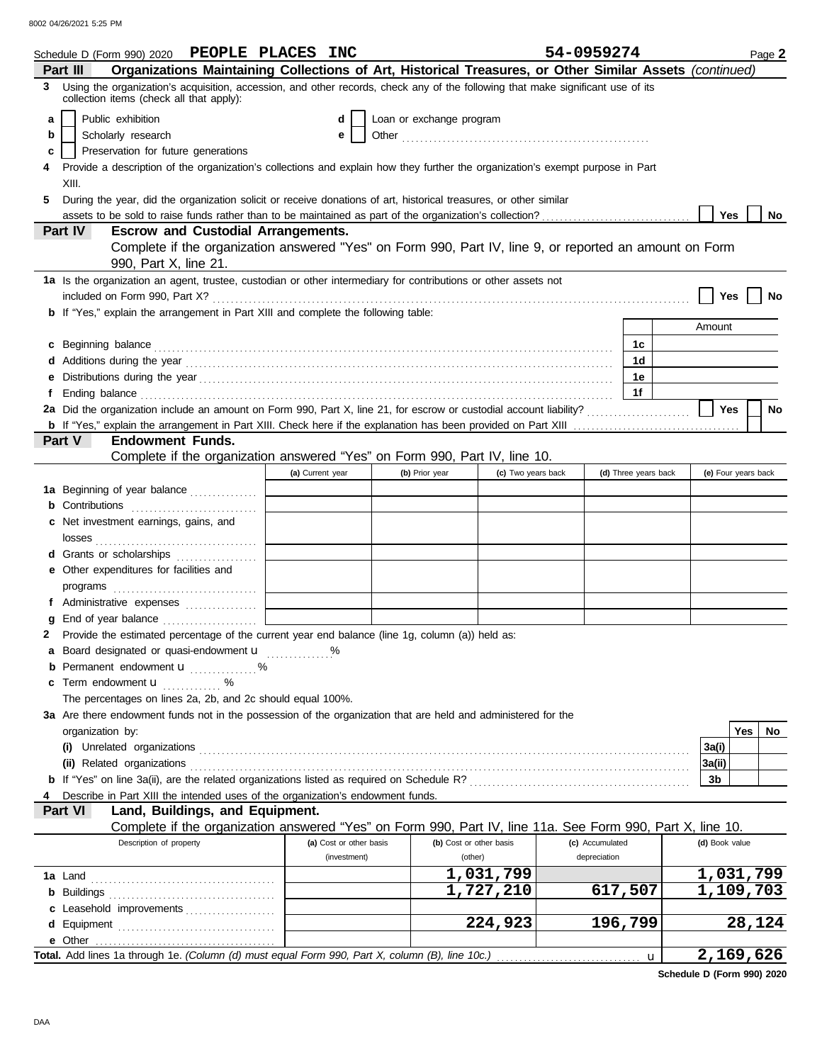8002 04/26/2021 5:25 PM

|    | Schedule D (Form 990) 2020 PEOPLE PLACES INC                                                                                                                                                                                         |                         |                          |                         | 54-0959274      |                      |                | Page 2              |
|----|--------------------------------------------------------------------------------------------------------------------------------------------------------------------------------------------------------------------------------------|-------------------------|--------------------------|-------------------------|-----------------|----------------------|----------------|---------------------|
|    | Organizations Maintaining Collections of Art, Historical Treasures, or Other Similar Assets (continued)<br>Part III                                                                                                                  |                         |                          |                         |                 |                      |                |                     |
| 3  | Using the organization's acquisition, accession, and other records, check any of the following that make significant use of its<br>collection items (check all that apply):                                                          |                         |                          |                         |                 |                      |                |                     |
| a  | Public exhibition                                                                                                                                                                                                                    | d                       | Loan or exchange program |                         |                 |                      |                |                     |
| b  | Scholarly research                                                                                                                                                                                                                   | е                       |                          |                         |                 |                      |                |                     |
| c  | Preservation for future generations                                                                                                                                                                                                  |                         |                          |                         |                 |                      |                |                     |
|    | Provide a description of the organization's collections and explain how they further the organization's exempt purpose in Part<br>XIII.                                                                                              |                         |                          |                         |                 |                      |                |                     |
| 5. | During the year, did the organization solicit or receive donations of art, historical treasures, or other similar                                                                                                                    |                         |                          |                         |                 |                      |                |                     |
|    | assets to be sold to raise funds rather than to be maintained as part of the organization's collection?                                                                                                                              |                         |                          |                         |                 |                      | Yes            | No.                 |
|    | <b>Escrow and Custodial Arrangements.</b><br>Part IV                                                                                                                                                                                 |                         |                          |                         |                 |                      |                |                     |
|    | Complete if the organization answered "Yes" on Form 990, Part IV, line 9, or reported an amount on Form<br>990, Part X, line 21.                                                                                                     |                         |                          |                         |                 |                      |                |                     |
|    | 1a Is the organization an agent, trustee, custodian or other intermediary for contributions or other assets not                                                                                                                      |                         |                          |                         |                 |                      |                |                     |
|    |                                                                                                                                                                                                                                      |                         |                          |                         |                 |                      | Yes            | No                  |
|    | <b>b</b> If "Yes," explain the arrangement in Part XIII and complete the following table:                                                                                                                                            |                         |                          |                         |                 |                      |                |                     |
|    |                                                                                                                                                                                                                                      |                         |                          |                         |                 |                      | Amount         |                     |
|    | c Beginning balance <b>contract to the contract of the set of the contract of the contract of the contract of the contract of the contract of the contract of the contract of the contract of the contract of the contract of th</b> |                         |                          |                         |                 | 1с                   |                |                     |
|    |                                                                                                                                                                                                                                      |                         |                          |                         |                 | 1d                   |                |                     |
| е  |                                                                                                                                                                                                                                      |                         |                          |                         |                 | 1e                   |                |                     |
| f  |                                                                                                                                                                                                                                      |                         |                          |                         |                 | 1f                   |                |                     |
|    | 2a Did the organization include an amount on Form 990, Part X, line 21, for escrow or custodial account liability?                                                                                                                   |                         |                          |                         |                 |                      | Yes            | No                  |
|    |                                                                                                                                                                                                                                      |                         |                          |                         |                 |                      |                |                     |
|    | <b>Endowment Funds.</b><br>Part V                                                                                                                                                                                                    |                         |                          |                         |                 |                      |                |                     |
|    | Complete if the organization answered "Yes" on Form 990, Part IV, line 10.                                                                                                                                                           |                         |                          |                         |                 |                      |                |                     |
|    |                                                                                                                                                                                                                                      | (a) Current year        | (b) Prior year           | (c) Two years back      |                 | (d) Three years back |                | (e) Four years back |
|    | 1a Beginning of year balance                                                                                                                                                                                                         |                         |                          |                         |                 |                      |                |                     |
|    | <b>b</b> Contributions <b>contributions</b>                                                                                                                                                                                          |                         |                          |                         |                 |                      |                |                     |
|    | c Net investment earnings, gains, and                                                                                                                                                                                                |                         |                          |                         |                 |                      |                |                     |
|    |                                                                                                                                                                                                                                      |                         |                          |                         |                 |                      |                |                     |
|    | d Grants or scholarships                                                                                                                                                                                                             |                         |                          |                         |                 |                      |                |                     |
|    | e Other expenditures for facilities and                                                                                                                                                                                              |                         |                          |                         |                 |                      |                |                     |
|    |                                                                                                                                                                                                                                      |                         |                          |                         |                 |                      |                |                     |
|    | f Administrative expenses                                                                                                                                                                                                            |                         |                          |                         |                 |                      |                |                     |
|    | g End of year balance                                                                                                                                                                                                                |                         |                          |                         |                 |                      |                |                     |
|    | 2 Provide the estimated percentage of the current year end balance (line 1g, column (a)) held as:                                                                                                                                    |                         |                          |                         |                 |                      |                |                     |
|    | a Board designated or quasi-endowment u                                                                                                                                                                                              |                         |                          |                         |                 |                      |                |                     |
|    | <b>b</b> Permanent endowment $\mathbf{u}$ %                                                                                                                                                                                          |                         |                          |                         |                 |                      |                |                     |
|    | c Term endowment <b>u</b> %                                                                                                                                                                                                          |                         |                          |                         |                 |                      |                |                     |
|    | The percentages on lines 2a, 2b, and 2c should equal 100%.                                                                                                                                                                           |                         |                          |                         |                 |                      |                |                     |
|    | 3a Are there endowment funds not in the possession of the organization that are held and administered for the                                                                                                                        |                         |                          |                         |                 |                      |                |                     |
|    | organization by:                                                                                                                                                                                                                     |                         |                          |                         |                 |                      |                | Yes<br>No           |
|    |                                                                                                                                                                                                                                      |                         |                          |                         |                 |                      | 3a(i)          |                     |
|    |                                                                                                                                                                                                                                      |                         |                          |                         |                 |                      | 3a(ii)         |                     |
|    |                                                                                                                                                                                                                                      |                         |                          |                         |                 |                      | 3b             |                     |
|    | Describe in Part XIII the intended uses of the organization's endowment funds.                                                                                                                                                       |                         |                          |                         |                 |                      |                |                     |
|    | Land, Buildings, and Equipment.<br>Part VI                                                                                                                                                                                           |                         |                          |                         |                 |                      |                |                     |
|    | Complete if the organization answered "Yes" on Form 990, Part IV, line 11a. See Form 990, Part X, line 10.                                                                                                                           |                         |                          |                         |                 |                      |                |                     |
|    | Description of property                                                                                                                                                                                                              | (a) Cost or other basis |                          | (b) Cost or other basis | (c) Accumulated |                      | (d) Book value |                     |
|    |                                                                                                                                                                                                                                      | (investment)            |                          | (other)                 | depreciation    |                      |                |                     |
|    |                                                                                                                                                                                                                                      |                         |                          | 1,031,799               |                 |                      |                | 1,031,799           |
|    |                                                                                                                                                                                                                                      |                         |                          | 1,727,210               |                 | 617,507              |                | 1,109,703           |
|    | c Leasehold improvements                                                                                                                                                                                                             |                         |                          | 224,923                 |                 | 196,799              |                | 28,124              |
|    |                                                                                                                                                                                                                                      |                         |                          |                         |                 |                      |                |                     |
|    | Total. Add lines 1a through 1e. (Column (d) must equal Form 990, Part X, column (B), line 10c.)                                                                                                                                      |                         |                          |                         |                 |                      |                | 2,169,626           |
|    |                                                                                                                                                                                                                                      |                         |                          |                         |                 | $\mathbf{u}$         |                |                     |

**Schedule D (Form 990) 2020**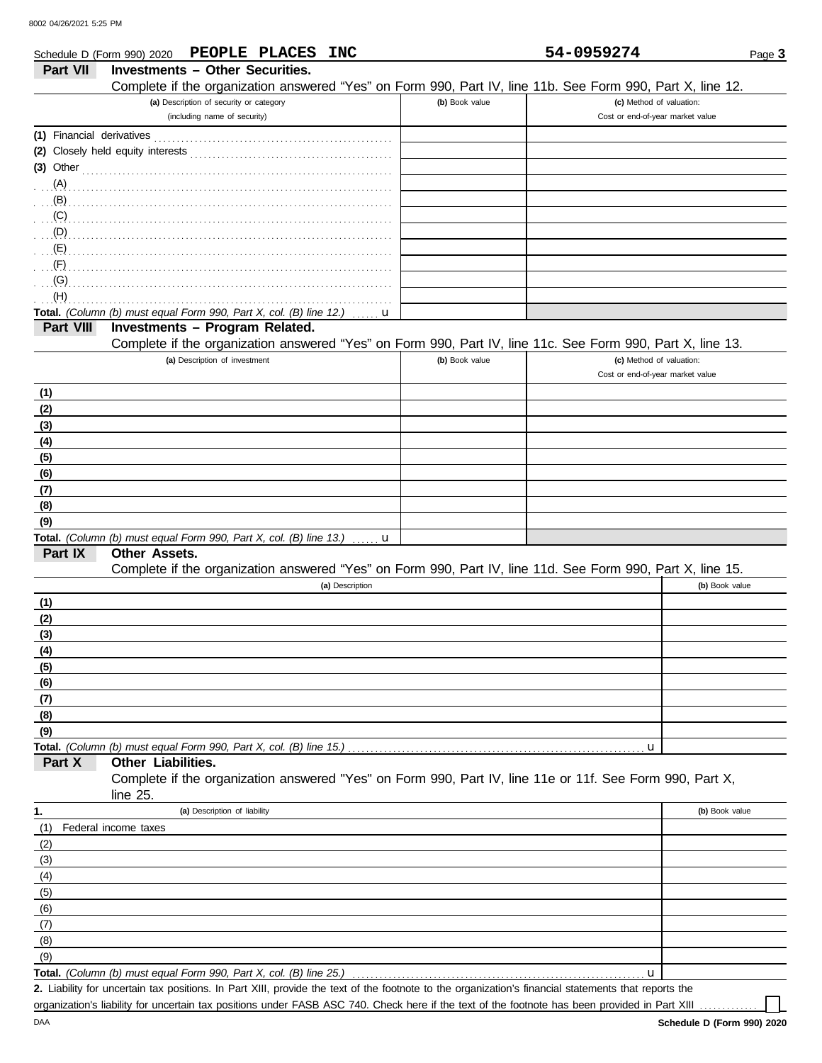|                           | Schedule D (Form 990) 2020 PEOPLE PLACES INC                                                               |                | 54-0959274                       | Page 3         |
|---------------------------|------------------------------------------------------------------------------------------------------------|----------------|----------------------------------|----------------|
| Part VII                  | <b>Investments - Other Securities.</b>                                                                     |                |                                  |                |
|                           | Complete if the organization answered "Yes" on Form 990, Part IV, line 11b. See Form 990, Part X, line 12. |                |                                  |                |
|                           | (a) Description of security or category                                                                    | (b) Book value | (c) Method of valuation:         |                |
|                           | (including name of security)                                                                               |                | Cost or end-of-year market value |                |
| (1) Financial derivatives |                                                                                                            |                |                                  |                |
|                           |                                                                                                            |                |                                  |                |
| $(3)$ Other               |                                                                                                            |                |                                  |                |
| (A)                       |                                                                                                            |                |                                  |                |
| (B)                       |                                                                                                            |                |                                  |                |
| (C)                       |                                                                                                            |                |                                  |                |
| (D)                       |                                                                                                            |                |                                  |                |
| (E)                       |                                                                                                            |                |                                  |                |
| (F)                       |                                                                                                            |                |                                  |                |
| (G)                       |                                                                                                            |                |                                  |                |
| (H)                       |                                                                                                            |                |                                  |                |
| Part VIII                 | Total. (Column (b) must equal Form 990, Part X, col. (B) line 12.)<br>u<br>Investments - Program Related.  |                |                                  |                |
|                           | Complete if the organization answered "Yes" on Form 990, Part IV, line 11c. See Form 990, Part X, line 13. |                |                                  |                |
|                           | (a) Description of investment                                                                              | (b) Book value | (c) Method of valuation:         |                |
|                           |                                                                                                            |                | Cost or end-of-year market value |                |
| (1)                       |                                                                                                            |                |                                  |                |
| (2)                       |                                                                                                            |                |                                  |                |
| (3)                       |                                                                                                            |                |                                  |                |
| (4)                       |                                                                                                            |                |                                  |                |
| (5)                       |                                                                                                            |                |                                  |                |
| (6)                       |                                                                                                            |                |                                  |                |
| (7)                       |                                                                                                            |                |                                  |                |
| (8)                       |                                                                                                            |                |                                  |                |
| (9)                       |                                                                                                            |                |                                  |                |
|                           | Total. (Column (b) must equal Form 990, Part X, col. (B) line 13.)<br>. <b>. u</b>                         |                |                                  |                |
| Part IX                   | <b>Other Assets.</b>                                                                                       |                |                                  |                |
|                           | Complete if the organization answered "Yes" on Form 990, Part IV, line 11d. See Form 990, Part X, line 15. |                |                                  |                |
|                           | (a) Description                                                                                            |                |                                  | (b) Book value |
| (1)                       |                                                                                                            |                |                                  |                |
| (2)                       |                                                                                                            |                |                                  |                |
| (3)                       |                                                                                                            |                |                                  |                |
| (4)                       |                                                                                                            |                |                                  |                |
| (5)                       |                                                                                                            |                |                                  |                |
| (6)<br>(7)                |                                                                                                            |                |                                  |                |
| (8)                       |                                                                                                            |                |                                  |                |
| (9)                       |                                                                                                            |                |                                  |                |
|                           | Total. (Column (b) must equal Form 990, Part X, col. (B) line 15.)                                         |                | u                                |                |
| Part X                    | Other Liabilities.                                                                                         |                |                                  |                |
|                           | Complete if the organization answered "Yes" on Form 990, Part IV, line 11e or 11f. See Form 990, Part X,   |                |                                  |                |
|                           | line $25$ .                                                                                                |                |                                  |                |
| 1.                        | (a) Description of liability                                                                               |                |                                  | (b) Book value |
| (1)                       | Federal income taxes                                                                                       |                |                                  |                |
| (2)                       |                                                                                                            |                |                                  |                |
| (3)                       |                                                                                                            |                |                                  |                |
| (4)                       |                                                                                                            |                |                                  |                |
| (5)                       |                                                                                                            |                |                                  |                |
| (6)                       |                                                                                                            |                |                                  |                |
| (7)                       |                                                                                                            |                |                                  |                |
| (8)                       |                                                                                                            |                |                                  |                |
| (9)                       |                                                                                                            |                |                                  |                |
|                           | Total. (Column (b) must equal Form 990, Part X, col. (B) line 25.)                                         |                | $\mathbf u$                      |                |

Liability for uncertain tax positions. In Part XIII, provide the text of the footnote to the organization's financial statements that reports the **2.**

organization's liability for uncertain tax positions under FASB ASC 740. Check here if the text of the footnote has been provided in Part XIII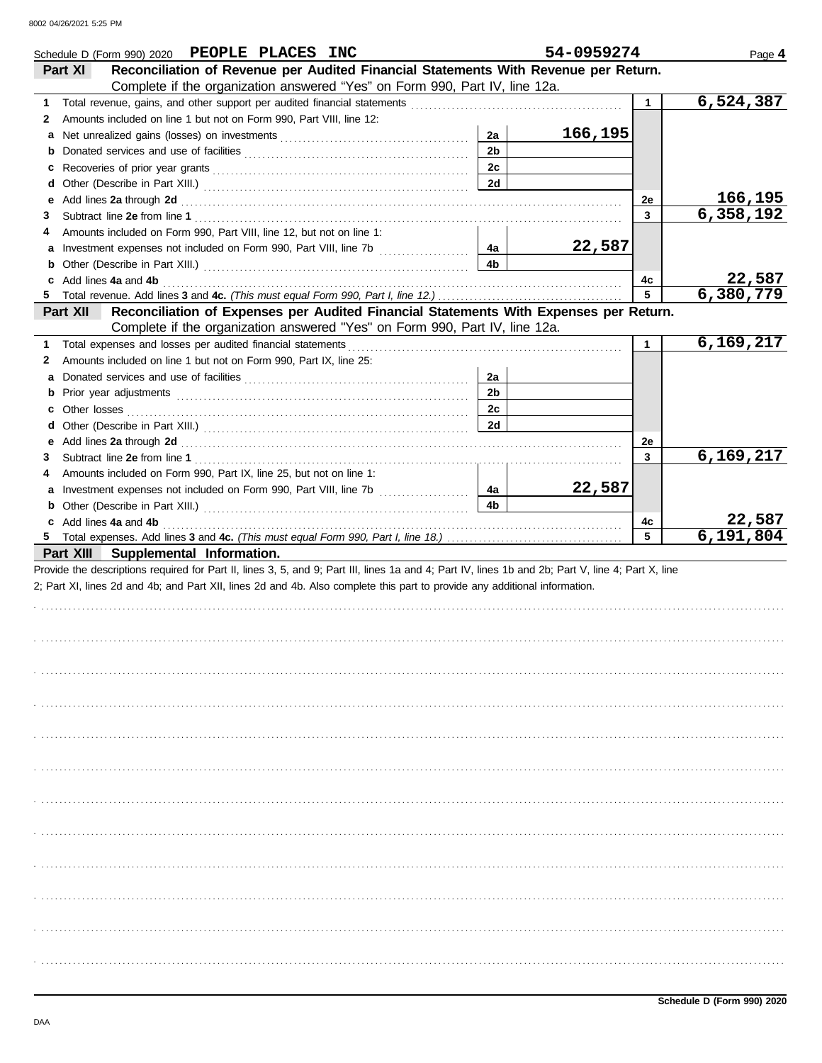|    | Schedule D (Form 990) 2020 PEOPLE PLACES INC                                                                                                                                                                                   |                | 54-0959274 |              | Page 4    |
|----|--------------------------------------------------------------------------------------------------------------------------------------------------------------------------------------------------------------------------------|----------------|------------|--------------|-----------|
|    | Reconciliation of Revenue per Audited Financial Statements With Revenue per Return.<br>Part XI                                                                                                                                 |                |            |              |           |
|    | Complete if the organization answered "Yes" on Form 990, Part IV, line 12a.                                                                                                                                                    |                |            |              |           |
| 1. |                                                                                                                                                                                                                                |                |            | $\mathbf{1}$ | 6,524,387 |
| 2  | Amounts included on line 1 but not on Form 990, Part VIII, line 12:                                                                                                                                                            |                |            |              |           |
|    |                                                                                                                                                                                                                                | 2a             | 166,195    |              |           |
|    |                                                                                                                                                                                                                                | 2 <sub>b</sub> |            |              |           |
|    |                                                                                                                                                                                                                                | 2c             |            |              |           |
|    |                                                                                                                                                                                                                                | 2d             |            |              |           |
| е  | Add lines 2a through 2d [11] Annual Material Material Material Material Material Material Material Material Material Material Material Material Material Material Material Material Material Material Material Material Materi |                |            | 2e           | 166,195   |
| 3  |                                                                                                                                                                                                                                |                |            | $\mathbf{3}$ | 6,358,192 |
| 4  | Amounts included on Form 990, Part VIII, line 12, but not on line 1:                                                                                                                                                           |                |            |              |           |
|    |                                                                                                                                                                                                                                | 4a             | 22,587     |              |           |
|    |                                                                                                                                                                                                                                | 4b             |            |              |           |
|    | c Add lines 4a and 4b                                                                                                                                                                                                          |                |            | 4с           | 22,587    |
| 5  |                                                                                                                                                                                                                                |                |            | 5            | 6,380,779 |
|    | Reconciliation of Expenses per Audited Financial Statements With Expenses per Return.<br>Part XII                                                                                                                              |                |            |              |           |
|    | Complete if the organization answered "Yes" on Form 990, Part IV, line 12a.                                                                                                                                                    |                |            |              |           |
| 1. |                                                                                                                                                                                                                                |                |            | $\mathbf{1}$ | 6,169,217 |
| 2  | Amounts included on line 1 but not on Form 990, Part IX, line 25:                                                                                                                                                              |                |            |              |           |
|    |                                                                                                                                                                                                                                | 2a             |            |              |           |
|    |                                                                                                                                                                                                                                | 2 <sub>b</sub> |            |              |           |
|    |                                                                                                                                                                                                                                | 2c             |            |              |           |
|    |                                                                                                                                                                                                                                | 2d             |            |              |           |
| 3  |                                                                                                                                                                                                                                |                |            | 2e<br>3      | 6,169,217 |
| 4  | Amounts included on Form 990, Part IX, line 25, but not on line 1:                                                                                                                                                             |                |            |              |           |
|    |                                                                                                                                                                                                                                |                |            |              |           |
|    |                                                                                                                                                                                                                                |                |            |              |           |
|    |                                                                                                                                                                                                                                | 4a             | 22,587     |              |           |
|    |                                                                                                                                                                                                                                | 4b             |            |              |           |
|    | c Add lines 4a and 4b                                                                                                                                                                                                          |                |            | 4с<br>5      | 22,587    |
|    |                                                                                                                                                                                                                                |                |            |              | 6,191,804 |
|    | Part XIII Supplemental Information.                                                                                                                                                                                            |                |            |              |           |
|    | Provide the descriptions required for Part II, lines 3, 5, and 9; Part III, lines 1a and 4; Part IV, lines 1b and 2b; Part V, line 4; Part X, line                                                                             |                |            |              |           |
|    | 2; Part XI, lines 2d and 4b; and Part XII, lines 2d and 4b. Also complete this part to provide any additional information.                                                                                                     |                |            |              |           |
|    |                                                                                                                                                                                                                                |                |            |              |           |
|    |                                                                                                                                                                                                                                |                |            |              |           |
|    |                                                                                                                                                                                                                                |                |            |              |           |
|    |                                                                                                                                                                                                                                |                |            |              |           |
|    |                                                                                                                                                                                                                                |                |            |              |           |
|    |                                                                                                                                                                                                                                |                |            |              |           |
|    |                                                                                                                                                                                                                                |                |            |              |           |
|    |                                                                                                                                                                                                                                |                |            |              |           |
|    |                                                                                                                                                                                                                                |                |            |              |           |
|    |                                                                                                                                                                                                                                |                |            |              |           |
|    |                                                                                                                                                                                                                                |                |            |              |           |
|    |                                                                                                                                                                                                                                |                |            |              |           |
|    |                                                                                                                                                                                                                                |                |            |              |           |
|    |                                                                                                                                                                                                                                |                |            |              |           |
|    |                                                                                                                                                                                                                                |                |            |              |           |
|    |                                                                                                                                                                                                                                |                |            |              |           |
|    |                                                                                                                                                                                                                                |                |            |              |           |
|    |                                                                                                                                                                                                                                |                |            |              |           |
|    |                                                                                                                                                                                                                                |                |            |              |           |
|    |                                                                                                                                                                                                                                |                |            |              |           |
|    |                                                                                                                                                                                                                                |                |            |              |           |
|    |                                                                                                                                                                                                                                |                |            |              |           |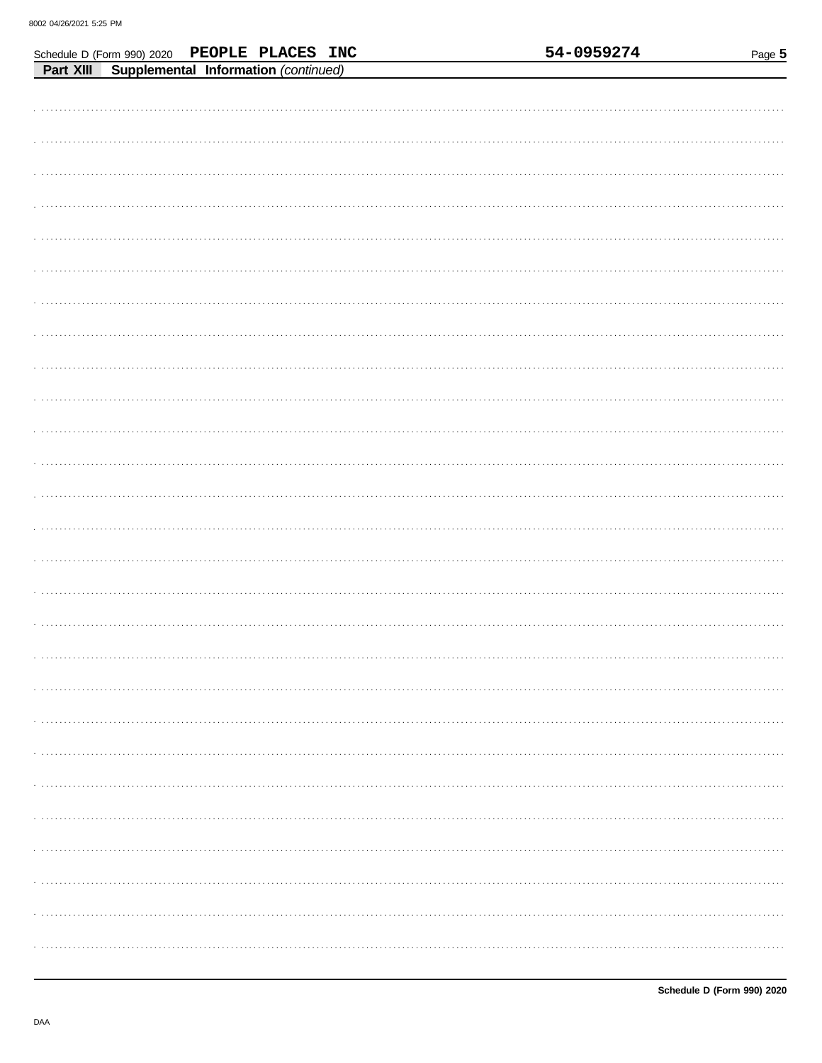| Schedule D (Form 990) 2020                     | PEOPLE PLACES INC |  |  | 54-0959274 | Page 5 |
|------------------------------------------------|-------------------|--|--|------------|--------|
| Part XIII Supplemental Information (continued) |                   |  |  |            |        |
|                                                |                   |  |  |            |        |
|                                                |                   |  |  |            |        |
|                                                |                   |  |  |            |        |
|                                                |                   |  |  |            |        |
|                                                |                   |  |  |            |        |
|                                                |                   |  |  |            |        |
|                                                |                   |  |  |            |        |
|                                                |                   |  |  |            |        |
|                                                |                   |  |  |            |        |
|                                                |                   |  |  |            |        |
|                                                |                   |  |  |            |        |
|                                                |                   |  |  |            |        |
|                                                |                   |  |  |            |        |
|                                                |                   |  |  |            |        |
|                                                |                   |  |  |            |        |
|                                                |                   |  |  |            |        |
|                                                |                   |  |  |            |        |
|                                                |                   |  |  |            |        |
|                                                |                   |  |  |            |        |
|                                                |                   |  |  |            |        |
|                                                |                   |  |  |            |        |
|                                                |                   |  |  |            |        |
|                                                |                   |  |  |            |        |
|                                                |                   |  |  |            |        |
|                                                |                   |  |  |            |        |
|                                                |                   |  |  |            |        |
|                                                |                   |  |  |            |        |
|                                                |                   |  |  |            |        |
|                                                |                   |  |  |            |        |
|                                                |                   |  |  |            |        |
|                                                |                   |  |  |            |        |
|                                                |                   |  |  |            |        |
|                                                |                   |  |  |            |        |
|                                                |                   |  |  |            |        |
|                                                |                   |  |  |            |        |
|                                                |                   |  |  |            |        |
|                                                |                   |  |  |            |        |
|                                                |                   |  |  |            |        |
|                                                |                   |  |  |            |        |
|                                                |                   |  |  |            |        |
|                                                |                   |  |  |            |        |
|                                                |                   |  |  |            |        |
|                                                |                   |  |  |            |        |
|                                                |                   |  |  |            |        |
|                                                |                   |  |  |            |        |
|                                                |                   |  |  |            |        |
|                                                |                   |  |  |            |        |
|                                                |                   |  |  |            |        |
|                                                |                   |  |  |            |        |
|                                                |                   |  |  |            |        |
|                                                |                   |  |  |            |        |
|                                                |                   |  |  |            |        |
|                                                |                   |  |  |            |        |
|                                                |                   |  |  |            |        |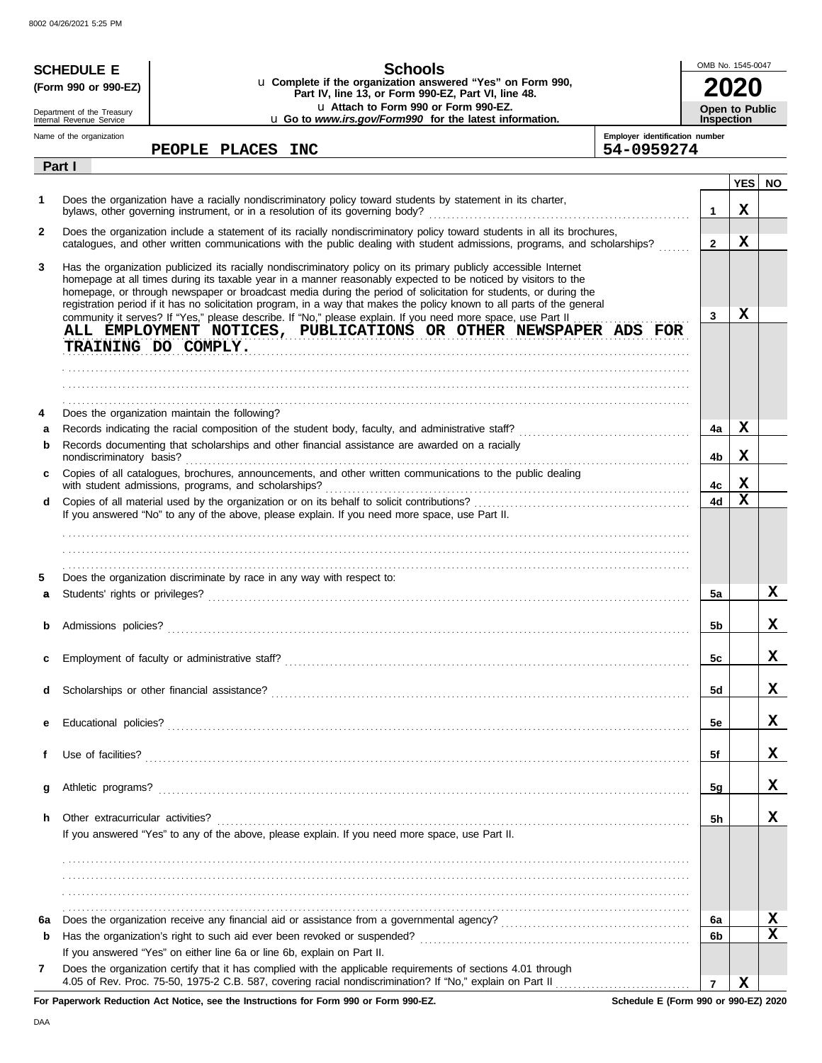| <b>Schools</b><br><b>SCHEDULE E</b><br>u Complete if the organization answered "Yes" on Form 990,<br>(Form 990 or 990-EZ)<br>Part IV, line 13, or Form 990-EZ, Part VI, line 48. |                                                        |                                                                                                                                                                                                                                                                                                                                                                                                                                                                                                                                                                                                                                                                      | OMB No. 1545-0047                            |                                            |                 |           |
|----------------------------------------------------------------------------------------------------------------------------------------------------------------------------------|--------------------------------------------------------|----------------------------------------------------------------------------------------------------------------------------------------------------------------------------------------------------------------------------------------------------------------------------------------------------------------------------------------------------------------------------------------------------------------------------------------------------------------------------------------------------------------------------------------------------------------------------------------------------------------------------------------------------------------------|----------------------------------------------|--------------------------------------------|-----------------|-----------|
|                                                                                                                                                                                  | Department of the Treasury<br>Internal Revenue Service | u Attach to Form 990 or Form 990-EZ.<br>u Go to www.irs.gov/Form990 for the latest information.                                                                                                                                                                                                                                                                                                                                                                                                                                                                                                                                                                      |                                              | <b>Open to Public</b><br><b>Inspection</b> |                 |           |
|                                                                                                                                                                                  | Name of the organization                               | PEOPLE PLACES INC                                                                                                                                                                                                                                                                                                                                                                                                                                                                                                                                                                                                                                                    | Employer identification number<br>54-0959274 |                                            |                 |           |
|                                                                                                                                                                                  | Part I                                                 |                                                                                                                                                                                                                                                                                                                                                                                                                                                                                                                                                                                                                                                                      |                                              |                                            |                 |           |
| 1                                                                                                                                                                                |                                                        | Does the organization have a racially nondiscriminatory policy toward students by statement in its charter,                                                                                                                                                                                                                                                                                                                                                                                                                                                                                                                                                          |                                              | $\mathbf 1$                                | <b>YES</b><br>X | <b>NO</b> |
| $\mathbf{2}$                                                                                                                                                                     |                                                        | Does the organization include a statement of its racially nondiscriminatory policy toward students in all its brochures,<br>catalogues, and other written communications with the public dealing with student admissions, programs, and scholarships?                                                                                                                                                                                                                                                                                                                                                                                                                |                                              | $\mathbf{2}$                               | X               |           |
| 3                                                                                                                                                                                |                                                        | Has the organization publicized its racially nondiscriminatory policy on its primary publicly accessible Internet<br>homepage at all times during its taxable year in a manner reasonably expected to be noticed by visitors to the<br>homepage, or through newspaper or broadcast media during the period of solicitation for students, or during the<br>registration period if it has no solicitation program, in a way that makes the policy known to all parts of the general<br>community it serves? If "Yes," please describe. If "No," please explain. If you need more space, use Part II<br>ALL EMPLOYMENT NOTICES, PUBLICATIONS OR OTHER NEWSPAPER ADS FOR |                                              | 3                                          | X               |           |
|                                                                                                                                                                                  |                                                        | TRAINING DO COMPLY.                                                                                                                                                                                                                                                                                                                                                                                                                                                                                                                                                                                                                                                  |                                              |                                            |                 |           |
| 4                                                                                                                                                                                |                                                        | Does the organization maintain the following?                                                                                                                                                                                                                                                                                                                                                                                                                                                                                                                                                                                                                        |                                              |                                            | X               |           |
| a<br>b                                                                                                                                                                           |                                                        | Records documenting that scholarships and other financial assistance are awarded on a racially                                                                                                                                                                                                                                                                                                                                                                                                                                                                                                                                                                       |                                              | 4a<br>4b                                   | X               |           |
| C                                                                                                                                                                                |                                                        | Copies of all catalogues, brochures, announcements, and other written communications to the public dealing                                                                                                                                                                                                                                                                                                                                                                                                                                                                                                                                                           |                                              |                                            |                 |           |
| d                                                                                                                                                                                |                                                        |                                                                                                                                                                                                                                                                                                                                                                                                                                                                                                                                                                                                                                                                      |                                              | 4c<br>4d                                   | х<br>X          |           |
|                                                                                                                                                                                  |                                                        | If you answered "No" to any of the above, please explain. If you need more space, use Part II.                                                                                                                                                                                                                                                                                                                                                                                                                                                                                                                                                                       |                                              |                                            |                 |           |
| 5<br>a                                                                                                                                                                           |                                                        | Does the organization discriminate by race in any way with respect to:                                                                                                                                                                                                                                                                                                                                                                                                                                                                                                                                                                                               |                                              | 5a                                         |                 | x         |
|                                                                                                                                                                                  |                                                        |                                                                                                                                                                                                                                                                                                                                                                                                                                                                                                                                                                                                                                                                      |                                              | 5b                                         |                 | x         |
| c                                                                                                                                                                                |                                                        |                                                                                                                                                                                                                                                                                                                                                                                                                                                                                                                                                                                                                                                                      |                                              | 5c                                         |                 | x         |
| d                                                                                                                                                                                |                                                        |                                                                                                                                                                                                                                                                                                                                                                                                                                                                                                                                                                                                                                                                      |                                              | 5d                                         |                 | x         |
| е                                                                                                                                                                                |                                                        |                                                                                                                                                                                                                                                                                                                                                                                                                                                                                                                                                                                                                                                                      |                                              | 5e                                         |                 | X         |
| f                                                                                                                                                                                |                                                        |                                                                                                                                                                                                                                                                                                                                                                                                                                                                                                                                                                                                                                                                      |                                              | 5f                                         |                 | X         |
| g                                                                                                                                                                                |                                                        |                                                                                                                                                                                                                                                                                                                                                                                                                                                                                                                                                                                                                                                                      |                                              | 5g                                         |                 | X         |
| h.                                                                                                                                                                               | Other extracurricular activities?                      | If you answered "Yes" to any of the above, please explain. If you need more space, use Part II.                                                                                                                                                                                                                                                                                                                                                                                                                                                                                                                                                                      |                                              | 5h                                         |                 | x         |
|                                                                                                                                                                                  |                                                        |                                                                                                                                                                                                                                                                                                                                                                                                                                                                                                                                                                                                                                                                      |                                              |                                            |                 |           |
| 6а                                                                                                                                                                               |                                                        |                                                                                                                                                                                                                                                                                                                                                                                                                                                                                                                                                                                                                                                                      |                                              | 6а                                         |                 | X         |
| b                                                                                                                                                                                |                                                        |                                                                                                                                                                                                                                                                                                                                                                                                                                                                                                                                                                                                                                                                      |                                              | 6b                                         |                 | X         |
| 7                                                                                                                                                                                |                                                        | If you answered "Yes" on either line 6a or line 6b, explain on Part II.<br>Does the organization certify that it has complied with the applicable requirements of sections 4.01 through                                                                                                                                                                                                                                                                                                                                                                                                                                                                              |                                              | $\overline{7}$                             | x               |           |

**For Paperwork Reduction Act Notice, see the Instructions for Form 990 or Form 990-EZ.**

**Schedule E (Form 990 or 990-EZ) 2020**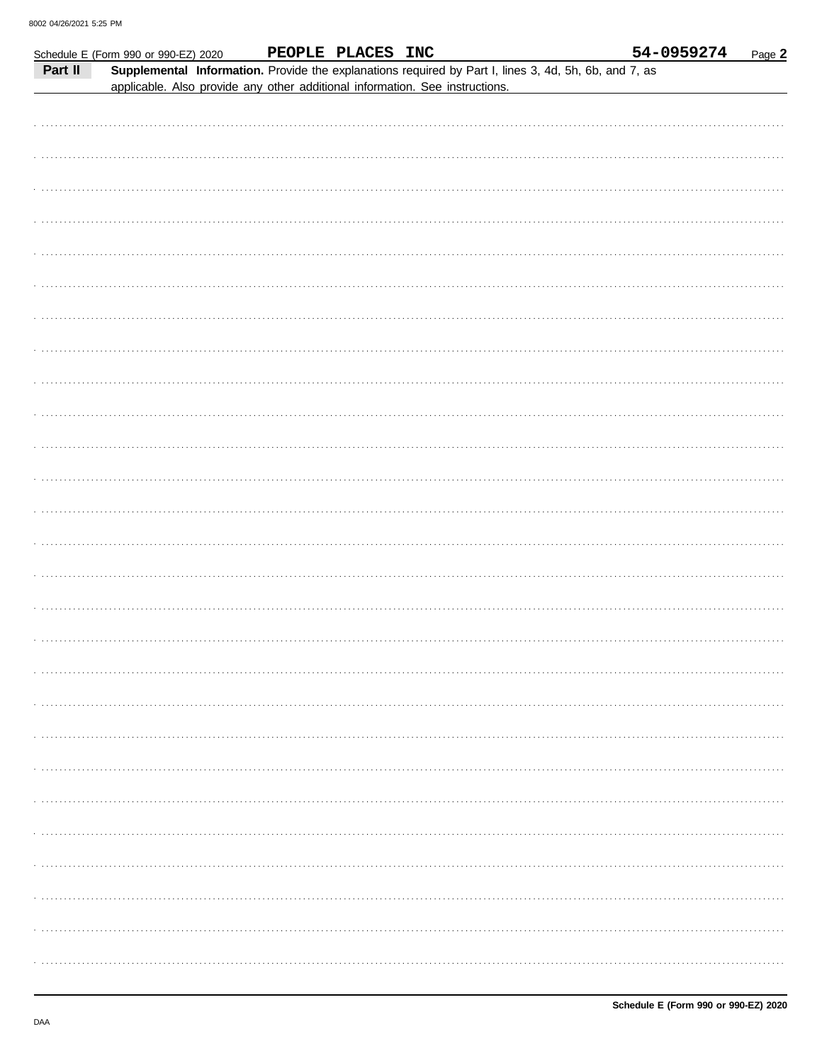|         | Schedule E (Form 990 or 990-EZ) 2020                                         |  | PEOPLE PLACES INC |                                                                                                       | 54-0959274 | Page 2 |
|---------|------------------------------------------------------------------------------|--|-------------------|-------------------------------------------------------------------------------------------------------|------------|--------|
| Part II | applicable. Also provide any other additional information. See instructions. |  |                   | Supplemental Information. Provide the explanations required by Part I, lines 3, 4d, 5h, 6b, and 7, as |            |        |
|         |                                                                              |  |                   |                                                                                                       |            |        |
|         |                                                                              |  |                   |                                                                                                       |            |        |
|         |                                                                              |  |                   |                                                                                                       |            |        |
|         |                                                                              |  |                   |                                                                                                       |            |        |
|         |                                                                              |  |                   |                                                                                                       |            |        |
|         |                                                                              |  |                   |                                                                                                       |            |        |
|         |                                                                              |  |                   |                                                                                                       |            |        |
|         |                                                                              |  |                   |                                                                                                       |            |        |
|         |                                                                              |  |                   |                                                                                                       |            |        |
|         |                                                                              |  |                   |                                                                                                       |            |        |
|         |                                                                              |  |                   |                                                                                                       |            |        |
|         |                                                                              |  |                   |                                                                                                       |            |        |
|         |                                                                              |  |                   |                                                                                                       |            |        |
|         |                                                                              |  |                   |                                                                                                       |            |        |
|         |                                                                              |  |                   |                                                                                                       |            |        |
|         |                                                                              |  |                   |                                                                                                       |            |        |
|         |                                                                              |  |                   |                                                                                                       |            |        |
|         |                                                                              |  |                   |                                                                                                       |            |        |
|         |                                                                              |  |                   |                                                                                                       |            |        |
|         |                                                                              |  |                   |                                                                                                       |            |        |
|         |                                                                              |  |                   |                                                                                                       |            |        |
|         |                                                                              |  |                   |                                                                                                       |            |        |
|         |                                                                              |  |                   |                                                                                                       |            |        |
|         |                                                                              |  |                   |                                                                                                       |            |        |
|         |                                                                              |  |                   |                                                                                                       |            |        |
|         |                                                                              |  |                   |                                                                                                       |            |        |
|         |                                                                              |  |                   |                                                                                                       |            |        |
|         |                                                                              |  |                   |                                                                                                       |            |        |
|         |                                                                              |  |                   |                                                                                                       |            |        |
|         |                                                                              |  |                   |                                                                                                       |            |        |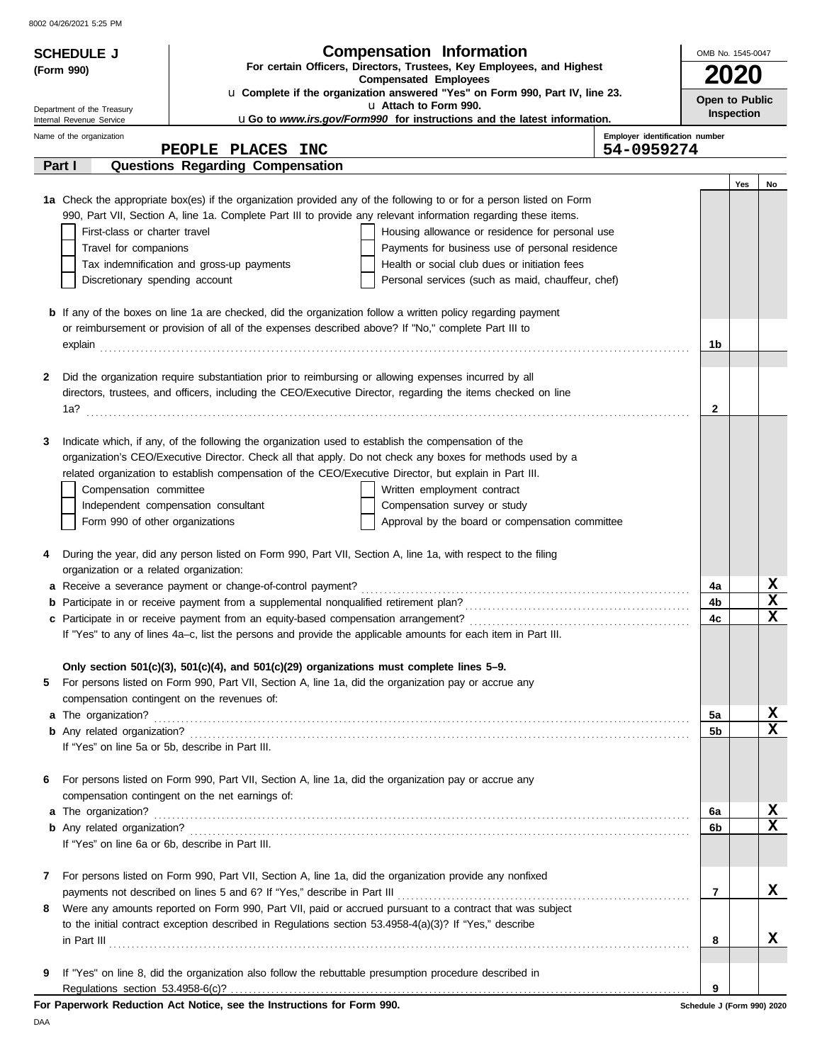8002 04/26/2021 5:25 PM

| <b>SCHEDULE J</b>                       |                                                                                                                                                     | <b>Compensation Information</b>                                                                                      | OMB No. 1545-0047          |                   |    |  |
|-----------------------------------------|-----------------------------------------------------------------------------------------------------------------------------------------------------|----------------------------------------------------------------------------------------------------------------------|----------------------------|-------------------|----|--|
| (Form 990)                              |                                                                                                                                                     | For certain Officers, Directors, Trustees, Key Employees, and Highest                                                |                            | <b>2020</b>       |    |  |
|                                         |                                                                                                                                                     | <b>Compensated Employees</b><br>u Complete if the organization answered "Yes" on Form 990, Part IV, line 23.         |                            |                   |    |  |
| Department of the Treasury              |                                                                                                                                                     | u Attach to Form 990.                                                                                                | Open to Public             |                   |    |  |
| Internal Revenue Service                |                                                                                                                                                     | uGo to www.irs.gov/Form990 for instructions and the latest information.                                              |                            | <b>Inspection</b> |    |  |
| Name of the organization                | PEOPLE PLACES INC                                                                                                                                   | Employer identification number<br>54-0959274                                                                         |                            |                   |    |  |
| Part I                                  | Questions Regarding Compensation                                                                                                                    |                                                                                                                      |                            |                   |    |  |
|                                         |                                                                                                                                                     |                                                                                                                      |                            | Yes               | No |  |
|                                         |                                                                                                                                                     | 1a Check the appropriate box(es) if the organization provided any of the following to or for a person listed on Form |                            |                   |    |  |
|                                         |                                                                                                                                                     | 990, Part VII, Section A, line 1a. Complete Part III to provide any relevant information regarding these items.      |                            |                   |    |  |
| First-class or charter travel           |                                                                                                                                                     | Housing allowance or residence for personal use                                                                      |                            |                   |    |  |
| Travel for companions                   |                                                                                                                                                     | Payments for business use of personal residence                                                                      |                            |                   |    |  |
|                                         | Tax indemnification and gross-up payments                                                                                                           | Health or social club dues or initiation fees                                                                        |                            |                   |    |  |
| Discretionary spending account          |                                                                                                                                                     | Personal services (such as maid, chauffeur, chef)                                                                    |                            |                   |    |  |
|                                         |                                                                                                                                                     | <b>b</b> If any of the boxes on line 1a are checked, did the organization follow a written policy regarding payment  |                            |                   |    |  |
|                                         | or reimbursement or provision of all of the expenses described above? If "No," complete Part III to                                                 |                                                                                                                      |                            |                   |    |  |
|                                         |                                                                                                                                                     | explain explain                                                                                                      | 1b                         |                   |    |  |
|                                         |                                                                                                                                                     |                                                                                                                      |                            |                   |    |  |
| 2                                       | Did the organization require substantiation prior to reimbursing or allowing expenses incurred by all                                               |                                                                                                                      |                            |                   |    |  |
|                                         |                                                                                                                                                     | directors, trustees, and officers, including the CEO/Executive Director, regarding the items checked on line         |                            |                   |    |  |
|                                         |                                                                                                                                                     |                                                                                                                      | 2                          |                   |    |  |
|                                         |                                                                                                                                                     |                                                                                                                      |                            |                   |    |  |
| 3                                       | Indicate which, if any, of the following the organization used to establish the compensation of the                                                 |                                                                                                                      |                            |                   |    |  |
|                                         |                                                                                                                                                     | organization's CEO/Executive Director. Check all that apply. Do not check any boxes for methods used by a            |                            |                   |    |  |
|                                         | related organization to establish compensation of the CEO/Executive Director, but explain in Part III.                                              |                                                                                                                      |                            |                   |    |  |
| Compensation committee                  |                                                                                                                                                     | Written employment contract                                                                                          |                            |                   |    |  |
| Form 990 of other organizations         | Independent compensation consultant                                                                                                                 | Compensation survey or study<br>Approval by the board or compensation committee                                      |                            |                   |    |  |
|                                         |                                                                                                                                                     |                                                                                                                      |                            |                   |    |  |
| 4                                       |                                                                                                                                                     | During the year, did any person listed on Form 990, Part VII, Section A, line 1a, with respect to the filing         |                            |                   |    |  |
| organization or a related organization: |                                                                                                                                                     |                                                                                                                      |                            |                   |    |  |
|                                         | a Receive a severance payment or change-of-control payment?                                                                                         |                                                                                                                      | 4a                         |                   | х  |  |
|                                         |                                                                                                                                                     |                                                                                                                      | 4b                         |                   | X  |  |
|                                         |                                                                                                                                                     |                                                                                                                      | 4c                         |                   | X  |  |
|                                         |                                                                                                                                                     | If "Yes" to any of lines 4a-c, list the persons and provide the applicable amounts for each item in Part III.        |                            |                   |    |  |
|                                         |                                                                                                                                                     |                                                                                                                      |                            |                   |    |  |
|                                         | Only section $501(c)(3)$ , $501(c)(4)$ , and $501(c)(29)$ organizations must complete lines $5-9$ .                                                 |                                                                                                                      |                            |                   |    |  |
| 5                                       | For persons listed on Form 990, Part VII, Section A, line 1a, did the organization pay or accrue any<br>compensation contingent on the revenues of: |                                                                                                                      |                            |                   |    |  |
|                                         |                                                                                                                                                     |                                                                                                                      | 5a                         |                   | X  |  |
|                                         |                                                                                                                                                     |                                                                                                                      | 5b                         |                   | X  |  |
|                                         | If "Yes" on line 5a or 5b, describe in Part III.                                                                                                    |                                                                                                                      |                            |                   |    |  |
|                                         |                                                                                                                                                     |                                                                                                                      |                            |                   |    |  |
| 6                                       | For persons listed on Form 990, Part VII, Section A, line 1a, did the organization pay or accrue any                                                |                                                                                                                      |                            |                   |    |  |
|                                         | compensation contingent on the net earnings of:                                                                                                     |                                                                                                                      |                            |                   |    |  |
| a The organization?                     |                                                                                                                                                     |                                                                                                                      | 6a                         |                   | x  |  |
|                                         |                                                                                                                                                     |                                                                                                                      | 6b                         |                   | X  |  |
|                                         | If "Yes" on line 6a or 6b, describe in Part III.                                                                                                    |                                                                                                                      |                            |                   |    |  |
|                                         |                                                                                                                                                     |                                                                                                                      |                            |                   |    |  |
| 7                                       | For persons listed on Form 990, Part VII, Section A, line 1a, did the organization provide any nonfixed                                             |                                                                                                                      |                            |                   | x  |  |
| 8                                       | payments not described on lines 5 and 6? If "Yes," describe in Part III                                                                             | Were any amounts reported on Form 990, Part VII, paid or accrued pursuant to a contract that was subject             | 7                          |                   |    |  |
|                                         | to the initial contract exception described in Regulations section 53.4958-4(a)(3)? If "Yes," describe                                              |                                                                                                                      |                            |                   |    |  |
|                                         |                                                                                                                                                     | $\ $ n Part III $\ $                                                                                                 | 8                          |                   | x  |  |
|                                         |                                                                                                                                                     |                                                                                                                      |                            |                   |    |  |
| 9                                       | If "Yes" on line 8, did the organization also follow the rebuttable presumption procedure described in                                              |                                                                                                                      |                            |                   |    |  |
|                                         |                                                                                                                                                     |                                                                                                                      | 9                          |                   |    |  |
|                                         | For Paperwork Reduction Act Notice, see the Instructions for Form 990.                                                                              |                                                                                                                      | Schedule J (Form 990) 2020 |                   |    |  |

DAA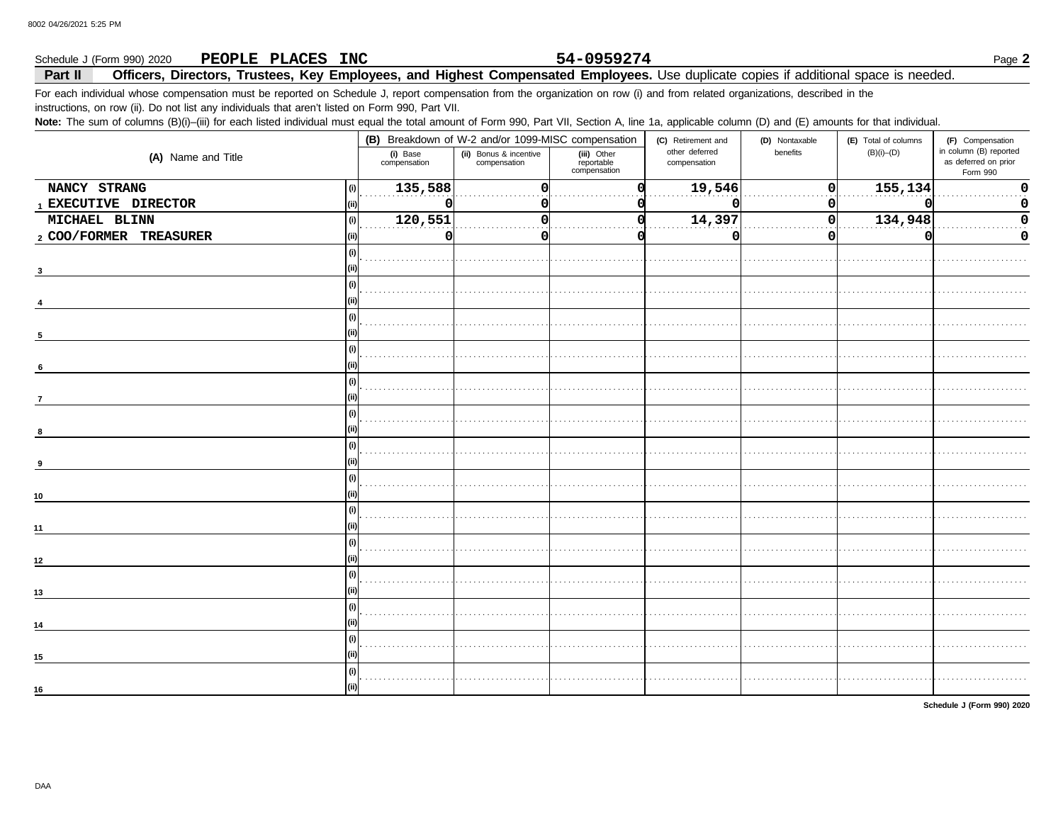### Schedule J (Form 990) 2020 PEOPLE PLACES INC Officers, Directors, Trustees, Key Employees, and Highest Compensated Employees. Use duplicate copies if additional space is needed. Part II

For each individual whose compensation must be reported on Schedule J, report compensation from the organization on row (i) and from related organizations, described in the

instructions, on row (ii). Do not list any individuals that aren't listed on Form 990, Part VII.

Note: The sum of columns (B)(i)-(iii) for each listed individual must equal the total amount of Form 990, Part VII, Section A, line 1a, applicable column (D) and (E) amounts for that individual.

|                                |                          | (B) Breakdown of W-2 and/or 1099-MISC compensation |                                           | (C) Retirement and             | (D) Nontaxable | (E) Total of columns | (F) Compensation                                           |
|--------------------------------|--------------------------|----------------------------------------------------|-------------------------------------------|--------------------------------|----------------|----------------------|------------------------------------------------------------|
| (A) Name and Title             | (i) Base<br>compensation | (ii) Bonus & incentive<br>compensation             | (iii) Other<br>reportable<br>compensation | other deferred<br>compensation | benefits       | $(B)(i)$ - $(D)$     | in column (B) reported<br>as deferred on prior<br>Form 990 |
| NANCY STRANG<br>(i)            | 135,588                  | 0                                                  |                                           | 19,546                         | οI             | 155,134              | $\mathbf 0$                                                |
| 1 EXECUTIVE DIRECTOR           |                          |                                                    |                                           |                                | 0              |                      | 0                                                          |
| MICHAEL BLINN<br>(i)           | 120,551                  | n                                                  |                                           | 14,397                         | 0              | 134,948              | 0                                                          |
| 2 COO/FORMER TREASURER<br>(ii) | 0                        | O                                                  |                                           |                                | 0              |                      | 0                                                          |
|                                |                          |                                                    |                                           |                                |                |                      |                                                            |
|                                |                          |                                                    |                                           |                                |                |                      |                                                            |
|                                |                          |                                                    |                                           |                                |                |                      |                                                            |
| (i)                            |                          |                                                    |                                           |                                |                |                      |                                                            |
|                                |                          |                                                    |                                           |                                |                |                      |                                                            |
| (i)                            |                          |                                                    |                                           |                                |                |                      |                                                            |
| 6                              |                          |                                                    |                                           |                                |                |                      |                                                            |
| $\overline{7}$                 |                          |                                                    |                                           |                                |                |                      |                                                            |
|                                |                          |                                                    |                                           |                                |                |                      |                                                            |
|                                |                          |                                                    |                                           |                                |                |                      |                                                            |
|                                |                          |                                                    |                                           |                                |                |                      |                                                            |
|                                |                          |                                                    |                                           |                                |                |                      |                                                            |
| 10                             |                          |                                                    |                                           |                                |                |                      |                                                            |
|                                |                          |                                                    |                                           |                                |                |                      |                                                            |
| 11                             |                          |                                                    |                                           |                                |                |                      |                                                            |
| 12                             |                          |                                                    |                                           |                                |                |                      |                                                            |
|                                |                          |                                                    |                                           |                                |                |                      |                                                            |
| 13                             |                          |                                                    |                                           |                                |                |                      |                                                            |
| 14                             |                          |                                                    |                                           |                                |                |                      |                                                            |
|                                |                          |                                                    |                                           |                                |                |                      |                                                            |
| 15                             |                          |                                                    |                                           |                                |                |                      |                                                            |
| (ii)                           |                          |                                                    |                                           |                                |                |                      |                                                            |
| 16                             |                          |                                                    |                                           |                                |                |                      |                                                            |

Schedule J (Form 990) 2020

54-0959274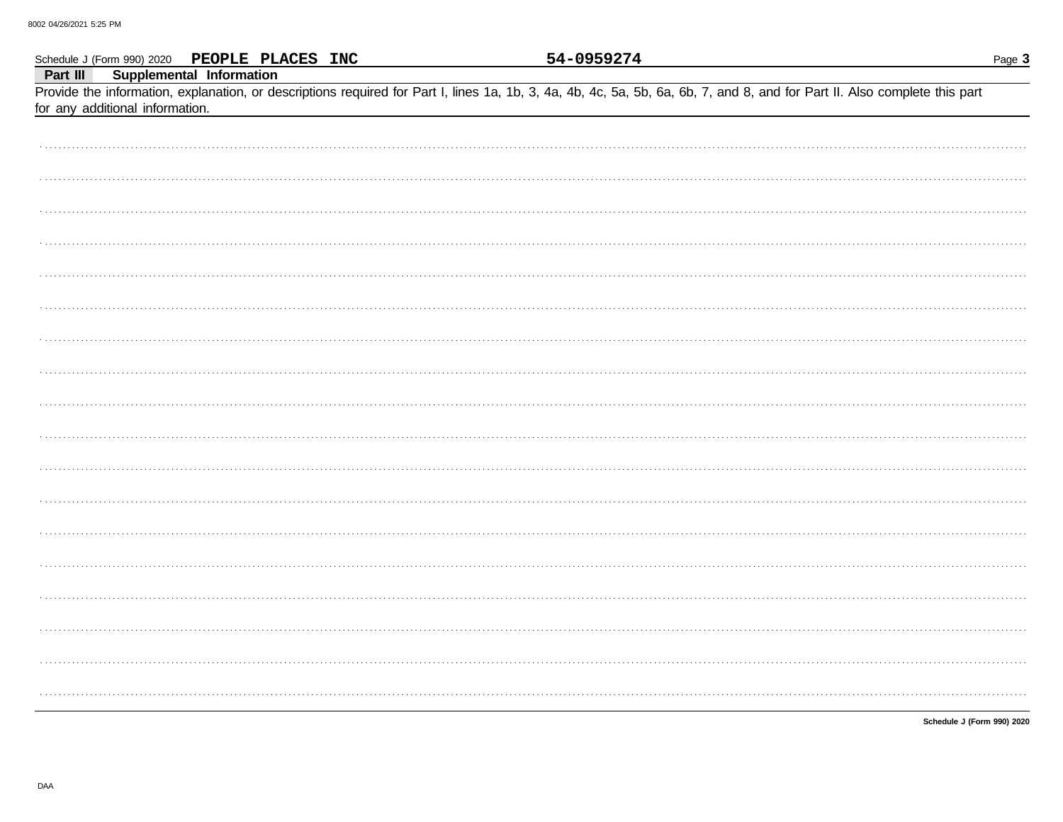|          |                                 |                          | Schedule J (Form 990) 2020 PEOPLE PLACES INC |  | 54-0959274 |                                                                                                                                                                            | Page 3 |
|----------|---------------------------------|--------------------------|----------------------------------------------|--|------------|----------------------------------------------------------------------------------------------------------------------------------------------------------------------------|--------|
| Part III | for any additional information. | Supplemental Information |                                              |  |            | Provide the information, explanation, or descriptions required for Part I, lines 1a, 1b, 3, 4a, 4b, 4c, 5a, 5b, 6a, 6b, 7, and 8, and for Part II. Also complete this part |        |
|          |                                 |                          |                                              |  |            |                                                                                                                                                                            |        |
|          |                                 |                          |                                              |  |            |                                                                                                                                                                            |        |
|          |                                 |                          |                                              |  |            |                                                                                                                                                                            |        |
|          |                                 |                          |                                              |  |            |                                                                                                                                                                            |        |
|          |                                 |                          |                                              |  |            |                                                                                                                                                                            |        |
|          |                                 |                          |                                              |  |            |                                                                                                                                                                            |        |
|          |                                 |                          |                                              |  |            |                                                                                                                                                                            |        |
|          |                                 |                          |                                              |  |            |                                                                                                                                                                            |        |
|          |                                 |                          |                                              |  |            |                                                                                                                                                                            |        |
|          |                                 |                          |                                              |  |            |                                                                                                                                                                            |        |
|          |                                 |                          |                                              |  |            |                                                                                                                                                                            |        |
|          |                                 |                          |                                              |  |            |                                                                                                                                                                            |        |
|          |                                 |                          |                                              |  |            |                                                                                                                                                                            |        |
|          |                                 |                          |                                              |  |            |                                                                                                                                                                            |        |
|          |                                 |                          |                                              |  |            |                                                                                                                                                                            |        |
|          |                                 |                          |                                              |  |            |                                                                                                                                                                            |        |
|          |                                 |                          |                                              |  |            |                                                                                                                                                                            |        |
|          |                                 |                          |                                              |  |            |                                                                                                                                                                            |        |
|          |                                 |                          |                                              |  |            |                                                                                                                                                                            |        |
|          |                                 |                          |                                              |  |            |                                                                                                                                                                            |        |
|          |                                 |                          |                                              |  |            |                                                                                                                                                                            |        |
|          |                                 |                          |                                              |  |            |                                                                                                                                                                            |        |
|          |                                 |                          |                                              |  |            |                                                                                                                                                                            |        |
|          |                                 |                          |                                              |  |            | Schedule J (Form 990) 2020                                                                                                                                                 |        |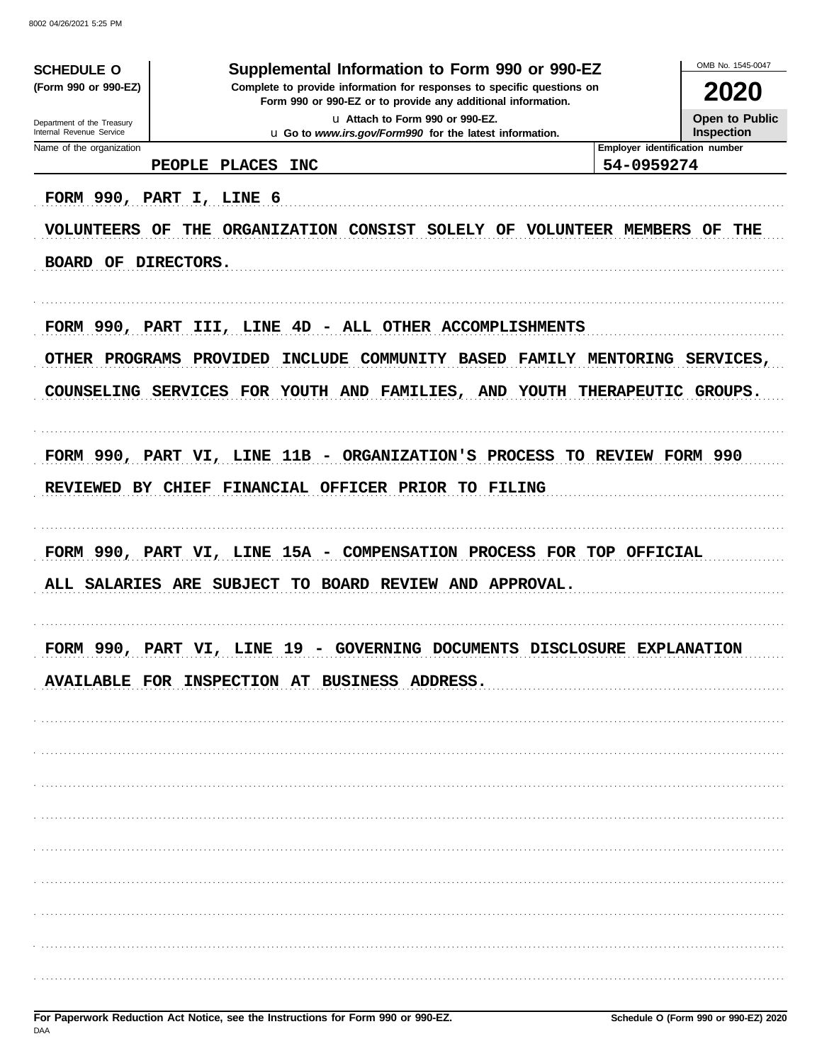8002 04/26/2021 5:25 PM

| <b>SCHEDULE O</b>                                      | Supplemental Information to Form 990 or 990-EZ                                                                                         | OMB No. 1545-0047                          |
|--------------------------------------------------------|----------------------------------------------------------------------------------------------------------------------------------------|--------------------------------------------|
| (Form 990 or 990-EZ)                                   | Complete to provide information for responses to specific questions on<br>Form 990 or 990-EZ or to provide any additional information. | <b>2020</b>                                |
| Department of the Treasury<br>Internal Revenue Service | u Attach to Form 990 or 990-EZ.                                                                                                        | <b>Open to Public</b><br><b>Inspection</b> |
| Name of the organization                               | u Go to www.irs.gov/Form990 for the latest information.                                                                                | Employer identification number             |
|                                                        | PEOPLE PLACES<br><b>INC</b>                                                                                                            | 54-0959274                                 |
|                                                        | FORM 990, PART I, LINE 6                                                                                                               |                                            |
| <b>VOLUNTEERS</b>                                      | THE ORGANIZATION CONSIST SOLELY OF VOLUNTEER MEMBERS<br>OF                                                                             | OF<br>THE                                  |
| BOARD OF DIRECTORS.                                    |                                                                                                                                        |                                            |
|                                                        |                                                                                                                                        |                                            |
|                                                        | FORM 990, PART III, LINE 4D - ALL OTHER ACCOMPLISHMENTS                                                                                |                                            |
|                                                        | OTHER PROGRAMS PROVIDED<br>INCLUDE COMMUNITY BASED FAMILY MENTORING                                                                    | <b>SERVICES,</b>                           |
|                                                        | COUNSELING SERVICES FOR YOUTH AND FAMILIES, AND YOUTH THERAPEUTIC                                                                      | <b>GROUPS.</b>                             |
|                                                        | FORM 990, PART VI, LINE 11B - ORGANIZATION'S PROCESS TO REVIEW FORM 990                                                                |                                            |
|                                                        |                                                                                                                                        |                                            |
|                                                        | REVIEWED BY CHIEF FINANCIAL OFFICER PRIOR TO FILING                                                                                    |                                            |
|                                                        | FORM 990, PART VI, LINE 15A - COMPENSATION PROCESS FOR TOP OFFICIAL                                                                    |                                            |
|                                                        | ALL SALARIES ARE SUBJECT TO BOARD REVIEW AND APPROVAL.                                                                                 |                                            |
| <b>DODM 990</b>                                        | <b>DART</b><br>COVERNING DOCUMENTS<br>T.TNR.<br>- 1 Q<br>- 37 T                                                                        | DISCLOSURE EXPLANATION                     |
|                                                        | AVAILABLE FOR INSPECTION AT BUSINESS ADDRESS.                                                                                          |                                            |
|                                                        |                                                                                                                                        |                                            |
|                                                        |                                                                                                                                        |                                            |
|                                                        |                                                                                                                                        |                                            |
|                                                        |                                                                                                                                        |                                            |
|                                                        |                                                                                                                                        |                                            |
|                                                        |                                                                                                                                        |                                            |
|                                                        |                                                                                                                                        |                                            |
|                                                        |                                                                                                                                        |                                            |
|                                                        |                                                                                                                                        |                                            |
|                                                        |                                                                                                                                        |                                            |
|                                                        |                                                                                                                                        |                                            |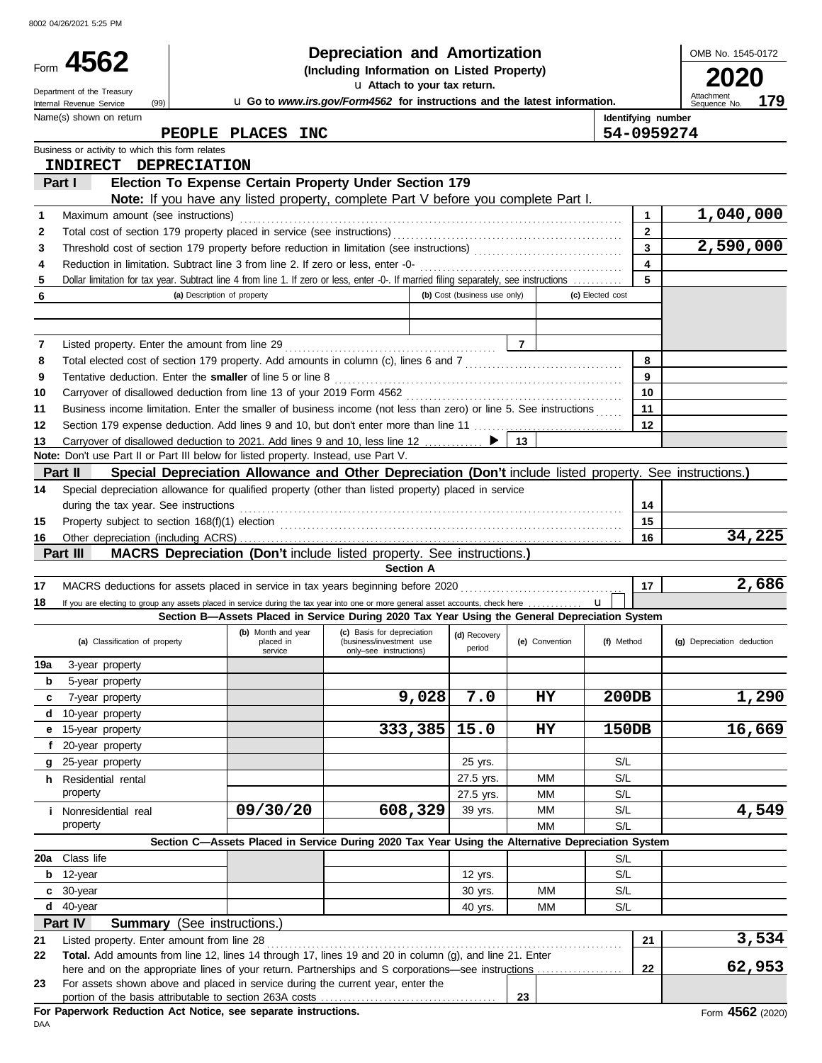8002 04/26/2021 5:25 PM

|     | Form 4562<br>Department of the Treasury                     |                                                                                                                                                                                                                                    |                                                                                  | OMB No. 1545-0172<br>Attachment<br>179 |                 |                  |                         |                                     |
|-----|-------------------------------------------------------------|------------------------------------------------------------------------------------------------------------------------------------------------------------------------------------------------------------------------------------|----------------------------------------------------------------------------------|----------------------------------------|-----------------|------------------|-------------------------|-------------------------------------|
|     | (99)<br>Internal Revenue Service<br>Name(s) shown on return |                                                                                                                                                                                                                                    | u Go to www.irs.gov/Form4562 for instructions and the latest information.        |                                        |                 |                  | Identifying number      | Sequence No.                        |
|     |                                                             | PEOPLE PLACES INC                                                                                                                                                                                                                  |                                                                                  |                                        |                 |                  |                         | 54-0959274                          |
|     | Business or activity to which this form relates             |                                                                                                                                                                                                                                    |                                                                                  |                                        |                 |                  |                         |                                     |
|     | INDIRECT DEPRECIATION                                       |                                                                                                                                                                                                                                    |                                                                                  |                                        |                 |                  |                         |                                     |
|     | Part I                                                      | Election To Expense Certain Property Under Section 179                                                                                                                                                                             |                                                                                  |                                        |                 |                  |                         |                                     |
|     |                                                             | Note: If you have any listed property, complete Part V before you complete Part I.                                                                                                                                                 |                                                                                  |                                        |                 |                  |                         |                                     |
| 1   | Maximum amount (see instructions)                           |                                                                                                                                                                                                                                    |                                                                                  |                                        |                 |                  | 1                       | 1,040,000                           |
| 2   |                                                             |                                                                                                                                                                                                                                    |                                                                                  |                                        |                 |                  | $\mathbf{2}$            |                                     |
| 3   |                                                             |                                                                                                                                                                                                                                    |                                                                                  |                                        |                 |                  | 3                       | 2,590,000                           |
| 4   |                                                             | Reduction in limitation. Subtract line 3 from line 2. If zero or less, enter -0-                                                                                                                                                   |                                                                                  |                                        |                 |                  | $\overline{\mathbf{4}}$ |                                     |
| 5   |                                                             | Dollar limitation for tax year. Subtract line 4 from line 1. If zero or less, enter -0-. If married filing separately, see instructions                                                                                            |                                                                                  |                                        |                 |                  | 5                       |                                     |
| 6   |                                                             | (a) Description of property                                                                                                                                                                                                        |                                                                                  | (b) Cost (business use only)           |                 | (c) Elected cost |                         |                                     |
|     |                                                             |                                                                                                                                                                                                                                    |                                                                                  |                                        |                 |                  |                         |                                     |
| 7   |                                                             |                                                                                                                                                                                                                                    |                                                                                  |                                        | $\overline{7}$  |                  |                         |                                     |
| 8   |                                                             |                                                                                                                                                                                                                                    |                                                                                  |                                        |                 |                  | 8                       |                                     |
| 9   |                                                             | Tentative deduction. Enter the smaller of line 5 or line 8                                                                                                                                                                         |                                                                                  |                                        |                 |                  | 9                       |                                     |
| 10  |                                                             |                                                                                                                                                                                                                                    |                                                                                  |                                        |                 |                  | 10                      |                                     |
| 11  |                                                             | Business income limitation. Enter the smaller of business income (not less than zero) or line 5. See instructions                                                                                                                  |                                                                                  |                                        |                 |                  | 11                      |                                     |
| 12  |                                                             | Section 179 expense deduction. Add lines 9 and 10, but don't enter more than line 11  [11] expense deduction. Add lines 9 and 10, but don't enter more than line 11                                                                |                                                                                  |                                        |                 |                  | 12                      |                                     |
| 13  |                                                             | Carryover of disallowed deduction to 2021. Add lines 9 and 10, less line 12 ▶                                                                                                                                                      |                                                                                  |                                        | 13              |                  |                         |                                     |
|     |                                                             | Note: Don't use Part II or Part III below for listed property. Instead, use Part V.                                                                                                                                                |                                                                                  |                                        |                 |                  |                         |                                     |
|     | Part II                                                     | Special Depreciation Allowance and Other Depreciation (Don't include listed property. See instructions.)                                                                                                                           |                                                                                  |                                        |                 |                  |                         |                                     |
| 14  |                                                             | Special depreciation allowance for qualified property (other than listed property) placed in service                                                                                                                               |                                                                                  |                                        |                 |                  |                         |                                     |
|     | during the tax year. See instructions                       |                                                                                                                                                                                                                                    |                                                                                  |                                        |                 |                  | 14                      |                                     |
| 15  |                                                             |                                                                                                                                                                                                                                    |                                                                                  |                                        |                 |                  | 15                      |                                     |
| 16  |                                                             |                                                                                                                                                                                                                                    |                                                                                  |                                        |                 |                  | 16                      | 34,225                              |
|     | Part III                                                    | MACRS Depreciation (Don't include listed property. See instructions.)                                                                                                                                                              |                                                                                  |                                        |                 |                  |                         |                                     |
|     |                                                             |                                                                                                                                                                                                                                    | <b>Section A</b>                                                                 |                                        |                 |                  |                         |                                     |
| 17  |                                                             |                                                                                                                                                                                                                                    |                                                                                  |                                        |                 |                  | 17                      | 2,686                               |
| 18  |                                                             | If you are electing to group any assets placed in service during the tax year into one or more general asset accounts, check here<br>Section B-Assets Placed in Service During 2020 Tax Year Using the General Depreciation System |                                                                                  |                                        |                 | $\mathbf{u}$     |                         |                                     |
|     | (a) Classification of property                              | (b) Month and year<br>placed in<br>service                                                                                                                                                                                         | (c) Basis for depreciation<br>(business/investment use<br>only-see instructions) | (d) Recovery<br>period                 | (e) Convention  | (f) Method       |                         | (g) Depreciation deduction          |
| 19a | 3-year property                                             |                                                                                                                                                                                                                                    |                                                                                  |                                        |                 |                  |                         |                                     |
| b   | 5-year property                                             |                                                                                                                                                                                                                                    |                                                                                  |                                        |                 |                  |                         |                                     |
| c   | 7-year property                                             |                                                                                                                                                                                                                                    | 9,028                                                                            | 7.0                                    | HY              | 200DB            |                         | 1,290                               |
| d   | 10-year property                                            |                                                                                                                                                                                                                                    |                                                                                  |                                        |                 |                  |                         |                                     |
| е   | 15-year property                                            |                                                                                                                                                                                                                                    | 333,385                                                                          | 15.0                                   | HY              | 150DB            |                         | 16,669                              |
| f   | 20-year property                                            |                                                                                                                                                                                                                                    |                                                                                  |                                        |                 |                  |                         |                                     |
| g   | 25-year property                                            |                                                                                                                                                                                                                                    |                                                                                  | 25 yrs.                                |                 | S/L              |                         |                                     |
|     | <b>h</b> Residential rental                                 |                                                                                                                                                                                                                                    |                                                                                  | 27.5 yrs.                              | МM              | S/L              |                         |                                     |
|     | property                                                    | 09/30/20                                                                                                                                                                                                                           | 608,329                                                                          | 27.5 yrs.                              | МM              | S/L<br>S/L       |                         | 4,549                               |
|     | i Nonresidential real<br>property                           |                                                                                                                                                                                                                                    |                                                                                  | 39 yrs.                                | МM<br><b>MM</b> | S/L              |                         |                                     |
|     |                                                             | Section C-Assets Placed in Service During 2020 Tax Year Using the Alternative Depreciation System                                                                                                                                  |                                                                                  |                                        |                 |                  |                         |                                     |
| 20a | Class life                                                  |                                                                                                                                                                                                                                    |                                                                                  |                                        |                 | S/L              |                         |                                     |
| b   | 12-year                                                     |                                                                                                                                                                                                                                    |                                                                                  | 12 yrs.                                |                 | S/L              |                         |                                     |
| C   | 30-year                                                     |                                                                                                                                                                                                                                    |                                                                                  | 30 yrs.                                | MM              | S/L              |                         |                                     |
| d   | 40-year                                                     |                                                                                                                                                                                                                                    |                                                                                  | 40 yrs.                                | MM              | S/L              |                         |                                     |
|     | Part IV                                                     | <b>Summary</b> (See instructions.)                                                                                                                                                                                                 |                                                                                  |                                        |                 |                  |                         |                                     |
| 21  | Listed property. Enter amount from line 28                  |                                                                                                                                                                                                                                    |                                                                                  |                                        |                 |                  | 21                      | 3,534                               |
| 22  |                                                             | Total. Add amounts from line 12, lines 14 through 17, lines 19 and 20 in column (g), and line 21. Enter                                                                                                                            |                                                                                  |                                        |                 |                  |                         |                                     |
|     |                                                             | here and on the appropriate lines of your return. Partnerships and S corporations—see instructions                                                                                                                                 |                                                                                  |                                        |                 |                  | 22                      | 62,953                              |
| 23  |                                                             | For assets shown above and placed in service during the current year, enter the                                                                                                                                                    |                                                                                  |                                        | 23              |                  |                         |                                     |
|     |                                                             | For Depertuarly Poduction, Act Notice, can concrete instructions                                                                                                                                                                   |                                                                                  |                                        |                 |                  |                         | $\triangle$ $\triangle$ $\triangle$ |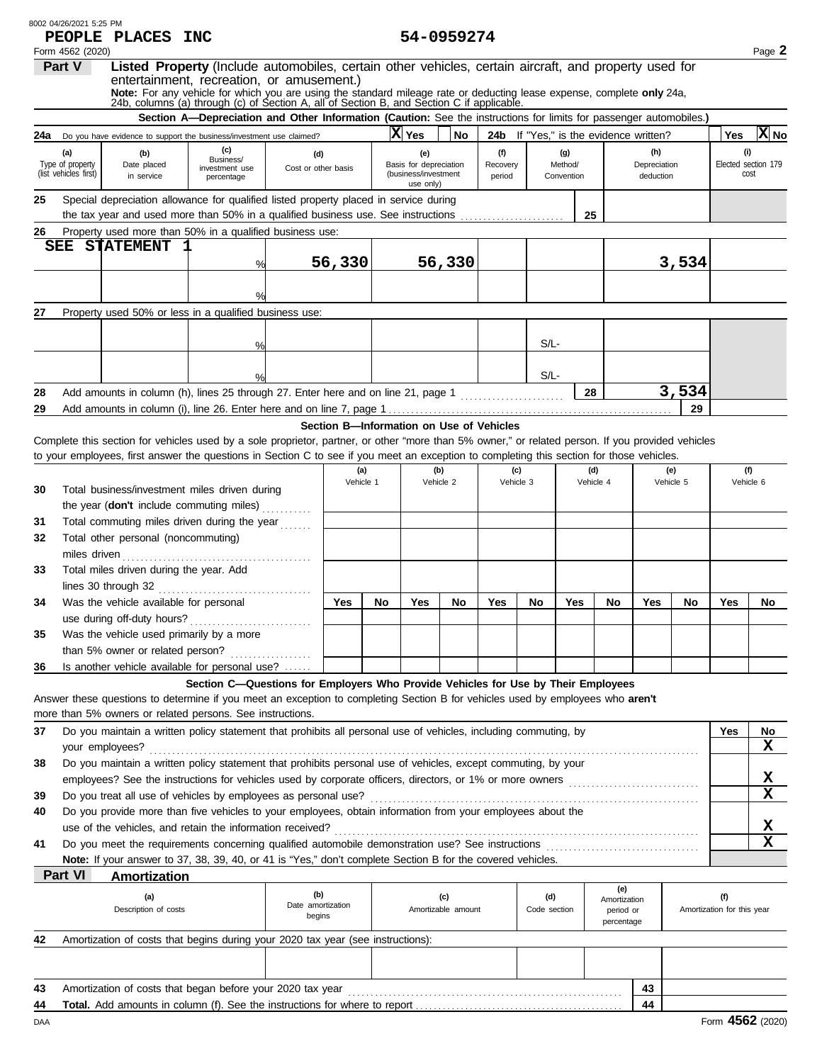| Form 4562 (2020)<br>Listed Property (Include automobiles, certain other vehicles, certain aircraft, and property used for<br>Part V<br>entertainment, recreation, or amusement.)<br>Note: For any vehicle for which you are using the standard mileage rate or deducting lease expense, complete only 24a,<br>24b, columns (a) through (c) of Section A, all of Section B, and Section C if applicable.<br>Section A-Depreciation and Other Information (Caution: See the instructions for limits for passenger automobiles.)<br>$ X $ No<br>X Yes<br>No<br>24b If "Yes," is the evidence written?<br>Yes<br><b>24a</b> Do you have evidence to support the business/investment use claimed?<br>(c)<br>(i)<br>(h)<br>(f)<br>(g)<br>(a)<br>(b)<br>(e)<br>(d)<br>Business/<br>Elected section 179<br>Type of property<br>Method/<br>Depreciation<br>Date placed<br>Basis for depreciation<br>Recovery<br>Cost or other basis<br>investment use<br>(list vehicles first)<br>(business/investment<br>cost<br>Convention<br>in service<br>period<br>deduction<br>percentage<br>use only)<br>Special depreciation allowance for qualified listed property placed in service during<br>25<br>the tax year and used more than 50% in a qualified business use. See instructions<br>25<br>Property used more than 50% in a qualified business use:<br>26<br><b>STATEMENT</b><br>SEE<br>56,330<br>3,534<br>56,330<br>%<br>Property used 50% or less in a qualified business use:<br>27<br>$S/L$ -<br>%<br>$S/L$ -<br>3,534<br>Add amounts in column (h), lines 25 through 27. Enter here and on line 21, page 1<br>28<br>28<br><u> 1986 - Johann Stoff, Amerikaansk kanton en </u><br>29<br>29<br>Section B-Information on Use of Vehicles<br>Complete this section for vehicles used by a sole proprietor, partner, or other "more than 5% owner," or related person. If you provided vehicles<br>to your employees, first answer the questions in Section C to see if you meet an exception to completing this section for those vehicles.<br>(b)<br>(d)<br>(f)<br>(a)<br>(e)<br>(c)<br>Vehicle 1<br>Vehicle 2<br>Vehicle 3<br>Vehicle 4<br>Vehicle 6<br>Vehicle 5<br>Total business/investment miles driven during<br>30<br>the year (don't include commuting miles)<br>Total commuting miles driven during the year<br>31<br>Total other personal (noncommuting)<br>32<br>miles driven<br>Total miles driven during the year. Add<br>33<br>lines 30 through 32<br>Was the vehicle available for personal<br>Yes<br>Yes<br>Yes<br>Yes<br>No<br>No<br>Yes<br>No<br>Yes<br>No<br>No<br>No<br>34<br>use during off-duty hours?<br>Was the vehicle used primarily by a more<br>35<br>than 5% owner or related person?<br>Is another vehicle available for personal use?<br>36<br>Section C-Questions for Employers Who Provide Vehicles for Use by Their Employees<br>Answer these questions to determine if you meet an exception to completing Section B for vehicles used by employees who aren't<br>more than 5% owners or related persons. See instructions.<br>Do you maintain a written policy statement that prohibits all personal use of vehicles, including commuting, by<br>Yes<br>37<br>No<br>$\mathbf x$<br>your employees?<br>Do you maintain a written policy statement that prohibits personal use of vehicles, except commuting, by your<br>38<br>X<br>$\mathbf x$<br>Do you treat all use of vehicles by employees as personal use?<br>39<br>Do you provide more than five vehicles to your employees, obtain information from your employees about the<br>40<br>X<br>use of the vehicles, and retain the information received?<br>$\mathbf x$<br>Do you meet the requirements concerning qualified automobile demonstration use? See instructions<br>41<br>Note: If your answer to 37, 38, 39, 40, or 41 is "Yes," don't complete Section B for the covered vehicles.<br>Part VI<br><u>Amortization</u><br>(e)<br>(b)<br>(d)<br>(f)<br>(a)<br>(c)<br>Amortization<br>Date amortization<br>Description of costs<br>Amortizable amount<br>Amortization for this year<br>Code section<br>period or<br>begins<br>percentage<br>Amortization of costs that begins during your 2020 tax year (see instructions):<br>42<br>Amortization of costs that began before your 2020 tax year<br>43<br>43<br>44<br>44 | 8002 04/26/2021 5:25 PM | PEOPLE PLACES INC |  |  | 54-0959274 |  |  |  |        |
|-----------------------------------------------------------------------------------------------------------------------------------------------------------------------------------------------------------------------------------------------------------------------------------------------------------------------------------------------------------------------------------------------------------------------------------------------------------------------------------------------------------------------------------------------------------------------------------------------------------------------------------------------------------------------------------------------------------------------------------------------------------------------------------------------------------------------------------------------------------------------------------------------------------------------------------------------------------------------------------------------------------------------------------------------------------------------------------------------------------------------------------------------------------------------------------------------------------------------------------------------------------------------------------------------------------------------------------------------------------------------------------------------------------------------------------------------------------------------------------------------------------------------------------------------------------------------------------------------------------------------------------------------------------------------------------------------------------------------------------------------------------------------------------------------------------------------------------------------------------------------------------------------------------------------------------------------------------------------------------------------------------------------------------------------------------------------------------------------------------------------------------------------------------------------------------------------------------------------------------------------------------------------------------------------------------------------------------------------------------------------------------------------------------------------------------------------------------------------------------------------------------------------------------------------------------------------------------------------------------------------------------------------------------------------------------------------------------------------------------------------------------------------------------------------------------------------------------------------------------------------------------------------------------------------------------------------------------------------------------------------------------------------------------------------------------------------------------------------------------------------------------------------------------------------------------------------------------------------------------------------------------------------------------------------------------------------------------------------------------------------------------------------------------------------------------------------------------------------------------------------------------------------------------------------------------------------------------------------------------------------------------------------------------------------------------------------------------------------------------------------------------------------------------------------------------------------------------------------------------------------------------------------------------------------------------------------------------------------------------------------------------------------------------------------------------------------------------------------------------------------------------------------------------------------------------------------------------------------------------------------------------------------------------------------------------------|-------------------------|-------------------|--|--|------------|--|--|--|--------|
|                                                                                                                                                                                                                                                                                                                                                                                                                                                                                                                                                                                                                                                                                                                                                                                                                                                                                                                                                                                                                                                                                                                                                                                                                                                                                                                                                                                                                                                                                                                                                                                                                                                                                                                                                                                                                                                                                                                                                                                                                                                                                                                                                                                                                                                                                                                                                                                                                                                                                                                                                                                                                                                                                                                                                                                                                                                                                                                                                                                                                                                                                                                                                                                                                                                                                                                                                                                                                                                                                                                                                                                                                                                                                                                                                                                                                                                                                                                                                                                                                                                                                                                                                                                                                                                                                                                 |                         |                   |  |  |            |  |  |  | Page 2 |
|                                                                                                                                                                                                                                                                                                                                                                                                                                                                                                                                                                                                                                                                                                                                                                                                                                                                                                                                                                                                                                                                                                                                                                                                                                                                                                                                                                                                                                                                                                                                                                                                                                                                                                                                                                                                                                                                                                                                                                                                                                                                                                                                                                                                                                                                                                                                                                                                                                                                                                                                                                                                                                                                                                                                                                                                                                                                                                                                                                                                                                                                                                                                                                                                                                                                                                                                                                                                                                                                                                                                                                                                                                                                                                                                                                                                                                                                                                                                                                                                                                                                                                                                                                                                                                                                                                                 |                         |                   |  |  |            |  |  |  |        |
|                                                                                                                                                                                                                                                                                                                                                                                                                                                                                                                                                                                                                                                                                                                                                                                                                                                                                                                                                                                                                                                                                                                                                                                                                                                                                                                                                                                                                                                                                                                                                                                                                                                                                                                                                                                                                                                                                                                                                                                                                                                                                                                                                                                                                                                                                                                                                                                                                                                                                                                                                                                                                                                                                                                                                                                                                                                                                                                                                                                                                                                                                                                                                                                                                                                                                                                                                                                                                                                                                                                                                                                                                                                                                                                                                                                                                                                                                                                                                                                                                                                                                                                                                                                                                                                                                                                 |                         |                   |  |  |            |  |  |  |        |
|                                                                                                                                                                                                                                                                                                                                                                                                                                                                                                                                                                                                                                                                                                                                                                                                                                                                                                                                                                                                                                                                                                                                                                                                                                                                                                                                                                                                                                                                                                                                                                                                                                                                                                                                                                                                                                                                                                                                                                                                                                                                                                                                                                                                                                                                                                                                                                                                                                                                                                                                                                                                                                                                                                                                                                                                                                                                                                                                                                                                                                                                                                                                                                                                                                                                                                                                                                                                                                                                                                                                                                                                                                                                                                                                                                                                                                                                                                                                                                                                                                                                                                                                                                                                                                                                                                                 |                         |                   |  |  |            |  |  |  |        |
|                                                                                                                                                                                                                                                                                                                                                                                                                                                                                                                                                                                                                                                                                                                                                                                                                                                                                                                                                                                                                                                                                                                                                                                                                                                                                                                                                                                                                                                                                                                                                                                                                                                                                                                                                                                                                                                                                                                                                                                                                                                                                                                                                                                                                                                                                                                                                                                                                                                                                                                                                                                                                                                                                                                                                                                                                                                                                                                                                                                                                                                                                                                                                                                                                                                                                                                                                                                                                                                                                                                                                                                                                                                                                                                                                                                                                                                                                                                                                                                                                                                                                                                                                                                                                                                                                                                 |                         |                   |  |  |            |  |  |  |        |
|                                                                                                                                                                                                                                                                                                                                                                                                                                                                                                                                                                                                                                                                                                                                                                                                                                                                                                                                                                                                                                                                                                                                                                                                                                                                                                                                                                                                                                                                                                                                                                                                                                                                                                                                                                                                                                                                                                                                                                                                                                                                                                                                                                                                                                                                                                                                                                                                                                                                                                                                                                                                                                                                                                                                                                                                                                                                                                                                                                                                                                                                                                                                                                                                                                                                                                                                                                                                                                                                                                                                                                                                                                                                                                                                                                                                                                                                                                                                                                                                                                                                                                                                                                                                                                                                                                                 |                         |                   |  |  |            |  |  |  |        |
|                                                                                                                                                                                                                                                                                                                                                                                                                                                                                                                                                                                                                                                                                                                                                                                                                                                                                                                                                                                                                                                                                                                                                                                                                                                                                                                                                                                                                                                                                                                                                                                                                                                                                                                                                                                                                                                                                                                                                                                                                                                                                                                                                                                                                                                                                                                                                                                                                                                                                                                                                                                                                                                                                                                                                                                                                                                                                                                                                                                                                                                                                                                                                                                                                                                                                                                                                                                                                                                                                                                                                                                                                                                                                                                                                                                                                                                                                                                                                                                                                                                                                                                                                                                                                                                                                                                 |                         |                   |  |  |            |  |  |  |        |
|                                                                                                                                                                                                                                                                                                                                                                                                                                                                                                                                                                                                                                                                                                                                                                                                                                                                                                                                                                                                                                                                                                                                                                                                                                                                                                                                                                                                                                                                                                                                                                                                                                                                                                                                                                                                                                                                                                                                                                                                                                                                                                                                                                                                                                                                                                                                                                                                                                                                                                                                                                                                                                                                                                                                                                                                                                                                                                                                                                                                                                                                                                                                                                                                                                                                                                                                                                                                                                                                                                                                                                                                                                                                                                                                                                                                                                                                                                                                                                                                                                                                                                                                                                                                                                                                                                                 |                         |                   |  |  |            |  |  |  |        |
|                                                                                                                                                                                                                                                                                                                                                                                                                                                                                                                                                                                                                                                                                                                                                                                                                                                                                                                                                                                                                                                                                                                                                                                                                                                                                                                                                                                                                                                                                                                                                                                                                                                                                                                                                                                                                                                                                                                                                                                                                                                                                                                                                                                                                                                                                                                                                                                                                                                                                                                                                                                                                                                                                                                                                                                                                                                                                                                                                                                                                                                                                                                                                                                                                                                                                                                                                                                                                                                                                                                                                                                                                                                                                                                                                                                                                                                                                                                                                                                                                                                                                                                                                                                                                                                                                                                 |                         |                   |  |  |            |  |  |  |        |
|                                                                                                                                                                                                                                                                                                                                                                                                                                                                                                                                                                                                                                                                                                                                                                                                                                                                                                                                                                                                                                                                                                                                                                                                                                                                                                                                                                                                                                                                                                                                                                                                                                                                                                                                                                                                                                                                                                                                                                                                                                                                                                                                                                                                                                                                                                                                                                                                                                                                                                                                                                                                                                                                                                                                                                                                                                                                                                                                                                                                                                                                                                                                                                                                                                                                                                                                                                                                                                                                                                                                                                                                                                                                                                                                                                                                                                                                                                                                                                                                                                                                                                                                                                                                                                                                                                                 |                         |                   |  |  |            |  |  |  |        |
|                                                                                                                                                                                                                                                                                                                                                                                                                                                                                                                                                                                                                                                                                                                                                                                                                                                                                                                                                                                                                                                                                                                                                                                                                                                                                                                                                                                                                                                                                                                                                                                                                                                                                                                                                                                                                                                                                                                                                                                                                                                                                                                                                                                                                                                                                                                                                                                                                                                                                                                                                                                                                                                                                                                                                                                                                                                                                                                                                                                                                                                                                                                                                                                                                                                                                                                                                                                                                                                                                                                                                                                                                                                                                                                                                                                                                                                                                                                                                                                                                                                                                                                                                                                                                                                                                                                 |                         |                   |  |  |            |  |  |  |        |
|                                                                                                                                                                                                                                                                                                                                                                                                                                                                                                                                                                                                                                                                                                                                                                                                                                                                                                                                                                                                                                                                                                                                                                                                                                                                                                                                                                                                                                                                                                                                                                                                                                                                                                                                                                                                                                                                                                                                                                                                                                                                                                                                                                                                                                                                                                                                                                                                                                                                                                                                                                                                                                                                                                                                                                                                                                                                                                                                                                                                                                                                                                                                                                                                                                                                                                                                                                                                                                                                                                                                                                                                                                                                                                                                                                                                                                                                                                                                                                                                                                                                                                                                                                                                                                                                                                                 |                         |                   |  |  |            |  |  |  |        |
|                                                                                                                                                                                                                                                                                                                                                                                                                                                                                                                                                                                                                                                                                                                                                                                                                                                                                                                                                                                                                                                                                                                                                                                                                                                                                                                                                                                                                                                                                                                                                                                                                                                                                                                                                                                                                                                                                                                                                                                                                                                                                                                                                                                                                                                                                                                                                                                                                                                                                                                                                                                                                                                                                                                                                                                                                                                                                                                                                                                                                                                                                                                                                                                                                                                                                                                                                                                                                                                                                                                                                                                                                                                                                                                                                                                                                                                                                                                                                                                                                                                                                                                                                                                                                                                                                                                 |                         |                   |  |  |            |  |  |  |        |
|                                                                                                                                                                                                                                                                                                                                                                                                                                                                                                                                                                                                                                                                                                                                                                                                                                                                                                                                                                                                                                                                                                                                                                                                                                                                                                                                                                                                                                                                                                                                                                                                                                                                                                                                                                                                                                                                                                                                                                                                                                                                                                                                                                                                                                                                                                                                                                                                                                                                                                                                                                                                                                                                                                                                                                                                                                                                                                                                                                                                                                                                                                                                                                                                                                                                                                                                                                                                                                                                                                                                                                                                                                                                                                                                                                                                                                                                                                                                                                                                                                                                                                                                                                                                                                                                                                                 |                         |                   |  |  |            |  |  |  |        |
|                                                                                                                                                                                                                                                                                                                                                                                                                                                                                                                                                                                                                                                                                                                                                                                                                                                                                                                                                                                                                                                                                                                                                                                                                                                                                                                                                                                                                                                                                                                                                                                                                                                                                                                                                                                                                                                                                                                                                                                                                                                                                                                                                                                                                                                                                                                                                                                                                                                                                                                                                                                                                                                                                                                                                                                                                                                                                                                                                                                                                                                                                                                                                                                                                                                                                                                                                                                                                                                                                                                                                                                                                                                                                                                                                                                                                                                                                                                                                                                                                                                                                                                                                                                                                                                                                                                 |                         |                   |  |  |            |  |  |  |        |
|                                                                                                                                                                                                                                                                                                                                                                                                                                                                                                                                                                                                                                                                                                                                                                                                                                                                                                                                                                                                                                                                                                                                                                                                                                                                                                                                                                                                                                                                                                                                                                                                                                                                                                                                                                                                                                                                                                                                                                                                                                                                                                                                                                                                                                                                                                                                                                                                                                                                                                                                                                                                                                                                                                                                                                                                                                                                                                                                                                                                                                                                                                                                                                                                                                                                                                                                                                                                                                                                                                                                                                                                                                                                                                                                                                                                                                                                                                                                                                                                                                                                                                                                                                                                                                                                                                                 |                         |                   |  |  |            |  |  |  |        |
|                                                                                                                                                                                                                                                                                                                                                                                                                                                                                                                                                                                                                                                                                                                                                                                                                                                                                                                                                                                                                                                                                                                                                                                                                                                                                                                                                                                                                                                                                                                                                                                                                                                                                                                                                                                                                                                                                                                                                                                                                                                                                                                                                                                                                                                                                                                                                                                                                                                                                                                                                                                                                                                                                                                                                                                                                                                                                                                                                                                                                                                                                                                                                                                                                                                                                                                                                                                                                                                                                                                                                                                                                                                                                                                                                                                                                                                                                                                                                                                                                                                                                                                                                                                                                                                                                                                 |                         |                   |  |  |            |  |  |  |        |
|                                                                                                                                                                                                                                                                                                                                                                                                                                                                                                                                                                                                                                                                                                                                                                                                                                                                                                                                                                                                                                                                                                                                                                                                                                                                                                                                                                                                                                                                                                                                                                                                                                                                                                                                                                                                                                                                                                                                                                                                                                                                                                                                                                                                                                                                                                                                                                                                                                                                                                                                                                                                                                                                                                                                                                                                                                                                                                                                                                                                                                                                                                                                                                                                                                                                                                                                                                                                                                                                                                                                                                                                                                                                                                                                                                                                                                                                                                                                                                                                                                                                                                                                                                                                                                                                                                                 |                         |                   |  |  |            |  |  |  |        |
|                                                                                                                                                                                                                                                                                                                                                                                                                                                                                                                                                                                                                                                                                                                                                                                                                                                                                                                                                                                                                                                                                                                                                                                                                                                                                                                                                                                                                                                                                                                                                                                                                                                                                                                                                                                                                                                                                                                                                                                                                                                                                                                                                                                                                                                                                                                                                                                                                                                                                                                                                                                                                                                                                                                                                                                                                                                                                                                                                                                                                                                                                                                                                                                                                                                                                                                                                                                                                                                                                                                                                                                                                                                                                                                                                                                                                                                                                                                                                                                                                                                                                                                                                                                                                                                                                                                 |                         |                   |  |  |            |  |  |  |        |
|                                                                                                                                                                                                                                                                                                                                                                                                                                                                                                                                                                                                                                                                                                                                                                                                                                                                                                                                                                                                                                                                                                                                                                                                                                                                                                                                                                                                                                                                                                                                                                                                                                                                                                                                                                                                                                                                                                                                                                                                                                                                                                                                                                                                                                                                                                                                                                                                                                                                                                                                                                                                                                                                                                                                                                                                                                                                                                                                                                                                                                                                                                                                                                                                                                                                                                                                                                                                                                                                                                                                                                                                                                                                                                                                                                                                                                                                                                                                                                                                                                                                                                                                                                                                                                                                                                                 |                         |                   |  |  |            |  |  |  |        |
|                                                                                                                                                                                                                                                                                                                                                                                                                                                                                                                                                                                                                                                                                                                                                                                                                                                                                                                                                                                                                                                                                                                                                                                                                                                                                                                                                                                                                                                                                                                                                                                                                                                                                                                                                                                                                                                                                                                                                                                                                                                                                                                                                                                                                                                                                                                                                                                                                                                                                                                                                                                                                                                                                                                                                                                                                                                                                                                                                                                                                                                                                                                                                                                                                                                                                                                                                                                                                                                                                                                                                                                                                                                                                                                                                                                                                                                                                                                                                                                                                                                                                                                                                                                                                                                                                                                 |                         |                   |  |  |            |  |  |  |        |
|                                                                                                                                                                                                                                                                                                                                                                                                                                                                                                                                                                                                                                                                                                                                                                                                                                                                                                                                                                                                                                                                                                                                                                                                                                                                                                                                                                                                                                                                                                                                                                                                                                                                                                                                                                                                                                                                                                                                                                                                                                                                                                                                                                                                                                                                                                                                                                                                                                                                                                                                                                                                                                                                                                                                                                                                                                                                                                                                                                                                                                                                                                                                                                                                                                                                                                                                                                                                                                                                                                                                                                                                                                                                                                                                                                                                                                                                                                                                                                                                                                                                                                                                                                                                                                                                                                                 |                         |                   |  |  |            |  |  |  |        |
|                                                                                                                                                                                                                                                                                                                                                                                                                                                                                                                                                                                                                                                                                                                                                                                                                                                                                                                                                                                                                                                                                                                                                                                                                                                                                                                                                                                                                                                                                                                                                                                                                                                                                                                                                                                                                                                                                                                                                                                                                                                                                                                                                                                                                                                                                                                                                                                                                                                                                                                                                                                                                                                                                                                                                                                                                                                                                                                                                                                                                                                                                                                                                                                                                                                                                                                                                                                                                                                                                                                                                                                                                                                                                                                                                                                                                                                                                                                                                                                                                                                                                                                                                                                                                                                                                                                 |                         |                   |  |  |            |  |  |  |        |
|                                                                                                                                                                                                                                                                                                                                                                                                                                                                                                                                                                                                                                                                                                                                                                                                                                                                                                                                                                                                                                                                                                                                                                                                                                                                                                                                                                                                                                                                                                                                                                                                                                                                                                                                                                                                                                                                                                                                                                                                                                                                                                                                                                                                                                                                                                                                                                                                                                                                                                                                                                                                                                                                                                                                                                                                                                                                                                                                                                                                                                                                                                                                                                                                                                                                                                                                                                                                                                                                                                                                                                                                                                                                                                                                                                                                                                                                                                                                                                                                                                                                                                                                                                                                                                                                                                                 |                         |                   |  |  |            |  |  |  |        |
|                                                                                                                                                                                                                                                                                                                                                                                                                                                                                                                                                                                                                                                                                                                                                                                                                                                                                                                                                                                                                                                                                                                                                                                                                                                                                                                                                                                                                                                                                                                                                                                                                                                                                                                                                                                                                                                                                                                                                                                                                                                                                                                                                                                                                                                                                                                                                                                                                                                                                                                                                                                                                                                                                                                                                                                                                                                                                                                                                                                                                                                                                                                                                                                                                                                                                                                                                                                                                                                                                                                                                                                                                                                                                                                                                                                                                                                                                                                                                                                                                                                                                                                                                                                                                                                                                                                 |                         |                   |  |  |            |  |  |  |        |
|                                                                                                                                                                                                                                                                                                                                                                                                                                                                                                                                                                                                                                                                                                                                                                                                                                                                                                                                                                                                                                                                                                                                                                                                                                                                                                                                                                                                                                                                                                                                                                                                                                                                                                                                                                                                                                                                                                                                                                                                                                                                                                                                                                                                                                                                                                                                                                                                                                                                                                                                                                                                                                                                                                                                                                                                                                                                                                                                                                                                                                                                                                                                                                                                                                                                                                                                                                                                                                                                                                                                                                                                                                                                                                                                                                                                                                                                                                                                                                                                                                                                                                                                                                                                                                                                                                                 |                         |                   |  |  |            |  |  |  |        |
|                                                                                                                                                                                                                                                                                                                                                                                                                                                                                                                                                                                                                                                                                                                                                                                                                                                                                                                                                                                                                                                                                                                                                                                                                                                                                                                                                                                                                                                                                                                                                                                                                                                                                                                                                                                                                                                                                                                                                                                                                                                                                                                                                                                                                                                                                                                                                                                                                                                                                                                                                                                                                                                                                                                                                                                                                                                                                                                                                                                                                                                                                                                                                                                                                                                                                                                                                                                                                                                                                                                                                                                                                                                                                                                                                                                                                                                                                                                                                                                                                                                                                                                                                                                                                                                                                                                 |                         |                   |  |  |            |  |  |  |        |
|                                                                                                                                                                                                                                                                                                                                                                                                                                                                                                                                                                                                                                                                                                                                                                                                                                                                                                                                                                                                                                                                                                                                                                                                                                                                                                                                                                                                                                                                                                                                                                                                                                                                                                                                                                                                                                                                                                                                                                                                                                                                                                                                                                                                                                                                                                                                                                                                                                                                                                                                                                                                                                                                                                                                                                                                                                                                                                                                                                                                                                                                                                                                                                                                                                                                                                                                                                                                                                                                                                                                                                                                                                                                                                                                                                                                                                                                                                                                                                                                                                                                                                                                                                                                                                                                                                                 |                         |                   |  |  |            |  |  |  |        |
|                                                                                                                                                                                                                                                                                                                                                                                                                                                                                                                                                                                                                                                                                                                                                                                                                                                                                                                                                                                                                                                                                                                                                                                                                                                                                                                                                                                                                                                                                                                                                                                                                                                                                                                                                                                                                                                                                                                                                                                                                                                                                                                                                                                                                                                                                                                                                                                                                                                                                                                                                                                                                                                                                                                                                                                                                                                                                                                                                                                                                                                                                                                                                                                                                                                                                                                                                                                                                                                                                                                                                                                                                                                                                                                                                                                                                                                                                                                                                                                                                                                                                                                                                                                                                                                                                                                 |                         |                   |  |  |            |  |  |  |        |
|                                                                                                                                                                                                                                                                                                                                                                                                                                                                                                                                                                                                                                                                                                                                                                                                                                                                                                                                                                                                                                                                                                                                                                                                                                                                                                                                                                                                                                                                                                                                                                                                                                                                                                                                                                                                                                                                                                                                                                                                                                                                                                                                                                                                                                                                                                                                                                                                                                                                                                                                                                                                                                                                                                                                                                                                                                                                                                                                                                                                                                                                                                                                                                                                                                                                                                                                                                                                                                                                                                                                                                                                                                                                                                                                                                                                                                                                                                                                                                                                                                                                                                                                                                                                                                                                                                                 |                         |                   |  |  |            |  |  |  |        |
|                                                                                                                                                                                                                                                                                                                                                                                                                                                                                                                                                                                                                                                                                                                                                                                                                                                                                                                                                                                                                                                                                                                                                                                                                                                                                                                                                                                                                                                                                                                                                                                                                                                                                                                                                                                                                                                                                                                                                                                                                                                                                                                                                                                                                                                                                                                                                                                                                                                                                                                                                                                                                                                                                                                                                                                                                                                                                                                                                                                                                                                                                                                                                                                                                                                                                                                                                                                                                                                                                                                                                                                                                                                                                                                                                                                                                                                                                                                                                                                                                                                                                                                                                                                                                                                                                                                 |                         |                   |  |  |            |  |  |  |        |
|                                                                                                                                                                                                                                                                                                                                                                                                                                                                                                                                                                                                                                                                                                                                                                                                                                                                                                                                                                                                                                                                                                                                                                                                                                                                                                                                                                                                                                                                                                                                                                                                                                                                                                                                                                                                                                                                                                                                                                                                                                                                                                                                                                                                                                                                                                                                                                                                                                                                                                                                                                                                                                                                                                                                                                                                                                                                                                                                                                                                                                                                                                                                                                                                                                                                                                                                                                                                                                                                                                                                                                                                                                                                                                                                                                                                                                                                                                                                                                                                                                                                                                                                                                                                                                                                                                                 |                         |                   |  |  |            |  |  |  |        |
|                                                                                                                                                                                                                                                                                                                                                                                                                                                                                                                                                                                                                                                                                                                                                                                                                                                                                                                                                                                                                                                                                                                                                                                                                                                                                                                                                                                                                                                                                                                                                                                                                                                                                                                                                                                                                                                                                                                                                                                                                                                                                                                                                                                                                                                                                                                                                                                                                                                                                                                                                                                                                                                                                                                                                                                                                                                                                                                                                                                                                                                                                                                                                                                                                                                                                                                                                                                                                                                                                                                                                                                                                                                                                                                                                                                                                                                                                                                                                                                                                                                                                                                                                                                                                                                                                                                 |                         |                   |  |  |            |  |  |  |        |
|                                                                                                                                                                                                                                                                                                                                                                                                                                                                                                                                                                                                                                                                                                                                                                                                                                                                                                                                                                                                                                                                                                                                                                                                                                                                                                                                                                                                                                                                                                                                                                                                                                                                                                                                                                                                                                                                                                                                                                                                                                                                                                                                                                                                                                                                                                                                                                                                                                                                                                                                                                                                                                                                                                                                                                                                                                                                                                                                                                                                                                                                                                                                                                                                                                                                                                                                                                                                                                                                                                                                                                                                                                                                                                                                                                                                                                                                                                                                                                                                                                                                                                                                                                                                                                                                                                                 |                         |                   |  |  |            |  |  |  |        |
|                                                                                                                                                                                                                                                                                                                                                                                                                                                                                                                                                                                                                                                                                                                                                                                                                                                                                                                                                                                                                                                                                                                                                                                                                                                                                                                                                                                                                                                                                                                                                                                                                                                                                                                                                                                                                                                                                                                                                                                                                                                                                                                                                                                                                                                                                                                                                                                                                                                                                                                                                                                                                                                                                                                                                                                                                                                                                                                                                                                                                                                                                                                                                                                                                                                                                                                                                                                                                                                                                                                                                                                                                                                                                                                                                                                                                                                                                                                                                                                                                                                                                                                                                                                                                                                                                                                 |                         |                   |  |  |            |  |  |  |        |
|                                                                                                                                                                                                                                                                                                                                                                                                                                                                                                                                                                                                                                                                                                                                                                                                                                                                                                                                                                                                                                                                                                                                                                                                                                                                                                                                                                                                                                                                                                                                                                                                                                                                                                                                                                                                                                                                                                                                                                                                                                                                                                                                                                                                                                                                                                                                                                                                                                                                                                                                                                                                                                                                                                                                                                                                                                                                                                                                                                                                                                                                                                                                                                                                                                                                                                                                                                                                                                                                                                                                                                                                                                                                                                                                                                                                                                                                                                                                                                                                                                                                                                                                                                                                                                                                                                                 |                         |                   |  |  |            |  |  |  |        |
|                                                                                                                                                                                                                                                                                                                                                                                                                                                                                                                                                                                                                                                                                                                                                                                                                                                                                                                                                                                                                                                                                                                                                                                                                                                                                                                                                                                                                                                                                                                                                                                                                                                                                                                                                                                                                                                                                                                                                                                                                                                                                                                                                                                                                                                                                                                                                                                                                                                                                                                                                                                                                                                                                                                                                                                                                                                                                                                                                                                                                                                                                                                                                                                                                                                                                                                                                                                                                                                                                                                                                                                                                                                                                                                                                                                                                                                                                                                                                                                                                                                                                                                                                                                                                                                                                                                 |                         |                   |  |  |            |  |  |  |        |
|                                                                                                                                                                                                                                                                                                                                                                                                                                                                                                                                                                                                                                                                                                                                                                                                                                                                                                                                                                                                                                                                                                                                                                                                                                                                                                                                                                                                                                                                                                                                                                                                                                                                                                                                                                                                                                                                                                                                                                                                                                                                                                                                                                                                                                                                                                                                                                                                                                                                                                                                                                                                                                                                                                                                                                                                                                                                                                                                                                                                                                                                                                                                                                                                                                                                                                                                                                                                                                                                                                                                                                                                                                                                                                                                                                                                                                                                                                                                                                                                                                                                                                                                                                                                                                                                                                                 |                         |                   |  |  |            |  |  |  |        |
|                                                                                                                                                                                                                                                                                                                                                                                                                                                                                                                                                                                                                                                                                                                                                                                                                                                                                                                                                                                                                                                                                                                                                                                                                                                                                                                                                                                                                                                                                                                                                                                                                                                                                                                                                                                                                                                                                                                                                                                                                                                                                                                                                                                                                                                                                                                                                                                                                                                                                                                                                                                                                                                                                                                                                                                                                                                                                                                                                                                                                                                                                                                                                                                                                                                                                                                                                                                                                                                                                                                                                                                                                                                                                                                                                                                                                                                                                                                                                                                                                                                                                                                                                                                                                                                                                                                 |                         |                   |  |  |            |  |  |  |        |
|                                                                                                                                                                                                                                                                                                                                                                                                                                                                                                                                                                                                                                                                                                                                                                                                                                                                                                                                                                                                                                                                                                                                                                                                                                                                                                                                                                                                                                                                                                                                                                                                                                                                                                                                                                                                                                                                                                                                                                                                                                                                                                                                                                                                                                                                                                                                                                                                                                                                                                                                                                                                                                                                                                                                                                                                                                                                                                                                                                                                                                                                                                                                                                                                                                                                                                                                                                                                                                                                                                                                                                                                                                                                                                                                                                                                                                                                                                                                                                                                                                                                                                                                                                                                                                                                                                                 |                         |                   |  |  |            |  |  |  |        |
|                                                                                                                                                                                                                                                                                                                                                                                                                                                                                                                                                                                                                                                                                                                                                                                                                                                                                                                                                                                                                                                                                                                                                                                                                                                                                                                                                                                                                                                                                                                                                                                                                                                                                                                                                                                                                                                                                                                                                                                                                                                                                                                                                                                                                                                                                                                                                                                                                                                                                                                                                                                                                                                                                                                                                                                                                                                                                                                                                                                                                                                                                                                                                                                                                                                                                                                                                                                                                                                                                                                                                                                                                                                                                                                                                                                                                                                                                                                                                                                                                                                                                                                                                                                                                                                                                                                 |                         |                   |  |  |            |  |  |  |        |
|                                                                                                                                                                                                                                                                                                                                                                                                                                                                                                                                                                                                                                                                                                                                                                                                                                                                                                                                                                                                                                                                                                                                                                                                                                                                                                                                                                                                                                                                                                                                                                                                                                                                                                                                                                                                                                                                                                                                                                                                                                                                                                                                                                                                                                                                                                                                                                                                                                                                                                                                                                                                                                                                                                                                                                                                                                                                                                                                                                                                                                                                                                                                                                                                                                                                                                                                                                                                                                                                                                                                                                                                                                                                                                                                                                                                                                                                                                                                                                                                                                                                                                                                                                                                                                                                                                                 |                         |                   |  |  |            |  |  |  |        |
|                                                                                                                                                                                                                                                                                                                                                                                                                                                                                                                                                                                                                                                                                                                                                                                                                                                                                                                                                                                                                                                                                                                                                                                                                                                                                                                                                                                                                                                                                                                                                                                                                                                                                                                                                                                                                                                                                                                                                                                                                                                                                                                                                                                                                                                                                                                                                                                                                                                                                                                                                                                                                                                                                                                                                                                                                                                                                                                                                                                                                                                                                                                                                                                                                                                                                                                                                                                                                                                                                                                                                                                                                                                                                                                                                                                                                                                                                                                                                                                                                                                                                                                                                                                                                                                                                                                 |                         |                   |  |  |            |  |  |  |        |
|                                                                                                                                                                                                                                                                                                                                                                                                                                                                                                                                                                                                                                                                                                                                                                                                                                                                                                                                                                                                                                                                                                                                                                                                                                                                                                                                                                                                                                                                                                                                                                                                                                                                                                                                                                                                                                                                                                                                                                                                                                                                                                                                                                                                                                                                                                                                                                                                                                                                                                                                                                                                                                                                                                                                                                                                                                                                                                                                                                                                                                                                                                                                                                                                                                                                                                                                                                                                                                                                                                                                                                                                                                                                                                                                                                                                                                                                                                                                                                                                                                                                                                                                                                                                                                                                                                                 |                         |                   |  |  |            |  |  |  |        |
|                                                                                                                                                                                                                                                                                                                                                                                                                                                                                                                                                                                                                                                                                                                                                                                                                                                                                                                                                                                                                                                                                                                                                                                                                                                                                                                                                                                                                                                                                                                                                                                                                                                                                                                                                                                                                                                                                                                                                                                                                                                                                                                                                                                                                                                                                                                                                                                                                                                                                                                                                                                                                                                                                                                                                                                                                                                                                                                                                                                                                                                                                                                                                                                                                                                                                                                                                                                                                                                                                                                                                                                                                                                                                                                                                                                                                                                                                                                                                                                                                                                                                                                                                                                                                                                                                                                 |                         |                   |  |  |            |  |  |  |        |
|                                                                                                                                                                                                                                                                                                                                                                                                                                                                                                                                                                                                                                                                                                                                                                                                                                                                                                                                                                                                                                                                                                                                                                                                                                                                                                                                                                                                                                                                                                                                                                                                                                                                                                                                                                                                                                                                                                                                                                                                                                                                                                                                                                                                                                                                                                                                                                                                                                                                                                                                                                                                                                                                                                                                                                                                                                                                                                                                                                                                                                                                                                                                                                                                                                                                                                                                                                                                                                                                                                                                                                                                                                                                                                                                                                                                                                                                                                                                                                                                                                                                                                                                                                                                                                                                                                                 |                         |                   |  |  |            |  |  |  |        |
|                                                                                                                                                                                                                                                                                                                                                                                                                                                                                                                                                                                                                                                                                                                                                                                                                                                                                                                                                                                                                                                                                                                                                                                                                                                                                                                                                                                                                                                                                                                                                                                                                                                                                                                                                                                                                                                                                                                                                                                                                                                                                                                                                                                                                                                                                                                                                                                                                                                                                                                                                                                                                                                                                                                                                                                                                                                                                                                                                                                                                                                                                                                                                                                                                                                                                                                                                                                                                                                                                                                                                                                                                                                                                                                                                                                                                                                                                                                                                                                                                                                                                                                                                                                                                                                                                                                 |                         |                   |  |  |            |  |  |  |        |
|                                                                                                                                                                                                                                                                                                                                                                                                                                                                                                                                                                                                                                                                                                                                                                                                                                                                                                                                                                                                                                                                                                                                                                                                                                                                                                                                                                                                                                                                                                                                                                                                                                                                                                                                                                                                                                                                                                                                                                                                                                                                                                                                                                                                                                                                                                                                                                                                                                                                                                                                                                                                                                                                                                                                                                                                                                                                                                                                                                                                                                                                                                                                                                                                                                                                                                                                                                                                                                                                                                                                                                                                                                                                                                                                                                                                                                                                                                                                                                                                                                                                                                                                                                                                                                                                                                                 |                         |                   |  |  |            |  |  |  |        |
|                                                                                                                                                                                                                                                                                                                                                                                                                                                                                                                                                                                                                                                                                                                                                                                                                                                                                                                                                                                                                                                                                                                                                                                                                                                                                                                                                                                                                                                                                                                                                                                                                                                                                                                                                                                                                                                                                                                                                                                                                                                                                                                                                                                                                                                                                                                                                                                                                                                                                                                                                                                                                                                                                                                                                                                                                                                                                                                                                                                                                                                                                                                                                                                                                                                                                                                                                                                                                                                                                                                                                                                                                                                                                                                                                                                                                                                                                                                                                                                                                                                                                                                                                                                                                                                                                                                 |                         |                   |  |  |            |  |  |  |        |
|                                                                                                                                                                                                                                                                                                                                                                                                                                                                                                                                                                                                                                                                                                                                                                                                                                                                                                                                                                                                                                                                                                                                                                                                                                                                                                                                                                                                                                                                                                                                                                                                                                                                                                                                                                                                                                                                                                                                                                                                                                                                                                                                                                                                                                                                                                                                                                                                                                                                                                                                                                                                                                                                                                                                                                                                                                                                                                                                                                                                                                                                                                                                                                                                                                                                                                                                                                                                                                                                                                                                                                                                                                                                                                                                                                                                                                                                                                                                                                                                                                                                                                                                                                                                                                                                                                                 |                         |                   |  |  |            |  |  |  |        |
|                                                                                                                                                                                                                                                                                                                                                                                                                                                                                                                                                                                                                                                                                                                                                                                                                                                                                                                                                                                                                                                                                                                                                                                                                                                                                                                                                                                                                                                                                                                                                                                                                                                                                                                                                                                                                                                                                                                                                                                                                                                                                                                                                                                                                                                                                                                                                                                                                                                                                                                                                                                                                                                                                                                                                                                                                                                                                                                                                                                                                                                                                                                                                                                                                                                                                                                                                                                                                                                                                                                                                                                                                                                                                                                                                                                                                                                                                                                                                                                                                                                                                                                                                                                                                                                                                                                 |                         |                   |  |  |            |  |  |  |        |
|                                                                                                                                                                                                                                                                                                                                                                                                                                                                                                                                                                                                                                                                                                                                                                                                                                                                                                                                                                                                                                                                                                                                                                                                                                                                                                                                                                                                                                                                                                                                                                                                                                                                                                                                                                                                                                                                                                                                                                                                                                                                                                                                                                                                                                                                                                                                                                                                                                                                                                                                                                                                                                                                                                                                                                                                                                                                                                                                                                                                                                                                                                                                                                                                                                                                                                                                                                                                                                                                                                                                                                                                                                                                                                                                                                                                                                                                                                                                                                                                                                                                                                                                                                                                                                                                                                                 |                         |                   |  |  |            |  |  |  |        |
|                                                                                                                                                                                                                                                                                                                                                                                                                                                                                                                                                                                                                                                                                                                                                                                                                                                                                                                                                                                                                                                                                                                                                                                                                                                                                                                                                                                                                                                                                                                                                                                                                                                                                                                                                                                                                                                                                                                                                                                                                                                                                                                                                                                                                                                                                                                                                                                                                                                                                                                                                                                                                                                                                                                                                                                                                                                                                                                                                                                                                                                                                                                                                                                                                                                                                                                                                                                                                                                                                                                                                                                                                                                                                                                                                                                                                                                                                                                                                                                                                                                                                                                                                                                                                                                                                                                 |                         |                   |  |  |            |  |  |  |        |
|                                                                                                                                                                                                                                                                                                                                                                                                                                                                                                                                                                                                                                                                                                                                                                                                                                                                                                                                                                                                                                                                                                                                                                                                                                                                                                                                                                                                                                                                                                                                                                                                                                                                                                                                                                                                                                                                                                                                                                                                                                                                                                                                                                                                                                                                                                                                                                                                                                                                                                                                                                                                                                                                                                                                                                                                                                                                                                                                                                                                                                                                                                                                                                                                                                                                                                                                                                                                                                                                                                                                                                                                                                                                                                                                                                                                                                                                                                                                                                                                                                                                                                                                                                                                                                                                                                                 |                         |                   |  |  |            |  |  |  |        |
|                                                                                                                                                                                                                                                                                                                                                                                                                                                                                                                                                                                                                                                                                                                                                                                                                                                                                                                                                                                                                                                                                                                                                                                                                                                                                                                                                                                                                                                                                                                                                                                                                                                                                                                                                                                                                                                                                                                                                                                                                                                                                                                                                                                                                                                                                                                                                                                                                                                                                                                                                                                                                                                                                                                                                                                                                                                                                                                                                                                                                                                                                                                                                                                                                                                                                                                                                                                                                                                                                                                                                                                                                                                                                                                                                                                                                                                                                                                                                                                                                                                                                                                                                                                                                                                                                                                 |                         |                   |  |  |            |  |  |  |        |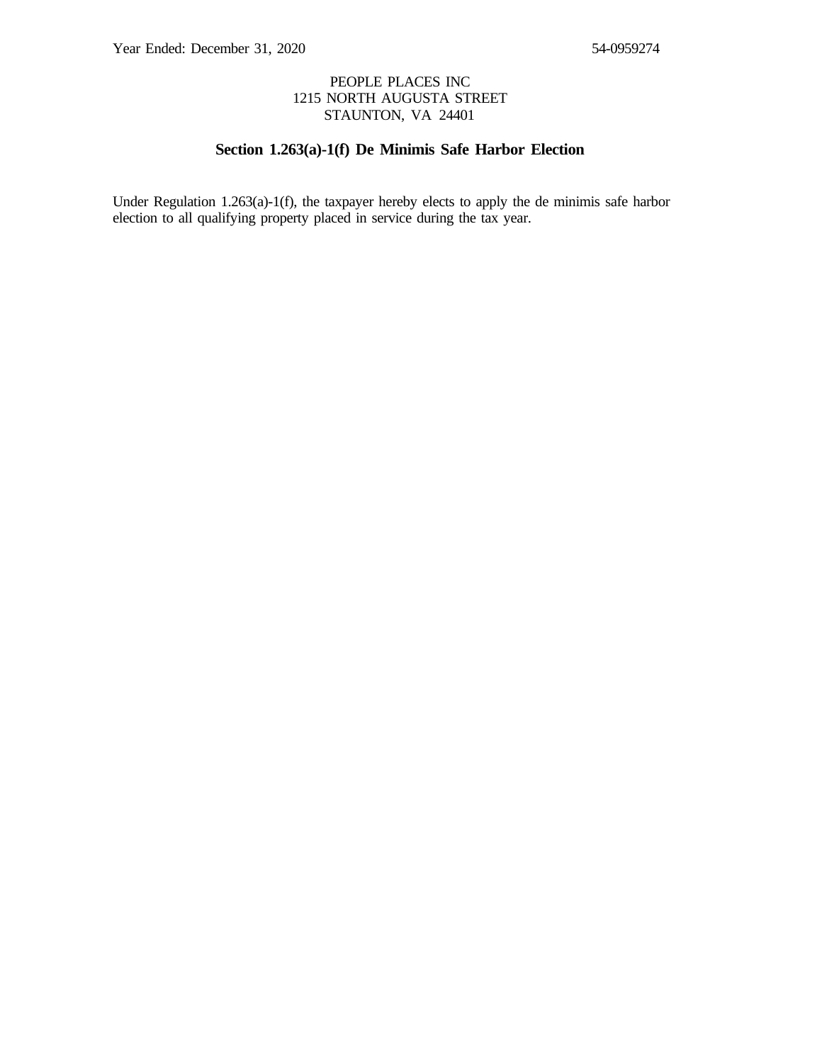### PEOPLE PLACES INC 1215 NORTH AUGUSTA STREET STAUNTON, VA 24401

### **Section 1.263(a)-1(f) De Minimis Safe Harbor Election**

Under Regulation 1.263(a)-1(f), the taxpayer hereby elects to apply the de minimis safe harbor election to all qualifying property placed in service during the tax year.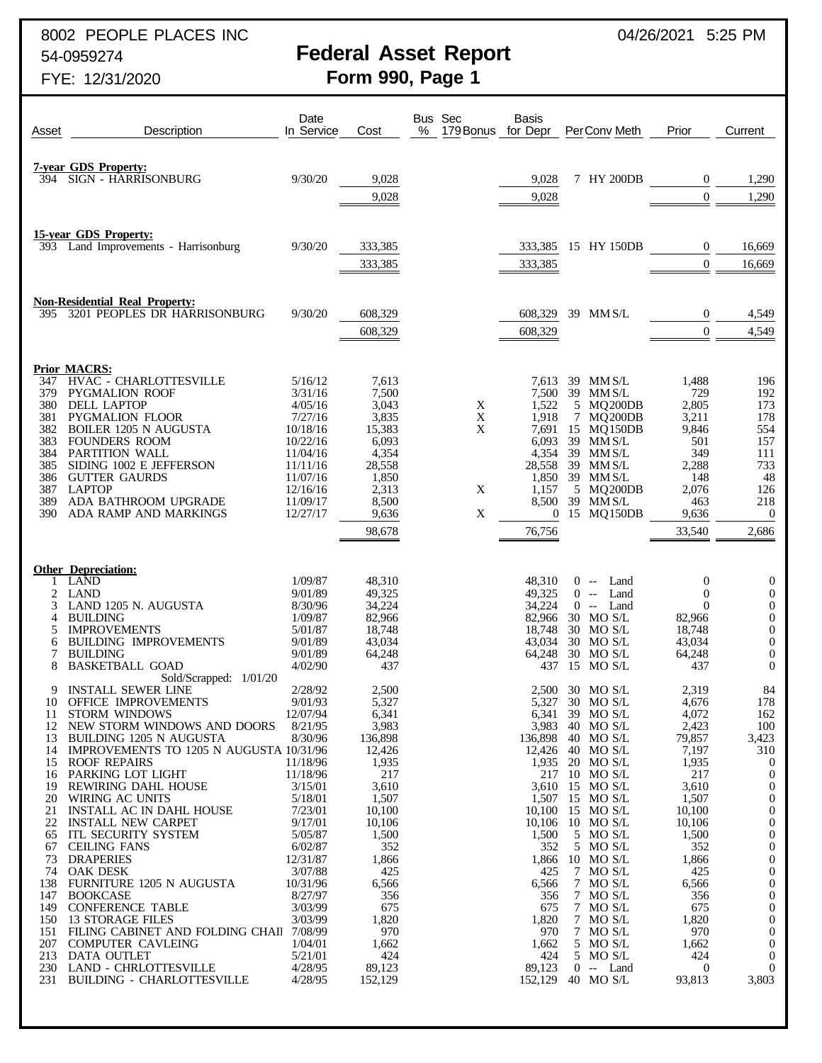8002 PEOPLE PLACES INC 8002 PEOPLE PLACES INC

# 54-0959274 **Federal Asset Report**

| Asset                                                                                                                                                | Description                                                                                                                                                                                                                                                                                                                                                                                                                                                                                                                                                                                                                                                                                                                                        | Date<br>In Service                                                                                                                                                                                                                                             | Cost                                                                                                                                                                                                                    | Bus Sec<br>%<br>179 Bonus for Depr | <b>Basis</b>                                                                                                        |        | PerConv Meth                                                                                                                                                                                                                                                                                                                                                                                  | Prior                                                                                                                                                                                                                  | Current                                                                                                                                                                                                                                                                                                                                                                        |
|------------------------------------------------------------------------------------------------------------------------------------------------------|----------------------------------------------------------------------------------------------------------------------------------------------------------------------------------------------------------------------------------------------------------------------------------------------------------------------------------------------------------------------------------------------------------------------------------------------------------------------------------------------------------------------------------------------------------------------------------------------------------------------------------------------------------------------------------------------------------------------------------------------------|----------------------------------------------------------------------------------------------------------------------------------------------------------------------------------------------------------------------------------------------------------------|-------------------------------------------------------------------------------------------------------------------------------------------------------------------------------------------------------------------------|------------------------------------|---------------------------------------------------------------------------------------------------------------------|--------|-----------------------------------------------------------------------------------------------------------------------------------------------------------------------------------------------------------------------------------------------------------------------------------------------------------------------------------------------------------------------------------------------|------------------------------------------------------------------------------------------------------------------------------------------------------------------------------------------------------------------------|--------------------------------------------------------------------------------------------------------------------------------------------------------------------------------------------------------------------------------------------------------------------------------------------------------------------------------------------------------------------------------|
| 394                                                                                                                                                  | <b>7-year GDS Property:</b><br>SIGN - HARRISONBURG                                                                                                                                                                                                                                                                                                                                                                                                                                                                                                                                                                                                                                                                                                 | 9/30/20                                                                                                                                                                                                                                                        | 9,028                                                                                                                                                                                                                   |                                    | 9,028                                                                                                               |        | 7 HY 200DB                                                                                                                                                                                                                                                                                                                                                                                    | $\overline{0}$                                                                                                                                                                                                         | 1,290                                                                                                                                                                                                                                                                                                                                                                          |
|                                                                                                                                                      |                                                                                                                                                                                                                                                                                                                                                                                                                                                                                                                                                                                                                                                                                                                                                    |                                                                                                                                                                                                                                                                | 9,028                                                                                                                                                                                                                   |                                    | 9,028                                                                                                               |        |                                                                                                                                                                                                                                                                                                                                                                                               | $\theta$                                                                                                                                                                                                               | 1,290                                                                                                                                                                                                                                                                                                                                                                          |
|                                                                                                                                                      | <b>15-year GDS Property:</b><br>393 Land Improvements - Harrisonburg                                                                                                                                                                                                                                                                                                                                                                                                                                                                                                                                                                                                                                                                               | 9/30/20                                                                                                                                                                                                                                                        | 333,385<br>333,385                                                                                                                                                                                                      |                                    | 333,385<br>333,385                                                                                                  |        | 15 HY 150DB                                                                                                                                                                                                                                                                                                                                                                                   | $\overline{0}$<br>$\theta$                                                                                                                                                                                             | 16,669<br>16,669                                                                                                                                                                                                                                                                                                                                                               |
| 395                                                                                                                                                  | <b>Non-Residential Real Property:</b><br>3201 PEOPLES DR HARRISONBURG                                                                                                                                                                                                                                                                                                                                                                                                                                                                                                                                                                                                                                                                              | 9/30/20                                                                                                                                                                                                                                                        | 608,329<br>608,329                                                                                                                                                                                                      |                                    | 608,329<br>608,329                                                                                                  |        | 39 MM S/L                                                                                                                                                                                                                                                                                                                                                                                     | $\mathbf{0}$<br>$\Omega$                                                                                                                                                                                               | 4,549<br>4,549                                                                                                                                                                                                                                                                                                                                                                 |
| 347<br>379<br>380<br>381<br>382<br>383<br>384<br>385<br>386<br>387<br>389<br>390-                                                                    | <b>Prior MACRS:</b><br>HVAC - CHARLOTTESVILLE<br><b>PYGMALION ROOF</b><br>DELL LAPTOP<br><b>PYGMALION FLOOR</b><br><b>BOILER 1205 N AUGUSTA</b><br><b>FOUNDERS ROOM</b><br>PARTITION WALL<br>SIDING 1002 E JEFFERSON<br><b>GUTTER GAURDS</b><br><b>LAPTOP</b><br>ADA BATHROOM UPGRADE<br>ADA RAMP AND MARKINGS                                                                                                                                                                                                                                                                                                                                                                                                                                     | 5/16/12<br>3/31/16<br>4/05/16<br>7/27/16<br>10/18/16<br>10/22/16<br>11/04/16<br>11/11/16<br>11/07/16<br>12/16/16<br>11/09/17<br>12/27/17                                                                                                                       | 7,613<br>7,500<br>3,043<br>3,835<br>15,383<br>6,093<br>4,354<br>28,558<br>1,850<br>2,313<br>8,500<br>9,636<br>98,678                                                                                                    | X<br>X<br>X<br>X<br>X              | 7,613<br>1,522<br>1,918<br>7,691<br>6,093<br>4,354<br>28,558<br>1,850<br>1,157<br>8,500<br>$\overline{0}$<br>76,756 | $\tau$ | 39 MM S/L<br>7,500 39 MM S/L<br>5 MQ200DB<br>MQ200DB<br>15 MQ150DB<br>39 MM S/L<br>39 MM S/L<br>39 MM S/L<br>39 MM S/L<br>5 MQ200DB<br>39 MM S/L<br>15 MQ150DB                                                                                                                                                                                                                                | 1,488<br>729<br>2,805<br>3,211<br>9,846<br>501<br>349<br>2,288<br>148<br>2,076<br>463<br>9,636<br>33,540                                                                                                               | 196<br>192<br>173<br>178<br>554<br>157<br>111<br>733<br>48<br>126<br>218<br>$\overline{0}$<br>2,686                                                                                                                                                                                                                                                                            |
| 1<br>2<br>3<br>4<br>5<br>6<br>7<br>8                                                                                                                 | <b>Other Depreciation:</b><br>LAND<br><b>LAND</b><br>LAND 1205 N. AUGUSTA<br><b>BUILDING</b><br><b>IMPROVEMENTS</b><br><b>BUILDING IMPROVEMENTS</b><br><b>BUILDING</b><br><b>BASKETBALL GOAD</b>                                                                                                                                                                                                                                                                                                                                                                                                                                                                                                                                                   | 1/09/87<br>9/01/89<br>8/30/96<br>1/09/87<br>5/01/87<br>9/01/89<br>9/01/89<br>4/02/90                                                                                                                                                                           | 48,310<br>49,325<br>34,224<br>82,966<br>18,748<br>43,034<br>64,248<br>437                                                                                                                                               |                                    | 48,310<br>49,325<br>34,224<br>82,966<br>18,748<br>43,034<br>64,248<br>437                                           |        | $0 -$<br>Land<br>Land<br>$0 -$<br>$0 -$<br>Land<br>30 MO S/L<br>30 MO S/L<br>30 MO S/L<br>30 MO S/L<br>15 MO S/L                                                                                                                                                                                                                                                                              | $\mathbf 0$<br>$\mathbf 0$<br>$\theta$<br>82,966<br>18,748<br>43,034<br>64,248<br>437                                                                                                                                  | $\boldsymbol{0}$<br>$\boldsymbol{0}$<br>$\boldsymbol{0}$<br>0<br>$\boldsymbol{0}$<br>$\mathbf{0}$<br>$\mathbf{0}$<br>$\mathbf{0}$                                                                                                                                                                                                                                              |
| 9<br>11<br>12<br>13<br>14<br>15<br>16<br>19<br>20<br>21<br>22<br>65<br>67<br>73<br>74<br>138<br>147<br>149<br>150<br>151<br>207<br>213<br>230<br>231 | Sold/Scrapped: 1/01/20<br><b>INSTALL SEWER LINE</b><br>10 OFFICE IMPROVEMENTS<br><b>STORM WINDOWS</b><br>NEW STORM WINDOWS AND DOORS<br><b>BUILDING 1205 N AUGUSTA</b><br>IMPROVEMENTS TO 1205 N AUGUSTA 10/31/96<br><b>ROOF REPAIRS</b><br>PARKING LOT LIGHT<br>REWIRING DAHL HOUSE<br>WIRING AC UNITS<br><b>INSTALL AC IN DAHL HOUSE</b><br><b>INSTALL NEW CARPET</b><br><b>ITL SECURITY SYSTEM</b><br><b>CEILING FANS</b><br><b>DRAPERIES</b><br><b>OAK DESK</b><br><b>FURNITURE 1205 N AUGUSTA</b><br><b>BOOKCASE</b><br><b>CONFERENCE TABLE</b><br><b>13 STORAGE FILES</b><br>FILING CABINET AND FOLDING CHAIl 7/08/99<br><b>COMPUTER CAVLEING</b><br><b>DATA OUTLET</b><br><b>LAND - CHRLOTTESVILLE</b><br><b>BUILDING - CHARLOTTESVILLE</b> | 2/28/92<br>9/01/93<br>12/07/94<br>8/21/95<br>8/30/96<br>11/18/96<br>11/18/96<br>3/15/01<br>5/18/01<br>7/23/01<br>9/17/01<br>5/05/87<br>6/02/87<br>12/31/87<br>3/07/88<br>10/31/96<br>8/27/97<br>3/03/99<br>3/03/99<br>1/04/01<br>5/21/01<br>4/28/95<br>4/28/95 | 2,500<br>5,327<br>6,341<br>3,983<br>136,898<br>12,426<br>1,935<br>217<br>3,610<br>1,507<br>10,100<br>10,106<br>1,500<br>352<br>1,866<br>425<br>6,566<br>356<br>675<br>1,820<br>970<br>1,662<br>424<br>89,123<br>152,129 |                                    | 136,898<br>1,500<br>352<br>1,866<br>425<br>6,566<br>356<br>675<br>1,820<br>970<br>1,662<br>424<br>89,123<br>152,129 |        | 2,500 30 MO S/L<br>5,327 30 MO S/L<br>6,341 39 MO S/L<br>3,983 40 MO S/L<br>40 MO S/L<br>12,426 40 MO S/L<br>1,935 20 MO S/L<br>217 10 MO S/L<br>3,610 15 MO S/L<br>1,507 15 MO S/L<br>10,100 15 MO S/L<br>10,106 10 MO S/L<br>5 MO S/L<br>5 MO S/L<br>$10$ MO S/L<br>7 MO S/L<br>7 MO S/L<br>7 MO S/L<br>7 MO S/L<br>7 MO S/L<br>7 MO S/L<br>5 MO S/L<br>5 MO S/L<br>$0 -$ Land<br>40 MO S/L | 2,319<br>4,676<br>4,072<br>2,423<br>79,857<br>7,197<br>1,935<br>217<br>3,610<br>1,507<br>10,100<br>10,106<br>1,500<br>352<br>1,866<br>425<br>6,566<br>356<br>675<br>1,820<br>970<br>1,662<br>424<br>$\theta$<br>93,813 | 84<br>178<br>162<br>100<br>3,423<br>310<br>$\overline{0}$<br>$\boldsymbol{0}$<br>$\boldsymbol{0}$<br>$\boldsymbol{0}$<br>$\mathbf{0}$<br>$\boldsymbol{0}$<br>$\mathbf{0}$<br>$\mathbf{0}$<br>$\mathbf{0}$<br>$\boldsymbol{0}$<br>$\mathbf{0}$<br>$\boldsymbol{0}$<br>$\mathbf{0}$<br>$\boldsymbol{0}$<br>$\mathbf{0}$<br>$\overline{0}$<br>$\overline{0}$<br>$\theta$<br>3,803 |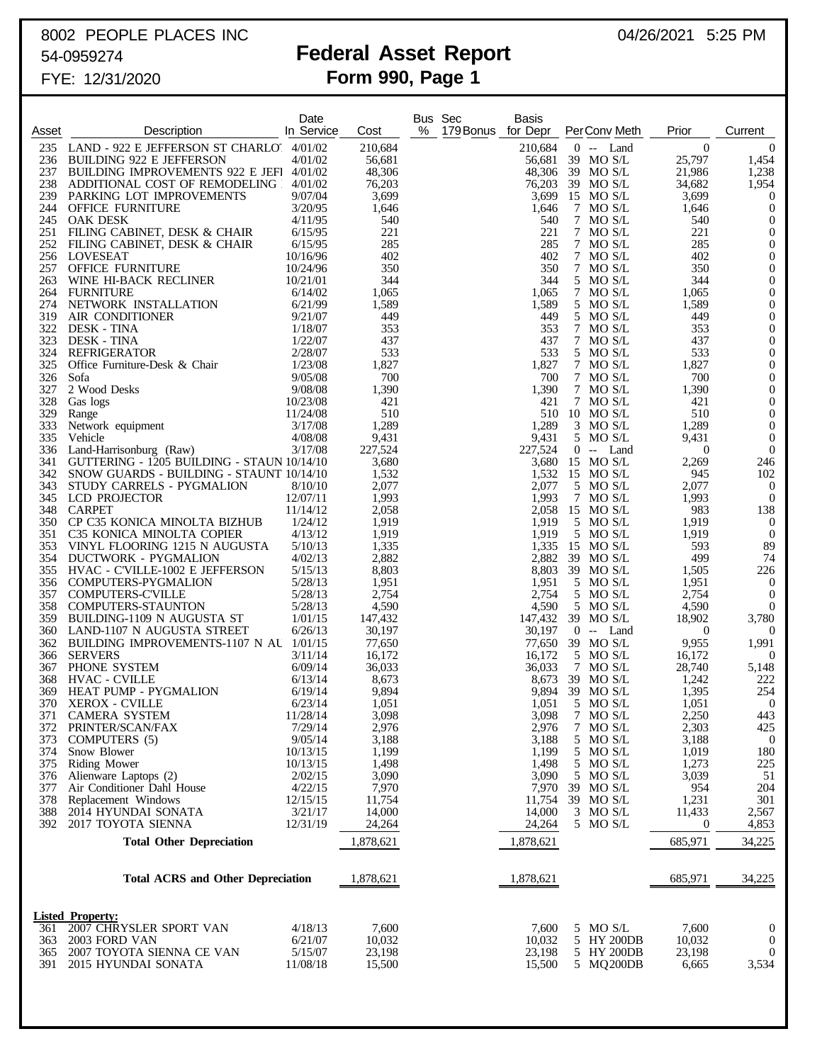# 8002 PEOPLE PLACES INC 8002 PEOPLE PLACES INC

## 54-0959274 **Federal Asset Report**

|            |                                                                             | Date                 |                   |   | Bus Sec            | <b>Basis</b>      |                             |                          |                                    |
|------------|-----------------------------------------------------------------------------|----------------------|-------------------|---|--------------------|-------------------|-----------------------------|--------------------------|------------------------------------|
| Asset      | Description                                                                 | In Service           | Cost              | % | 179 Bonus for Depr |                   | PerConv Meth                | Prior                    | Current                            |
| 235<br>236 | LAND - 922 E JEFFERSON ST CHARLO 4/01/02<br><b>BUILDING 922 E JEFFERSON</b> | 4/01/02              | 210,684<br>56,681 |   |                    | 210,684<br>56,681 | $0 -$ Land<br>39 MO S/L     | $\overline{0}$<br>25,797 | $\overline{0}$<br>1,454            |
| 237        | <b>BUILDING IMPROVEMENTS 922 E JEFI</b>                                     | 4/01/02              | 48,306            |   |                    | 48,306            | 39 MO S/L                   | 21,986                   | 1,238                              |
| 238        | ADDITIONAL COST OF REMODELING                                               | 4/01/02              | 76,203            |   |                    | 76,203            | 39 MO S/L                   | 34,682                   | 1,954                              |
| 239<br>244 | PARKING LOT IMPROVEMENTS<br><b>OFFICE FURNITURE</b>                         | 9/07/04<br>3/20/95   | 3,699<br>1,646    |   |                    | 3,699<br>1,646    | 15 MO S/L<br>7 MO S/L       | 3,699<br>1,646           | $\boldsymbol{0}$<br>$\overline{0}$ |
| 245        | OAK DESK                                                                    | 4/11/95              | 540               |   |                    | 540               | 7 MO S/L                    | 540                      | $\boldsymbol{0}$                   |
| 251        | FILING CABINET, DESK & CHAIR                                                | 6/15/95              | 221               |   |                    | 221               | 7 MO S/L                    | 221                      | $\mathbf{0}$                       |
| 252<br>256 | FILING CABINET, DESK & CHAIR<br>LOVESEAT                                    | 6/15/95<br>10/16/96  | 285<br>402        |   |                    | 285<br>402        | 7 MO S/L<br>7 MO S/L        | 285<br>402               | $\boldsymbol{0}$<br>$\mathbf{0}$   |
| 257        | <b>OFFICE FURNITURE</b>                                                     | 10/24/96             | 350               |   |                    | 350               | 7 MO S/L                    | 350                      | $\boldsymbol{0}$                   |
| 263        | WINE HI-BACK RECLINER                                                       | 10/21/01             | 344               |   |                    | 344               | 5 MO S/L                    | 344                      | $\mathbf{0}$                       |
| 264        | <b>FURNITURE</b>                                                            | 6/14/02              | 1,065             |   |                    | 1,065             | 7 MO S/L                    | 1,065                    | $\boldsymbol{0}$                   |
| 274<br>319 | NETWORK INSTALLATION<br>AIR CONDITIONER                                     | 6/21/99<br>9/21/07   | 1,589<br>449      |   |                    | 1,589<br>449      | 5 MO S/L<br>5 MO S/L        | 1,589<br>449             | $\mathbf{0}$<br>$\boldsymbol{0}$   |
| 322        | <b>DESK - TINA</b>                                                          | 1/18/07              | 353               |   |                    | 353               | 7 MO S/L                    | 353                      | $\mathbf{0}$                       |
| 323        | <b>DESK - TINA</b>                                                          | 1/22/07              | 437               |   |                    | 437               | 7 MO S/L                    | 437                      | $\boldsymbol{0}$                   |
| 324<br>325 | <b>REFRIGERATOR</b>                                                         | 2/28/07<br>1/23/08   | 533<br>1,827      |   |                    | 533<br>1,827      | 5 MO S/L<br>7 MO S/L        | 533<br>1,827             | $\mathbf{0}$<br>$\boldsymbol{0}$   |
| 326        | Office Furniture-Desk & Chair<br>Sofa                                       | 9/05/08              | 700               |   |                    | 700               | 7 MO S/L                    | 700                      | $\mathbf{0}$                       |
| 327        | 2 Wood Desks                                                                | 9/08/08              | 1,390             |   |                    | 1,390             | 7 MO S/L                    | 1,390                    | $\boldsymbol{0}$                   |
| 328        | Gas logs                                                                    | 10/23/08             | 421               |   |                    | 421               | 7 MO S/L                    | 421                      | $\mathbf{0}$                       |
| 329<br>333 | Range<br>Network equipment                                                  | 11/24/08<br>3/17/08  | 510<br>1,289      |   |                    | 510<br>1,289      | 10 MO S/L<br>$3$ MO S/L     | 510<br>1,289             | $\boldsymbol{0}$<br>$\mathbf{0}$   |
| 335        | Vehicle                                                                     | 4/08/08              | 9,431             |   |                    | 9,431             | 5 MO S/L                    | 9,431                    | $\mathbf{0}$                       |
| 336        | Land-Harrisonburg (Raw)                                                     | 3/17/08              | 227,524           |   |                    | 227,524           | $0 -$ Land                  | $\overline{0}$           | $\overline{0}$                     |
| 341        | GUTTERING - 1205 BUILDING - STAUN 10/14/10                                  |                      | 3,680             |   |                    | 3,680             | 15 MO S/L                   | 2,269                    | 246                                |
| 342<br>343 | SNOW GUARDS - BUILDING - STAUNT 10/14/10<br>STUDY CARRELS - PYGMALION       | 8/10/10              | 1,532<br>2,077    |   |                    | 1,532<br>2,077    | 15 MO S/L<br>5 MO S/L       | 945<br>2,077             | 102<br>$\overline{0}$              |
| 345        | LCD PROJECTOR                                                               | 12/07/11             | 1,993             |   |                    | 1,993             | 7 MO S/L                    | 1,993                    | $\overline{0}$                     |
| 348        | <b>CARPET</b>                                                               | 11/14/12             | 2,058             |   |                    | 2,058             | 15 MO S/L                   | 983                      | 138                                |
| 350<br>351 | CP C35 KONICA MINOLTA BIZHUB                                                | 1/24/12<br>4/13/12   | 1,919<br>1,919    |   |                    | 1,919<br>1,919    | 5 MO S/L<br>5 MO S/L        | 1,919<br>1,919           | $\overline{0}$<br>$\overline{0}$   |
| 353        | C35 KONICA MINOLTA COPIER<br>VINYL FLOORING 1215 N AUGUSTA                  | 5/10/13              | 1,335             |   |                    | 1,335             | 15 MO S/L                   | 593                      | 89                                 |
| 354        | DUCTWORK - PYGMALION                                                        | 4/02/13              | 2,882             |   |                    | 2,882             | 39 MO S/L                   | 499                      | 74                                 |
| 355        | HVAC - C'VILLE-1002 E JEFFERSON                                             | 5/15/13              | 8,803             |   |                    | 8,803             | 39 MO S/L                   | 1,505                    | 226                                |
| 356<br>357 | <b>COMPUTERS-PYGMALION</b><br><b>COMPUTERS-C'VILLE</b>                      | 5/28/13<br>5/28/13   | 1,951<br>2,754    |   |                    | 1,951<br>2,754    | 5 MO S/L<br>5 MO S/L        | 1,951<br>2,754           | $\overline{0}$<br>$\overline{0}$   |
| 358        | <b>COMPUTERS-STAUNTON</b>                                                   | 5/28/13              | 4,590             |   |                    | 4,590             | 5 MO S/L                    | 4,590                    | $\overline{0}$                     |
| 359        | BUILDING-1109 N AUGUSTA ST                                                  | 1/01/15              | 147,432           |   |                    | 147,432           | 39 MO S/L                   | 18,902                   | 3,780                              |
| 360        | LAND-1107 N AUGUSTA STREET<br>BUILDING IMPROVEMENTS-1107 N AU 1/01/15       | 6/26/13              | 30,197            |   |                    | 30,197            | $0 -$<br>Land               | $\overline{0}$           | $\overline{0}$                     |
| 362<br>366 | <b>SERVERS</b>                                                              | 3/11/14              | 77,650<br>16,172  |   |                    | 77,650<br>16,172  | 39 MO S/L<br>5 MO S/L       | 9,955<br>16,172          | 1,991<br>- 0                       |
| 367        | PHONE SYSTEM                                                                | 6/09/14              | 36,033            |   |                    | 36,033            | 7 MO S/L                    | 28,740                   | 5,148                              |
| 368        | <b>HVAC - CVILLE</b>                                                        | 6/13/14              | 8,673             |   |                    | 8,673             | 39 MO S/L                   | 1,242                    | 222                                |
| 369        | HEAT PUMP - PYGMALION<br>370 XEROX - CVILLE                                 | 6/19/14<br>6/23/14   | 9,894<br>1,051    |   |                    | 1,051             | 9,894 39 MO S/L<br>5 MO S/L | 1,395<br>1,051           | 254<br>$\overline{0}$              |
| 371        | <b>CAMERA SYSTEM</b>                                                        | 11/28/14             | 3,098             |   |                    | 3,098             | 7 MO S/L                    | 2,250                    | 443                                |
| 372        | PRINTER/SCAN/FAX                                                            | 7/29/14              | 2,976             |   |                    | 2,976             | 7 MO S/L                    | 2,303                    | 425                                |
| 373        | COMPUTERS (5)                                                               | 9/05/14              | 3,188             |   |                    | 3,188             | 5 MO S/L                    | 3,188                    | $\bf{0}$                           |
| 374<br>375 | Snow Blower<br>Riding Mower                                                 | 10/13/15<br>10/13/15 | 1,199<br>1,498    |   |                    | 1,199<br>1,498    | 5 MO S/L<br>5 MO S/L        | 1,019<br>1,273           | 180<br>225                         |
| 376        | Alienware Laptops (2)                                                       | 2/02/15              | 3,090             |   |                    | 3,090             | 5 MO S/L                    | 3,039                    | 51                                 |
| 377        | Air Conditioner Dahl House                                                  | 4/22/15              | 7,970             |   |                    | 7,970             | 39 MO S/L                   | 954                      | 204                                |
| 378<br>388 | Replacement Windows<br>2014 HYUNDAI SONATA                                  | 12/15/15<br>3/21/17  | 11,754<br>14,000  |   |                    | 11,754<br>14,000  | 39 MO S/L<br>3 MO S/L       | 1,231<br>11,433          | 301<br>2,567                       |
| 392        | 2017 TOYOTA SIENNA                                                          | 12/31/19             | 24,264            |   |                    | 24,264            | 5 MO S/L                    | $\boldsymbol{0}$         | 4,853                              |
|            | <b>Total Other Depreciation</b>                                             |                      | 1,878,621         |   |                    | 1,878,621         |                             | 685,971                  | 34,225                             |
|            |                                                                             |                      | 1,878,621         |   |                    | 1,878,621         |                             |                          |                                    |
|            | <b>Total ACRS and Other Depreciation</b>                                    |                      |                   |   |                    |                   |                             | 685,971                  | 34,225                             |
|            | <b>Listed Property:</b>                                                     |                      |                   |   |                    |                   |                             |                          |                                    |
| 361        | 2007 CHRYSLER SPORT VAN                                                     | 4/18/13              | 7,600             |   |                    | 7,600             | 5 MO S/L                    | 7,600                    | $\boldsymbol{0}$                   |
| 363        | 2003 FORD VAN<br>2007 TOYOTA SIENNA CE VAN                                  | 6/21/07<br>5/15/07   | 10,032<br>23,198  |   |                    | 10,032<br>23,198  | 5 HY 200DB<br>5 HY 200DB    | 10,032<br>23,198         | $\overline{0}$<br>$\theta$         |
| 365<br>391 | 2015 HYUNDAI SONATA                                                         | 11/08/18             | 15,500            |   |                    | 15,500            | 5 MQ200DB                   | 6,665                    | 3,534                              |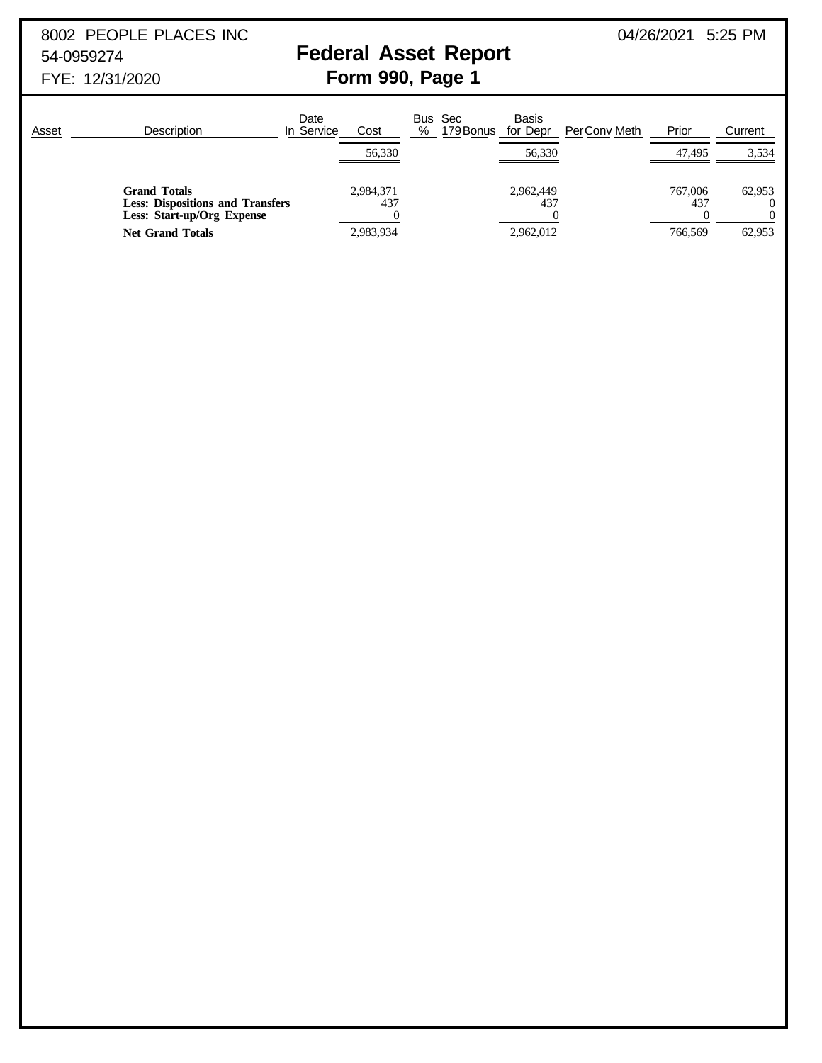8002 PEOPLE PLACES INC 8002 PEOPLE PLACES INC

# 54-0959274 **Federal Asset Report**

| Asset | <b>Description</b>                                                                           | Date<br>In Service<br>Cost | <b>Basis</b><br>Bus Sec<br>%<br>for Depr<br>179 Bonus | Prior<br>PerConv Meth<br>Current |
|-------|----------------------------------------------------------------------------------------------|----------------------------|-------------------------------------------------------|----------------------------------|
|       |                                                                                              | 56,330                     | 56,330                                                | 3,534<br>47.495                  |
|       | <b>Grand Totals</b><br><b>Less: Dispositions and Transfers</b><br>Less: Start-up/Org Expense | 2,984,371<br>437           | 2,962,449<br>437                                      | 767,006<br>62,953<br>437         |
|       | <b>Net Grand Totals</b>                                                                      | 2,983,934                  | 2,962,012                                             | 766,569<br>62,953                |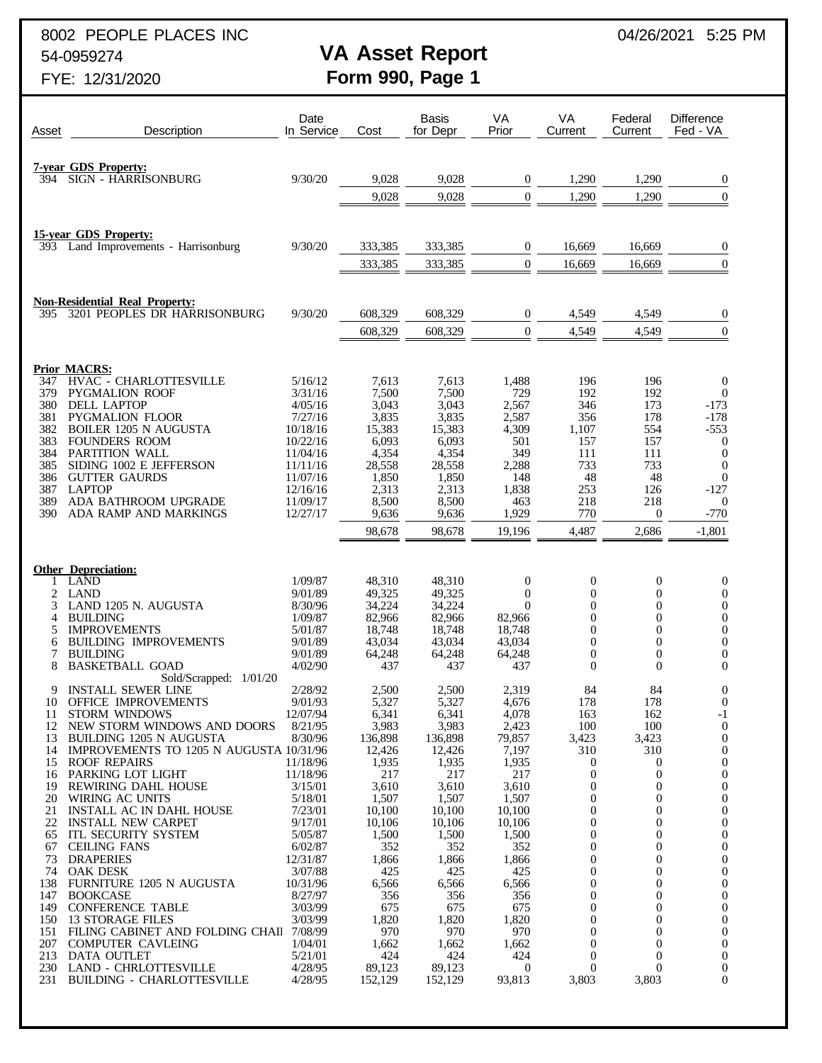8002 PEOPLE PLACES INC **04/26/2021** 5:25 PM

# 54-0959274 **VA Asset Report**

| Asset      | Description                                                           | Date<br>In Service   | Cost             | <b>Basis</b><br>for Depr | VA<br>Prior          | VA<br>Current                    | Federal<br>Current                 | <b>Difference</b><br>Fed - VA        |
|------------|-----------------------------------------------------------------------|----------------------|------------------|--------------------------|----------------------|----------------------------------|------------------------------------|--------------------------------------|
|            |                                                                       |                      |                  |                          |                      |                                  |                                    |                                      |
| 394        | <b>7-year GDS Property:</b><br><b>SIGN - HARRISONBURG</b>             | 9/30/20              | 9,028            | 9,028                    | $\boldsymbol{0}$     | 1,290                            | 1,290                              | $\boldsymbol{0}$                     |
|            |                                                                       |                      | 9,028            | 9,028                    | $\mathbf{0}$         | 1,290                            | 1,290                              | $\overline{0}$                       |
|            |                                                                       |                      |                  |                          |                      |                                  |                                    |                                      |
|            | <b>15-year GDS Property:</b>                                          |                      |                  |                          |                      |                                  |                                    |                                      |
|            | 393 Land Improvements - Harrisonburg                                  | 9/30/20              | 333,385          | 333,385                  | $\boldsymbol{0}$     | 16,669                           | 16,669                             | 0                                    |
|            |                                                                       |                      | 333,385          | 333,385                  | $\overline{0}$       | 16,669                           | 16,669                             | $\overline{0}$                       |
|            |                                                                       |                      |                  |                          |                      |                                  |                                    |                                      |
| 395.       | <b>Non-Residential Real Property:</b><br>3201 PEOPLES DR HARRISONBURG | 9/30/20              | 608,329          | 608,329                  | $\boldsymbol{0}$     | 4,549                            | 4,549                              | $\boldsymbol{0}$                     |
|            |                                                                       |                      | 608,329          | 608,329                  | $\mathbf{0}$         | 4,549                            | 4,549                              | $\boldsymbol{0}$                     |
|            |                                                                       |                      |                  |                          |                      |                                  |                                    |                                      |
|            | <b>Prior MACRS:</b>                                                   |                      |                  |                          |                      |                                  |                                    |                                      |
| 347<br>379 | HVAC - CHARLOTTESVILLE<br><b>PYGMALION ROOF</b>                       | 5/16/12<br>3/31/16   | 7,613<br>7,500   | 7,613<br>7,500           | 1,488<br>729         | 196<br>192                       | 196<br>192                         | $\boldsymbol{0}$<br>$\boldsymbol{0}$ |
| 380        | <b>DELL LAPTOP</b>                                                    | 4/05/16              | 3,043            | 3,043                    | 2,567                | 346                              | 173                                | $-173$                               |
| 381<br>382 | <b>PYGMALION FLOOR</b><br><b>BOILER 1205 N AUGUSTA</b>                | 7/27/16<br>10/18/16  | 3,835<br>15,383  | 3,835<br>15,383          | 2,587<br>4,309       | 356<br>1,107                     | 178<br>554                         | $-178$<br>$-553$                     |
| 383        | <b>FOUNDERS ROOM</b>                                                  | 10/22/16             | 6,093            | 6,093                    | 501                  | 157                              | 157                                | $\boldsymbol{0}$                     |
| 384        | PARTITION WALL                                                        | 11/04/16             | 4,354            | 4,354                    | 349                  | 111                              | 111                                | $\boldsymbol{0}$                     |
| 385<br>386 | SIDING 1002 E JEFFERSON<br><b>GUTTER GAURDS</b>                       | 11/11/16<br>11/07/16 | 28,558<br>1,850  | 28,558<br>1,850          | 2,288<br>148         | 733<br>48                        | 733<br>48                          | $\boldsymbol{0}$<br>$\boldsymbol{0}$ |
| 387        | <b>LAPTOP</b>                                                         | 12/16/16             | 2,313            | 2,313                    | 1,838                | 253                              | 126                                | $-127$                               |
| 389<br>390 | ADA BATHROOM UPGRADE                                                  | 11/09/17             | 8,500            | 8,500<br>9,636           | 463                  | 218                              | 218                                | $\boldsymbol{0}$                     |
|            | ADA RAMP AND MARKINGS                                                 | 12/27/17             | 9,636<br>98,678  | 98,678                   | 1,929<br>19,196      | 770<br>4,487                     | $\boldsymbol{0}$<br>2,686          | $-770$<br>$-1,801$                   |
|            |                                                                       |                      |                  |                          |                      |                                  |                                    |                                      |
|            | <b>Other Depreciation:</b>                                            |                      |                  |                          |                      |                                  |                                    |                                      |
|            | <b>LAND</b>                                                           | 1/09/87              | 48,310           | 48,310                   | $\boldsymbol{0}$     | $\boldsymbol{0}$                 | $\boldsymbol{0}$                   | $\boldsymbol{0}$                     |
| 2<br>3     | <b>LAND</b><br>LAND 1205 N. AUGUSTA                                   | 9/01/89<br>8/30/96   | 49,325<br>34,224 | 49,325<br>34,224         | $\theta$<br>$\theta$ | $\mathbf{0}$<br>$\mathbf{0}$     | $\overline{0}$<br>$\boldsymbol{0}$ | $\boldsymbol{0}$<br>$\boldsymbol{0}$ |
| 4          | <b>BUILDING</b>                                                       | 1/09/87              | 82,966           | 82,966                   | 82,966               | 0                                | $\overline{0}$                     | $\boldsymbol{0}$                     |
| 5          | <b>IMPROVEMENTS</b>                                                   | 5/01/87              | 18,748           | 18,748                   | 18,748               | $\mathbf{0}$                     | $\boldsymbol{0}$                   | $\boldsymbol{0}$                     |
| 6<br>7     | <b>BUILDING IMPROVEMENTS</b><br><b>BUILDING</b>                       | 9/01/89<br>9/01/89   | 43,034<br>64,248 | 43,034<br>64,248         | 43,034<br>64,248     | $\mathbf{0}$<br>$\boldsymbol{0}$ | $\overline{0}$<br>$\boldsymbol{0}$ | $\boldsymbol{0}$<br>$\boldsymbol{0}$ |
| 8          | <b>BASKETBALL GOAD</b>                                                | 4/02/90              | 437              | 437                      | 437                  | $\overline{0}$                   | $\overline{0}$                     | $\mathbf{0}$                         |
| 9          | Sold/Scrapped: 1/01/20<br><b>INSTALL SEWER LINE</b>                   | 2/28/92              | 2,500            | 2,500                    | 2,319                | 84                               | 84                                 | $\boldsymbol{0}$                     |
| 10         | <b>OFFICE IMPROVEMENTS</b>                                            | 9/01/93              | 5,327            | 5,327                    | 4,676                | 178                              | 178                                | $\theta$                             |
| 11         | <b>STORM WINDOWS</b>                                                  | 12/07/94             | 6,341            | 6,341                    | 4,078                | 163                              | 162                                | -1                                   |
| 12<br>13   | NEW STORM WINDOWS AND DOORS<br>BUILDING 1205 N AUGUSTA                | 8/21/95<br>8/30/96   | 3,983<br>136,898 | 3,983<br>136,898         | 2,423<br>79,857      | 100<br>3,423                     | 100<br>3,423                       | 0<br>$\theta$                        |
| 14         | IMPROVEMENTS TO 1205 N AUGUSTA 10/31/96                               |                      | 12,426           | 12,426                   | 7,197                | 310                              | 310                                | $\overline{0}$                       |
|            | 15 ROOF REPAIRS<br>PARKING LOT LIGHT                                  | 11/18/96             | 1,935            | 1,935<br>217             | 1,935                | 0<br>$\mathbf{0}$                | $\theta$<br>$\theta$               | $\theta$                             |
| 16<br>19   | REWIRING DAHL HOUSE                                                   | 11/18/96<br>3/15/01  | 217<br>3,610     | 3,610                    | 217<br>3,610         | 0                                | 0                                  | $\boldsymbol{0}$<br>$\theta$         |
| 20         | WIRING AC UNITS                                                       | 5/18/01              | 1,507            | 1,507                    | 1,507                | $\mathbf{0}$                     | $\overline{0}$                     | $\boldsymbol{0}$                     |
| 21<br>22   | INSTALL AC IN DAHL HOUSE<br><b>INSTALL NEW CARPET</b>                 | 7/23/01<br>9/17/01   | 10,100<br>10,106 | 10,100<br>10,106         | 10,100<br>10,106     | $\Omega$<br>0                    | 0<br>$\overline{0}$                | $\theta$<br>$\overline{0}$           |
| 65         | ITL SECURITY SYSTEM                                                   | 5/05/87              | 1,500            | 1,500                    | 1,500                | $\Omega$                         | $\overline{0}$                     | $\theta$                             |
| 67         | <b>CEILING FANS</b>                                                   | 6/02/87              | 352              | 352                      | 352                  | 0                                | $\overline{0}$                     | $\boldsymbol{0}$                     |
| 74         | 73 DRAPERIES<br><b>OAK DESK</b>                                       | 12/31/87<br>3/07/88  | 1,866<br>425     | 1,866<br>425             | 1,866<br>425         | $\Omega$<br>0                    | 0<br>$\overline{0}$                | $\theta$<br>$\overline{0}$           |
| 138        | FURNITURE 1205 N AUGUSTA                                              | 10/31/96             | 6,566            | 6,566                    | 6,566                | $\Omega$                         | 0                                  | $\theta$                             |
| 147<br>149 | <b>BOOKCASE</b><br><b>CONFERENCE TABLE</b>                            | 8/27/97<br>3/03/99   | 356<br>675       | 356<br>675               | 356<br>675           | 0<br>0                           | $\overline{0}$<br>0                | $\boldsymbol{0}$<br>$\theta$         |
| 150        | 13 STORAGE FILES                                                      | 3/03/99              | 1,820            | 1,820                    | 1,820                | 0                                | 0                                  | $\overline{0}$                       |
| 151        | FILING CABINET AND FOLDING CHAII 7/08/99                              |                      | 970              | 970                      | 970                  | $\Omega$                         | 0                                  | $\theta$                             |
| 207        | <b>COMPUTER CAVLEING</b><br>213 DATA OUTLET                           | 1/04/01<br>5/21/01   | 1,662<br>424     | 1,662<br>424             | 1,662<br>424         | $\mathbf{0}$<br>0                | $\theta$<br>$\theta$               | $\overline{0}$<br>$\theta$           |
| 230        | <b>LAND - CHRLOTTESVILLE</b>                                          | 4/28/95              | 89,123           | 89,123                   | $\overline{0}$       | $\theta$                         | $\overline{0}$                     | $\boldsymbol{0}$                     |
| 231        | <b>BUILDING - CHARLOTTESVILLE</b>                                     | 4/28/95              | 152,129          | 152,129                  | 93,813               | 3,803                            | 3,803                              | $\overline{0}$                       |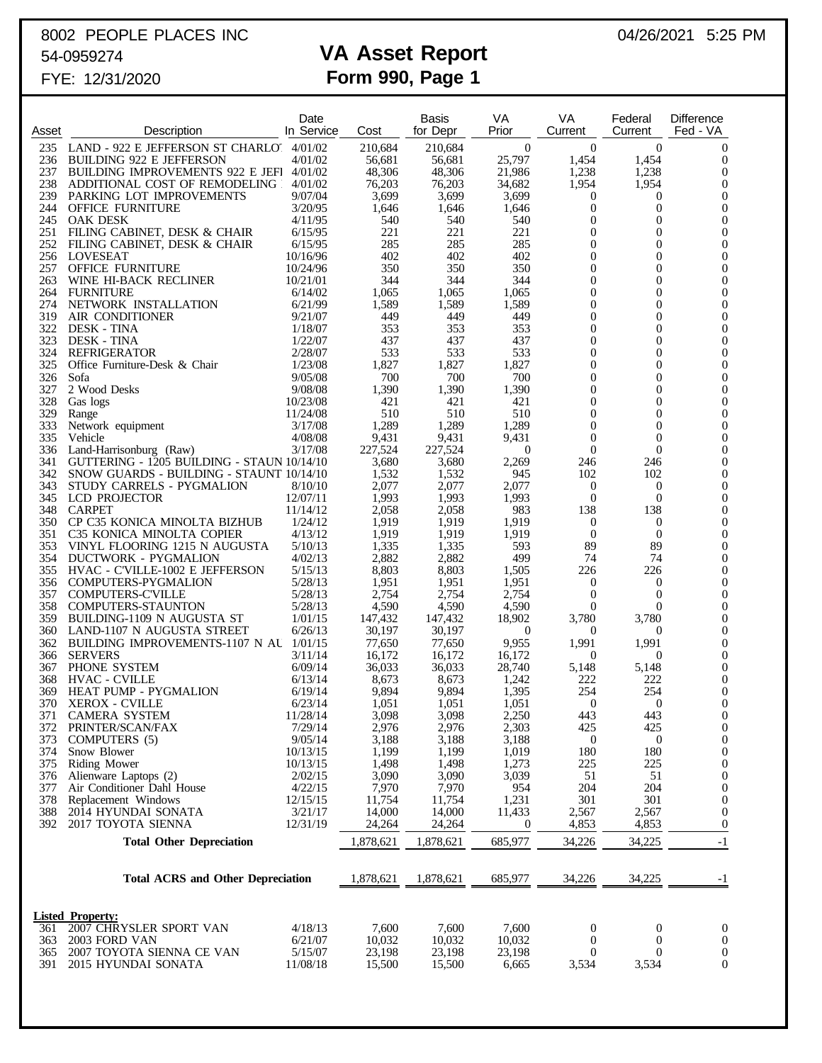## 8002 PEOPLE PLACES INC **04/26/2021** 5:25 PM 54-0959274 **VA Asset Report**

| Asset      | Description                                                               | Date<br>In Service   | Cost              | <b>Basis</b><br>for Depr | VA<br>Prior                | VA<br>Current                        | Federal<br>Current                   | Difference<br>Fed - VA             |
|------------|---------------------------------------------------------------------------|----------------------|-------------------|--------------------------|----------------------------|--------------------------------------|--------------------------------------|------------------------------------|
| 235        | LAND - 922 E JEFFERSON ST CHARLO 4/01/02                                  |                      | 210,684           | 210,684                  | $\mathbf{0}$               | $\mathbf{0}$                         | $\boldsymbol{0}$                     | $\overline{0}$                     |
| 236        | <b>BUILDING 922 E JEFFERSON</b>                                           | 4/01/02              | 56,681            | 56,681                   | 25,797                     | 1,454                                | 1,454                                | $\mathbf{0}$                       |
| 237<br>238 | BUILDING IMPROVEMENTS 922 E JEFI 4/01/02<br>ADDITIONAL COST OF REMODELING | 4/01/02              | 48,306<br>76,203  | 48,306<br>76,203         | 21,986<br>34,682           | 1,238<br>1,954                       | 1,238<br>1,954                       | $\overline{0}$<br>$\overline{0}$   |
| 239        | PARKING LOT IMPROVEMENTS                                                  | 9/07/04              | 3,699             | 3,699                    | 3,699                      | $\boldsymbol{0}$                     | $\mathbf 0$                          | $\overline{0}$                     |
| 244        | <b>OFFICE FURNITURE</b>                                                   | 3/20/95              | 1,646             | 1,646                    | 1,646                      | $\boldsymbol{0}$                     | $\boldsymbol{0}$                     | $\overline{0}$                     |
|            | 245 OAK DESK<br>251 FILING CABINET, DESK & CHAIR                          | 4/11/95<br>6/15/95   | 540<br>221        | 540<br>221               | 540<br>221                 | $\boldsymbol{0}$<br>$\boldsymbol{0}$ | $\boldsymbol{0}$<br>$\boldsymbol{0}$ | $\overline{0}$<br>$\overline{0}$   |
|            | 252 FILING CABINET, DESK & CHAIR                                          | 6/15/95              | 285               | 285                      | 285                        | $\boldsymbol{0}$                     | $\mathbf{0}$                         | $\overline{0}$                     |
|            | 256 LOVESEAT                                                              | 10/16/96             | 402               | 402                      | 402                        | $\boldsymbol{0}$                     | $\boldsymbol{0}$                     | $\overline{0}$                     |
| 257        | <b>OFFICE FURNITURE</b>                                                   | 10/24/96             | 350               | 350                      | 350                        | $\boldsymbol{0}$                     | 0                                    | $\overline{0}$                     |
| 263<br>264 | WINE HI-BACK RECLINER<br><b>FURNITURE</b>                                 | 10/21/01<br>6/14/02  | 344<br>1,065      | 344<br>1,065             | 344<br>1,065               | $\boldsymbol{0}$<br>$\boldsymbol{0}$ | $\boldsymbol{0}$<br>$\boldsymbol{0}$ | $\overline{0}$<br>$\overline{0}$   |
| 274        | NETWORK INSTALLATION                                                      | 6/21/99              | 1,589             | 1,589                    | 1,589                      | $\boldsymbol{0}$                     | $\boldsymbol{0}$                     | $\overline{0}$                     |
| 319        | AIR CONDITIONER                                                           | 9/21/07              | 449               | 449                      | 449                        | $\boldsymbol{0}$                     | $\boldsymbol{0}$                     | $\overline{0}$                     |
| 322        | <b>DESK - TINA</b>                                                        | 1/18/07              | 353               | 353                      | 353                        | $\boldsymbol{0}$                     | $\boldsymbol{0}$                     | $\overline{0}$                     |
| 323<br>324 | <b>DESK - TINA</b><br><b>REFRIGERATOR</b>                                 | 1/22/07<br>2/28/07   | 437<br>533        | 437<br>533               | 437<br>533                 | $\boldsymbol{0}$<br>$\boldsymbol{0}$ | $\boldsymbol{0}$<br>$\boldsymbol{0}$ | $\overline{0}$<br>$\overline{0}$   |
| 325        | Office Furniture-Desk & Chair                                             | 1/23/08              | 1,827             | 1,827                    | 1,827                      | $\boldsymbol{0}$                     | $\mathbf{0}$                         | $\overline{0}$                     |
| 326        | Sofa                                                                      | 9/05/08              | 700               | 700                      | 700                        | $\boldsymbol{0}$                     | $\boldsymbol{0}$                     | $\overline{0}$                     |
| 327<br>328 | 2 Wood Desks<br>Gas logs                                                  | 9/08/08<br>10/23/08  | 1,390<br>421      | 1,390<br>421             | 1,390<br>421               | $\boldsymbol{0}$<br>$\boldsymbol{0}$ | $\overline{0}$<br>$\boldsymbol{0}$   | $\overline{0}$<br>$\overline{0}$   |
| 329        | Range                                                                     | 11/24/08             | 510               | 510                      | 510                        | $\boldsymbol{0}$                     | $\boldsymbol{0}$                     | $\overline{0}$                     |
| 333        | Network equipment                                                         | 3/17/08              | 1,289             | 1,289                    | 1,289                      | $\boldsymbol{0}$                     | $\boldsymbol{0}$                     | $\overline{0}$                     |
| 335        | Vehicle                                                                   | 4/08/08              | 9,431             | 9,431                    | 9,431                      | $\mathbf{0}$                         | $\boldsymbol{0}$                     | $\overline{0}$                     |
| 341        | 336 Land-Harrisonburg (Raw)<br>GUTTERING - 1205 BUILDING - STAUN 10/14/10 | 3/17/08              | 227,524<br>3,680  | 227,524<br>3,680         | $\mathbf{0}$<br>2,269      | $\boldsymbol{0}$<br>246              | $\overline{0}$<br>246                | $\boldsymbol{0}$<br>$\overline{0}$ |
| 342        | SNOW GUARDS - BUILDING - STAUNT 10/14/10                                  |                      | 1,532             | 1,532                    | 945                        | 102                                  | 102                                  | $\boldsymbol{0}$                   |
| 343        | STUDY CARRELS - PYGMALION                                                 | 8/10/10              | 2,077             | 2,077                    | 2,077                      | $\boldsymbol{0}$                     | $\mathbf{0}$                         | $\overline{0}$                     |
| 348        | 345 LCD PROJECTOR<br><b>CARPET</b>                                        | 12/07/11<br>11/14/12 | 1,993<br>2,058    | 1,993<br>2,058           | 1,993<br>983               | $\boldsymbol{0}$<br>138              | $\overline{0}$<br>138                | $\boldsymbol{0}$<br>$\overline{0}$ |
|            | 350 CP C35 KONICA MINOLTA BIZHUB                                          | 1/24/12              | 1,919             | 1,919                    | 1,919                      | $\boldsymbol{0}$                     | $\mathbf 0$                          | $\overline{0}$                     |
| 351        | C35 KONICA MINOLTA COPIER                                                 | 4/13/12              | 1,919             | 1,919                    | 1,919                      | $\mathbf{0}$                         | $\boldsymbol{0}$                     | $\overline{0}$                     |
| 353        | VINYL FLOORING 1215 N AUGUSTA                                             | 5/10/13              | 1,335             | 1,335                    | 593                        | 89                                   | 89                                   | $\boldsymbol{0}$                   |
|            | 354 DUCTWORK - PYGMALION<br>355 HVAC - C'VILLE-1002 E JEFFERSON           | 4/02/13<br>5/15/13   | 2,882<br>8,803    | 2,882<br>8,803           | 499<br>1,505               | 74<br>226                            | 74<br>226                            | $\overline{0}$<br>$\overline{0}$   |
|            | 356 COMPUTERS-PYGMALION                                                   | 5/28/13              | 1,951             | 1,951                    | 1,951                      | $\boldsymbol{0}$                     | $\boldsymbol{0}$                     | $\overline{0}$                     |
|            | 357 COMPUTERS-C'VILLE                                                     | 5/28/13              | 2,754             | 2,754                    | 2,754                      | $\mathbf{0}$                         | $\boldsymbol{0}$                     | $\boldsymbol{0}$                   |
| 358        | <b>COMPUTERS-STAUNTON</b>                                                 | 5/28/13              | 4,590             | 4,590                    | 4,590                      | $\boldsymbol{0}$                     | $\overline{0}$<br>3,780              | $\overline{0}$<br>$\boldsymbol{0}$ |
| 359<br>360 | BUILDING-1109 N AUGUSTA ST<br>LAND-1107 N AUGUSTA STREET                  | 1/01/15<br>6/26/13   | 147,432<br>30,197 | 147,432<br>30,197        | 18,902<br>$\boldsymbol{0}$ | 3,780<br>$\theta$                    | 0                                    | $\overline{0}$                     |
| 362        | BUILDING IMPROVEMENTS-1107 N AU 1/01/15                                   |                      | 77,650            | 77,650                   | 9,955                      | 1,991                                | 1,991                                | $\mathbf{0}$                       |
| 366        | <b>SERVERS</b>                                                            | 3/11/14              | 16,172            | 16,172                   | 16,172                     | $\boldsymbol{0}$                     | $\mathbf 0$                          | $\boldsymbol{0}$                   |
| 367<br>368 | PHONE SYSTEM<br><b>HVAC - CVILLE</b>                                      | 6/09/14<br>6/13/14   | 36,033<br>8,673   | 36,033<br>8,673          | 28,740<br>1,242            | 5,148<br>222                         | 5,148<br>222                         | $\mathbf{0}$<br>$\boldsymbol{0}$   |
| 369        | <b>HEAT PUMP - PYGMALION</b>                                              | 6/19/14              | 9,894             | 9,894                    | 1.395                      | 254                                  | 254                                  | $\overline{0}$                     |
|            | 370 XEROX - CVILLE                                                        | 6/23/14              | 1,051             | 1,051                    | 1,051                      | $\boldsymbol{0}$                     | $\mathbf{0}$                         | $\boldsymbol{0}$                   |
| 371        | <b>CAMERA SYSTEM</b>                                                      | 11/28/14             | 3,098             | 3,098                    | 2,250                      | 443                                  | 443                                  | $\mathbf{0}$                       |
| 372<br>373 | PRINTER/SCAN/FAX<br>COMPUTERS (5)                                         | 7/29/14<br>9/05/14   | 2,976<br>3,188    | 2,976<br>3,188           | 2,303<br>3,188             | 425<br>$\boldsymbol{0}$              | 425<br>$\boldsymbol{0}$              | $\theta$<br>$\theta$               |
| 374        | Snow Blower                                                               | 10/13/15             | 1,199             | 1,199                    | 1,019                      | 180                                  | 180                                  | 0                                  |
| 375        | Riding Mower                                                              | 10/13/15             | 1,498             | 1,498                    | 1,273                      | 225                                  | 225                                  | 0                                  |
| 376<br>377 | Alienware Laptops (2)<br>Air Conditioner Dahl House                       | 2/02/15<br>4/22/15   | 3,090<br>7,970    | 3,090<br>7,970           | 3,039<br>954               | 51<br>204                            | 51<br>204                            | $\theta$<br>0                      |
| 378        | Replacement Windows                                                       | 12/15/15             | 11,754            | 11,754                   | 1,231                      | 301                                  | 301                                  | $\theta$                           |
| 388        | 2014 HYUNDAI SONATA                                                       | 3/21/17              | 14,000            | 14,000                   | 11,433                     | 2,567                                | 2,567                                | $\theta$                           |
| 392        | 2017 TOYOTA SIENNA                                                        | 12/31/19             | 24,264            | 24,264                   | $\boldsymbol{0}$           | 4,853                                | 4,853                                | $\mathbf{0}$                       |
|            | <b>Total Other Depreciation</b>                                           |                      | 1,878,621         | 1,878,621                | 685,977                    | 34,226                               | 34,225                               | $-1$                               |
|            | <b>Total ACRS and Other Depreciation</b>                                  | 1,878,621            | 1,878,621         | 685,977                  | 34,226                     | 34,225                               | -1                                   |                                    |
|            | <b>Listed Property:</b>                                                   |                      |                   |                          |                            |                                      |                                      |                                    |
| 361        | 2007 CHRYSLER SPORT VAN                                                   | 4/18/13              | 7,600             | 7,600                    | 7,600                      | $\mathbf{0}$                         | $\mathbf 0$                          | $\boldsymbol{0}$                   |
| 363        | 2003 FORD VAN                                                             | 6/21/07              | 10,032            | 10,032                   | 10,032                     | $\theta$                             | $\mathbf{0}$                         | $\mathbf{0}$                       |
| 365<br>391 | 2007 TOYOTA SIENNA CE VAN<br>2015 HYUNDAI SONATA                          | 5/15/07<br>11/08/18  | 23,198<br>15,500  | 23,198<br>15,500         | 23,198<br>6,665            | $\theta$<br>3,534                    | $\overline{0}$<br>3,534              | $\overline{0}$<br>$\mathbf{0}$     |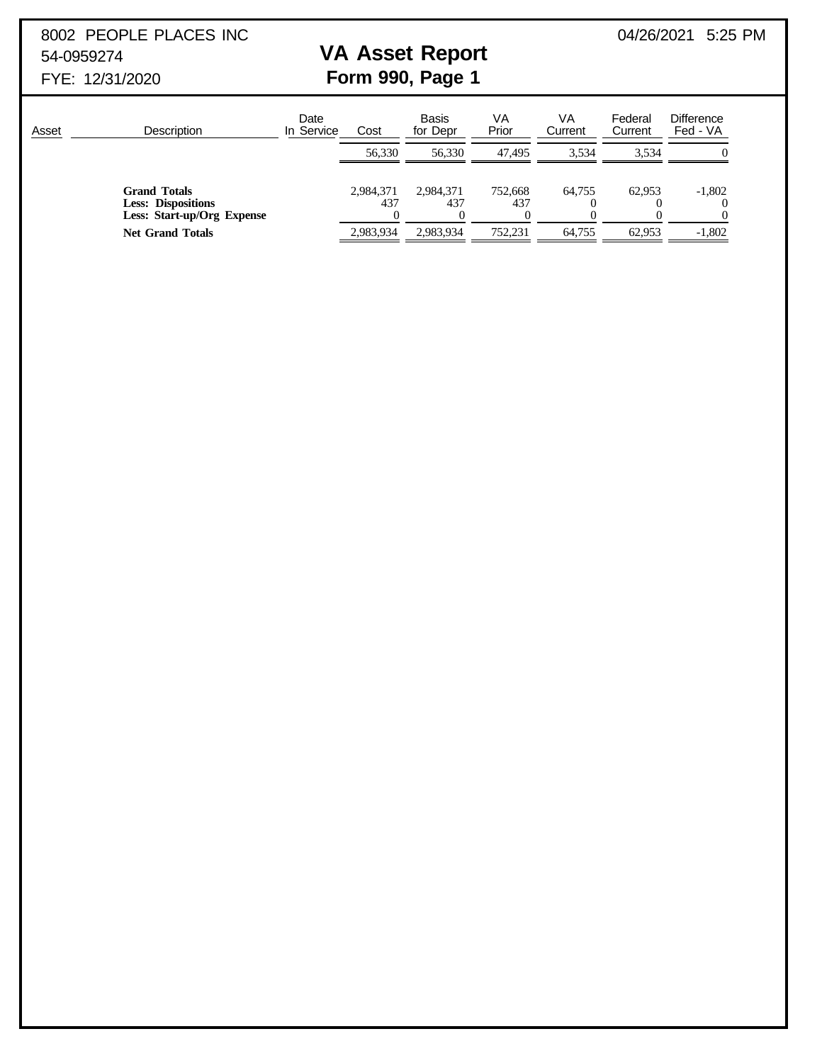8002 PEOPLE PLACES INC **04/26/2021** 5:25 PM 54-0959274 **VA Asset Report**

| Asset | <b>Description</b>                                                             | Date<br>In Service | Cost             | <b>Basis</b><br>for Depr | VA<br>Prior    | VA<br>Current | Federal<br>Current | <b>Difference</b><br>Fed - VA |
|-------|--------------------------------------------------------------------------------|--------------------|------------------|--------------------------|----------------|---------------|--------------------|-------------------------------|
|       |                                                                                |                    | 56,330           | 56.330                   | 47.495         | 3.534         | 3.534              | $\theta$                      |
|       | <b>Grand Totals</b><br><b>Less: Dispositions</b><br>Less: Start-up/Org Expense |                    | 2,984,371<br>437 | 2,984,371<br>437         | 752,668<br>437 | 64.755        | 62.953             | $-1,802$<br>$\theta$          |
|       | <b>Net Grand Totals</b>                                                        |                    | 2.983.934        | 2.983.934                | 752.231        | 64.755        | 62.953             | $-1,802$                      |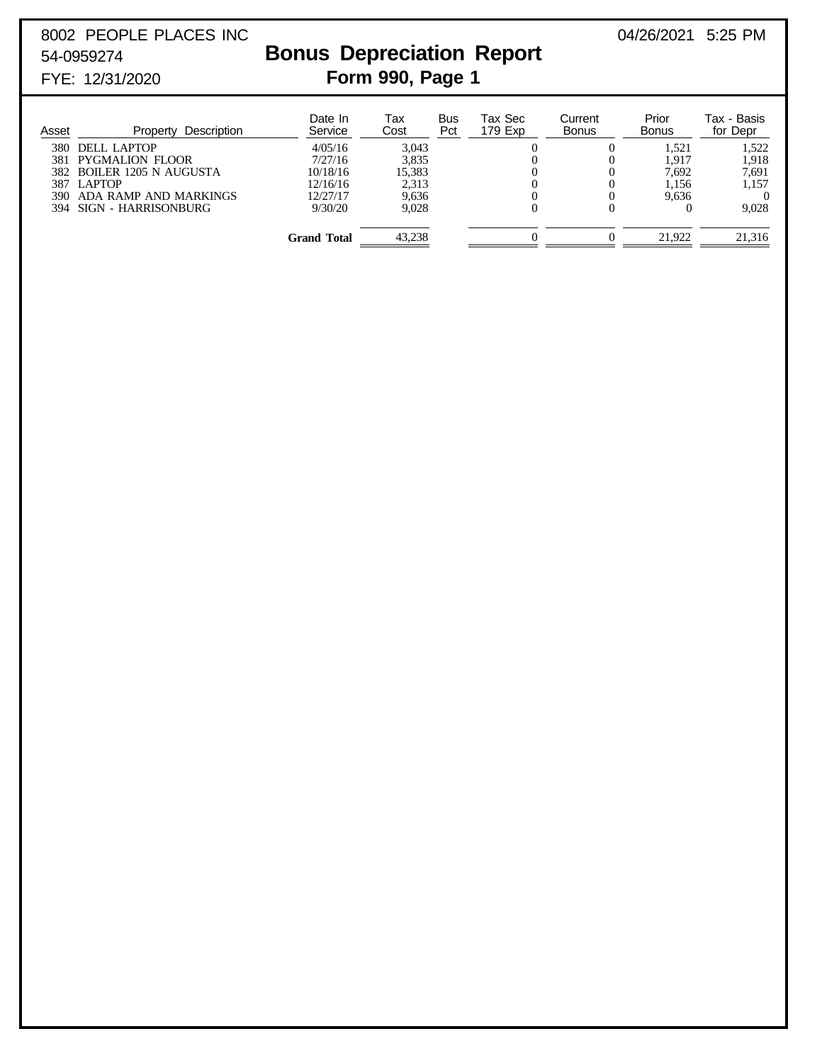# 8002 PEOPLE PLACES INC 2002 2021 5:25 PM

## 54-0959274 **Bonus Depreciation Report** FYE: 12/31/2020 **Form 990, Page 1**

| Asset | Description<br>Property   | Date In<br>Service | Tax<br>Cost | Bus<br>Pct | Tax Sec<br>179 Exp | Current<br><b>Bonus</b> | Prior<br><b>Bonus</b> | Tax - Basis<br>for Depr |
|-------|---------------------------|--------------------|-------------|------------|--------------------|-------------------------|-----------------------|-------------------------|
| 380   | DELL LAPTOP               | 4/05/16            | 3.043       |            |                    |                         | 1.521                 | 1.522                   |
| 381   | PYGMALION FLOOR           | 7/27/16            | 3.835       |            |                    |                         | 1.917                 | 1.918                   |
|       | 382 BOILER 1205 N AUGUSTA | 10/18/16           | 15,383      |            |                    |                         | 7.692                 | 7,691                   |
| 387   | <b>LAPTOP</b>             | 12/16/16           | 2,313       |            |                    |                         | 1,156                 | 1.157                   |
| 390   | ADA RAMP AND MARKINGS     | 12/27/17           | 9.636       |            |                    |                         | 9.636                 |                         |
| 394   | SIGN - HARRISONBURG       | 9/30/20            | 9.028       |            | 0                  |                         |                       | 9.028                   |
|       |                           | Grand Total        | 43,238      |            |                    |                         | 21.922                | 21.316                  |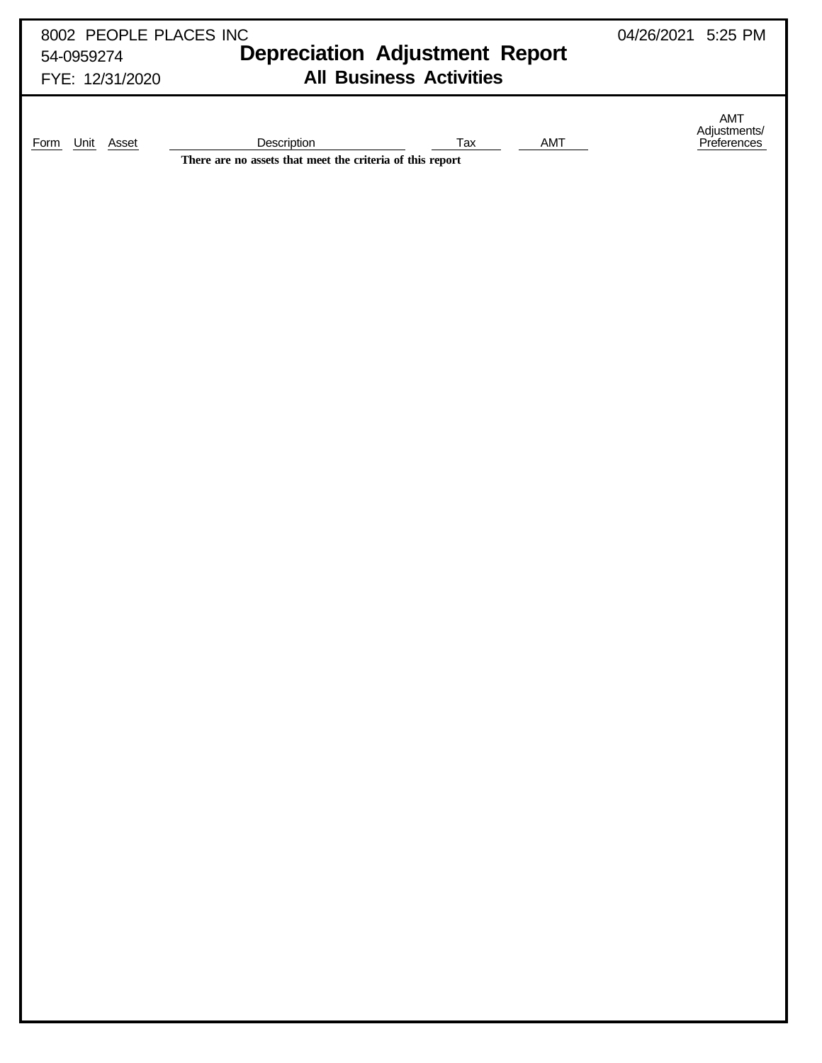| 8002 PEOPLE PLACES INC | 04/26/2021 5:25 PM                                                                     |                                    |
|------------------------|----------------------------------------------------------------------------------------|------------------------------------|
| 54-0959274             | <b>Depreciation Adjustment Report</b>                                                  |                                    |
| FYE: 12/31/2020        | <b>All Business Activities</b>                                                         |                                    |
| Form Unit Asset        | Description<br>Tax<br>AMT<br>There are no assets that meet the criteria of this report | AMT<br>Adjustments/<br>Preferences |
|                        |                                                                                        |                                    |
|                        |                                                                                        |                                    |
|                        |                                                                                        |                                    |
|                        |                                                                                        |                                    |
|                        |                                                                                        |                                    |
|                        |                                                                                        |                                    |
|                        |                                                                                        |                                    |
|                        |                                                                                        |                                    |
|                        |                                                                                        |                                    |
|                        |                                                                                        |                                    |
|                        |                                                                                        |                                    |
|                        |                                                                                        |                                    |
|                        |                                                                                        |                                    |
|                        |                                                                                        |                                    |
|                        |                                                                                        |                                    |
|                        |                                                                                        |                                    |
|                        |                                                                                        |                                    |
|                        |                                                                                        |                                    |
|                        |                                                                                        |                                    |
|                        |                                                                                        |                                    |
|                        |                                                                                        |                                    |
|                        |                                                                                        |                                    |
|                        |                                                                                        |                                    |
|                        |                                                                                        |                                    |
|                        |                                                                                        |                                    |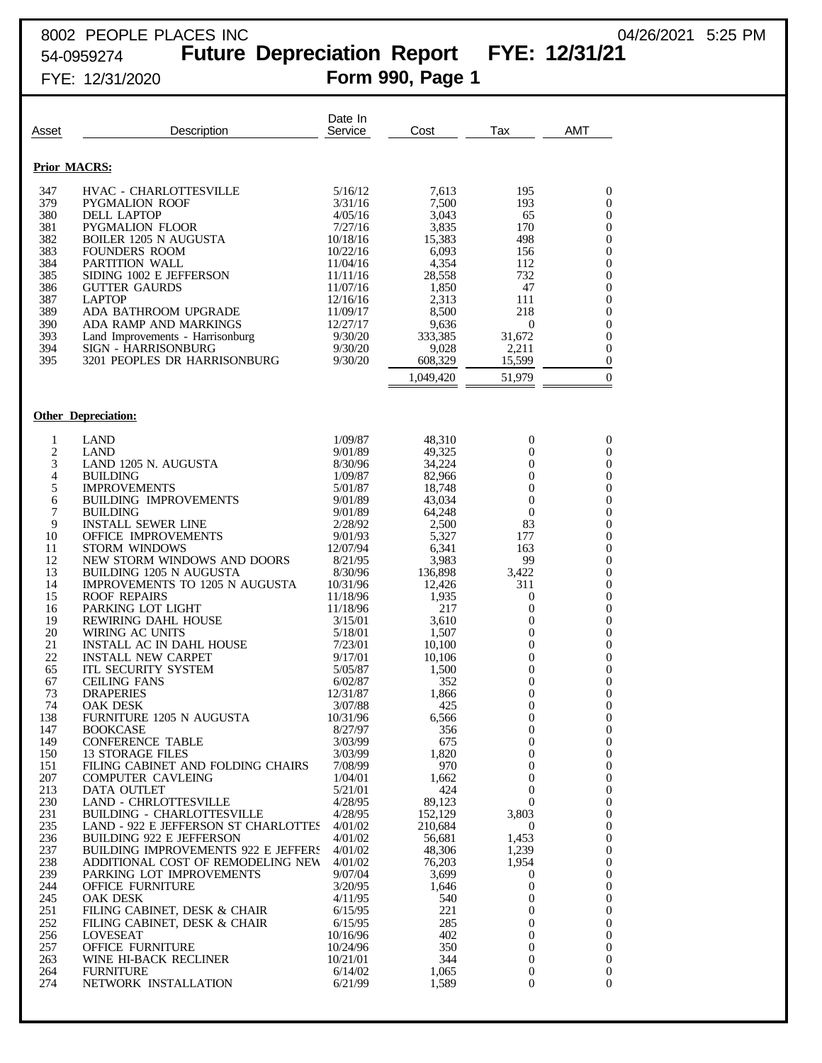## 8002 PEOPLE PLACES INC 04/26/2021 5:25 PM 54-0959274 **Future Depreciation Report FYE: 12/31/21**

| Asset               | Description                                                               | Date In<br>Service   | Cost               | Tax                                  | <b>AMT</b>                           |
|---------------------|---------------------------------------------------------------------------|----------------------|--------------------|--------------------------------------|--------------------------------------|
| <b>Prior MACRS:</b> |                                                                           |                      |                    |                                      |                                      |
| 347                 | HVAC - CHARLOTTESVILLE                                                    | 5/16/12              | 7,613              | 195                                  | $\boldsymbol{0}$                     |
| 379                 | <b>PYGMALION ROOF</b>                                                     | 3/31/16              | 7,500              | 193                                  | $\boldsymbol{0}$                     |
| 380                 | DELL LAPTOP                                                               | 4/05/16              | 3,043              | 65                                   | $\boldsymbol{0}$                     |
| 381                 | PYGMALION FLOOR                                                           | 7/27/16              | 3,835              | 170                                  | $\boldsymbol{0}$                     |
| 382<br>383          | <b>BOILER 1205 N AUGUSTA</b><br><b>FOUNDERS ROOM</b>                      | 10/18/16<br>10/22/16 | 15,383<br>6,093    | 498<br>156                           | $\boldsymbol{0}$<br>$\boldsymbol{0}$ |
| 384                 | PARTITION WALL                                                            | 11/04/16             | 4,354              | 112                                  | $\boldsymbol{0}$                     |
| 385                 | SIDING 1002 E JEFFERSON                                                   | 11/11/16             | 28,558             | 732                                  | $\boldsymbol{0}$                     |
| 386                 | <b>GUTTER GAURDS</b>                                                      | 11/07/16             | 1,850              | 47                                   | $\boldsymbol{0}$                     |
| 387<br>389          | <b>LAPTOP</b><br>ADA BATHROOM UPGRADE                                     | 12/16/16<br>11/09/17 | 2,313<br>8,500     | 111<br>218                           | $\boldsymbol{0}$<br>$\boldsymbol{0}$ |
| 390                 | ADA RAMP AND MARKINGS                                                     | 12/27/17             | 9,636              | 0                                    | $\boldsymbol{0}$                     |
| 393                 | Land Improvements - Harrisonburg                                          | 9/30/20              | 333,385            | 31,672                               | $\boldsymbol{0}$                     |
| 394                 | SIGN - HARRISONBURG                                                       | 9/30/20              | 9,028              | 2,211                                | $\boldsymbol{0}$                     |
| 395                 | 3201 PEOPLES DR HARRISONBURG                                              | 9/30/20              | 608,329            | 15,599                               | $\boldsymbol{0}$                     |
|                     |                                                                           |                      | 1,049,420          | 51,979                               | $\boldsymbol{0}$                     |
|                     | <b>Other Depreciation:</b>                                                |                      |                    |                                      |                                      |
| 1                   | <b>LAND</b>                                                               | 1/09/87              | 48,310             | 0                                    | $\boldsymbol{0}$                     |
| 2                   | <b>LAND</b>                                                               | 9/01/89              | 49,325             | 0                                    | $\mathbf{0}$                         |
| 3                   | LAND 1205 N. AUGUSTA                                                      | 8/30/96              | 34,224             | $\overline{0}$                       | $\boldsymbol{0}$                     |
| $\overline{4}$      | <b>BUILDING</b>                                                           | 1/09/87              | 82,966             | $\mathbf{0}$                         | $\boldsymbol{0}$                     |
| 5<br>6              | <b>IMPROVEMENTS</b><br><b>BUILDING IMPROVEMENTS</b>                       | 5/01/87<br>9/01/89   | 18,748<br>43,034   | 0<br>$\boldsymbol{0}$                | $\boldsymbol{0}$<br>$\boldsymbol{0}$ |
| 7                   | <b>BUILDING</b>                                                           | 9/01/89              | 64,248             | $\boldsymbol{0}$                     | $\boldsymbol{0}$                     |
| 9                   | <b>INSTALL SEWER LINE</b>                                                 | 2/28/92              | 2,500              | 83                                   | $\boldsymbol{0}$                     |
| 10                  | OFFICE IMPROVEMENTS                                                       | 9/01/93              | 5,327              | 177                                  | $\boldsymbol{0}$                     |
| 11<br>12            | <b>STORM WINDOWS</b><br>NEW STORM WINDOWS AND DOORS                       | 12/07/94<br>8/21/95  | 6,341              | 163                                  | $\boldsymbol{0}$                     |
| 13                  | <b>BUILDING 1205 N AUGUSTA</b>                                            | 8/30/96              | 3,983<br>136,898   | 99<br>3,422                          | $\boldsymbol{0}$<br>$\boldsymbol{0}$ |
| 14                  | <b>IMPROVEMENTS TO 1205 N AUGUSTA</b>                                     | 10/31/96             | 12,426             | 311                                  | $\boldsymbol{0}$                     |
| 15                  | <b>ROOF REPAIRS</b>                                                       | 11/18/96             | 1,935              | $\boldsymbol{0}$                     | $\boldsymbol{0}$                     |
| 16                  | PARKING LOT LIGHT                                                         | 11/18/96             | 217                | 0                                    | $\boldsymbol{0}$                     |
| 19<br>20            | REWIRING DAHL HOUSE<br>WIRING AC UNITS                                    | 3/15/01<br>5/18/01   | 3,610<br>1,507     | $\boldsymbol{0}$<br>0                | $\boldsymbol{0}$<br>$\boldsymbol{0}$ |
| 21                  | <b>INSTALL AC IN DAHL HOUSE</b>                                           | 7/23/01              | 10,100             | $\boldsymbol{0}$                     | $\boldsymbol{0}$                     |
| 22                  | <b>INSTALL NEW CARPET</b>                                                 | 9/17/01              | 10,106             | 0                                    | $\boldsymbol{0}$                     |
| 65                  | <b>ITL SECURITY SYSTEM</b>                                                | 5/05/87              | 1,500              | 0                                    | $\boldsymbol{0}$                     |
| 67<br>73            | <b>CEILING FANS</b>                                                       | 6/02/87<br>12/31/87  | 352                | 0                                    | $\boldsymbol{0}$<br>$\mathbf{0}$     |
| 74                  | <b>DRAPERIES</b><br>OAK DESK                                              | 3/07/88              | 1,866<br>425       | 0<br>0                               | $\boldsymbol{0}$                     |
| 138                 | FURNITURE 1205 N AUGUSTA                                                  | 10/31/96             | 6,566              | $\boldsymbol{0}$                     | $\boldsymbol{0}$                     |
| 147                 | <b>BOOKCASE</b>                                                           | 8/27/97              | 356                | $\boldsymbol{0}$                     | $\mathbf{0}$                         |
| 149                 | <b>CONFERENCE TABLE</b>                                                   | 3/03/99              | 675<br>1,820       | $\mathbf{0}$                         | $\boldsymbol{0}$                     |
| 150<br>151          | <b>13 STORAGE FILES</b><br>FILING CABINET AND FOLDING CHAIRS              | 3/03/99<br>7/08/99   | 970                | $\boldsymbol{0}$<br>$\mathbf{0}$     | $\boldsymbol{0}$<br>$\boldsymbol{0}$ |
| 207                 | <b>COMPUTER CAVLEING</b>                                                  | 1/04/01              | 1,662              | $\boldsymbol{0}$                     | $\boldsymbol{0}$                     |
| 213                 | DATA OUTLET                                                               | 5/21/01              | 424                | $\overline{0}$                       | $\boldsymbol{0}$                     |
| 230                 | <b>LAND - CHRLOTTESVILLE</b>                                              | 4/28/95              | 89,123             | $\overline{0}$                       | $\boldsymbol{0}$                     |
| 231<br>235          | <b>BUILDING - CHARLOTTESVILLE</b><br>LAND - 922 E JEFFERSON ST CHARLOTTES | 4/28/95<br>4/01/02   | 152,129<br>210,684 | 3,803<br>$\boldsymbol{0}$            | $\boldsymbol{0}$<br>$\boldsymbol{0}$ |
| 236                 | <b>BUILDING 922 E JEFFERSON</b>                                           | 4/01/02              | 56,681             | 1,453                                | $\boldsymbol{0}$                     |
| 237                 | <b>BUILDING IMPROVEMENTS 922 E JEFFERS</b>                                | 4/01/02              | 48,306             | 1,239                                | $\boldsymbol{0}$                     |
| 238                 | ADDITIONAL COST OF REMODELING NEW                                         | 4/01/02              | 76,203             | 1,954                                | $\boldsymbol{0}$                     |
| 239<br>244          | PARKING LOT IMPROVEMENTS                                                  | 9/07/04              | 3,699              | $\boldsymbol{0}$<br>$\mathbf{0}$     | $\boldsymbol{0}$                     |
| 245                 | <b>OFFICE FURNITURE</b><br>OAK DESK                                       | 3/20/95<br>4/11/95   | 1,646<br>540       | 0                                    | $\boldsymbol{0}$<br>$\boldsymbol{0}$ |
| 251                 | FILING CABINET, DESK & CHAIR                                              | 6/15/95              | 221                | $\mathbf{0}$                         | $\boldsymbol{0}$                     |
| 252                 | FILING CABINET, DESK & CHAIR                                              | 6/15/95              | 285                | $\overline{0}$                       | $\boldsymbol{0}$                     |
| 256                 | LOVESEAT                                                                  | 10/16/96             | 402                | $\mathbf{0}$                         | $\boldsymbol{0}$                     |
| 257                 | <b>OFFICE FURNITURE</b>                                                   | 10/24/96             | 350                | $\boldsymbol{0}$                     | $\mathbf{0}$                         |
| 263<br>264          | WINE HI-BACK RECLINER<br><b>FURNITURE</b>                                 | 10/21/01<br>6/14/02  | 344<br>1,065       | $\boldsymbol{0}$<br>$\boldsymbol{0}$ | $\mathbf{0}$<br>$\mathbf{0}$         |
| 274                 | NETWORK INSTALLATION                                                      | 6/21/99              | 1,589              | $\overline{0}$                       | 0                                    |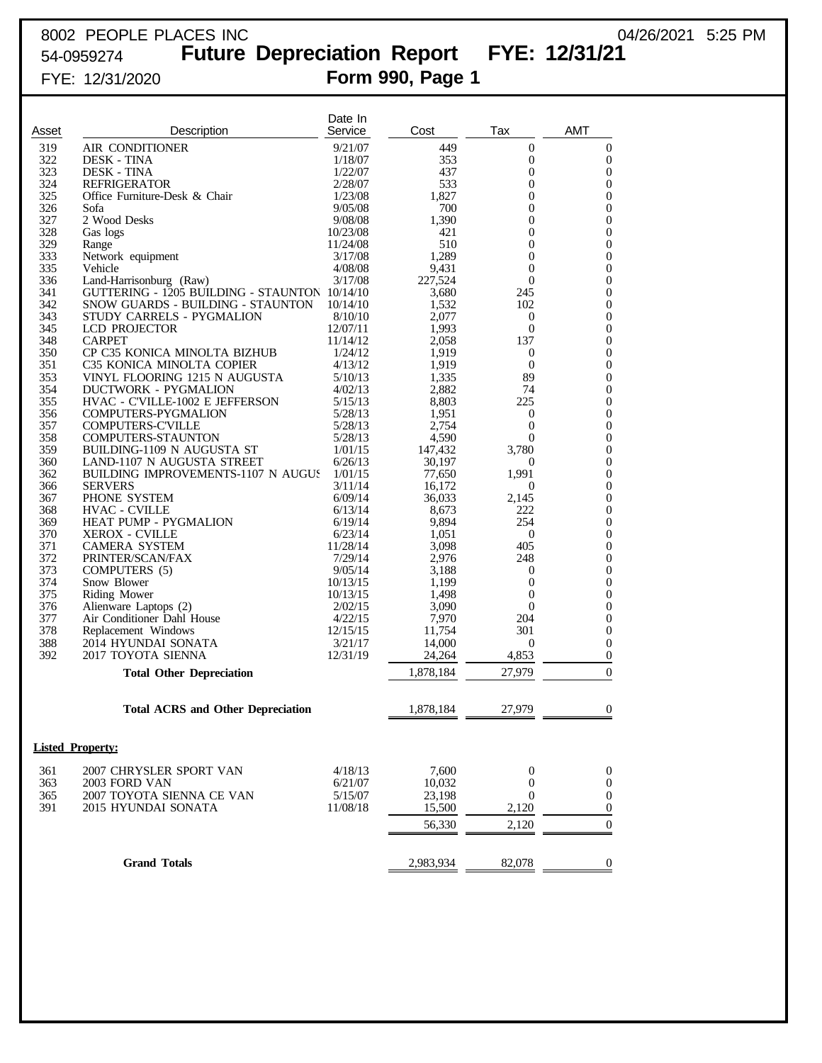## 8002 PEOPLE PLACES INC 8002 PEOPLE PLACES INC 54-0959274 **Future Depreciation Report FYE: 12/31/21**

| Asset      | Description                                               | Date In<br>Service   | Cost             | Tax                              | AMT                                  |
|------------|-----------------------------------------------------------|----------------------|------------------|----------------------------------|--------------------------------------|
| 319        | AIR CONDITIONER                                           | 9/21/07              | 449              | $\overline{0}$                   | $\mathbf 0$                          |
| 322        | <b>DESK - TINA</b>                                        | 1/18/07              | 353              | $\overline{0}$                   | $\mathbf{0}$                         |
| 323        | <b>DESK - TINA</b>                                        | 1/22/07              | 437              | $\overline{0}$                   | $\boldsymbol{0}$                     |
| 324        | <b>REFRIGERATOR</b>                                       | 2/28/07              | 533              | $\overline{0}$                   | $\mathbf{0}$                         |
| 325        | Office Furniture-Desk & Chair                             | 1/23/08              | 1,827            | $\overline{0}$                   | $\mathbf{0}$                         |
| 326        | Sofa                                                      | 9/05/08              | 700              | $\overline{0}$                   | $\mathbf{0}$                         |
| 327        | 2 Wood Desks                                              | 9/08/08              | 1,390            | $\overline{0}$                   | $\mathbf{0}$                         |
| 328<br>329 | Gas logs                                                  | 10/23/08<br>11/24/08 | 421<br>510       | $\overline{0}$<br>$\overline{0}$ | $\boldsymbol{0}$<br>$\mathbf{0}$     |
| 333        | Range<br>Network equipment                                | 3/17/08              | 1,289            | $\overline{0}$                   | $\boldsymbol{0}$                     |
| 335        | Vehicle                                                   | 4/08/08              | 9,431            | $\overline{0}$                   | $\mathbf{0}$                         |
| 336        | Land-Harrisonburg (Raw)                                   | 3/17/08              | 227,524          | $\overline{0}$                   | $\mathbf{0}$                         |
| 341        | GUTTERING - 1205 BUILDING - STAUNTON 10/14/10             |                      | 3,680            | 245                              | $\mathbf{0}$                         |
| 342        | SNOW GUARDS - BUILDING - STAUNTON                         | 10/14/10             | 1,532            | 102                              | $\mathbf{0}$                         |
| 343        | STUDY CARRELS - PYGMALION                                 | 8/10/10              | 2,077            | $\overline{0}$                   | $\mathbf{0}$                         |
| 345        | <b>LCD PROJECTOR</b>                                      | 12/07/11             | 1,993            | $\overline{0}$                   | $\mathbf{0}$                         |
| 348        | <b>CARPET</b>                                             | 11/14/12             | 2,058            | 137                              | $\mathbf{0}$                         |
| 350<br>351 | CP C35 KONICA MINOLTA BIZHUB<br>C35 KONICA MINOLTA COPIER | 1/24/12<br>4/13/12   | 1,919<br>1,919   | $\overline{0}$<br>$\overline{0}$ | $\boldsymbol{0}$<br>$\mathbf{0}$     |
| 353        | VINYL FLOORING 1215 N AUGUSTA                             | 5/10/13              | 1,335            | 89                               | $\mathbf{0}$                         |
| 354        | <b>DUCTWORK - PYGMALION</b>                               | 4/02/13              | 2,882            | 74                               | $\mathbf{0}$                         |
| 355        | HVAC - C'VILLE-1002 E JEFFERSON                           | 5/15/13              | 8,803            | 225                              | $\mathbf{0}$                         |
| 356        | COMPUTERS-PYGMALION                                       | 5/28/13              | 1,951            | $\boldsymbol{0}$                 | $\mathbf{0}$                         |
| 357        | <b>COMPUTERS-C'VILLE</b>                                  | 5/28/13              | 2,754            | $\overline{0}$                   | $\boldsymbol{0}$                     |
| 358        | <b>COMPUTERS-STAUNTON</b>                                 | 5/28/13              | 4,590            | $\Omega$                         | $\mathbf{0}$                         |
| 359        | BUILDING-1109 N AUGUSTA ST                                | 1/01/15              | 147,432          | 3,780                            | $\boldsymbol{0}$                     |
| 360        | LAND-1107 N AUGUSTA STREET                                | 6/26/13              | 30.197           | $\theta$                         | $\mathbf{0}$                         |
| 362        | BUILDING IMPROVEMENTS-1107 N AUGUS                        | 1/01/15              | 77,650           | 1,991                            | $\boldsymbol{0}$                     |
| 366        | <b>SERVERS</b>                                            | 3/11/14              | 16,172           | $\overline{0}$                   | $\mathbf{0}$                         |
| 367<br>368 | PHONE SYSTEM<br><b>HVAC - CVILLE</b>                      | 6/09/14<br>6/13/14   | 36,033           | 2,145<br>222                     | $\mathbf{0}$<br>$\mathbf{0}$         |
| 369        | HEAT PUMP - PYGMALION                                     | 6/19/14              | 8,673<br>9,894   | 254                              | $\boldsymbol{0}$                     |
| 370        | <b>XEROX - CVILLE</b>                                     | 6/23/14              | 1,051            | $\overline{0}$                   | $\mathbf{0}$                         |
| 371        | <b>CAMERA SYSTEM</b>                                      | 11/28/14             | 3,098            | 405                              | $\mathbf{0}$                         |
| 372        | PRINTER/SCAN/FAX                                          | 7/29/14              | 2,976            | 248                              | $\mathbf{0}$                         |
| 373        | COMPUTERS (5)                                             | 9/05/14              | 3,188            | $\boldsymbol{0}$                 | $\boldsymbol{0}$                     |
| 374        | Snow Blower                                               | 10/13/15             | 1,199            | $\overline{0}$                   | $\mathbf{0}$                         |
| 375        | Riding Mower                                              | 10/13/15             | 1,498            | $\overline{0}$                   | $\mathbf{0}$                         |
| 376        | Alienware Laptops (2)                                     | 2/02/15              | 3,090            | $\Omega$                         | $\mathbf{0}$                         |
| 377        | Air Conditioner Dahl House                                | 4/22/15              | 7,970            | 204                              | $\boldsymbol{0}$                     |
| 378        | Replacement Windows                                       | 12/15/15             | 11,754           | 301                              | $\boldsymbol{0}$                     |
| 388<br>392 | 2014 HYUNDAI SONATA<br>2017 TOYOTA SIENNA                 | 3/21/17<br>12/31/19  | 14,000<br>24,264 | $\boldsymbol{0}$<br>4,853        | $\boldsymbol{0}$<br>$\boldsymbol{0}$ |
|            |                                                           |                      |                  |                                  |                                      |
|            | <b>Total Other Depreciation</b>                           |                      | 1,878,184        | 27,979                           | $\mathbf{0}$                         |
|            | <b>Total ACRS and Other Depreciation</b>                  |                      | 1,878,184        | 27,979                           | $\overline{0}$                       |
|            | <b>Listed Property:</b>                                   |                      |                  |                                  |                                      |
| 361        | 2007 CHRYSLER SPORT VAN                                   | 4/18/13              | 7,600            | $\boldsymbol{0}$                 | $\boldsymbol{0}$                     |
| 363        | 2003 FORD VAN                                             | 6/21/07              | 10,032           | $\overline{0}$                   | $\boldsymbol{0}$                     |
| 365        | 2007 TOYOTA SIENNA CE VAN                                 | 5/15/07              | 23,198           | $\boldsymbol{0}$                 | $\boldsymbol{0}$                     |
| 391        | 2015 HYUNDAI SONATA                                       | 11/08/18             | 15,500           | 2,120                            | $\boldsymbol{0}$                     |
|            |                                                           |                      | 56,330           | 2,120                            | $\mathbf{0}$                         |
|            |                                                           |                      |                  |                                  |                                      |
|            | <b>Grand Totals</b>                                       |                      | 2,983,934        | 82,078                           | $\mathbf{0}$                         |
|            |                                                           |                      |                  |                                  |                                      |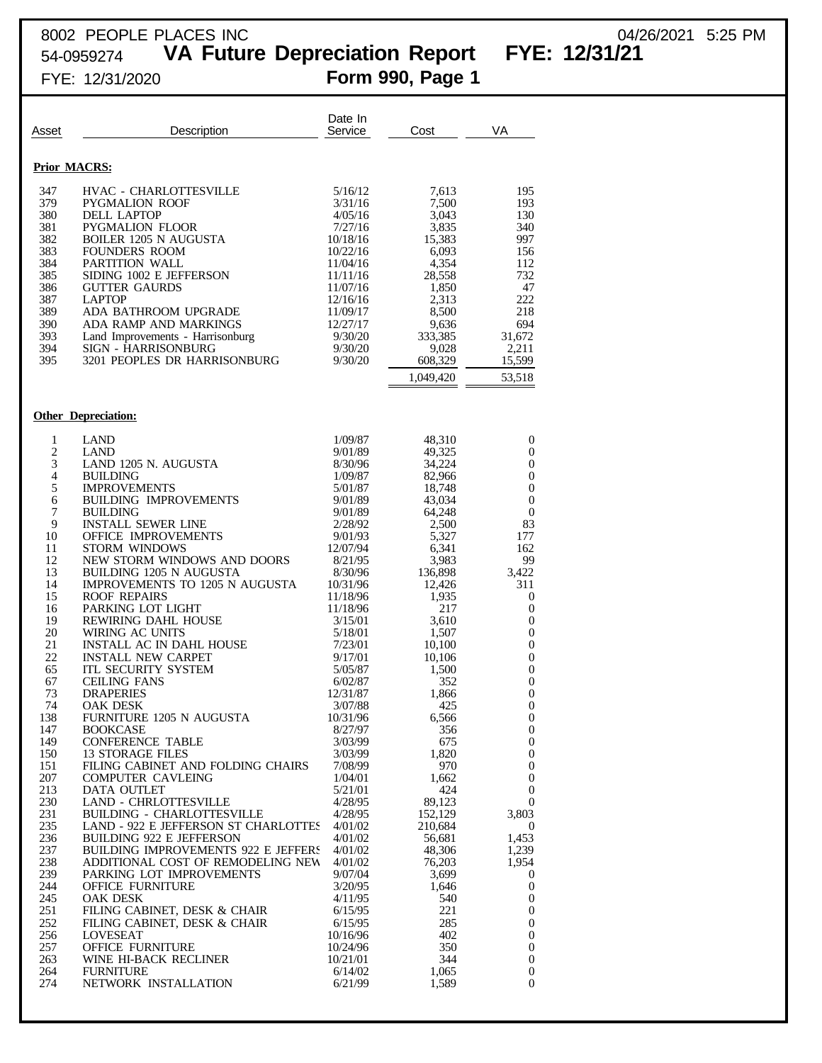## 8002 PEOPLE PLACES INC 04/26/2021 5:25 PM

54-0959274 **VA Future Depreciation Report FYE: 12/31/21**

| Asset                                                                                                                                                                                         | Description                                                                                                                                                                                                                                                                                                                                                                                                                                                                                                                                                                                                                                                                                                                              | Date In<br>Service                                                                                                                                                                                                                                                                                                     | Cost                                                                                                                                                                                                                                                     | VA                                                                                                                                                                                                                                                                                                     |
|-----------------------------------------------------------------------------------------------------------------------------------------------------------------------------------------------|------------------------------------------------------------------------------------------------------------------------------------------------------------------------------------------------------------------------------------------------------------------------------------------------------------------------------------------------------------------------------------------------------------------------------------------------------------------------------------------------------------------------------------------------------------------------------------------------------------------------------------------------------------------------------------------------------------------------------------------|------------------------------------------------------------------------------------------------------------------------------------------------------------------------------------------------------------------------------------------------------------------------------------------------------------------------|----------------------------------------------------------------------------------------------------------------------------------------------------------------------------------------------------------------------------------------------------------|--------------------------------------------------------------------------------------------------------------------------------------------------------------------------------------------------------------------------------------------------------------------------------------------------------|
| <b>Prior MACRS:</b>                                                                                                                                                                           |                                                                                                                                                                                                                                                                                                                                                                                                                                                                                                                                                                                                                                                                                                                                          |                                                                                                                                                                                                                                                                                                                        |                                                                                                                                                                                                                                                          |                                                                                                                                                                                                                                                                                                        |
| 347<br>379<br>380<br>381<br>382<br>383<br>384<br>385<br>386<br>387<br>389<br>390<br>393<br>394<br>395                                                                                         | HVAC - CHARLOTTESVILLE<br><b>PYGMALION ROOF</b><br>DELL LAPTOP<br>PYGMALION FLOOR<br><b>BOILER 1205 N AUGUSTA</b><br><b>FOUNDERS ROOM</b><br>PARTITION WALL<br>SIDING 1002 E JEFFERSON<br><b>GUTTER GAURDS</b><br><b>LAPTOP</b><br>ADA BATHROOM UPGRADE<br>ADA RAMP AND MARKINGS<br>Land Improvements - Harrisonburg<br>SIGN - HARRISONBURG<br>3201 PEOPLES DR HARRISONBURG                                                                                                                                                                                                                                                                                                                                                              | 5/16/12<br>3/31/16<br>4/05/16<br>7/27/16<br>10/18/16<br>10/22/16<br>11/04/16<br>11/11/16<br>11/07/16<br>12/16/16<br>11/09/17<br>12/27/17<br>9/30/20<br>9/30/20<br>9/30/20                                                                                                                                              | 7,613<br>7,500<br>3,043<br>3,835<br>15,383<br>6,093<br>4,354<br>28,558<br>1,850<br>2,313<br>8,500<br>9,636<br>333,385<br>9,028<br>608,329<br>1,049,420                                                                                                   | 195<br>193<br>130<br>340<br>997<br>156<br>112<br>732<br>47<br>222<br>218<br>694<br>31,672<br>2,211<br>15,599<br>53,518                                                                                                                                                                                 |
|                                                                                                                                                                                               | <b>Other Depreciation:</b>                                                                                                                                                                                                                                                                                                                                                                                                                                                                                                                                                                                                                                                                                                               |                                                                                                                                                                                                                                                                                                                        |                                                                                                                                                                                                                                                          |                                                                                                                                                                                                                                                                                                        |
| 1<br>$\overline{c}$<br>3<br>4<br>5<br>6<br>$\boldsymbol{7}$<br>9<br>10<br>11<br>12<br>13<br>14<br>15<br>16<br>19<br>20<br>21<br>22<br>65<br>67<br>73<br>74<br>138<br>147<br>149<br>150<br>151 | <b>LAND</b><br><b>LAND</b><br>LAND 1205 N. AUGUSTA<br><b>BUILDING</b><br><b>IMPROVEMENTS</b><br><b>BUILDING IMPROVEMENTS</b><br><b>BUILDING</b><br><b>INSTALL SEWER LINE</b><br><b>OFFICE IMPROVEMENTS</b><br><b>STORM WINDOWS</b><br>NEW STORM WINDOWS AND DOORS<br><b>BUILDING 1205 N AUGUSTA</b><br><b>IMPROVEMENTS TO 1205 N AUGUSTA</b><br><b>ROOF REPAIRS</b><br>PARKING LOT LIGHT<br>REWIRING DAHL HOUSE<br>WIRING AC UNITS<br><b>INSTALL AC IN DAHL HOUSE</b><br><b>INSTALL NEW CARPET</b><br><b>ITL SECURITY SYSTEM</b><br><b>CEILING FANS</b><br><b>DRAPERIES</b><br><b>OAK DESK</b><br>FURNITURE 1205 N AUGUSTA<br><b>BOOKCASE</b><br><b>CONFERENCE TABLE</b><br><b>13 STORAGE FILES</b><br>FILING CABINET AND FOLDING CHAIRS | 1/09/87<br>9/01/89<br>8/30/96<br>1/09/87<br>5/01/87<br>9/01/89<br>9/01/89<br>2/28/92<br>9/01/93<br>12/07/94<br>8/21/95<br>8/30/96<br>10/31/96<br>11/18/96<br>11/18/96<br>3/15/01<br>5/18/01<br>7/23/01<br>9/17/01<br>5/05/87<br>6/02/87<br>12/31/87<br>3/07/88<br>10/31/96<br>8/27/97<br>3/03/99<br>3/03/99<br>7/08/99 | 48,310<br>49,325<br>34.224<br>82,966<br>18,748<br>43,034<br>64,248<br>2,500<br>5,327<br>6,341<br>3,983<br>136,898<br>12,426<br>1,935<br>217<br>3,610<br>1,507<br>10,100<br>10,106<br>1,500<br>352<br>1,866<br>425<br>6,566<br>356<br>675<br>1,820<br>970 | 0<br>0<br>0<br>0<br>$\boldsymbol{0}$<br>$\boldsymbol{0}$<br>$\boldsymbol{0}$<br>83<br>177<br>162<br>99<br>3,422<br>311<br>0<br>$\boldsymbol{0}$<br>0<br>0<br>0<br>$\boldsymbol{0}$<br>0<br>$\boldsymbol{0}$<br>$\boldsymbol{0}$<br>0<br>$\mathbf{0}$<br>$\boldsymbol{0}$<br>$\boldsymbol{0}$<br>0<br>0 |
| 207<br>213<br>230<br>231<br>235<br>236<br>237<br>238<br>239<br>244<br>245<br>251<br>252<br>256<br>257<br>263<br>264<br>274                                                                    | <b>COMPUTER CAVLEING</b><br>DATA OUTLET<br><b>LAND - CHRLOTTESVILLE</b><br><b>BUILDING - CHARLOTTESVILLE</b><br>LAND - 922 E JEFFERSON ST CHARLOTTES<br><b>BUILDING 922 E JEFFERSON</b><br><b>BUILDING IMPROVEMENTS 922 E JEFFERS</b><br>ADDITIONAL COST OF REMODELING NEW<br>PARKING LOT IMPROVEMENTS<br>OFFICE FURNITURE<br>OAK DESK<br>FILING CABINET, DESK & CHAIR<br>FILING CABINET, DESK & CHAIR<br>LOVESEAT<br>OFFICE FURNITURE<br>WINE HI-BACK RECLINER<br><b>FURNITURE</b><br>NETWORK INSTALLATION                                                                                                                                                                                                                              | 1/04/01<br>5/21/01<br>4/28/95<br>4/28/95<br>4/01/02<br>4/01/02<br>4/01/02<br>4/01/02<br>9/07/04<br>3/20/95<br>4/11/95<br>6/15/95<br>6/15/95<br>10/16/96<br>10/24/96<br>10/21/01<br>6/14/02<br>6/21/99                                                                                                                  | 1,662<br>424<br>89.123<br>152,129<br>210,684<br>56,681<br>48,306<br>76,203<br>3,699<br>1,646<br>540<br>221<br>285<br>402<br>350<br>344<br>1,065<br>1,589                                                                                                 | 0<br>0<br>$\mathbf{0}$<br>3,803<br>$\theta$<br>1,453<br>1,239<br>1,954<br>$\mathbf{0}$<br>0<br>0<br>0<br>0<br>$\boldsymbol{0}$<br>0<br>0<br>0<br>$\theta$                                                                                                                                              |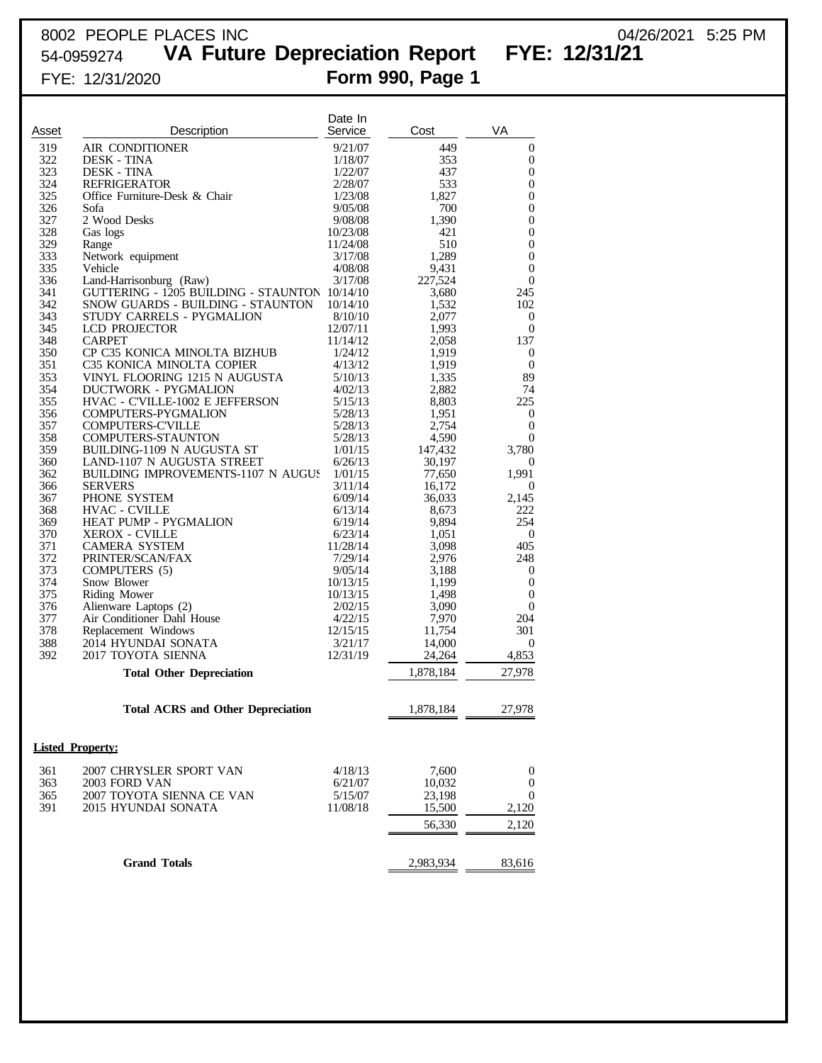## 8002 PEOPLE PLACES INC 04/26/2021 5:25 PM

54-0959274 **VA Future Depreciation Report FYE: 12/31/21**

| Asset<br>319<br>322<br>323 | Description<br>AIR CONDITIONER<br>DESK - TINA<br><b>DESK - TINA</b><br><b>REFRIGERATOR</b> | Service<br>9/21/07<br>1/18/07<br>1/22/07 | Cost<br>449<br>353 | VA<br>$\boldsymbol{0}$               |
|----------------------------|--------------------------------------------------------------------------------------------|------------------------------------------|--------------------|--------------------------------------|
|                            |                                                                                            |                                          |                    |                                      |
|                            |                                                                                            |                                          |                    |                                      |
|                            |                                                                                            |                                          |                    | 0                                    |
|                            |                                                                                            |                                          | 437                | $\boldsymbol{0}$                     |
| 324                        |                                                                                            | 2/28/07                                  | 533                | $\boldsymbol{0}$                     |
| 325                        | Office Furniture-Desk & Chair                                                              | 1/23/08                                  | 1,827              | $\mathbf{0}$                         |
| 326                        | Sofa                                                                                       | 9/05/08                                  | 700                | $\boldsymbol{0}$                     |
| 327<br>328                 | 2 Wood Desks                                                                               | 9/08/08<br>10/23/08                      | 1,390<br>421       | $\boldsymbol{0}$<br>$\boldsymbol{0}$ |
| 329                        | Gas logs<br>Range                                                                          | 11/24/08                                 | 510                | $\boldsymbol{0}$                     |
| 333                        | Network equipment                                                                          | 3/17/08                                  | 1,289              | $\boldsymbol{0}$                     |
| 335                        | Vehicle                                                                                    | 4/08/08                                  | 9,431              | $\boldsymbol{0}$                     |
| 336                        | Land-Harrisonburg (Raw)                                                                    | 3/17/08                                  | 227,524            | $\boldsymbol{0}$                     |
| 341                        | GUTTERING - 1205 BUILDING - STAUNTON 10/14/10                                              |                                          | 3,680              | 245                                  |
| 342                        | SNOW GUARDS - BUILDING - STAUNTON                                                          | 10/14/10                                 | 1,532              | 102                                  |
| 343                        | STUDY CARRELS - PYGMALION                                                                  | 8/10/10                                  | 2,077              | 0                                    |
| 345                        | LCD PROJECTOR                                                                              | 12/07/11                                 | 1,993              | $\boldsymbol{0}$                     |
| 348                        | <b>CARPET</b>                                                                              | 11/14/12                                 | 2,058              | 137                                  |
| 350                        | CP C35 KONICA MINOLTA BIZHUB                                                               | 1/24/12                                  | 1,919              | $\boldsymbol{0}$                     |
| 351                        | C35 KONICA MINOLTA COPIER                                                                  | 4/13/12                                  | 1,919              | $\mathbf{0}$                         |
| 353                        | VINYL FLOORING 1215 N AUGUSTA                                                              | 5/10/13                                  | 1,335              | 89                                   |
| 354                        | <b>DUCTWORK - PYGMALION</b>                                                                | 4/02/13                                  | 2,882              | 74                                   |
| 355                        | HVAC - C'VILLE-1002 E JEFFERSON                                                            | 5/15/13                                  | 8,803              | 225                                  |
| 356                        | COMPUTERS-PYGMALION                                                                        | 5/28/13                                  | 1,951              | 0                                    |
| 357                        | <b>COMPUTERS-C'VILLE</b>                                                                   | 5/28/13                                  | 2,754              | $\boldsymbol{0}$                     |
| 358                        | <b>COMPUTERS-STAUNTON</b>                                                                  | 5/28/13                                  | 4,590              | $\boldsymbol{0}$                     |
| 359                        | BUILDING-1109 N AUGUSTA ST                                                                 | 1/01/15                                  | 147,432            | 3,780                                |
| 360                        | LAND-1107 N AUGUSTA STREET                                                                 | 6/26/13                                  | 30,197             | $\theta$                             |
| 362                        | BUILDING IMPROVEMENTS-1107 N AUGUS                                                         | 1/01/15                                  | 77,650             | 1,991                                |
| 366                        | <b>SERVERS</b>                                                                             | 3/11/14                                  | 16,172             | $\mathbf{0}$                         |
| 367<br>368                 | PHONE SYSTEM                                                                               | 6/09/14                                  | 36,033             | 2,145<br>222                         |
| 369                        | <b>HVAC - CVILLE</b><br>HEAT PUMP - PYGMALION                                              | 6/13/14<br>6/19/14                       | 8,673<br>9,894     | 254                                  |
| 370                        | <b>XEROX - CVILLE</b>                                                                      | 6/23/14                                  | 1,051              | $\boldsymbol{0}$                     |
| 371                        | <b>CAMERA SYSTEM</b>                                                                       | 11/28/14                                 | 3,098              | 405                                  |
| 372                        | PRINTER/SCAN/FAX                                                                           | 7/29/14                                  | 2,976              | 248                                  |
| 373                        | COMPUTERS (5)                                                                              | 9/05/14                                  | 3,188              | 0                                    |
| 374                        | Snow Blower                                                                                | 10/13/15                                 | 1,199              | $\boldsymbol{0}$                     |
| 375                        | Riding Mower                                                                               | 10/13/15                                 | 1,498              | $\boldsymbol{0}$                     |
| 376                        | Alienware Laptops (2)                                                                      | 2/02/15                                  | 3,090              | $\boldsymbol{0}$                     |
| 377                        | Air Conditioner Dahl House                                                                 | 4/22/15                                  | 7,970              | 204                                  |
| 378                        | Replacement Windows                                                                        | 12/15/15                                 | 11,754             | 301                                  |
| 388                        | 2014 HYUNDAI SONATA                                                                        | 3/21/17                                  | 14,000             | $\boldsymbol{0}$                     |
| 392                        | 2017 TOYOTA SIENNA                                                                         | 12/31/19                                 | 24,264             | 4,853                                |
|                            | <b>Total Other Depreciation</b>                                                            |                                          | 1,878,184          | 27,978                               |
|                            |                                                                                            |                                          |                    |                                      |
|                            | <b>Total ACRS and Other Depreciation</b>                                                   |                                          | 1,878,184          | 27,978                               |
|                            |                                                                                            |                                          |                    |                                      |
|                            | <b>Listed Property:</b>                                                                    |                                          |                    |                                      |
| 361                        | 2007 CHRYSLER SPORT VAN                                                                    | 4/18/13                                  | 7,600              | $\boldsymbol{0}$                     |
| 363                        | 2003 FORD VAN                                                                              | 6/21/07                                  | 10,032             | $\boldsymbol{0}$                     |
| 365                        | 2007 TOYOTA SIENNA CE VAN                                                                  | 5/15/07                                  | 23,198             | $\boldsymbol{0}$                     |
| 391                        | 2015 HYUNDAI SONATA                                                                        | 11/08/18                                 | 15,500             | 2,120                                |
|                            |                                                                                            |                                          | 56,330             | 2,120                                |
|                            |                                                                                            |                                          |                    |                                      |
|                            | <b>Grand Totals</b>                                                                        |                                          | 2,983,934          | 83,616                               |
|                            |                                                                                            |                                          |                    |                                      |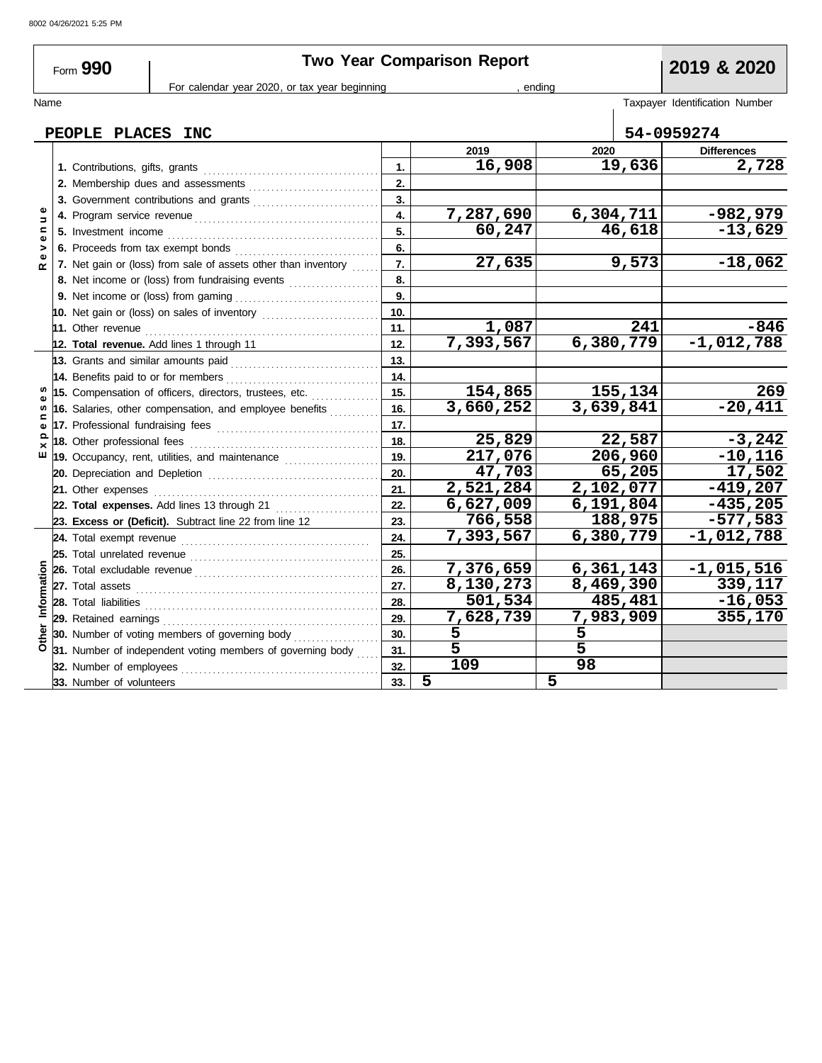r

|             | Form 990                 | <b>Two Year Comparison Report</b>                                                                                                                                                                                                    | 2019 & 2020      |                        |                 |                        |                                |  |
|-------------|--------------------------|--------------------------------------------------------------------------------------------------------------------------------------------------------------------------------------------------------------------------------------|------------------|------------------------|-----------------|------------------------|--------------------------------|--|
|             |                          | For calendar year 2020, or tax year beginning                                                                                                                                                                                        |                  |                        | , endina        |                        |                                |  |
| Name        |                          |                                                                                                                                                                                                                                      |                  |                        |                 |                        | Taxpayer Identification Number |  |
|             | PEOPLE PLACES INC        |                                                                                                                                                                                                                                      |                  |                        |                 | 54-0959274             |                                |  |
|             |                          |                                                                                                                                                                                                                                      |                  | 2019                   | 2020            |                        | <b>Differences</b>             |  |
|             |                          |                                                                                                                                                                                                                                      | $\mathbf{1}$ .   | 16,908                 |                 | 19,636                 | 2,728                          |  |
|             |                          |                                                                                                                                                                                                                                      | 2.               |                        |                 |                        |                                |  |
|             |                          |                                                                                                                                                                                                                                      | 3.               |                        |                 |                        |                                |  |
| Ξ           |                          |                                                                                                                                                                                                                                      | $\overline{4}$ . | 7,287,690              |                 | $\overline{6,304,711}$ | $-982,979$                     |  |
| ⋍           |                          |                                                                                                                                                                                                                                      | 5.               | 60,247                 |                 | 46,618                 | $-13,629$                      |  |
|             |                          |                                                                                                                                                                                                                                      | 6.               |                        |                 |                        |                                |  |
|             |                          | 7. Net gain or (loss) from sale of assets other than inventory                                                                                                                                                                       | $\overline{7}$ . | 27,635                 |                 | 9,573                  | $-18,062$                      |  |
|             |                          | 8. Net income or (loss) from fundraising events                                                                                                                                                                                      | 8.               |                        |                 |                        |                                |  |
|             |                          | 9. Net income or (loss) from gaming                                                                                                                                                                                                  | 9.               |                        |                 |                        |                                |  |
|             |                          |                                                                                                                                                                                                                                      | 10.              |                        |                 |                        |                                |  |
|             |                          | 11. Other revenue <b>constant of the constant of the constant of the constant of the constant of the constant of the constant of the constant of the constant of the constant of the constant of the constant of the constant of</b> | 11.              | 1,087                  |                 | 241                    | $-846$                         |  |
|             |                          | 12. Total revenue. Add lines 1 through 11                                                                                                                                                                                            | 12.              | $\overline{7,393,567}$ |                 | 6,380,779              | $-1,012,788$                   |  |
|             |                          | 13. Grants and similar amounts paid $\begin{bmatrix} 1 & 0 & 0 \\ 0 & 1 & 0 \\ 0 & 0 & 1 \end{bmatrix}$                                                                                                                              | 13.              |                        |                 |                        |                                |  |
|             |                          | 14. Benefits paid to or for members                                                                                                                                                                                                  | 14.              |                        |                 |                        |                                |  |
|             |                          | 15. Compensation of officers, directors, trustees, etc.                                                                                                                                                                              | 15.              | 154,865                |                 | 155,134                | 269                            |  |
|             |                          | 16. Salaries, other compensation, and employee benefits                                                                                                                                                                              | 16.              | 3,660,252              |                 | 3,639,841              | $-20,411$                      |  |
|             |                          |                                                                                                                                                                                                                                      | 17.              |                        |                 |                        |                                |  |
|             |                          |                                                                                                                                                                                                                                      | 18.              | 25,829                 |                 | 22,587                 | $-3,242$                       |  |
| ш           |                          |                                                                                                                                                                                                                                      | 19.              | 217,076                |                 | 206,960                | $-10,116$                      |  |
|             |                          |                                                                                                                                                                                                                                      | 20.              | 47,703                 |                 | 65,205                 | 17,502                         |  |
|             |                          |                                                                                                                                                                                                                                      | 21.              | 2,521,284              |                 | 2,102,077              | $-419,207$                     |  |
|             |                          | 22. Total expenses. Add lines 13 through 21                                                                                                                                                                                          | 22.              | 6,627,009              |                 | 6,191,804              | $-435,205$                     |  |
|             |                          | 23. Excess or (Deficit). Subtract line 22 from line 12                                                                                                                                                                               | 23.              | 766,558                |                 | 188,975                | $-577,583$                     |  |
|             |                          |                                                                                                                                                                                                                                      | 24.              | 7,393,567              |                 | 6,380,779              | $-1,012,788$                   |  |
|             |                          |                                                                                                                                                                                                                                      | 25.              |                        |                 |                        |                                |  |
|             |                          |                                                                                                                                                                                                                                      | 26.              | 7,376,659              |                 | 6,361,143              | $-1,015,516$                   |  |
|             |                          |                                                                                                                                                                                                                                      | 27.              | 8,130,273              |                 | 8,469,390              | 339,117                        |  |
| Information | 28. Total liabilities    |                                                                                                                                                                                                                                      | 28.              | 501,534                |                 | 485,481                | $-16,053$                      |  |
|             |                          |                                                                                                                                                                                                                                      | 29.              | 7,628,739              |                 | 7,983,909              | 355,170                        |  |
|             |                          | 30. Number of voting members of governing body                                                                                                                                                                                       | 30.              | 5                      | 5               |                        |                                |  |
|             |                          | 31. Number of independent voting members of governing body                                                                                                                                                                           | 31.              | $\overline{5}$         | $\overline{5}$  |                        |                                |  |
|             | 32. Number of employees  |                                                                                                                                                                                                                                      | 32.              | 109                    | $\overline{98}$ |                        |                                |  |
|             | 33. Number of volunteers |                                                                                                                                                                                                                                      | 33.              | 5                      | 5               |                        |                                |  |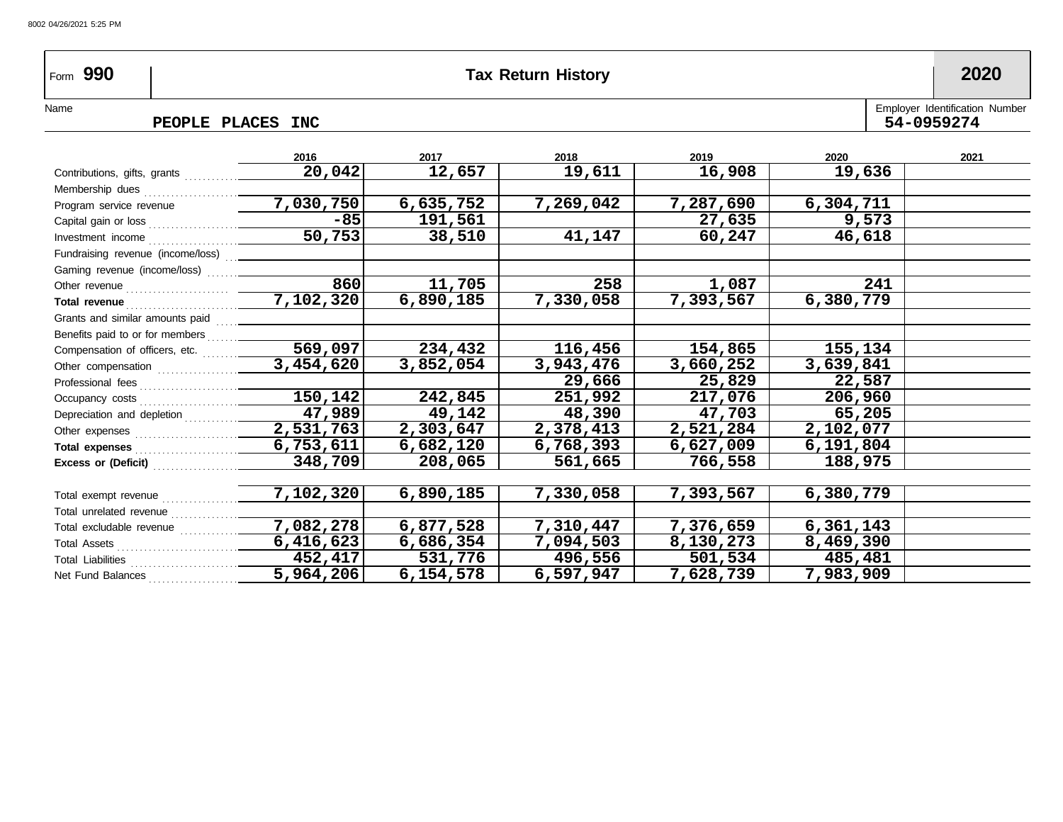### 8002 04/26/2021 5:25 PM

## Form **990 Tax Return History 2020**

PEOPLE PLACES INC

Name Employer Identification Number

|                                                                     | 2016                 | 2017      | 2018      | 2019      | 2020      | 2021 |
|---------------------------------------------------------------------|----------------------|-----------|-----------|-----------|-----------|------|
| Contributions, gifts, grants                                        | 20,042               | 12,657    | 19,611    | 16,908    | 19,636    |      |
| Membership dues                                                     |                      |           |           |           |           |      |
| Program service revenue                                             | 7,030,750            | 6,635,752 | 7,269,042 | 7,287,690 | 6,304,711 |      |
| Capital gain or loss                                                | $-85$                | 191,561   |           | 27,635    | 9,573     |      |
| Investment income                                                   | 50,753               | 38,510    | 41,147    | 60,247    | 46,618    |      |
| Fundraising revenue (income/loss)                                   |                      |           |           |           |           |      |
| Gaming revenue (income/loss)                                        |                      |           |           |           |           |      |
| Other revenue $\ldots$ $\ldots$ $\ldots$ $\ldots$ $\ldots$ $\ldots$ | 860                  | 11,705    | 258       | 1,087     | 241       |      |
| Total revenue                                                       | 7,102,320            | 6,890,185 | 7,330,058 | 7,393,567 | 6,380,779 |      |
| Grants and similar amounts paid                                     |                      |           |           |           |           |      |
| Benefits paid to or for members                                     |                      |           |           |           |           |      |
| Compensation of officers, etc.                                      | $\overline{569,097}$ | 234,432   | 116,456   | 154,865   | 155,134   |      |
| Other compensation                                                  | 3,454,620            | 3,852,054 | 3,943,476 | 3,660,252 | 3,639,841 |      |
| Professional fees                                                   |                      |           | 29,666    | 25,829    | 22,587    |      |
| Occupancy costs                                                     | 150,142              | 242,845   | 251,992   | 217,076   | 206,960   |      |
| Depreciation and depletion [1] [1] [1] Depreciation and depletion   | 47,989               | 49,142    | 48,390    | 47,703    | 65,205    |      |
|                                                                     | 2,531,763            | 2,303,647 | 2,378,413 | 2,521,284 | 2,102,077 |      |
| Total expenses                                                      | 6,753,611            | 6,682,120 | 6,768,393 | 6,627,009 | 6,191,804 |      |
| Excess or (Deficit)                                                 | 348,709              | 208,065   | 561,665   | 766,558   | 188,975   |      |
|                                                                     |                      |           |           |           |           |      |
| Total exempt revenue                                                | 7,102,320            | 6,890,185 | 7,330,058 | 7,393,567 | 6,380,779 |      |
| Total unrelated revenue                                             |                      |           |           |           |           |      |
| Total excludable revenue                                            | 7,082,278            | 6,877,528 | 7,310,447 | 7,376,659 | 6,361,143 |      |
|                                                                     | 6,416,623            | 6,686,354 | 7,094,503 | 8,130,273 | 8,469,390 |      |
| Total Liabilities                                                   | 452,417              | 531,776   | 496,556   | 501,534   | 485,481   |      |
| Net Fund Balances                                                   | 5,964,206            | 6,154,578 | 6,597,947 | 7,628,739 | 7,983,909 |      |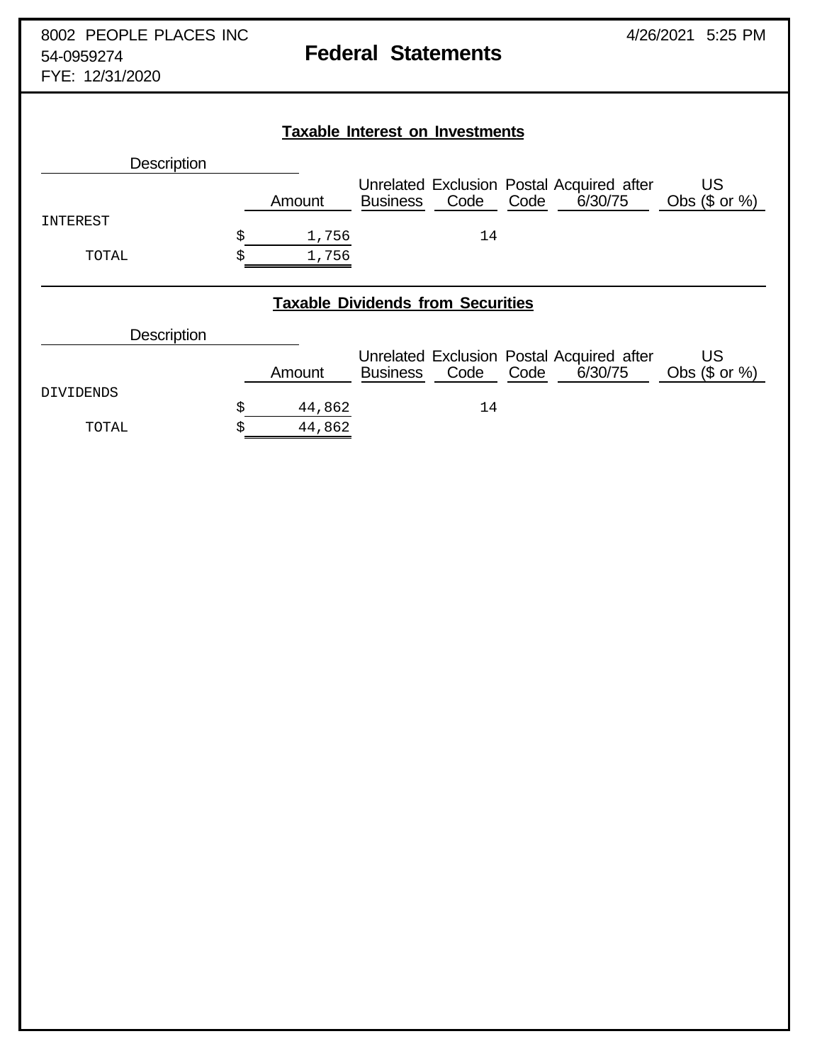|                                          |    |        | <b>Taxable Interest on Investments</b> |      |                                                              |                       |  |  |  |
|------------------------------------------|----|--------|----------------------------------------|------|--------------------------------------------------------------|-----------------------|--|--|--|
| <b>Description</b>                       |    |        |                                        |      |                                                              |                       |  |  |  |
|                                          |    | Amount | <b>Business</b>                        | Code | Unrelated Exclusion Postal Acquired after<br>6/30/75<br>Code | US<br>Obs $($$ or $%$ |  |  |  |
| INTEREST                                 |    |        |                                        |      |                                                              |                       |  |  |  |
|                                          | \$ | 1,756  |                                        | 14   |                                                              |                       |  |  |  |
| TOTAL                                    |    | 1,756  |                                        |      |                                                              |                       |  |  |  |
| <b>Taxable Dividends from Securities</b> |    |        |                                        |      |                                                              |                       |  |  |  |
| <b>Description</b>                       |    |        |                                        |      |                                                              |                       |  |  |  |

|           | Amount | <b>Business</b> | Code | Code | Unrelated Exclusion Postal Acquired after<br>6/30/75 | Obs $(\$$ or $%$ |
|-----------|--------|-----------------|------|------|------------------------------------------------------|------------------|
| DIVIDENDS |        |                 |      |      |                                                      |                  |
|           | 44,862 |                 | 14   |      |                                                      |                  |
| TOTAL     | 44,862 |                 |      |      |                                                      |                  |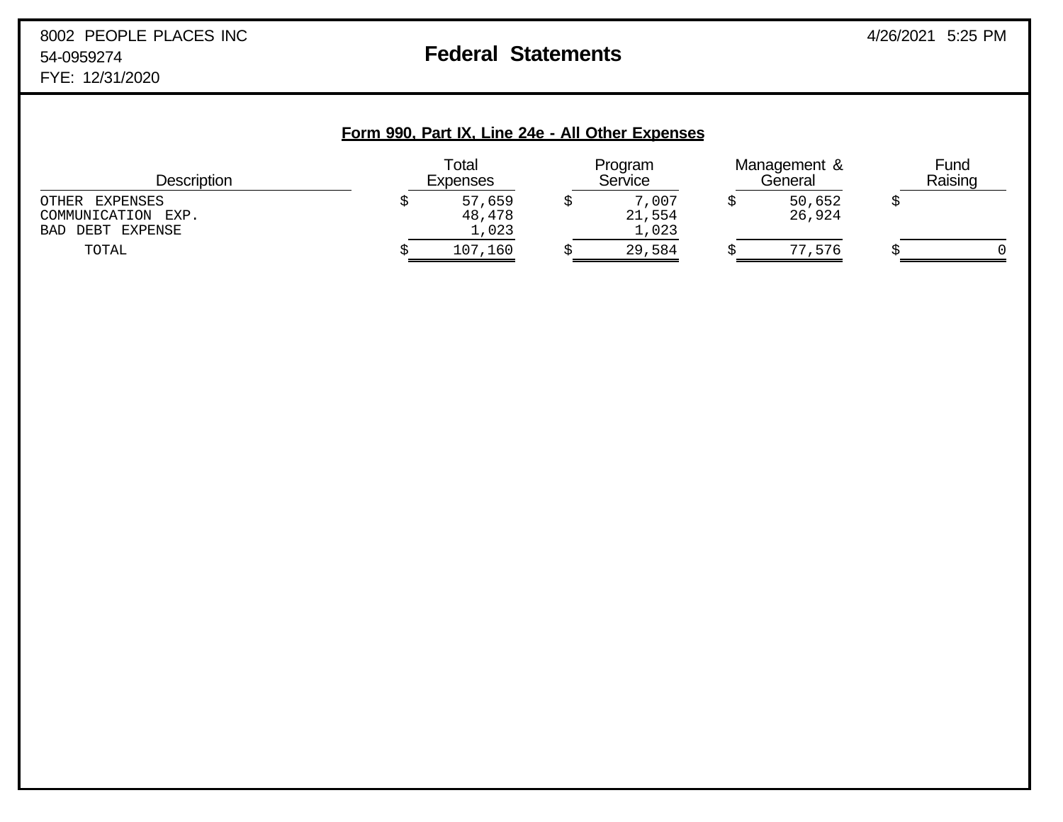### **Form 990, Part IX, Line 24e - All Other Expenses**

| <b>Description</b>                                             | Total<br>Expenses         | Program<br>Service       | Management &<br>General | Fund<br>Raising |  |
|----------------------------------------------------------------|---------------------------|--------------------------|-------------------------|-----------------|--|
| OTHER<br>EXPENSES<br>COMMUNICATION EXP.<br>DEBT EXPENSE<br>BAD | 57,659<br>48,478<br>1,023 | 7,007<br>21,554<br>1,023 | 50,652<br>26,924        |                 |  |
| TOTAL                                                          | 107,160                   | 29,584                   | 77,576                  |                 |  |